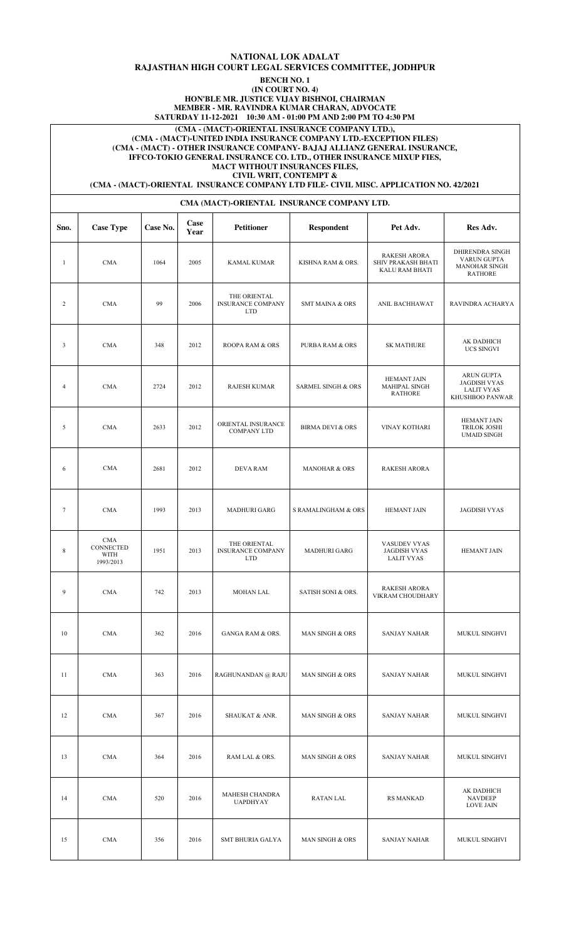## **NATIONAL LOK ADALAT RAJASTHAN HIGH COURT LEGAL SERVICES COMMITTEE, JODHPUR**

**BENCH NO. 1**

**(IN COURT NO. 4) HON'BLE MR. JUSTICE VIJAY BISHNOI, CHAIRMAN**

**MEMBER - MR. RAVINDRA KUMAR CHARAN, ADVOCATE**

**SATURDAY 11-12-2021 10:30 AM - 01:00 PM AND 2:00 PM TO 4:30 PM**

**(CMA - (MACT)-ORIENTAL INSURANCE COMPANY LTD.),** 

**(CMA - (MACT)-UNITED INDIA INSURANCE COMPANY LTD.-EXCEPTION FILES) (CMA - (MACT) - OTHER INSURANCE COMPANY- BAJAJ ALLIANZ GENERAL INSURANCE, IFFCO-TOKIO GENERAL INSURANCE CO. LTD., OTHER INSURANCE MIXUP FIES, MACT WITHOUT INSURANCES FILES,**

**CIVIL WRIT, CONTEMPT &**

**(CMA - (MACT)-ORIENTAL INSURANCE COMPANY LTD FILE- CIVIL MISC. APPLICATION NO. 42/2021**

### **CMA (MACT)-ORIENTAL INSURANCE COMPANY LTD.**

| Sno.         | <b>Case Type</b>                             | Case No. | Case<br>Year | <b>Petitioner</b>                                      | <b>Respondent</b>             | Pet Adv.                                                           | Res Adv.                                                                         |
|--------------|----------------------------------------------|----------|--------------|--------------------------------------------------------|-------------------------------|--------------------------------------------------------------------|----------------------------------------------------------------------------------|
| $\mathbf{1}$ | <b>CMA</b>                                   | 1064     | 2005         | <b>KAMAL KUMAR</b>                                     | KISHNA RAM & ORS.             | <b>RAKESH ARORA</b><br>SHIV PRAKASH BHATI<br><b>KALU RAM BHATI</b> | DHIRENDRA SINGH<br>VARUN GUPTA<br><b>MANOHAR SINGH</b><br><b>RATHORE</b>         |
| 2            | <b>CMA</b>                                   | 99       | 2006         | THE ORIENTAL<br><b>INSURANCE COMPANY</b><br><b>LTD</b> | <b>SMT MAINA &amp; ORS</b>    | ANIL BACHHAWAT                                                     | RAVINDRA ACHARYA                                                                 |
| 3            | <b>CMA</b>                                   | 348      | 2012         | ROOPA RAM & ORS                                        | <b>PURBA RAM &amp; ORS</b>    | <b>SK MATHURE</b>                                                  | AK DADHICH<br>UCS SINGVI                                                         |
| 4            | <b>CMA</b>                                   | 2724     | 2012         | <b>RAJESH KUMAR</b>                                    | <b>SARMEL SINGH &amp; ORS</b> | HEMANT JAIN<br>MAHIPAL SINGH<br><b>RATHORE</b>                     | <b>ARUN GUPTA</b><br><b>JAGDISH VYAS</b><br><b>LALIT VYAS</b><br>KHUSHBOO PANWAR |
| 5            | <b>CMA</b>                                   | 2633     | 2012         | ORIENTAL INSURANCE<br>COMPANY LTD                      | <b>BIRMA DEVI &amp; ORS</b>   | VINAY KOTHARI                                                      | <b>HEMANT JAIN</b><br><b>TRILOK JOSHI</b><br><b>UMAID SINGH</b>                  |
| 6            | <b>CMA</b>                                   | 2681     | 2012         | <b>DEVA RAM</b>                                        | <b>MANOHAR &amp; ORS</b>      | <b>RAKESH ARORA</b>                                                |                                                                                  |
| $\tau$       | <b>CMA</b>                                   | 1993     | 2013         | <b>MADHURI GARG</b>                                    | S RAMALINGHAM & ORS           | <b>HEMANT JAIN</b>                                                 | <b>JAGDISH VYAS</b>                                                              |
| 8            | <b>CMA</b><br>CONNECTED<br>WITH<br>1993/2013 | 1951     | 2013         | THE ORIENTAL<br><b>INSURANCE COMPANY</b><br><b>LTD</b> | <b>MADHURI GARG</b>           | VASUDEV VYAS<br><b>JAGDISH VYAS</b><br><b>LALIT VYAS</b>           | <b>HEMANT JAIN</b>                                                               |
| 9            | <b>CMA</b>                                   | 742      | 2013         | <b>MOHAN LAL</b>                                       | SATISH SONI & ORS.            | <b>RAKESH ARORA</b><br>VIKRAM CHOUDHARY                            |                                                                                  |
| 10           | CMA                                          | 362      | 2016         | <b>GANGA RAM &amp; ORS.</b>                            | MAN SINGH & ORS               | <b>SANJAY NAHAR</b>                                                | MUKUL SINGHVI                                                                    |
| 11           | <b>CMA</b>                                   | 363      | 2016         | RAGHUNANDAN @ RAJU                                     | MAN SINGH & ORS               | <b>SANJAY NAHAR</b>                                                | MUKUL SINGHVI                                                                    |
| 12           | <b>CMA</b>                                   | 367      | 2016         | SHAUKAT & ANR.                                         | MAN SINGH & ORS               | <b>SANJAY NAHAR</b>                                                | MUKUL SINGHVI                                                                    |
| 13           | <b>CMA</b>                                   | 364      | 2016         | RAM LAL & ORS.                                         | MAN SINGH & ORS               | <b>SANJAY NAHAR</b>                                                | MUKUL SINGHVI                                                                    |
| 14           | <b>CMA</b>                                   | 520      | 2016         | MAHESH CHANDRA<br><b>UAPDHYAY</b>                      | RATAN LAL                     | <b>RS MANKAD</b>                                                   | AK DADHICH<br><b>NAVDEEP</b><br><b>LOVE JAIN</b>                                 |
| 15           | <b>CMA</b>                                   | 356      | 2016         | SMT BHURIA GALYA                                       | MAN SINGH & ORS               | <b>SANJAY NAHAR</b>                                                | MUKUL SINGHVI                                                                    |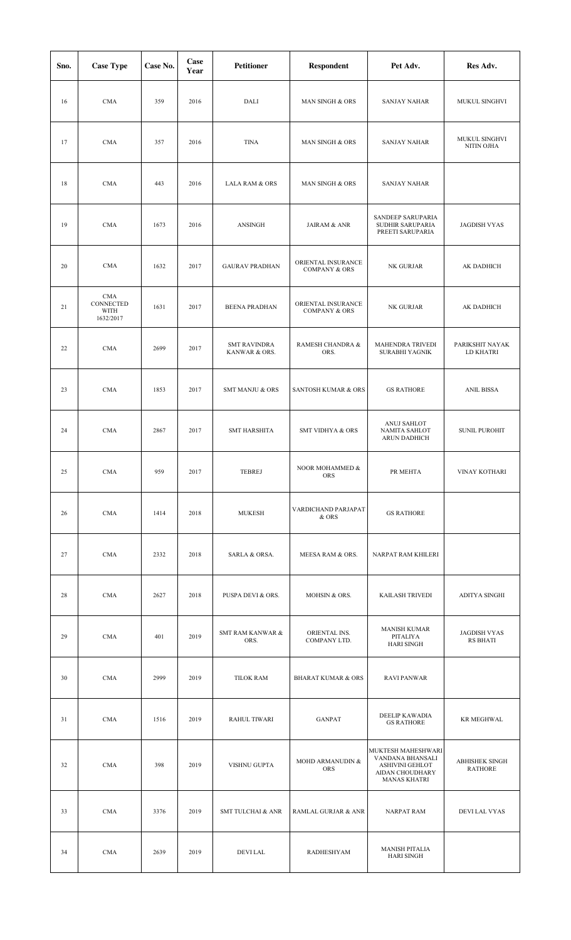| Sno. | <b>Case Type</b>                                    | Case No. | Case<br>Year | <b>Petitioner</b>                    | <b>Respondent</b>                              | Pet Adv.                                                                                                   | Res Adv.                                |
|------|-----------------------------------------------------|----------|--------------|--------------------------------------|------------------------------------------------|------------------------------------------------------------------------------------------------------------|-----------------------------------------|
| 16   | <b>CMA</b>                                          | 359      | 2016         | <b>DALI</b>                          | MAN SINGH & ORS                                | <b>SANJAY NAHAR</b>                                                                                        | MUKUL SINGHVI                           |
| 17   | <b>CMA</b>                                          | 357      | 2016         | <b>TINA</b>                          | MAN SINGH & ORS                                | <b>SANJAY NAHAR</b>                                                                                        | MUKUL SINGHVI<br>NITIN OJHA             |
| 18   | <b>CMA</b>                                          | 443      | 2016         | <b>LALA RAM &amp; ORS</b>            | <b>MAN SINGH &amp; ORS</b>                     | <b>SANJAY NAHAR</b>                                                                                        |                                         |
| 19   | <b>CMA</b>                                          | 1673     | 2016         | ANSINGH                              | <b>JAIRAM &amp; ANR</b>                        | SANDEEP SARUPARIA<br>SUDHIR SARUPARIA<br>PREETI SARUPARIA                                                  | <b>JAGDISH VYAS</b>                     |
| 20   | <b>CMA</b>                                          | 1632     | 2017         | <b>GAURAV PRADHAN</b>                | ORIENTAL INSURANCE<br><b>COMPANY &amp; ORS</b> | NK GURJAR                                                                                                  | AK DADHICH                              |
| 21   | <b>CMA</b><br>CONNECTED<br><b>WITH</b><br>1632/2017 | 1631     | 2017         | <b>BEENA PRADHAN</b>                 | ORIENTAL INSURANCE<br><b>COMPANY &amp; ORS</b> | NK GURJAR                                                                                                  | AK DADHICH                              |
| 22   | <b>CMA</b>                                          | 2699     | 2017         | <b>SMT RAVINDRA</b><br>KANWAR & ORS. | RAMESH CHANDRA &<br>ORS.                       | MAHENDRA TRIVEDI<br>SURABHI YAGNIK                                                                         | PARIKSHIT NAYAK<br>LD KHATRI            |
| 23   | <b>CMA</b>                                          | 1853     | 2017         | <b>SMT MANJU &amp; ORS</b>           | <b>SANTOSH KUMAR &amp; ORS</b>                 | <b>GS RATHORE</b>                                                                                          | <b>ANIL BISSA</b>                       |
| 24   | <b>CMA</b>                                          | 2867     | 2017         | <b>SMT HARSHITA</b>                  | <b>SMT VIDHYA &amp; ORS</b>                    | ANUJ SAHLOT<br>NAMITA SAHLOT<br>ARUN DADHICH                                                               | <b>SUNIL PUROHIT</b>                    |
| 25   | CMA                                                 | 959      | 2017         | TEBREJ                               | NOOR MOHAMMED &<br><b>ORS</b>                  | PR MEHTA                                                                                                   | VINAY KOTHARI                           |
| 26   | <b>CMA</b>                                          | 1414     | 2018         | <b>MUKESH</b>                        | VARDICHAND PARJAPAT<br>& ORS                   | <b>GS RATHORE</b>                                                                                          |                                         |
| 27   | CMA                                                 | 2332     | 2018         | SARLA & ORSA.                        | MEESA RAM & ORS.                               | NARPAT RAM KHILERI                                                                                         |                                         |
| 28   | CMA                                                 | 2627     | 2018         | PUSPA DEVI & ORS.                    | MOHSIN & ORS.                                  | KAILASH TRIVEDI                                                                                            | ADITYA SINGHI                           |
| 29   | <b>CMA</b>                                          | 401      | 2019         | <b>SMT RAM KANWAR &amp;</b><br>ORS.  | ORIENTAL INS.<br>COMPANY LTD.                  | <b>MANISH KUMAR</b><br>PITALIYA<br><b>HARI SINGH</b>                                                       | <b>JAGDISH VYAS</b><br>RS BHATI         |
| 30   | <b>CMA</b>                                          | 2999     | 2019         | <b>TILOK RAM</b>                     | <b>BHARAT KUMAR &amp; ORS</b>                  | <b>RAVI PANWAR</b>                                                                                         |                                         |
| 31   | <b>CMA</b>                                          | 1516     | 2019         | <b>RAHUL TIWARI</b>                  | <b>GANPAT</b>                                  | DEELIP KAWADIA<br><b>GS RATHORE</b>                                                                        | <b>KR MEGHWAL</b>                       |
| 32   | <b>CMA</b>                                          | 398      | 2019         | VISHNU GUPTA                         | MOHD ARMANUDIN &<br>ORS                        | MUKTESH MAHESHWARI<br>VANDANA BHANSALI<br><b>ASHIVINI GEHLOT</b><br>AIDAN CHOUDHARY<br><b>MANAS KHATRI</b> | <b>ABHISHEK SINGH</b><br><b>RATHORE</b> |
| 33   | CMA                                                 | 3376     | 2019         | <b>SMT TULCHAI &amp; ANR</b>         | RAMLAL GURJAR & ANR                            | <b>NARPAT RAM</b>                                                                                          | DEVI LAL VYAS                           |
| 34   | <b>CMA</b>                                          | 2639     | 2019         | <b>DEVILAL</b>                       | RADHESHYAM                                     | <b>MANISH PITALIA</b><br><b>HARI SINGH</b>                                                                 |                                         |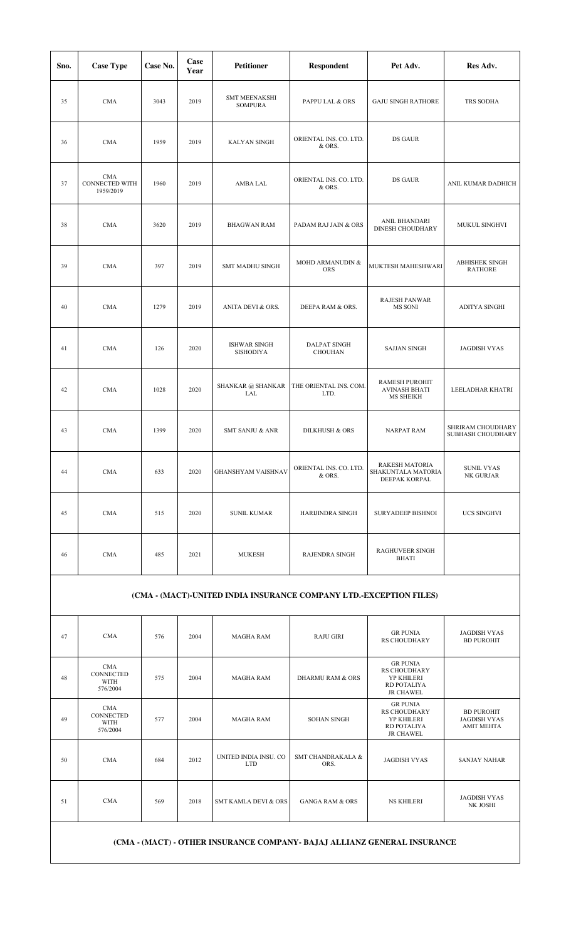| Sno. | <b>Case Type</b>                                 | Case No. | Case<br>Year | Petitioner                              | Respondent                       | Pet Adv.                                                     | Res Adv.                                |
|------|--------------------------------------------------|----------|--------------|-----------------------------------------|----------------------------------|--------------------------------------------------------------|-----------------------------------------|
| 35   | <b>CMA</b>                                       | 3043     | 2019         | <b>SMT MEENAKSHI</b><br><b>SOMPURA</b>  | PAPPU LAL & ORS                  | <b>GAJU SINGH RATHORE</b>                                    | TRS SODHA                               |
| 36   | <b>CMA</b>                                       | 1959     | 2019         | <b>KALYAN SINGH</b>                     | ORIENTAL INS. CO. LTD.<br>& ORS. | DS GAUR                                                      |                                         |
| 37   | <b>CMA</b><br><b>CONNECTED WITH</b><br>1959/2019 | 1960     | 2019         | AMBA LAL                                | ORIENTAL INS. CO. LTD.<br>& ORS. | DS GAUR                                                      | ANIL KUMAR DADHICH                      |
| 38   | <b>CMA</b>                                       | 3620     | 2019         | <b>BHAGWAN RAM</b>                      | PADAM RAJ JAIN & ORS             | ANIL BHANDARI<br><b>DINESH CHOUDHARY</b>                     | MUKUL SINGHVI                           |
| 39   | <b>CMA</b>                                       | 397      | 2019         | SMT MADHU SINGH                         | MOHD ARMANUDIN &<br><b>ORS</b>   | MUKTESH MAHESHWARI                                           | <b>ABHISHEK SINGH</b><br><b>RATHORE</b> |
| 40   | <b>CMA</b>                                       | 1279     | 2019         | ANITA DEVI & ORS.                       | DEEPA RAM & ORS.                 | RAJESH PANWAR<br>MS SONI                                     | ADITYA SINGHI                           |
| 41   | <b>CMA</b>                                       | 126      | 2020         | <b>ISHWAR SINGH</b><br><b>SISHODIYA</b> | <b>DALPAT SINGH</b><br>CHOUHAN   | <b>SAJJAN SINGH</b>                                          | <b>JAGDISH VYAS</b>                     |
| 42   | <b>CMA</b>                                       | 1028     | 2020         | <b>SHANKAR @ SHANKAR</b><br>LAL         | THE ORIENTAL INS. COM.<br>LTD.   | RAMESH PUROHIT<br><b>AVINASH BHATI</b><br>MS SHEIKH          | LEELADHAR KHATRI                        |
| 43   | <b>CMA</b>                                       | 1399     | 2020         | SMT SANJU & ANR                         | <b>DILKHUSH &amp; ORS</b>        | <b>NARPAT RAM</b>                                            | SHRIRAM CHOUDHARY<br>SUBHASH CHOUDHARY  |
| 44   | <b>CMA</b>                                       | 633      | 2020         | $\mbox{GHANSHYAM VAISHNAV}$             | ORIENTAL INS. CO. LTD.<br>& ORS. | <b>RAKESH MATORIA</b><br>SHAKUNTALA MATORIA<br>DEEPAK KORPAL | <b>SUNIL VYAS</b><br>NK GURJAR          |
| 45   | <b>CMA</b>                                       | 515      | 2020         | <b>SUNIL KUMAR</b>                      | <b>HARIJINDRA SINGH</b>          | SURYADEEP BISHNOI                                            | UCS SINGHVI                             |
| 46   | <b>CMA</b>                                       | 485      | 2021         | <b>MUKESH</b>                           | RAJENDRA SINGH                   | <b>RAGHUVEER SINGH</b><br><b>BHATI</b>                       |                                         |

## **(CMA - (MACT)-UNITED INDIA INSURANCE COMPANY LTD.-EXCEPTION FILES)**

| 47 | <b>CMA</b>                                                | 576 | 2004 | <b>MAGHA RAM</b>                    | <b>RAJU GIRI</b>                     | <b>GR PUNIA</b><br><b>RS CHOUDHARY</b>                                                         | <b>JAGDISH VYAS</b><br><b>BD PUROHIT</b>                      |
|----|-----------------------------------------------------------|-----|------|-------------------------------------|--------------------------------------|------------------------------------------------------------------------------------------------|---------------------------------------------------------------|
| 48 | <b>CMA</b><br><b>CONNECTED</b><br><b>WITH</b><br>576/2004 | 575 | 2004 | <b>MAGHA RAM</b>                    | DHARMURAM & ORS                      | <b>GR PUNIA</b><br><b>RS CHOUDHARY</b><br><b>YP KHILERI</b><br>RD POTALIYA<br><b>JR CHAWEL</b> |                                                               |
| 49 | <b>CMA</b><br>CONNECTED<br>WITH<br>576/2004               | 577 | 2004 | <b>MAGHA RAM</b>                    | <b>SOHAN SINGH</b>                   | <b>GR PUNIA</b><br><b>RS CHOUDHARY</b><br><b>YP KHILERI</b><br>RD POTALIYA<br><b>JR CHAWEL</b> | <b>BD PUROHIT</b><br><b>JAGDISH VYAS</b><br><b>AMIT MEHTA</b> |
| 50 | <b>CMA</b>                                                | 684 | 2012 | UNITED INDIA INSU. CO<br><b>LTD</b> | <b>SMT CHANDRAKALA &amp;</b><br>ORS. | <b>JAGDISH VYAS</b>                                                                            | <b>SANJAY NAHAR</b>                                           |
| 51 | <b>CMA</b>                                                | 569 | 2018 | <b>SMT KAMLA DEVI &amp; ORS</b>     | <b>GANGA RAM &amp; ORS</b>           | <b>NS KHILERI</b>                                                                              | <b>JAGDISH VYAS</b><br>NK JOSHI                               |
|    |                                                           |     |      |                                     |                                      |                                                                                                |                                                               |

## **(CMA - (MACT) - OTHER INSURANCE COMPANY- BAJAJ ALLIANZ GENERAL INSURANCE**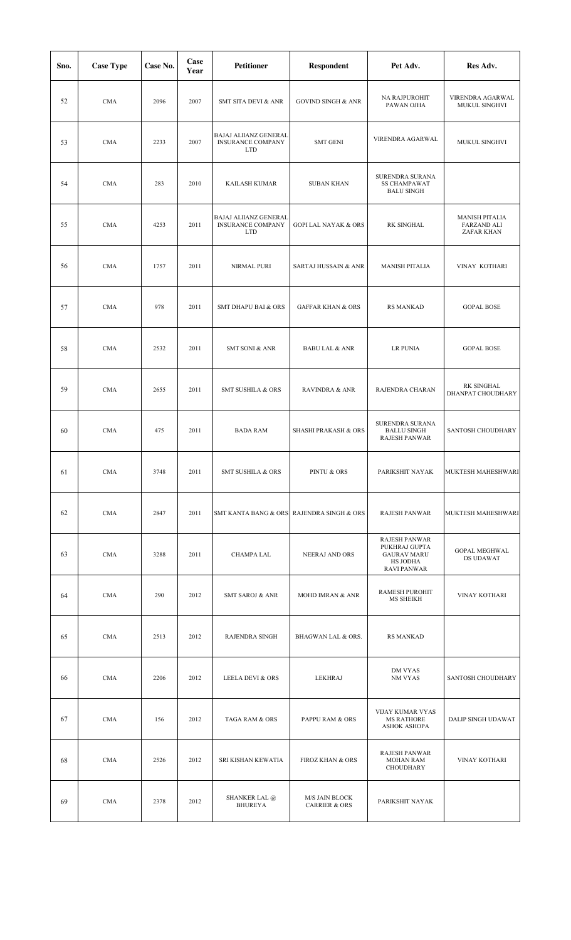| Sno. | <b>Case Type</b> | Case No. | Case<br>Year | <b>Petitioner</b>                                               | Respondent                                        | Pet Adv.                                                                                      | Res Adv.                                                  |
|------|------------------|----------|--------------|-----------------------------------------------------------------|---------------------------------------------------|-----------------------------------------------------------------------------------------------|-----------------------------------------------------------|
| 52   | <b>CMA</b>       | 2096     | 2007         | SMT SITA DEVI & ANR                                             | <b>GOVIND SINGH &amp; ANR</b>                     | NA RAJPUROHIT<br>PAWAN OJHA                                                                   | VIRENDRA AGARWAL<br>MUKUL SINGHVI                         |
| 53   | <b>CMA</b>       | 2233     | 2007         | BAJAJ ALIIANZ GENERAL<br><b>INSURANCE COMPANY</b><br><b>LTD</b> | <b>SMT GENI</b>                                   | VIRENDRA AGARWAL                                                                              | MUKUL SINGHVI                                             |
| 54   | <b>CMA</b>       | 283      | 2010         | KAILASH KUMAR                                                   | <b>SUBAN KHAN</b>                                 | SURENDRA SURANA<br><b>SS CHAMPAWAT</b><br><b>BALU SINGH</b>                                   |                                                           |
| 55   | <b>CMA</b>       | 4253     | 2011         | BAJAJ ALIIANZ GENERAL<br><b>INSURANCE COMPANY</b><br><b>LTD</b> | <b>GOPI LAL NAYAK &amp; ORS</b>                   | RK SINGHAL                                                                                    | <b>MANISH PITALIA</b><br><b>FARZAND ALI</b><br>ZAFAR KHAN |
| 56   | <b>CMA</b>       | 1757     | 2011         | <b>NIRMAL PURI</b>                                              | SARTAJ HUSSAIN & ANR                              | <b>MANISH PITALIA</b>                                                                         | VINAY KOTHARI                                             |
| 57   | <b>CMA</b>       | 978      | 2011         | <b>SMT DHAPU BAI &amp; ORS</b>                                  | <b>GAFFAR KHAN &amp; ORS</b>                      | <b>RS MANKAD</b>                                                                              | <b>GOPAL BOSE</b>                                         |
| 58   | <b>CMA</b>       | 2532     | 2011         | SMT SONI & ANR                                                  | <b>BABU LAL &amp; ANR</b>                         | <b>LR PUNIA</b>                                                                               | <b>GOPAL BOSE</b>                                         |
| 59   | <b>CMA</b>       | 2655     | 2011         | <b>SMT SUSHILA &amp; ORS</b>                                    | <b>RAVINDRA &amp; ANR</b>                         | RAJENDRA CHARAN                                                                               | RK SINGHAL<br>DHANPAT CHOUDHARY                           |
| 60   | <b>CMA</b>       | 475      | 2011         | <b>BADA RAM</b>                                                 | <b>SHASHI PRAKASH &amp; ORS</b>                   | SURENDRA SURANA<br><b>BALLU SINGH</b><br>RAJESH PANWAR                                        | SANTOSH CHOUDHARY                                         |
| 61   | <b>CMA</b>       | 3748     | 2011         | <b>SMT SUSHILA &amp; ORS</b>                                    | PINTU & ORS                                       | PARIKSHIT NAYAK                                                                               | MUKTESH MAHESHWARI                                        |
| 62   | <b>CMA</b>       | 2847     | 2011         |                                                                 | SMT KANTA BANG & ORS RAJENDRA SINGH & ORS         | <b>RAJESH PANWAR</b>                                                                          | MUKTESH MAHESHWARI                                        |
| 63   | <b>CMA</b>       | 3288     | 2011         | CHAMPA LAL                                                      | NEERAJ AND ORS                                    | <b>RAJESH PANWAR</b><br>PUKHRAJ GUPTA<br><b>GAURAV MARU</b><br>HS JODHA<br><b>RAVI PANWAR</b> | <b>GOPAL MEGHWAL</b><br>DS UDAWAT                         |
| 64   | <b>CMA</b>       | 290      | 2012         | <b>SMT SAROJ &amp; ANR</b>                                      | <b>MOHD IMRAN &amp; ANR</b>                       | RAMESH PUROHIT<br>MS SHEIKH                                                                   | VINAY KOTHARI                                             |
| 65   | <b>CMA</b>       | 2513     | 2012         | RAJENDRA SINGH                                                  | BHAGWAN LAL & ORS.                                | <b>RS MANKAD</b>                                                                              |                                                           |
| 66   | <b>CMA</b>       | 2206     | 2012         | LEELA DEVI & ORS                                                | LEKHRAJ                                           | DM VYAS<br>NM VYAS                                                                            | SANTOSH CHOUDHARY                                         |
| 67   | <b>CMA</b>       | 156      | 2012         | TAGA RAM & ORS                                                  | PAPPU RAM & ORS                                   | VIJAY KUMAR VYAS<br><b>MS RATHORE</b><br><b>ASHOK ASHOPA</b>                                  | DALIP SINGH UDAWAT                                        |
| 68   | <b>CMA</b>       | 2526     | 2012         | SRI KISHAN KEWATIA                                              | <b>FIROZ KHAN &amp; ORS</b>                       | <b>RAJESH PANWAR</b><br><b>MOHAN RAM</b><br>CHOUDHARY                                         | VINAY KOTHARI                                             |
| 69   | <b>CMA</b>       | 2378     | 2012         | SHANKER LAL @<br><b>BHUREYA</b>                                 | <b>M/S JAIN BLOCK</b><br><b>CARRIER &amp; ORS</b> | PARIKSHIT NAYAK                                                                               |                                                           |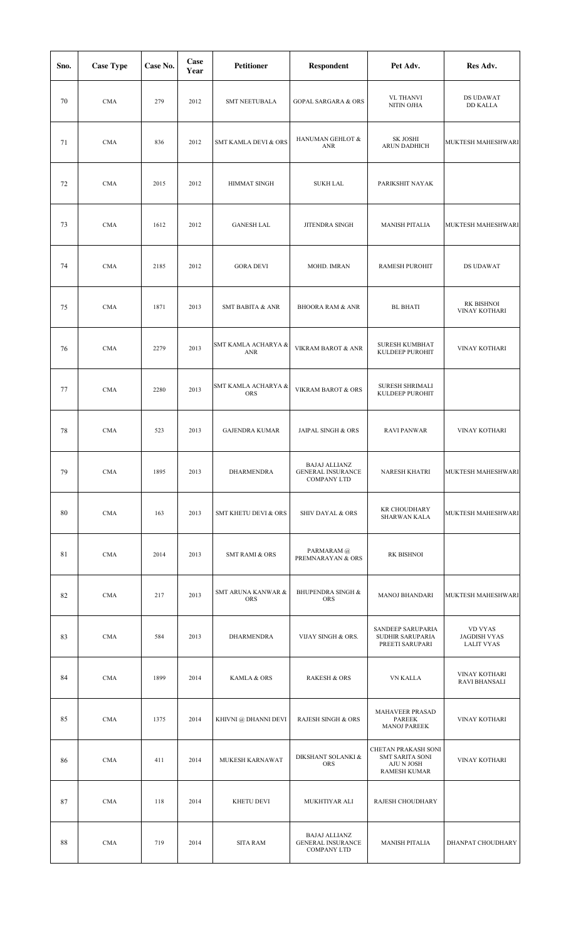| Sno. | <b>Case Type</b> | Case No. | Case<br>Year | <b>Petitioner</b>                 | <b>Respondent</b>                                                      | Pet Adv.                                                                    | Res Adv.                                            |
|------|------------------|----------|--------------|-----------------------------------|------------------------------------------------------------------------|-----------------------------------------------------------------------------|-----------------------------------------------------|
| 70   | <b>CMA</b>       | 279      | 2012         | <b>SMT NEETUBALA</b>              | <b>GOPAL SARGARA &amp; ORS</b>                                         | <b>VL THANVI</b><br>NITIN OJHA                                              | DS UDAWAT<br><b>DD KALLA</b>                        |
| 71   | <b>CMA</b>       | 836      | 2012         | SMT KAMLA DEVI & ORS              | HANUMAN GEHLOT &<br><b>ANR</b>                                         | SK JOSHI<br>ARUN DADHICH                                                    | MUKTESH MAHESHWARI                                  |
| 72   | <b>CMA</b>       | 2015     | 2012         | <b>HIMMAT SINGH</b>               | <b>SUKH LAL</b>                                                        | PARIKSHIT NAYAK                                                             |                                                     |
| 73   | <b>CMA</b>       | 1612     | 2012         | <b>GANESH LAL</b>                 | JITENDRA SINGH                                                         | <b>MANISH PITALIA</b>                                                       | MUKTESH MAHESHWARI                                  |
| 74   | <b>CMA</b>       | 2185     | 2012         | <b>GORA DEVI</b>                  | MOHD. IMRAN                                                            | <b>RAMESH PUROHIT</b>                                                       | DS UDAWAT                                           |
| 75   | <b>CMA</b>       | 1871     | 2013         | <b>SMT BABITA &amp; ANR</b>       | <b>BHOORA RAM &amp; ANR</b>                                            | <b>BL BHATI</b>                                                             | RK BISHNOI<br>VINAY KOTHARI                         |
| 76   | <b>CMA</b>       | 2279     | 2013         | SMT KAMLA ACHARYA &<br><b>ANR</b> | VIKRAM BAROT & ANR                                                     | <b>SURESH KUMBHAT</b><br>KULDEEP PUROHIT                                    | VINAY KOTHARI                                       |
| 77   | <b>CMA</b>       | 2280     | 2013         | SMT KAMLA ACHARYA &<br>ORS        | VIKRAM BAROT & ORS                                                     | SURESH SHRIMALI<br>KULDEEP PUROHIT                                          |                                                     |
| 78   | <b>CMA</b>       | 523      | 2013         | <b>GAJENDRA KUMAR</b>             | JAIPAL SINGH & ORS                                                     | <b>RAVI PANWAR</b>                                                          | VINAY KOTHARI                                       |
| 79   | <b>CMA</b>       | 1895     | 2013         | DHARMENDRA                        | <b>BAJAJ ALLIANZ</b><br><b>GENERAL INSURANCE</b><br><b>COMPANY LTD</b> | NARESH KHATRI                                                               | MUKTESH MAHESHWARI                                  |
| 80   | <b>CMA</b>       | 163      | 2013         | <b>SMT KHETU DEVI &amp; ORS</b>   | <b>SHIV DAYAL &amp; ORS</b>                                            | <b>KR CHOUDHARY</b><br><b>SHARWAN KALA</b>                                  | MUKTESH MAHESHWARI                                  |
| 81   | <b>CMA</b>       | 2014     | 2013         | <b>SMT RAMI &amp; ORS</b>         | PARMARAM @<br>PREMNARAYAN & ORS                                        | RK BISHNOI                                                                  |                                                     |
| 82   | <b>CMA</b>       | 217      | 2013         | SMT ARUNA KANWAR &<br>ORS         | <b>BHUPENDRA SINGH &amp;</b><br><b>ORS</b>                             | <b>MANOJ BHANDARI</b>                                                       | MUKTESH MAHESHWARI                                  |
| 83   | <b>CMA</b>       | 584      | 2013         | DHARMENDRA                        | VIJAY SINGH & ORS.                                                     | SANDEEP SARUPARIA<br>SUDHIR SARUPARIA<br>PREETI SARUPARI                    | VD VYAS<br><b>JAGDISH VYAS</b><br><b>LALIT VYAS</b> |
| 84   | <b>CMA</b>       | 1899     | 2014         | KAMLA & ORS                       | <b>RAKESH &amp; ORS</b>                                                | VN KALLA                                                                    | VINAY KOTHARI<br><b>RAVI BHANSALI</b>               |
| 85   | <b>CMA</b>       | 1375     | 2014         | KHIVNI @ DHANNI DEVI              | <b>RAJESH SINGH &amp; ORS</b>                                          | MAHAVEER PRASAD<br><b>PAREEK</b><br><b>MANOJ PAREEK</b>                     | VINAY KOTHARI                                       |
| 86   | <b>CMA</b>       | 411      | 2014         | MUKESH KARNAWAT                   | DIKSHANT SOLANKI &<br><b>ORS</b>                                       | CHETAN PRAKASH SONI<br>SMT SARITA SONI<br>AJU N JOSH<br><b>RAMESH KUMAR</b> | <b>VINAY KOTHARI</b>                                |
| 87   | <b>CMA</b>       | 118      | 2014         | KHETU DEVI                        | MUKHTIYAR ALI                                                          | RAJESH CHOUDHARY                                                            |                                                     |
| 88   | <b>CMA</b>       | 719      | 2014         | <b>SITA RAM</b>                   | <b>BAJAJ ALLIANZ</b><br><b>GENERAL INSURANCE</b><br><b>COMPANY LTD</b> | <b>MANISH PITALIA</b>                                                       | DHANPAT CHOUDHARY                                   |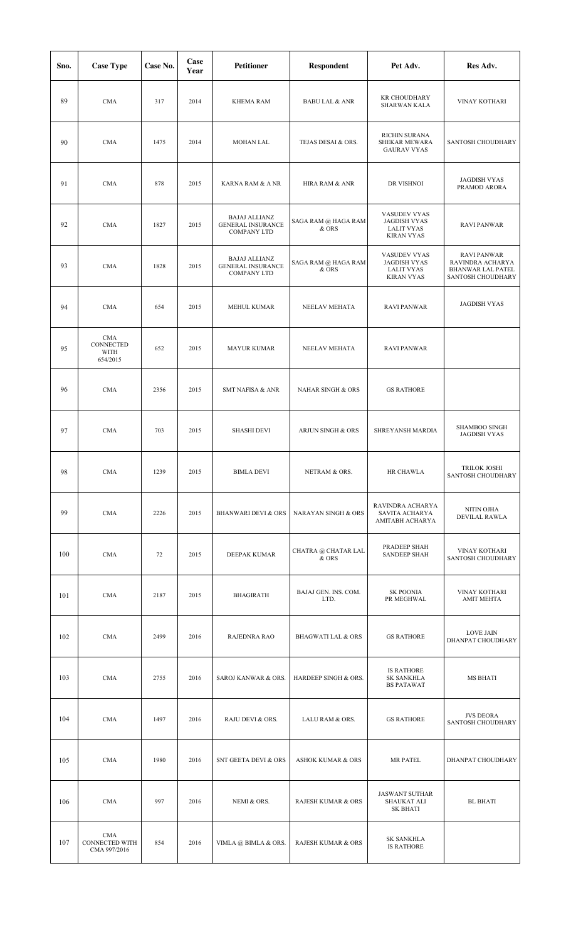| Sno. | <b>Case Type</b>                      | Case No. | Case<br>Year | <b>Petitioner</b>                                                      | Respondent                     | Pet Adv.                                                                      | Res Adv.                                                                                |
|------|---------------------------------------|----------|--------------|------------------------------------------------------------------------|--------------------------------|-------------------------------------------------------------------------------|-----------------------------------------------------------------------------------------|
| 89   | <b>CMA</b>                            | 317      | 2014         | <b>KHEMA RAM</b>                                                       | <b>BABU LAL &amp; ANR</b>      | <b>KR CHOUDHARY</b><br><b>SHARWAN KALA</b>                                    | <b>VINAY KOTHARI</b>                                                                    |
| 90   | <b>CMA</b>                            | 1475     | 2014         | <b>MOHAN LAL</b>                                                       | TEJAS DESAI & ORS.             | RICHIN SURANA<br>SHEKAR MEWARA<br><b>GAURAV VYAS</b>                          | SANTOSH CHOUDHARY                                                                       |
| 91   | <b>CMA</b>                            | 878      | 2015         | KARNA RAM & A NR                                                       | HIRA RAM & ANR                 | DR VISHNOI                                                                    | <b>JAGDISH VYAS</b><br>PRAMOD ARORA                                                     |
| 92   | <b>CMA</b>                            | 1827     | 2015         | <b>BAJAJ ALLIANZ</b><br><b>GENERAL INSURANCE</b><br><b>COMPANY LTD</b> | SAGA RAM @ HAGA RAM<br>& ORS   | VASUDEV VYAS<br><b>JAGDISH VYAS</b><br><b>LALIT VYAS</b><br><b>KIRAN VYAS</b> | <b>RAVI PANWAR</b>                                                                      |
| 93   | <b>CMA</b>                            | 1828     | 2015         | <b>BAJAJ ALLIANZ</b><br><b>GENERAL INSURANCE</b><br><b>COMPANY LTD</b> | SAGA RAM @ HAGA RAM<br>& ORS   | VASUDEV VYAS<br><b>JAGDISH VYAS</b><br><b>LALIT VYAS</b><br><b>KIRAN VYAS</b> | <b>RAVI PANWAR</b><br>RAVINDRA ACHARYA<br><b>BHANWAR LAL PATEL</b><br>SANTOSH CHOUDHARY |
| 94   | <b>CMA</b>                            | 654      | 2015         | <b>MEHUL KUMAR</b>                                                     | NEELAV MEHATA                  | <b>RAVI PANWAR</b>                                                            | <b>JAGDISH VYAS</b>                                                                     |
| 95   | CMA<br>CONNECTED<br>WITH<br>654/2015  | 652      | 2015         | <b>MAYUR KUMAR</b>                                                     | NEELAV MEHATA                  | <b>RAVI PANWAR</b>                                                            |                                                                                         |
| 96   | <b>CMA</b>                            | 2356     | 2015         | <b>SMT NAFISA &amp; ANR</b>                                            | <b>NAHAR SINGH &amp; ORS</b>   | <b>GS RATHORE</b>                                                             |                                                                                         |
| 97   | <b>CMA</b>                            | 703      | 2015         | <b>SHASHI DEVI</b>                                                     | ARJUN SINGH & ORS              | SHREYANSH MARDIA                                                              | SHAMBOO SINGH<br><b>JAGDISH VYAS</b>                                                    |
| 98   | <b>CMA</b>                            | 1239     | 2015         | <b>BIMLA DEVI</b>                                                      | NETRAM & ORS.                  | HR CHAWLA                                                                     | TRILOK JOSHI<br>SANTOSH CHOUDHARY                                                       |
| 99   | <b>CMA</b>                            | 2226     | 2015         | <b>BHANWARI DEVI &amp; ORS</b>                                         | <b>NARAYAN SINGH &amp; ORS</b> | RAVINDRA ACHARYA<br>SAVITA ACHARYA<br>AMITABH ACHARYA                         | NITIN OJHA<br>DEVILAL RAWLA                                                             |
| 100  | <b>CMA</b>                            | 72       | 2015         | DEEPAK KUMAR                                                           | CHATRA @ CHATAR LAL<br>$&$ ORS | PRADEEP SHAH<br><b>SANDEEP SHAH</b>                                           | VINAY KOTHARI<br>SANTOSH CHOUDHARY                                                      |
| 101  | <b>CMA</b>                            | 2187     | 2015         | <b>BHAGIRATH</b>                                                       | BAJAJ GEN. INS. COM.<br>LTD.   | <b>SK POONIA</b><br>PR MEGHWAL                                                | VINAY KOTHARI<br><b>AMIT MEHTA</b>                                                      |
| 102  | <b>CMA</b>                            | 2499     | 2016         | RAJEDNRA RAO                                                           | <b>BHAGWATI LAL &amp; ORS</b>  | <b>GS RATHORE</b>                                                             | <b>LOVE JAIN</b><br>DHANPAT CHOUDHARY                                                   |
| 103  | <b>CMA</b>                            | 2755     | 2016         | SAROJ KANWAR & ORS.                                                    | HARDEEP SINGH & ORS.           | <b>IS RATHORE</b><br><b>SK SANKHLA</b><br><b>BS PATAWAT</b>                   | MS BHATI                                                                                |
| 104  | <b>CMA</b>                            | 1497     | 2016         | RAJU DEVI & ORS.                                                       | LALU RAM & ORS.                | <b>GS RATHORE</b>                                                             | <b>JVS DEORA</b><br>SANTOSH CHOUDHARY                                                   |
| 105  | <b>CMA</b>                            | 1980     | 2016         | SNT GEETA DEVI & ORS                                                   | <b>ASHOK KUMAR &amp; ORS</b>   | <b>MR PATEL</b>                                                               | DHANPAT CHOUDHARY                                                                       |
| 106  | <b>CMA</b>                            | 997      | 2016         | NEMI & ORS.                                                            | <b>RAJESH KUMAR &amp; ORS</b>  | <b>JASWANT SUTHAR</b><br>SHAUKAT ALI<br><b>SK BHATI</b>                       | <b>BL BHATI</b>                                                                         |
| 107  | CMA<br>CONNECTED WITH<br>CMA 997/2016 | 854      | 2016         | VIMLA @ BIMLA & ORS.                                                   | RAJESH KUMAR & ORS             | <b>SK SANKHLA</b><br><b>IS RATHORE</b>                                        |                                                                                         |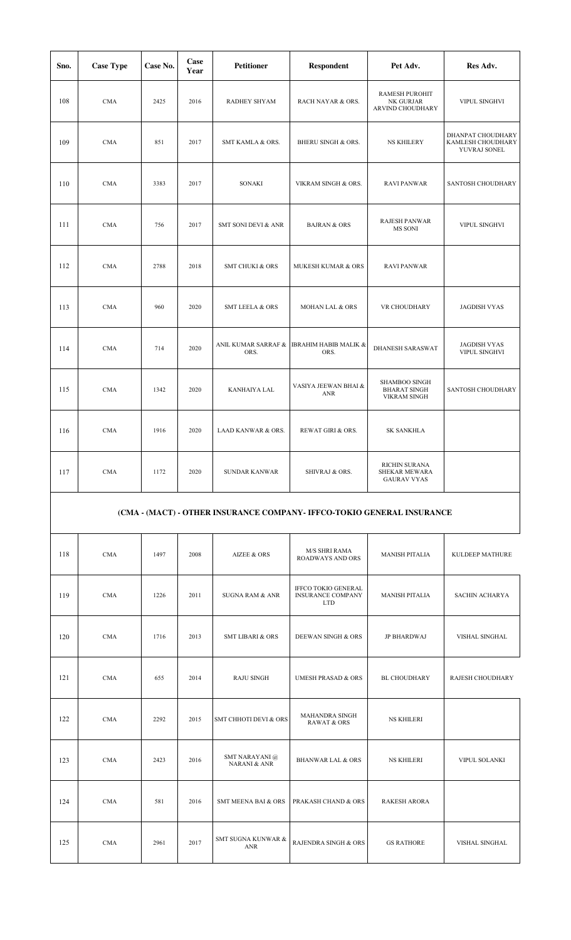| Sno. | <b>Case Type</b> | Case No. | Case<br>Year | <b>Petitioner</b>             | <b>Respondent</b>                        | Pet Adv.                                                    | Res Adv.                                               |
|------|------------------|----------|--------------|-------------------------------|------------------------------------------|-------------------------------------------------------------|--------------------------------------------------------|
| 108  | CMA              | 2425     | 2016         | RADHEY SHYAM                  | RACH NAYAR & ORS.                        | RAMESH PUROHIT<br>NK GURJAR<br>ARVIND CHOUDHARY             | VIPUL SINGHVI                                          |
| 109  | <b>CMA</b>       | 851      | 2017         | SMT KAMLA & ORS.              | <b>BHERU SINGH &amp; ORS.</b>            | <b>NS KHILERY</b>                                           | DHANPAT CHOUDHARY<br>KAMLESH CHOUDHARY<br>YUVRAJ SONEL |
| 110  | <b>CMA</b>       | 3383     | 2017         | SONAKI                        | VIKRAM SINGH & ORS.                      | <b>RAVI PANWAR</b>                                          | SANTOSH CHOUDHARY                                      |
| 111  | <b>CMA</b>       | 756      | 2017         | SMT SONI DEVI & ANR           | <b>BAJRAN &amp; ORS</b>                  | <b>RAJESH PANWAR</b><br>MS SONI                             | VIPUL SINGHVI                                          |
| 112  | <b>CMA</b>       | 2788     | 2018         | <b>SMT CHUKI &amp; ORS</b>    | MUKESH KUMAR & ORS                       | <b>RAVI PANWAR</b>                                          |                                                        |
| 113  | <b>CMA</b>       | 960      | 2020         | <b>SMT LEELA &amp; ORS</b>    | <b>MOHAN LAL &amp; ORS</b>               | VR CHOUDHARY                                                | <b>JAGDISH VYAS</b>                                    |
| 114  | <b>CMA</b>       | 714      | 2020         | ANIL KUMAR SARRAF &<br>ORS.   | <b>IBRAHIM HABIB MALIK &amp;</b><br>ORS. | DHANESH SARASWAT                                            | <b>JAGDISH VYAS</b><br>VIPUL SINGHVI                   |
| 115  | CMA              | 1342     | 2020         | KANHAIYA LAL                  | VASIYA JEEWAN BHAI &<br>ANR              | SHAMBOO SINGH<br><b>BHARAT SINGH</b><br><b>VIKRAM SINGH</b> | SANTOSH CHOUDHARY                                      |
| 116  | <b>CMA</b>       | 1916     | 2020         | <b>LAAD KANWAR &amp; ORS.</b> | REWAT GIRI & ORS.                        | <b>SK SANKHLA</b>                                           |                                                        |
| 117  | <b>CMA</b>       | 1172     | 2020         | <b>SUNDAR KANWAR</b>          | SHIVRAJ & ORS.                           | <b>RICHIN SURANA</b><br>SHEKAR MEWARA<br><b>GAURAV VYAS</b> |                                                        |

# **(CMA - (MACT) - OTHER INSURANCE COMPANY- IFFCO-TOKIO GENERAL INSURANCE**

| 118 | CMA        | 1497 | 2008 | <b>AIZEE &amp; ORS</b>                    | M/S SHRI RAMA<br><b>ROADWAYS AND ORS</b>                             | <b>MANISH PITALIA</b> | KULDEEP MATHURE       |
|-----|------------|------|------|-------------------------------------------|----------------------------------------------------------------------|-----------------------|-----------------------|
| 119 | <b>CMA</b> | 1226 | 2011 | <b>SUGNA RAM &amp; ANR</b>                | <b>IFFCO TOKIO GENERAL</b><br><b>INSURANCE COMPANY</b><br><b>LTD</b> | <b>MANISH PITALIA</b> | <b>SACHIN ACHARYA</b> |
| 120 | <b>CMA</b> | 1716 | 2013 | <b>SMT LIBARI &amp; ORS</b>               | <b>DEEWAN SINGH &amp; ORS</b>                                        | JP BHARDWAJ           | VISHAL SINGHAL        |
| 121 | CMA        | 655  | 2014 | <b>RAJU SINGH</b>                         | <b>UMESH PRASAD &amp; ORS</b>                                        | BL CHOUDHARY          | RAJESH CHOUDHARY      |
| 122 | <b>CMA</b> | 2292 | 2015 | <b>SMT CHHOTI DEVI &amp; ORS</b>          | MAHANDRA SINGH<br><b>RAWAT &amp; ORS</b>                             | <b>NS KHILERI</b>     |                       |
| 123 | CMA        | 2423 | 2016 | SMT NARAYANI @<br><b>NARANI &amp; ANR</b> | <b>BHANWAR LAL &amp; ORS</b>                                         | <b>NS KHILERI</b>     | VIPUL SOLANKI         |
| 124 | CMA        | 581  | 2016 | <b>SMT MEENA BAI &amp; ORS</b>            | PRAKASH CHAND & ORS                                                  | <b>RAKESH ARORA</b>   |                       |
| 125 | <b>CMA</b> | 2961 | 2017 | SMT SUGNA KUNWAR &<br><b>ANR</b>          | RAJENDRA SINGH & ORS                                                 | <b>GS RATHORE</b>     | VISHAL SINGHAL        |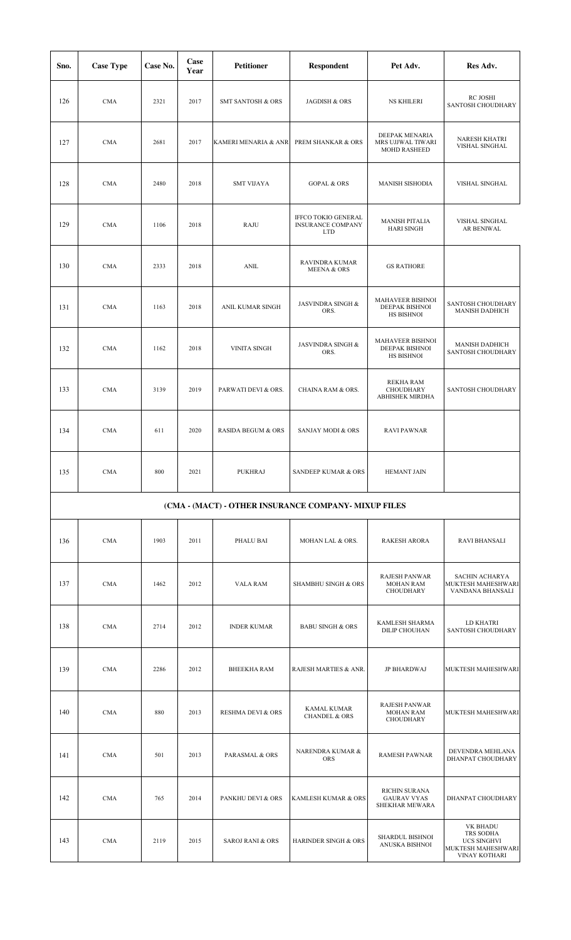| Sno. | <b>Case Type</b> | Case No. | Case<br>Year | <b>Petitioner</b>                                    | <b>Respondent</b>                                             | Pet Adv.                                                     | Res Adv.                                                                           |
|------|------------------|----------|--------------|------------------------------------------------------|---------------------------------------------------------------|--------------------------------------------------------------|------------------------------------------------------------------------------------|
| 126  | <b>CMA</b>       | 2321     | 2017         | <b>SMT SANTOSH &amp; ORS</b>                         | JAGDISH & ORS                                                 | <b>NS KHILERI</b>                                            | RC JOSHI<br>SANTOSH CHOUDHARY                                                      |
| 127  | <b>CMA</b>       | 2681     | 2017         | KAMERI MENARIA & ANR                                 | PREM SHANKAR & ORS                                            | DEEPAK MENARIA<br>MRS UJJWAL TIWARI<br>MOHD RASHEED          | <b>NARESH KHATRI</b><br>VISHAL SINGHAL                                             |
| 128  | <b>CMA</b>       | 2480     | 2018         | <b>SMT VIJAYA</b>                                    | <b>GOPAL &amp; ORS</b>                                        | MANISH SISHODIA                                              | VISHAL SINGHAL                                                                     |
| 129  | <b>CMA</b>       | 1106     | 2018         | <b>RAJU</b>                                          | IFFCO TOKIO GENERAL<br><b>INSURANCE COMPANY</b><br><b>LTD</b> | <b>MANISH PITALIA</b><br><b>HARI SINGH</b>                   | VISHAL SINGHAL<br>AR BENIWAL                                                       |
| 130  | <b>CMA</b>       | 2333     | 2018         | <b>ANIL</b>                                          | <b>RAVINDRA KUMAR</b><br><b>MEENA &amp; ORS</b>               | <b>GS RATHORE</b>                                            |                                                                                    |
| 131  | <b>CMA</b>       | 1163     | 2018         | ANIL KUMAR SINGH                                     | <b>JASVINDRA SINGH &amp;</b><br>ORS.                          | MAHAVEER BISHNOI<br>DEEPAK BISHNOI<br>HS BISHNOI             | SANTOSH CHOUDHARY<br><b>MANISH DADHICH</b>                                         |
| 132  | <b>CMA</b>       | 1162     | 2018         | <b>VINITA SINGH</b>                                  | <b>JASVINDRA SINGH &amp;</b><br>ORS.                          | MAHAVEER BISHNOI<br>DEEPAK BISHNOI<br>HS BISHNOI             | <b>MANISH DADHICH</b><br>SANTOSH CHOUDHARY                                         |
| 133  | <b>CMA</b>       | 3139     | 2019         | PARWATI DEVI & ORS.                                  | CHAINA RAM & ORS.                                             | <b>REKHA RAM</b><br>CHOUDHARY<br>ABHISHEK MIRDHA             | SANTOSH CHOUDHARY                                                                  |
| 134  | <b>CMA</b>       | 611      | 2020         | <b>RASIDA BEGUM &amp; ORS</b>                        | <b>SANJAY MODI &amp; ORS</b>                                  | <b>RAVI PAWNAR</b>                                           |                                                                                    |
| 135  | CMA              | 800      | 2021         | <b>PUKHRAJ</b>                                       | SANDEEP KUMAR & ORS                                           | <b>HEMANT JAIN</b>                                           |                                                                                    |
|      |                  |          |              | (CMA - (MACT) - OTHER INSURANCE COMPANY- MIXUP FILES |                                                               |                                                              |                                                                                    |
| 136  | <b>CMA</b>       | 1903     | 2011         | PHALU BAI                                            | MOHAN LAL & ORS.                                              | <b>RAKESH ARORA</b>                                          | <b>RAVI BHANSALI</b>                                                               |
| 137  | <b>CMA</b>       | 1462     | 2012         | <b>VALA RAM</b>                                      | <b>SHAMBHU SINGH &amp; ORS</b>                                | <b>RAJESH PANWAR</b><br><b>MOHAN RAM</b><br>CHOUDHARY        | SACHIN ACHARYA<br>MUKTESH MAHESHWARI<br>VANDANA BHANSALI                           |
| 138  | <b>CMA</b>       | 2714     | 2012         | <b>INDER KUMAR</b>                                   | <b>BABU SINGH &amp; ORS</b>                                   | KAMLESH SHARMA<br>DILIP CHOUHAN                              | LD KHATRI<br>SANTOSH CHOUDHARY                                                     |
| 139  | <b>CMA</b>       | 2286     | 2012         | <b>BHEEKHA RAM</b>                                   | RAJESH MARTIES & ANR.                                         | JP BHARDWAJ                                                  | MUKTESH MAHESHWARI                                                                 |
| 140  | <b>CMA</b>       | 880      | 2013         | <b>RESHMA DEVI &amp; ORS</b>                         | <b>KAMAL KUMAR</b><br><b>CHANDEL &amp; ORS</b>                | <b>RAJESH PANWAR</b><br><b>MOHAN RAM</b><br><b>CHOUDHARY</b> | MUKTESH MAHESHWARI                                                                 |
| 141  | <b>CMA</b>       | 501      | 2013         | PARASMAL & ORS                                       | NARENDRA KUMAR &<br><b>ORS</b>                                | <b>RAMESH PAWNAR</b>                                         | DEVENDRA MEHLANA<br>DHANPAT CHOUDHARY                                              |
| 142  | <b>CMA</b>       | 765      | 2014         | PANKHU DEVI & ORS                                    | KAMLESH KUMAR & ORS                                           | RICHIN SURANA<br><b>GAURAV VYAS</b><br>SHEKHAR MEWARA        | DHANPAT CHOUDHARY                                                                  |
| 143  | <b>CMA</b>       | 2119     | 2015         | <b>SAROJ RANI &amp; ORS</b>                          | HARINDER SINGH & ORS                                          | SHARDUL BISHNOI<br>ANUSKA BISHNOI                            | VK BHADU<br>TRS SODHA<br><b>UCS SINGHVI</b><br>MUKTESH MAHESHWARI<br>VINAY KOTHARI |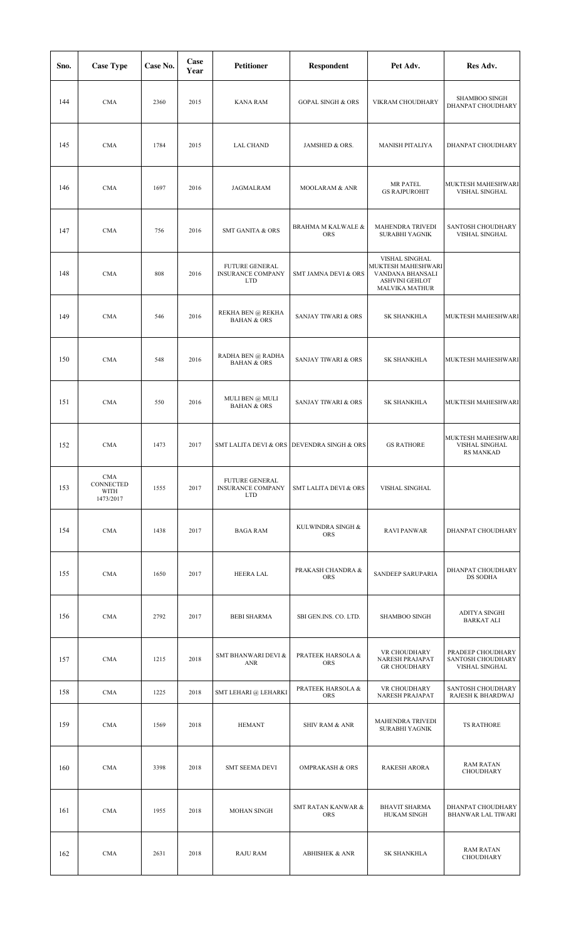| Sno. | <b>Case Type</b>                      | Case No. | Case<br>Year | <b>Petitioner</b>                                               | Respondent                                 | Pet Adv.                                                                                                   | Res Adv.                                                 |
|------|---------------------------------------|----------|--------------|-----------------------------------------------------------------|--------------------------------------------|------------------------------------------------------------------------------------------------------------|----------------------------------------------------------|
| 144  | <b>CMA</b>                            | 2360     | 2015         | KANA RAM                                                        | <b>GOPAL SINGH &amp; ORS</b>               | VIKRAM CHOUDHARY                                                                                           | <b>SHAMBOO SINGH</b><br>DHANPAT CHOUDHARY                |
| 145  | <b>CMA</b>                            | 1784     | 2015         | <b>LAL CHAND</b>                                                | JAMSHED & ORS.                             | MANISH PITALIYA                                                                                            | DHANPAT CHOUDHARY                                        |
| 146  | <b>CMA</b>                            | 1697     | 2016         | JAGMALRAM                                                       | MOOLARAM & ANR                             | <b>MR PATEL</b><br><b>GS RAJPUROHIT</b>                                                                    | MUKTESH MAHESHWARI<br>VISHAL SINGHAL                     |
| 147  | <b>CMA</b>                            | 756      | 2016         | <b>SMT GANITA &amp; ORS</b>                                     | BRAHMA M KALWALE &<br><b>ORS</b>           | MAHENDRA TRIVEDI<br><b>SURABHI YAGNIK</b>                                                                  | SANTOSH CHOUDHARY<br>VISHAL SINGHAL                      |
| 148  | <b>CMA</b>                            | 808      | 2016         | <b>FUTURE GENERAL</b><br><b>INSURANCE COMPANY</b><br><b>LTD</b> | SMT JAMNA DEVI & ORS                       | VISHAL SINGHAL<br>MUKTESH MAHESHWARI<br>VANDANA BHANSALI<br><b>ASHVINI GEHLOT</b><br><b>MALVIKA MATHUR</b> |                                                          |
| 149  | <b>CMA</b>                            | 546      | 2016         | REKHA BEN $@$ REKHA<br><b>BAHAN &amp; ORS</b>                   | <b>SANJAY TIWARI &amp; ORS</b>             | <b>SK SHANKHLA</b>                                                                                         | MUKTESH MAHESHWARI                                       |
| 150  | <b>CMA</b>                            | 548      | 2016         | RADHA BEN @ RADHA<br><b>BAHAN &amp; ORS</b>                     | <b>SANJAY TIWARI &amp; ORS</b>             | SK SHANKHLA                                                                                                | MUKTESH MAHESHWARI                                       |
| 151  | <b>CMA</b>                            | 550      | 2016         | MULI BEN @ MULI<br><b>BAHAN &amp; ORS</b>                       | <b>SANJAY TIWARI &amp; ORS</b>             | <b>SK SHANKHLA</b>                                                                                         | MUKTESH MAHESHWARI                                       |
| 152  | <b>CMA</b>                            | 1473     | 2017         |                                                                 | SMT LALITA DEVI & ORS DEVENDRA SINGH & ORS | <b>GS RATHORE</b>                                                                                          | MUKTESH MAHESHWARI<br>VISHAL SINGHAL<br><b>RS MANKAD</b> |
| 153  | CMA<br>CONNECTED<br>WITH<br>1473/2017 | 1555     | 2017         | FUTURE GENERAL<br><b>INSURANCE COMPANY</b><br><b>LTD</b>        | <b>SMT LALITA DEVI &amp; ORS</b>           | VISHAL SINGHAL                                                                                             |                                                          |
| 154  | <b>CMA</b>                            | 1438     | 2017         | <b>BAGA RAM</b>                                                 | KULWINDRA SINGH &<br>ORS                   | <b>RAVI PANWAR</b>                                                                                         | DHANPAT CHOUDHARY                                        |
| 155  | <b>CMA</b>                            | 1650     | 2017         | HEERA LAL                                                       | PRAKASH CHANDRA &<br><b>ORS</b>            | SANDEEP SARUPARIA                                                                                          | DHANPAT CHOUDHARY<br>DS SODHA                            |
| 156  | <b>CMA</b>                            | 2792     | 2017         | <b>BEBI SHARMA</b>                                              | SBI GEN.INS. CO. LTD.                      | <b>SHAMBOO SINGH</b>                                                                                       | ADITYA SINGHI<br><b>BARKAT ALI</b>                       |
| 157  | <b>CMA</b>                            | 1215     | 2018         | SMT BHANWARI DEVI &<br>ANR                                      | PRATEEK HARSOLA &<br><b>ORS</b>            | VR CHOUDHARY<br>NARESH PRAJAPAT<br><b>GR CHOUDHARY</b>                                                     | PRADEEP CHOUDHARY<br>SANTOSH CHOUDHARY<br>VISHAL SINGHAL |
| 158  | <b>CMA</b>                            | 1225     | 2018         | SMT LEHARI @ LEHARKI                                            | PRATEEK HARSOLA &<br>ORS                   | VR CHOUDHARY<br>NARESH PRAJAPAT                                                                            | SANTOSH CHOUDHARY<br>RAJESH K BHARDWAJ                   |
| 159  | <b>CMA</b>                            | 1569     | 2018         | <b>HEMANT</b>                                                   | <b>SHIV RAM &amp; ANR</b>                  | MAHENDRA TRIVEDI<br><b>SURABHI YAGNIK</b>                                                                  | <b>TS RATHORE</b>                                        |
| 160  | <b>CMA</b>                            | 3398     | 2018         | <b>SMT SEEMA DEVI</b>                                           | <b>OMPRAKASH &amp; ORS</b>                 | <b>RAKESH ARORA</b>                                                                                        | <b>RAM RATAN</b><br>CHOUDHARY                            |
| 161  | <b>CMA</b>                            | 1955     | 2018         | MOHAN SINGH                                                     | <b>SMT RATAN KANWAR &amp;</b><br>ORS       | <b>BHAVIT SHARMA</b><br><b>HUKAM SINGH</b>                                                                 | DHANPAT CHOUDHARY<br><b>BHANWAR LAL TIWARI</b>           |
| 162  | <b>CMA</b>                            | 2631     | 2018         | <b>RAJU RAM</b>                                                 | <b>ABHISHEK &amp; ANR</b>                  | <b>SK SHANKHLA</b>                                                                                         | <b>RAM RATAN</b><br>CHOUDHARY                            |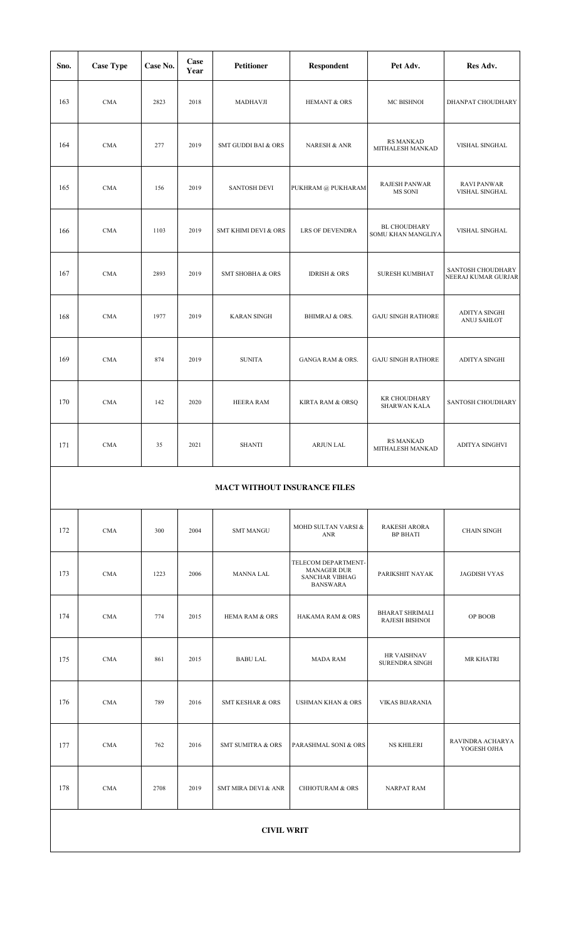| Sno. | <b>Case Type</b>  | Case No. | Case<br>Year | Petitioner                          | Respondent                                                                            | Pet Adv.                                    | Res Adv.                                 |  |  |  |  |  |
|------|-------------------|----------|--------------|-------------------------------------|---------------------------------------------------------------------------------------|---------------------------------------------|------------------------------------------|--|--|--|--|--|
| 163  | <b>CMA</b>        | 2823     | 2018         | MADHAVJI                            | <b>HEMANT &amp; ORS</b>                                                               | MC BISHNOI                                  | DHANPAT CHOUDHARY                        |  |  |  |  |  |
| 164  | <b>CMA</b>        | 277      | 2019         | <b>SMT GUDDI BAI &amp; ORS</b>      | <b>NARESH &amp; ANR</b>                                                               | <b>RS MANKAD</b><br>MITHALESH MANKAD        | VISHAL SINGHAL                           |  |  |  |  |  |
| 165  | <b>CMA</b>        | 156      | 2019         | <b>SANTOSH DEVI</b>                 | PUKHRAM @ PUKHARAM                                                                    | RAJESH PANWAR<br>MS SONI                    | <b>RAVI PANWAR</b><br>VISHAL SINGHAL     |  |  |  |  |  |
| 166  | <b>CMA</b>        | 1103     | 2019         | SMT KHIMI DEVI & ORS                | LRS OF DEVENDRA                                                                       | <b>BL CHOUDHARY</b><br>SOMU KHAN MANGLIYA   | VISHAL SINGHAL                           |  |  |  |  |  |
| 167  | <b>CMA</b>        | 2893     | 2019         | <b>SMT SHOBHA &amp; ORS</b>         | <b>IDRISH &amp; ORS</b>                                                               | <b>SURESH KUMBHAT</b>                       | SANTOSH CHOUDHARY<br>NEERAJ KUMAR GURJAR |  |  |  |  |  |
| 168  | <b>CMA</b>        | 1977     | 2019         | <b>KARAN SINGH</b>                  | <b>BHIMRAJ &amp; ORS.</b>                                                             | <b>GAJU SINGH RATHORE</b>                   | ADITYA SINGHI<br>ANUJ SAHLOT             |  |  |  |  |  |
| 169  | <b>CMA</b>        | 874      | 2019         | <b>SUNITA</b>                       | <b>GANGA RAM &amp; ORS.</b>                                                           | <b>GAJU SINGH RATHORE</b>                   | ADITYA SINGHI                            |  |  |  |  |  |
| 170  | <b>CMA</b>        | 142      | 2020         | HEERA RAM                           | KIRTA RAM & ORSQ                                                                      | <b>KR CHOUDHARY</b><br><b>SHARWAN KALA</b>  | SANTOSH CHOUDHARY                        |  |  |  |  |  |
| 171  | <b>CMA</b>        | 35       | 2021         | <b>SHANTI</b>                       | ARJUN LAL                                                                             | <b>RS MANKAD</b><br>MITHALESH MANKAD        | ADITYA SINGHVI                           |  |  |  |  |  |
|      |                   |          |              | <b>MACT WITHOUT INSURANCE FILES</b> |                                                                                       |                                             |                                          |  |  |  |  |  |
| 172  | <b>CMA</b>        | 300      | 2004         | <b>SMT MANGU</b>                    | MOHD SULTAN VARSI &<br>ANR                                                            | <b>RAKESH ARORA</b><br><b>BP BHATI</b>      | <b>CHAIN SINGH</b>                       |  |  |  |  |  |
| 173  | <b>CMA</b>        | 1223     | 2006         | MANNA LAL                           | TELECOM DEPARTMENT-<br><b>MANAGER DUR</b><br><b>SANCHAR VIBHAG</b><br><b>BANSWARA</b> | PARIKSHIT NAYAK                             | <b>JAGDISH VYAS</b>                      |  |  |  |  |  |
| 174  | <b>CMA</b>        | 774      | 2015         | <b>HEMA RAM &amp; ORS</b>           | <b>HAKAMA RAM &amp; ORS</b>                                                           | <b>BHARAT SHRIMALI</b><br>RAJESH BISHNOI    | OP BOOB                                  |  |  |  |  |  |
| 175  | <b>CMA</b>        | 861      | 2015         | <b>BABU LAL</b>                     | <b>MADA RAM</b>                                                                       | <b>HR VAISHNAV</b><br><b>SURENDRA SINGH</b> | MR KHATRI                                |  |  |  |  |  |
| 176  | CMA               | 789      | 2016         | <b>SMT KESHAR &amp; ORS</b>         | <b>USHMAN KHAN &amp; ORS</b>                                                          | <b>VIKAS BIJARANIA</b>                      |                                          |  |  |  |  |  |
| 177  | <b>CMA</b>        | 762      | 2016         | <b>SMT SUMITRA &amp; ORS</b>        | PARASHMAL SONI & ORS                                                                  | <b>NS KHILERI</b>                           | RAVINDRA ACHARYA<br>YOGESH OJHA          |  |  |  |  |  |
| 178  | <b>CMA</b>        | 2708     | 2019         | <b>SMT MIRA DEVI &amp; ANR</b>      | <b>CHHOTURAM &amp; ORS</b>                                                            | <b>NARPAT RAM</b>                           |                                          |  |  |  |  |  |
|      | <b>CIVIL WRIT</b> |          |              |                                     |                                                                                       |                                             |                                          |  |  |  |  |  |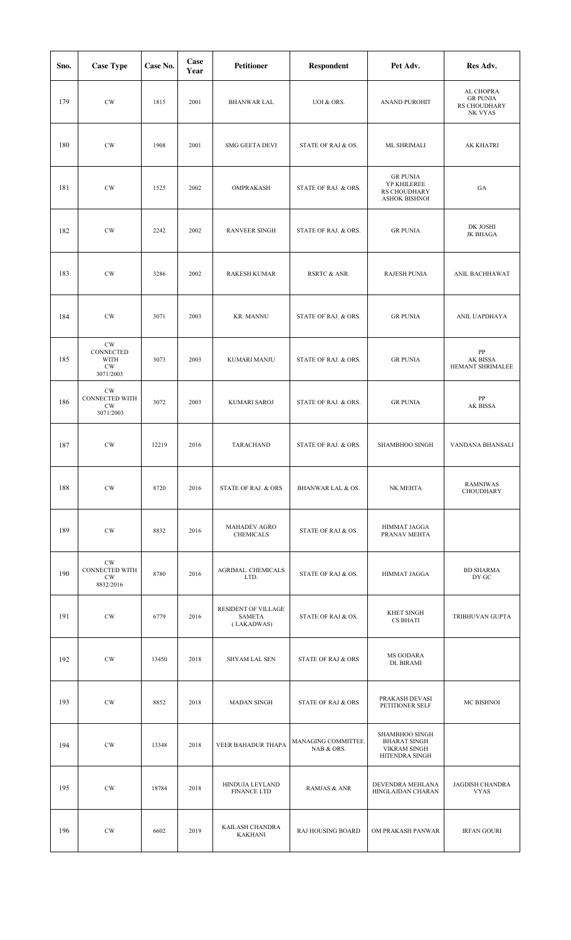| Sno. | <b>Case Type</b>                                                 | Case No. | Case<br>Year | <b>Petitioner</b>                           | <b>Respondent</b>                 | Pet Adv.                                                                              | Res Adv.                                                |
|------|------------------------------------------------------------------|----------|--------------|---------------------------------------------|-----------------------------------|---------------------------------------------------------------------------------------|---------------------------------------------------------|
| 179  | $\mathrm{CW}$                                                    | 1815     | 2001         | <b>BHANWAR LAL</b>                          | UOI & ORS.                        | <b>ANAND PUROHIT</b>                                                                  | AL CHOPRA<br><b>GR PUNIA</b><br>RS CHOUDHARY<br>NK VYAS |
| 180  | $\mathrm{CW}$                                                    | 1908     | 2001         | <b>SMG GEETA DEVI</b>                       | STATE OF RAJ & OS.                | ML SHRIMALI                                                                           | <b>AK KHATRI</b>                                        |
| 181  | $\mathrm{CW}$                                                    | 1525     | 2002         | OMPRAKASH                                   | STATE OF RAJ. & ORS.              | <b>GR PUNIA</b><br>YP KHILEREE<br>RS CHOUDHARY<br>ASHOK BISHNOI                       | GA                                                      |
| 182  | $\mathrm{CW}$                                                    | 2242     | 2002         | <b>RANVEER SINGH</b>                        | STATE OF RAJ. & ORS.              | <b>GR PUNIA</b>                                                                       | DK JOSHI<br>JK BHAGA                                    |
| 183  | $\mathrm{CW}$                                                    | 3286     | 2002         | <b>RAKESH KUMAR</b>                         | RSRTC & ANR.                      | <b>RAJESH PUNIA</b>                                                                   | ANIL BACHHAWAT                                          |
| 184  | $\mathrm{CW}$                                                    | 3071     | 2003         | <b>KR. MANNU</b>                            | STATE OF RAJ. & ORS.              | <b>GR PUNIA</b>                                                                       | ANIL UAPDHAYA                                           |
| 185  | $\mathrm{CW}$<br>CONNECTED<br>WITH<br>$\mathrm{CW}$<br>3071/2003 | 3073     | 2003         | KUMARI MANJU                                | STATE OF RAJ. & ORS.              | <b>GR PUNIA</b>                                                                       | ${\bf PP}$<br>AK BISSA<br>HEMANT SHRIMALEE              |
| 186  | $\mathrm{CW}$<br>CONNECTED WITH<br><b>CW</b><br>3071/2003        | 3072     | 2003         | KUMARI SAROJ                                | STATE OF RAJ. & ORS.              | <b>GR PUNIA</b>                                                                       | PP<br>AK BISSA                                          |
| 187  | $\mathrm{CW}$                                                    | 12219    | 2016         | TARACHAND                                   | STATE OF RAJ. & ORS.              | SHAMBHOO SINGH                                                                        | VANDANA BHANSALI                                        |
| 188  | CW                                                               | 8720     | 2016         | STATE OF RAJ. & ORS                         | BHANWAR LAL & OS.                 | NK MEHTA                                                                              | <b>RAMNIWAS</b><br>CHOUDHARY                            |
| 189  | $\mathrm{CW}$                                                    | 8832     | 2016         | <b>MAHADEV AGRO</b><br><b>CHEMICALS</b>     | STATE OF RAJ & OS.                | HIMMAT JAGGA<br>PRANAV MEHTA                                                          |                                                         |
| 190  | $\mathrm{CW}$<br>CONNECTED WITH<br>$\mathrm{CW}$<br>8832/2016    | 8780     | 2016         | AGRIMAL. CHEMICALS<br>LTD.                  | STATE OF RAJ & OS.                | HIMMAT JAGGA                                                                          | <b>BD SHARMA</b><br>DY GC                               |
| 191  | $\mathrm{CW}$                                                    | 6779     | 2016         | RESIDENT OF VILLAGE<br>SAMETA<br>(LAKADWAS) | STATE OF RAJ & OS.                | KHET SINGH<br><b>CS BHATI</b>                                                         | TRIBHUVAN GUPTA                                         |
| 192  | CW                                                               | 13450    | 2018         | SHYAM LAL SEN                               | <b>STATE OF RAJ &amp; ORS</b>     | MS GODARA<br><b>DL BIRAMI</b>                                                         |                                                         |
| 193  | CW                                                               | 8852     | 2018         | MADAN SINGH                                 | <b>STATE OF RAJ &amp; ORS</b>     | PRAKASH DEVASI<br>PETITIONER SELF                                                     | MC BISHNOI                                              |
| 194  | CW                                                               | 13348    | 2018         | VEER BAHADUR THAPA                          | MANAGING COMMITTEE.<br>NAB & ORS. | <b>SHAMBHOO SINGH</b><br><b>BHARAT SINGH</b><br><b>VIKRAM SINGH</b><br>HITENDRA SINGH |                                                         |
| 195  | CW                                                               | 18784    | 2018         | HINDUJA LEYLAND<br><b>FINANCE LTD</b>       | <b>RAMJAS &amp; ANR</b>           | DEVENDRA MEHLANA<br>HINGLAJDAN CHARAN                                                 | <b>JAGDISH CHANDRA</b><br><b>VYAS</b>                   |
| 196  | $\mathrm{CW}$                                                    | 6602     | 2019         | KAILASH CHANDRA<br><b>KAKHANI</b>           | <b>RAJ HOUSING BOARD</b>          | OM PRAKASH PANWAR                                                                     | <b>IRFAN GOURI</b>                                      |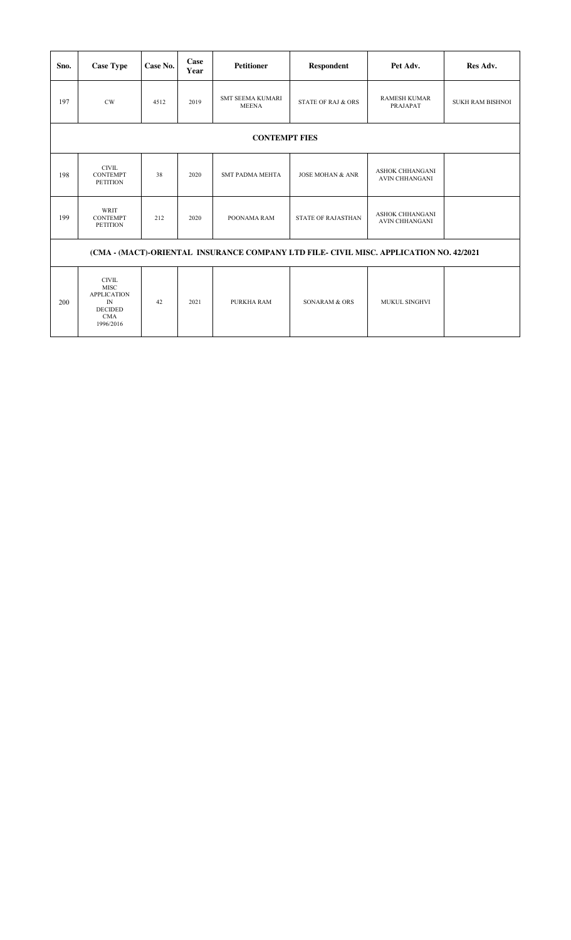| Sno.                                                                                   | <b>Case Type</b>                                                                                     | Case No. | Case<br>Year | <b>Petitioner</b>                       | <b>Respondent</b>             | Pet Adv.                                        | Res Adv.                |  |  |  |
|----------------------------------------------------------------------------------------|------------------------------------------------------------------------------------------------------|----------|--------------|-----------------------------------------|-------------------------------|-------------------------------------------------|-------------------------|--|--|--|
| 197                                                                                    | CW                                                                                                   | 4512     | 2019         | <b>SMT SEEMA KUMARI</b><br><b>MEENA</b> | <b>STATE OF RAJ &amp; ORS</b> | <b>RAMESH KUMAR</b><br>PRAJAPAT                 | <b>SUKH RAM BISHNOI</b> |  |  |  |
| <b>CONTEMPT FIES</b>                                                                   |                                                                                                      |          |              |                                         |                               |                                                 |                         |  |  |  |
| 198                                                                                    | $\text{CIVIL}$<br><b>CONTEMPT</b><br><b>PETITION</b>                                                 | 38       | 2020         | <b>SMT PADMA MEHTA</b>                  | <b>JOSE MOHAN &amp; ANR</b>   | <b>ASHOK CHHANGANI</b><br><b>AVIN CHHANGANI</b> |                         |  |  |  |
| 199                                                                                    | WRIT<br><b>CONTEMPT</b><br><b>PETITION</b>                                                           | 212      | 2020         | POONAMA RAM                             | <b>STATE OF RAJASTHAN</b>     | <b>ASHOK CHHANGANI</b><br><b>AVIN CHHANGANI</b> |                         |  |  |  |
| (CMA - (MACT)-ORIENTAL INSURANCE COMPANY LTD FILE- CIVIL MISC. APPLICATION NO. 42/2021 |                                                                                                      |          |              |                                         |                               |                                                 |                         |  |  |  |
| 200                                                                                    | <b>CIVIL</b><br><b>MISC</b><br><b>APPLICATION</b><br>IN<br><b>DECIDED</b><br><b>CMA</b><br>1996/2016 | 42       | 2021         | PURKHA RAM                              | SONARAM & ORS                 | <b>MUKUL SINGHVI</b>                            |                         |  |  |  |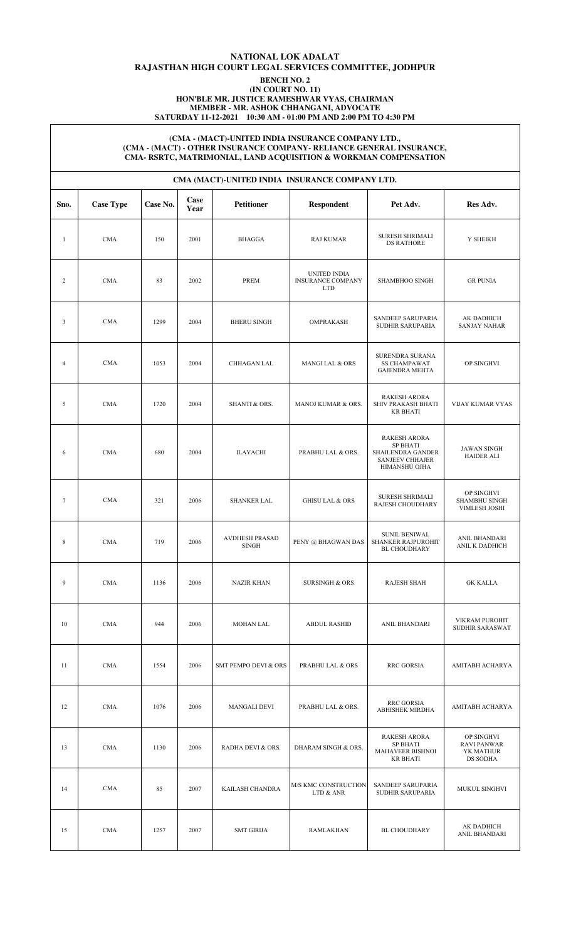# **NATIONAL LOK ADALAT RAJASTHAN HIGH COURT LEGAL SERVICES COMMITTEE, JODHPUR**

#### **BENCH NO. 2 (IN COURT NO. 11)**

**HON'BLE MR. JUSTICE RAMESHWAR VYAS, CHAIRMAN**

**MEMBER - MR. ASHOK CHHANGANI, ADVOCATE**

**SATURDAY 11-12-2021 10:30 AM - 01:00 PM AND 2:00 PM TO 4:30 PM**

#### **(CMA - (MACT)-UNITED INDIA INSURANCE COMPANY LTD., (CMA - (MACT) - OTHER INSURANCE COMPANY- RELIANCE GENERAL INSURANCE, CMA- RSRTC, MATRIMONIAL, LAND ACQUISITION & WORKMAN COMPENSATION**

|              | CMA (MACT)-UNITED INDIA INSURANCE COMPANY LTD. |          |              |                                       |                                                        |                                                                                                        |                                                           |  |  |  |  |  |
|--------------|------------------------------------------------|----------|--------------|---------------------------------------|--------------------------------------------------------|--------------------------------------------------------------------------------------------------------|-----------------------------------------------------------|--|--|--|--|--|
| Sno.         | <b>Case Type</b>                               | Case No. | Case<br>Year | <b>Petitioner</b>                     | <b>Respondent</b>                                      | Pet Adv.                                                                                               | Res Adv.                                                  |  |  |  |  |  |
| $\mathbf{1}$ | <b>CMA</b>                                     | 150      | 2001         | <b>BHAGGA</b>                         | <b>RAJ KUMAR</b>                                       | <b>SURESH SHRIMALI</b><br><b>DS RATHORE</b>                                                            | Y SHEIKH                                                  |  |  |  |  |  |
| 2            | <b>CMA</b>                                     | 83       | 2002         | <b>PREM</b>                           | UNITED INDIA<br><b>INSURANCE COMPANY</b><br><b>LTD</b> | SHAMBHOO SINGH                                                                                         | <b>GR PUNIA</b>                                           |  |  |  |  |  |
| 3            | <b>CMA</b>                                     | 1299     | 2004         | <b>BHERU SINGH</b>                    | OMPRAKASH                                              | SANDEEP SARUPARIA<br>SUDHIR SARUPARIA                                                                  | AK DADHICH<br><b>SANJAY NAHAR</b>                         |  |  |  |  |  |
| 4            | <b>CMA</b>                                     | 1053     | 2004         | CHHAGAN LAL                           | <b>MANGILAL &amp; ORS</b>                              | SURENDRA SURANA<br><b>SS CHAMPAWAT</b><br><b>GAJENDRA MEHTA</b>                                        | OP SINGHVI                                                |  |  |  |  |  |
| 5            | <b>CMA</b>                                     | 1720     | 2004         | SHANTI & ORS.                         | MANOJ KUMAR & ORS.                                     | <b>RAKESH ARORA</b><br>SHIV PRAKASH BHATI<br><b>KR BHATI</b>                                           | VIJAY KUMAR VYAS                                          |  |  |  |  |  |
| 6            | <b>CMA</b>                                     | 680      | 2004         | <b>ILAYACHI</b>                       | PRABHU LAL & ORS.                                      | <b>RAKESH ARORA</b><br><b>SP BHATI</b><br>SHAILENDRA GANDER<br><b>SANJEEV CHHAJER</b><br>HIMANSHU OJHA | <b>JAWAN SINGH</b><br><b>HAIDER ALI</b>                   |  |  |  |  |  |
| $\tau$       | <b>CMA</b>                                     | 321      | 2006         | SHANKER LAL                           | <b>GHISU LAL &amp; ORS</b>                             | <b>SURESH SHRIMALI</b><br>RAJESH CHOUDHARY                                                             | OP SINGHVI<br>SHAMBHU SINGH<br><b>VIMLESH JOSHI</b>       |  |  |  |  |  |
| 8            | <b>CMA</b>                                     | 719      | 2006         | <b>AVDHESH PRASAD</b><br><b>SINGH</b> | PENY @ BHAGWAN DAS                                     | <b>SUNIL BENIWAL</b><br>SHANKER RAJPUROHIT<br><b>BL CHOUDHARY</b>                                      | ANIL BHANDARI<br>ANIL K DADHICH                           |  |  |  |  |  |
| 9            | <b>CMA</b>                                     | 1136     | 2006         | <b>NAZIR KHAN</b>                     | <b>SURSINGH &amp; ORS</b>                              | <b>RAJESH SHAH</b>                                                                                     | <b>GK KALLA</b>                                           |  |  |  |  |  |
| 10           | <b>CMA</b>                                     | 944      | 2006         | MOHAN LAL                             | <b>ABDUL RASHID</b>                                    | ANIL BHANDARI                                                                                          | <b>VIKRAM PUROHIT</b><br>SUDHIR SARASWAT                  |  |  |  |  |  |
| 11           | <b>CMA</b>                                     | 1554     | 2006         | <b>SMT PEMPO DEVI &amp; ORS</b>       | PRABHU LAL & ORS                                       | RRC GORSIA                                                                                             | AMITABH ACHARYA                                           |  |  |  |  |  |
| 12           | <b>CMA</b>                                     | 1076     | 2006         | <b>MANGALI DEVI</b>                   | PRABHU LAL & ORS.                                      | RRC GORSIA<br>ABHISHEK MIRDHA                                                                          | AMITABH ACHARYA                                           |  |  |  |  |  |
| 13           | <b>CMA</b>                                     | 1130     | 2006         | RADHA DEVI & ORS.                     | DHARAM SINGH & ORS.                                    | <b>RAKESH ARORA</b><br><b>SP BHATI</b><br>MAHAVEER BISHNOI<br><b>KR BHATI</b>                          | OP SINGHVI<br><b>RAVI PANWAR</b><br>YK MATHUR<br>DS SODHA |  |  |  |  |  |
| 14           | <b>CMA</b>                                     | 85       | 2007         | KAILASH CHANDRA                       | M/S KMC CONSTRUCTION<br>LTD & ANR                      | SANDEEP SARUPARIA<br>SUDHIR SARUPARIA                                                                  | MUKUL SINGHVI                                             |  |  |  |  |  |
| 15           | <b>CMA</b>                                     | 1257     | 2007         | <b>SMT GIRIJA</b>                     | RAMLAKHAN                                              | <b>BL CHOUDHARY</b>                                                                                    | AK DADHICH<br>ANIL BHANDARI                               |  |  |  |  |  |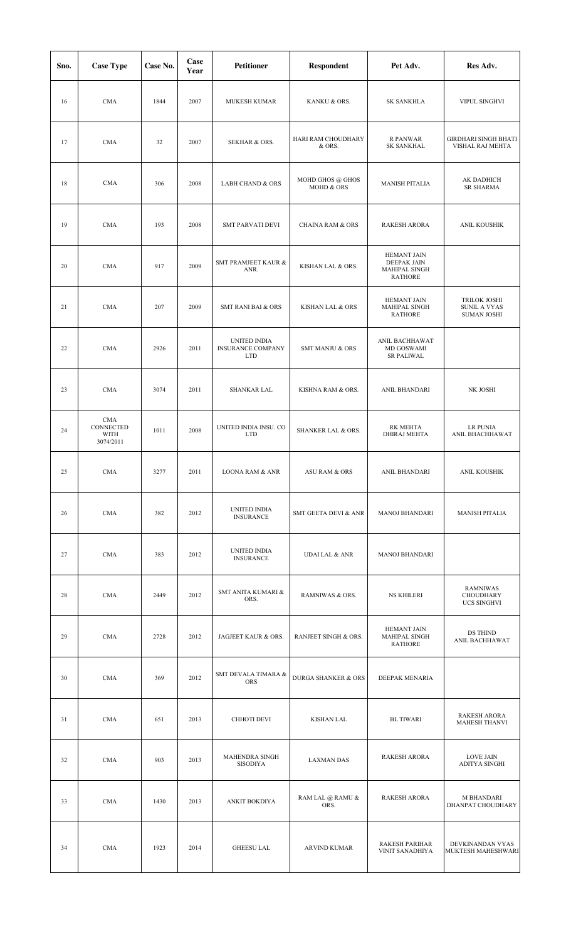| Sno. | <b>Case Type</b>                             | Case No. | Case<br>Year | <b>Petitioner</b>                                      | <b>Respondent</b>              | Pet Adv.                                                                    | Res Adv.                                                         |
|------|----------------------------------------------|----------|--------------|--------------------------------------------------------|--------------------------------|-----------------------------------------------------------------------------|------------------------------------------------------------------|
| 16   | <b>CMA</b>                                   | 1844     | 2007         | <b>MUKESH KUMAR</b>                                    | KANKU & ORS.                   | <b>SK SANKHLA</b>                                                           | VIPUL SINGHVI                                                    |
| 17   | <b>CMA</b>                                   | 32       | 2007         | SEKHAR & ORS.                                          | HARI RAM CHOUDHARY<br>& ORS.   | R PANWAR<br><b>SK SANKHAL</b>                                               | <b>GIRDHARI SINGH BHATI</b><br>VISHAL RAJ MEHTA                  |
| 18   | <b>CMA</b>                                   | 306      | 2008         | <b>LABH CHAND &amp; ORS</b>                            | MOHD GHOS @ GHOS<br>MOHD & ORS | <b>MANISH PITALIA</b>                                                       | AK DADHICH<br><b>SR SHARMA</b>                                   |
| 19   | <b>CMA</b>                                   | 193      | 2008         | <b>SMT PARVATI DEVI</b>                                | <b>CHAINA RAM &amp; ORS</b>    | <b>RAKESH ARORA</b>                                                         | ANIL KOUSHIK                                                     |
| 20   | <b>CMA</b>                                   | 917      | 2009         | SMT PRAMJEET KAUR &<br>ANR.                            | KISHAN LAL & ORS.              | <b>HEMANT JAIN</b><br><b>DEEPAK JAIN</b><br>MAHIPAL SINGH<br><b>RATHORE</b> |                                                                  |
| 21   | <b>CMA</b>                                   | 207      | 2009         | <b>SMT RANI BAI &amp; ORS</b>                          | <b>KISHAN LAL &amp; ORS</b>    | <b>HEMANT JAIN</b><br>MAHIPAL SINGH<br><b>RATHORE</b>                       | <b>TRILOK JOSHI</b><br><b>SUNIL A VYAS</b><br><b>SUMAN JOSHI</b> |
| 22   | <b>CMA</b>                                   | 2926     | 2011         | UNITED INDIA<br><b>INSURANCE COMPANY</b><br><b>LTD</b> | <b>SMT MANJU &amp; ORS</b>     | ANIL BACHHAWAT<br>MD GOSWAMI<br><b>SR PALIWAL</b>                           |                                                                  |
| 23   | <b>CMA</b>                                   | 3074     | 2011         | <b>SHANKAR LAL</b>                                     | KISHNA RAM & ORS.              | ANIL BHANDARI                                                               | NK JOSHI                                                         |
| 24   | <b>CMA</b><br>CONNECTED<br>WITH<br>3074/2011 | 1011     | 2008         | UNITED INDIA INSU. CO<br><b>LTD</b>                    | SHANKER LAL & ORS.             | RK MEHTA<br><b>DHIRAJ MEHTA</b>                                             | <b>LR PUNIA</b><br>ANIL BHACHHAWAT                               |
| 25   | <b>CMA</b>                                   | 3277     | 2011         | LOONA RAM & ANR                                        | ASU RAM & ORS                  | ANIL BHANDARI                                                               | ANIL KOUSHIK                                                     |
| 26   | <b>CMA</b>                                   | 382      | 2012         | UNITED INDIA<br><b>INSURANCE</b>                       | SMT GEETA DEVI & ANR           | <b>MANOJ BHANDARI</b>                                                       | <b>MANISH PITALIA</b>                                            |
| 27   | <b>CMA</b>                                   | 383      | 2012         | UNITED INDIA<br><b>INSURANCE</b>                       | <b>UDAI LAL &amp; ANR</b>      | <b>MANOJ BHANDARI</b>                                                       |                                                                  |
| 28   | <b>CMA</b>                                   | 2449     | 2012         | SMT ANITA KUMARI &<br>ORS.                             | RAMNIWAS & ORS.                | <b>NS KHILERI</b>                                                           | <b>RAMNIWAS</b><br>CHOUDHARY<br><b>UCS SINGHVI</b>               |
| 29   | <b>CMA</b>                                   | 2728     | 2012         | JAGJEET KAUR & ORS.                                    | RANJEET SINGH & ORS.           | <b>HEMANT JAIN</b><br>MAHIPAL SINGH<br><b>RATHORE</b>                       | DS THIND<br>ANIL BACHHAWAT                                       |
| 30   | <b>CMA</b>                                   | 369      | 2012         | SMT DEVALA TIMARA &<br>ORS                             | <b>DURGA SHANKER &amp; ORS</b> | DEEPAK MENARIA                                                              |                                                                  |
| 31   | <b>CMA</b>                                   | 651      | 2013         | CHHOTI DEVI                                            | <b>KISHAN LAL</b>              | <b>BL TIWARI</b>                                                            | <b>RAKESH ARORA</b><br><b>MAHESH THANVI</b>                      |
| 32   | <b>CMA</b>                                   | 903      | 2013         | MAHENDRA SINGH<br>SISODIYA                             | <b>LAXMAN DAS</b>              | <b>RAKESH ARORA</b>                                                         | LOVE JAIN<br>ADITYA SINGHI                                       |
| 33   | <b>CMA</b>                                   | 1430     | 2013         | ANKIT BOKDIYA                                          | RAM LAL @ RAMU &<br>ORS.       | <b>RAKESH ARORA</b>                                                         | <b>M BHANDARI</b><br>DHANPAT CHOUDHARY                           |
| 34   | <b>CMA</b>                                   | 1923     | 2014         | <b>GHEESU LAL</b>                                      | <b>ARVIND KUMAR</b>            | <b>RAKESH PARIHAR</b><br>VINIT SANADHIYA                                    | DEVKINANDAN VYAS<br>MUKTESH MAHESHWARI                           |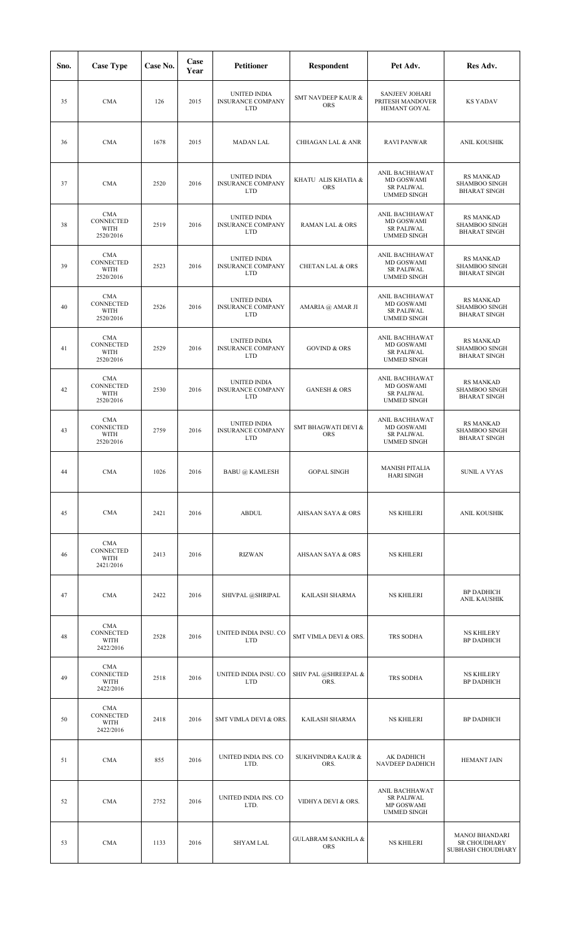| Sno. | <b>Case Type</b>                                    | Case No. | Case<br>Year | <b>Petitioner</b>                                             | <b>Respondent</b>                           | Pet Adv.                                                                | Res Adv.                                                        |
|------|-----------------------------------------------------|----------|--------------|---------------------------------------------------------------|---------------------------------------------|-------------------------------------------------------------------------|-----------------------------------------------------------------|
| 35   | <b>CMA</b>                                          | 126      | 2015         | UNITED INDIA<br><b>INSURANCE COMPANY</b><br><b>LTD</b>        | <b>SMT NAVDEEP KAUR &amp;</b><br><b>ORS</b> | <b>SANJEEV JOHARI</b><br>PRITESH MANDOVER<br>HEMANT GOYAL               | <b>KS YADAV</b>                                                 |
| 36   | <b>CMA</b>                                          | 1678     | 2015         | <b>MADAN LAL</b>                                              | <b>CHHAGAN LAL &amp; ANR</b>                | <b>RAVI PANWAR</b>                                                      | ANIL KOUSHIK                                                    |
| 37   | <b>CMA</b>                                          | 2520     | 2016         | UNITED INDIA<br><b>INSURANCE COMPANY</b><br><b>LTD</b>        | KHATU ALIS KHATIA &<br><b>ORS</b>           | ANIL BACHHAWAT<br>MD GOSWAMI<br><b>SR PALIWAL</b><br><b>UMMED SINGH</b> | <b>RS MANKAD</b><br>SHAMBOO SINGH<br><b>BHARAT SINGH</b>        |
| 38   | <b>CMA</b><br>CONNECTED<br><b>WITH</b><br>2520/2016 | 2519     | 2016         | UNITED INDIA<br><b>INSURANCE COMPANY</b><br><b>LTD</b>        | RAMAN LAL & ORS                             | ANIL BACHHAWAT<br>MD GOSWAMI<br><b>SR PALIWAL</b><br><b>UMMED SINGH</b> | <b>RS MANKAD</b><br><b>SHAMBOO SINGH</b><br><b>BHARAT SINGH</b> |
| 39   | <b>CMA</b><br>CONNECTED<br><b>WITH</b><br>2520/2016 | 2523     | 2016         | UNITED INDIA<br><b>INSURANCE COMPANY</b><br><b>LTD</b>        | <b>CHETAN LAL &amp; ORS</b>                 | ANIL BACHHAWAT<br>MD GOSWAMI<br><b>SR PALIWAL</b><br><b>UMMED SINGH</b> | <b>RS MANKAD</b><br><b>SHAMBOO SINGH</b><br><b>BHARAT SINGH</b> |
| 40   | <b>CMA</b><br>CONNECTED<br>WITH<br>2520/2016        | 2526     | 2016         | UNITED INDIA<br><b>INSURANCE COMPANY</b><br><b>LTD</b>        | AMARIA @ AMAR JI                            | ANIL BACHHAWAT<br>MD GOSWAMI<br><b>SR PALIWAL</b><br><b>UMMED SINGH</b> | <b>RS MANKAD</b><br><b>SHAMBOO SINGH</b><br><b>BHARAT SINGH</b> |
| 41   | <b>CMA</b><br>CONNECTED<br>WITH<br>2520/2016        | 2529     | 2016         | UNITED INDIA<br><b>INSURANCE COMPANY</b><br><b>LTD</b>        | <b>GOVIND &amp; ORS</b>                     | ANIL BACHHAWAT<br>MD GOSWAMI<br><b>SR PALIWAL</b><br><b>UMMED SINGH</b> | <b>RS MANKAD</b><br><b>SHAMBOO SINGH</b><br><b>BHARAT SINGH</b> |
| 42   | <b>CMA</b><br>CONNECTED<br><b>WITH</b><br>2520/2016 | 2530     | 2016         | UNITED INDIA<br><b>INSURANCE COMPANY</b><br><b>LTD</b>        | <b>GANESH &amp; ORS</b>                     | ANIL BACHHAWAT<br>MD GOSWAMI<br><b>SR PALIWAL</b><br><b>UMMED SINGH</b> | <b>RS MANKAD</b><br>SHAMBOO SINGH<br><b>BHARAT SINGH</b>        |
| 43   | <b>CMA</b><br>CONNECTED<br><b>WITH</b><br>2520/2016 | 2759     | 2016         | <b>UNITED INDIA</b><br><b>INSURANCE COMPANY</b><br><b>LTD</b> | SMT BHAGWATI DEVI &<br><b>ORS</b>           | ANIL BACHHAWAT<br>MD GOSWAMI<br><b>SR PALIWAL</b><br><b>UMMED SINGH</b> | <b>RS MANKAD</b><br><b>SHAMBOO SINGH</b><br><b>BHARAT SINGH</b> |
| 44   | <b>CMA</b>                                          | 1026     | 2016         | <b>BABU @ KAMLESH</b>                                         | <b>GOPAL SINGH</b>                          | <b>MANISH PITALIA</b><br><b>HARI SINGH</b>                              | <b>SUNIL A VYAS</b>                                             |
| 45   | CMA                                                 | 2421     | 2016         | <b>ABDUL</b>                                                  | AHSAAN SAYA & ORS                           | <b>NS KHILERI</b>                                                       | ANIL KOUSHIK                                                    |
| 46   | CMA<br>CONNECTED<br>WITH<br>2421/2016               | 2413     | 2016         | <b>RIZWAN</b>                                                 | AHSAAN SAYA & ORS                           | <b>NS KHILERI</b>                                                       |                                                                 |
| 47   | <b>CMA</b>                                          | 2422     | 2016         | SHIVPAL @SHRIPAL                                              | KAILASH SHARMA                              | <b>NS KHILERI</b>                                                       | <b>BP DADHICH</b><br>ANIL KAUSHIK                               |
| 48   | CMA<br>CONNECTED<br>WITH<br>2422/2016               | 2528     | 2016         | UNITED INDIA INSU. CO<br><b>LTD</b>                           | SMT VIMLA DEVI & ORS.                       | TRS SODHA                                                               | <b>NS KHILERY</b><br><b>BP DADHICH</b>                          |
| 49   | CMA<br>CONNECTED<br>WITH<br>2422/2016               | 2518     | 2016         | UNITED INDIA INSU. CO<br><b>LTD</b>                           | SHIV PAL @SHREEPAL &<br>ORS.                | TRS SODHA                                                               | <b>NS KHILERY</b><br><b>BP DADHICH</b>                          |
| 50   | CMA<br>CONNECTED<br>WITH<br>2422/2016               | 2418     | 2016         | SMT VIMLA DEVI & ORS.                                         | KAILASH SHARMA                              | <b>NS KHILERI</b>                                                       | <b>BP DADHICH</b>                                               |
| 51   | <b>CMA</b>                                          | 855      | 2016         | UNITED INDIA INS. CO<br>LTD.                                  | <b>SUKHVINDRA KAUR &amp;</b><br>ORS.        | AK DADHICH<br>NAVDEEP DADHICH                                           | <b>HEMANT JAIN</b>                                              |
| 52   | <b>CMA</b>                                          | 2752     | 2016         | UNITED INDIA INS. CO<br>LTD.                                  | VIDHYA DEVI & ORS.                          | ANIL BACHHAWAT<br><b>SR PALIWAL</b><br>MP GOSWAMI<br><b>UMMED SINGH</b> |                                                                 |
| 53   | <b>CMA</b>                                          | 1133     | 2016         | <b>SHYAM LAL</b>                                              | <b>GULABRAM SANKHLA &amp;</b><br><b>ORS</b> | <b>NS KHILERI</b>                                                       | <b>MANOJ BHANDARI</b><br>SR CHOUDHARY<br>SUBHASH CHOUDHARY      |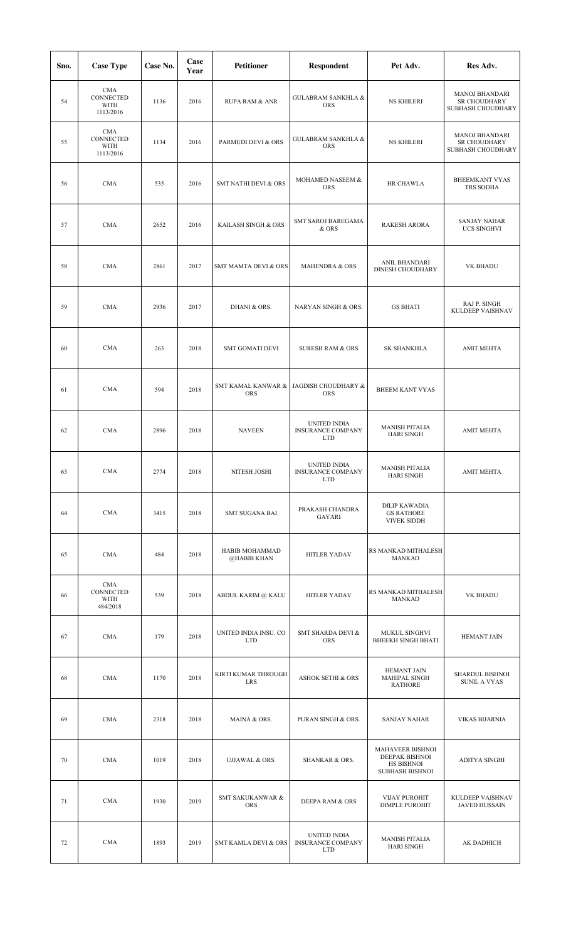| Sno. | <b>Case Type</b>                                    | Case No. | Case<br>Year | <b>Petitioner</b>                   | <b>Respondent</b>                                             | Pet Adv.                                                                   | Res Adv.                                                   |
|------|-----------------------------------------------------|----------|--------------|-------------------------------------|---------------------------------------------------------------|----------------------------------------------------------------------------|------------------------------------------------------------|
| 54   | <b>CMA</b><br>CONNECTED<br>WITH<br>1113/2016        | 1136     | 2016         | <b>RUPA RAM &amp; ANR</b>           | <b>GULABRAM SANKHLA &amp;</b><br><b>ORS</b>                   | <b>NS KHILERI</b>                                                          | <b>MANOJ BHANDARI</b><br>SR CHOUDHARY<br>SUBHASH CHOUDHARY |
| 55   | <b>CMA</b><br>CONNECTED<br><b>WITH</b><br>1113/2016 | 1134     | 2016         | PARMUDI DEVI & ORS                  | <b>GULABRAM SANKHLA &amp;</b><br>ORS                          | <b>NS KHILERI</b>                                                          | <b>MANOJ BHANDARI</b><br>SR CHOUDHARY<br>SUBHASH CHOUDHARY |
| 56   | <b>CMA</b>                                          | 535      | 2016         | SMT NATHI DEVI & ORS                | MOHAMED NASEEM &<br><b>ORS</b>                                | HR CHAWLA                                                                  | <b>BHEEMKANT VYAS</b><br>TRS SODHA                         |
| 57   | <b>CMA</b>                                          | 2652     | 2016         | KAILASH SINGH & ORS                 | SMT SAROJ BAREGAMA<br>& ORS                                   | <b>RAKESH ARORA</b>                                                        | <b>SANJAY NAHAR</b><br><b>UCS SINGHVI</b>                  |
| 58   | <b>CMA</b>                                          | 2861     | 2017         | <b>SMT MAMTA DEVI &amp; ORS</b>     | MAHENDRA & ORS                                                | ANIL BHANDARI<br>DINESH CHOUDHARY                                          | VK BHADU                                                   |
| 59   | <b>CMA</b>                                          | 2936     | 2017         | DHANI & ORS.                        | NARYAN SINGH & ORS.                                           | <b>GS BHATI</b>                                                            | RAJ P. SINGH<br>KULDEEP VAISHNAV                           |
| 60   | <b>CMA</b>                                          | 263      | 2018         | <b>SMT GOMATI DEVI</b>              | <b>SURESH RAM &amp; ORS</b>                                   | <b>SK SHANKHLA</b>                                                         | <b>AMIT MEHTA</b>                                          |
| 61   | <b>CMA</b>                                          | 594      | 2018         | SMT KAMAL KANWAR &<br>ORS           | JAGDISH CHOUDHARY &<br><b>ORS</b>                             | <b>BHEEM KANT VYAS</b>                                                     |                                                            |
| 62   | <b>CMA</b>                                          | 2896     | 2018         | <b>NAVEEN</b>                       | UNITED INDIA<br><b>INSURANCE COMPANY</b><br><b>LTD</b>        | <b>MANISH PITALIA</b><br><b>HARI SINGH</b>                                 | <b>AMIT MEHTA</b>                                          |
| 63   | CMA                                                 | 2774     | 2018         | NITESH JOSHI                        | <b>UNITED INDIA</b><br><b>INSURANCE COMPANY</b><br><b>LTD</b> | <b>MANISH PITALIA</b><br><b>HARI SINGH</b>                                 | <b>AMIT MEHTA</b>                                          |
| 64   | $\rm CMA$                                           | 3415     | 2018         | SMT SUGANA BAI                      | PRAKASH CHANDRA<br>GAYARI                                     | DILIP KAWADIA<br><b>GS RATHORE</b><br><b>VIVEK SIDDH</b>                   |                                                            |
| 65   | <b>CMA</b>                                          | 484      | 2018         | HABIB MOHAMMAD<br>@HABIB KHAN       | <b>HITLER YADAV</b>                                           | RS MANKAD MITHALESH<br><b>MANKAD</b>                                       |                                                            |
| 66   | <b>CMA</b><br>CONNECTED<br>WITH<br>484/2018         | 539      | 2018         | ABDUL KARIM @ KALU                  | <b>HITLER YADAV</b>                                           | RS MANKAD MITHALESH<br>MANKAD                                              | VK BHADU                                                   |
| 67   | <b>CMA</b>                                          | 179      | 2018         | UNITED INDIA INSU. CO<br><b>LTD</b> | SMT SHARDA DEVI &<br>ORS                                      | MUKUL SINGHVI<br><b>BHEEKH SINGH BHATI</b>                                 | <b>HEMANT JAIN</b>                                         |
| 68   | <b>CMA</b>                                          | 1170     | 2018         | KIRTI KUMAR THROUGH<br>LRS          | <b>ASHOK SETHI &amp; ORS</b>                                  | <b>HEMANT JAIN</b><br>MAHIPAL SINGH<br><b>RATHORE</b>                      | SHARDUL BISHNOI<br><b>SUNIL A VYAS</b>                     |
| 69   | <b>CMA</b>                                          | 2318     | 2018         | MAINA & ORS.                        | PURAN SINGH & ORS.                                            | <b>SANJAY NAHAR</b>                                                        | <b>VIKAS BIJARNIA</b>                                      |
| 70   | <b>CMA</b>                                          | 1019     | 2018         | <b>UJJAWAL &amp; ORS.</b>           | SHANKAR & ORS.                                                | MAHAVEER BISHNOI<br>DEEPAK BISHNOI<br>HS BISHNOI<br><b>SUBHASH BISHNOI</b> | ADITYA SINGHI                                              |
| 71   | <b>CMA</b>                                          | 1930     | 2019         | SMT SAKUKANWAR &<br>ORS             | DEEPA RAM & ORS                                               | <b>VIJAY PUROHIT</b><br><b>DIMPLE PUROHIT</b>                              | KULDEEP VAISHNAV<br><b>JAVED HUSSAIN</b>                   |
| 72   | <b>CMA</b>                                          | 1893     | 2019         | <b>SMT KAMLA DEVI &amp; ORS</b>     | UNITED INDIA<br><b>INSURANCE COMPANY</b><br><b>LTD</b>        | <b>MANISH PITALIA</b><br><b>HARI SINGH</b>                                 | AK DADHICH                                                 |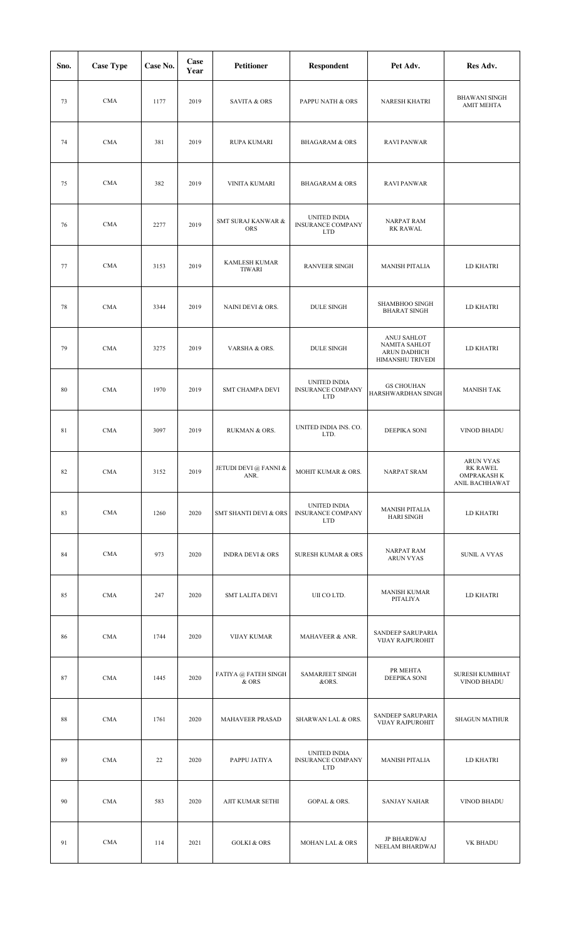| Sno. | <b>Case Type</b> | Case No. | Case<br>Year | <b>Petitioner</b>                     | Respondent                                             | Pet Adv.                                                         | Res Adv.                                                                    |
|------|------------------|----------|--------------|---------------------------------------|--------------------------------------------------------|------------------------------------------------------------------|-----------------------------------------------------------------------------|
| 73   | <b>CMA</b>       | 1177     | 2019         | <b>SAVITA &amp; ORS</b>               | PAPPU NATH & ORS                                       | <b>NARESH KHATRI</b>                                             | <b>BHAWANI SINGH</b><br><b>AMIT MEHTA</b>                                   |
| 74   | <b>CMA</b>       | 381      | 2019         | <b>RUPA KUMARI</b>                    | <b>BHAGARAM &amp; ORS</b>                              | <b>RAVI PANWAR</b>                                               |                                                                             |
| 75   | <b>CMA</b>       | 382      | 2019         | <b>VINITA KUMARI</b>                  | <b>BHAGARAM &amp; ORS</b>                              | <b>RAVI PANWAR</b>                                               |                                                                             |
| 76   | <b>CMA</b>       | 2277     | 2019         | SMT SURAJ KANWAR &<br><b>ORS</b>      | UNITED INDIA<br><b>INSURANCE COMPANY</b><br><b>LTD</b> | <b>NARPAT RAM</b><br><b>RK RAWAL</b>                             |                                                                             |
| 77   | <b>CMA</b>       | 3153     | 2019         | <b>KAMLESH KUMAR</b><br><b>TIWARI</b> | <b>RANVEER SINGH</b>                                   | <b>MANISH PITALIA</b>                                            | LD KHATRI                                                                   |
| 78   | <b>CMA</b>       | 3344     | 2019         | NAINI DEVI & ORS.                     | <b>DULE SINGH</b>                                      | <b>SHAMBHOO SINGH</b><br><b>BHARAT SINGH</b>                     | LD KHATRI                                                                   |
| 79   | <b>CMA</b>       | 3275     | 2019         | VARSHA & ORS.                         | <b>DULE SINGH</b>                                      | ANUJ SAHLOT<br>NAMITA SAHLOT<br>ARUN DADHICH<br>HIMANSHU TRIVEDI | LD KHATRI                                                                   |
| 80   | <b>CMA</b>       | 1970     | 2019         | SMT CHAMPA DEVI                       | UNITED INDIA<br><b>INSURANCE COMPANY</b><br><b>LTD</b> | <b>GS CHOUHAN</b><br>HARSHWARDHAN SINGH                          | <b>MANISH TAK</b>                                                           |
| 81   | <b>CMA</b>       | 3097     | 2019         | RUKMAN & ORS.                         | UNITED INDIA INS. CO.<br>LTD.                          | DEEPIKA SONI                                                     | <b>VINOD BHADU</b>                                                          |
| 82   | CMA              | 3152     | 2019         | JETUDI DEVI @ FANNI &<br>ANR.         | MOHIT KUMAR & ORS.                                     | NARPAT SRAM                                                      | <b>ARUN VYAS</b><br><b>RK RAWEL</b><br><b>OMPRAKASH K</b><br>ANIL BACHHAWAT |
| 83   | <b>CMA</b>       | 1260     | 2020         | SMT SHANTI DEVI & ORS                 | UNITED INDIA<br><b>INSURANCE COMPANY</b><br><b>LTD</b> | <b>MANISH PITALIA</b><br><b>HARI SINGH</b>                       | LD KHATRI                                                                   |
| 84   | <b>CMA</b>       | 973      | 2020         | <b>INDRA DEVI &amp; ORS</b>           | <b>SURESH KUMAR &amp; ORS</b>                          | <b>NARPAT RAM</b><br><b>ARUN VYAS</b>                            | <b>SUNIL A VYAS</b>                                                         |
| 85   | <b>CMA</b>       | 247      | 2020         | <b>SMT LALITA DEVI</b>                | UII CO LTD.                                            | <b>MANISH KUMAR</b><br>PITALIYA                                  | LD KHATRI                                                                   |
| 86   | CMA              | 1744     | 2020         | <b>VIJAY KUMAR</b>                    | MAHAVEER & ANR.                                        | SANDEEP SARUPARIA<br>VIJAY RAJPUROHIT                            |                                                                             |
| 87   | <b>CMA</b>       | 1445     | 2020         | FATIYA @ FATEH SINGH<br>& ORS         | SAMARJEET SINGH<br>&ORS.                               | PR MEHTA<br>DEEPIKA SONI                                         | SURESH KUMBHAT<br>VINOD BHADU                                               |
| 88   | <b>CMA</b>       | 1761     | 2020         | MAHAVEER PRASAD                       | SHARWAN LAL & ORS.                                     | SANDEEP SARUPARIA<br><b>VIJAY RAJPUROHIT</b>                     | <b>SHAGUN MATHUR</b>                                                        |
| 89   | <b>CMA</b>       | 22       | 2020         | PAPPU JATIYA                          | UNITED INDIA<br>INSURANCE COMPANY<br><b>LTD</b>        | <b>MANISH PITALIA</b>                                            | LD KHATRI                                                                   |
| 90   | <b>CMA</b>       | 583      | 2020         | AJIT KUMAR SETHI                      | <b>GOPAL &amp; ORS.</b>                                | <b>SANJAY NAHAR</b>                                              | <b>VINOD BHADU</b>                                                          |
| 91   | <b>CMA</b>       | 114      | 2021         | <b>GOLKI &amp; ORS</b>                | <b>MOHAN LAL &amp; ORS</b>                             | JP BHARDWAJ<br>NEELAM BHARDWAJ                                   | VK BHADU                                                                    |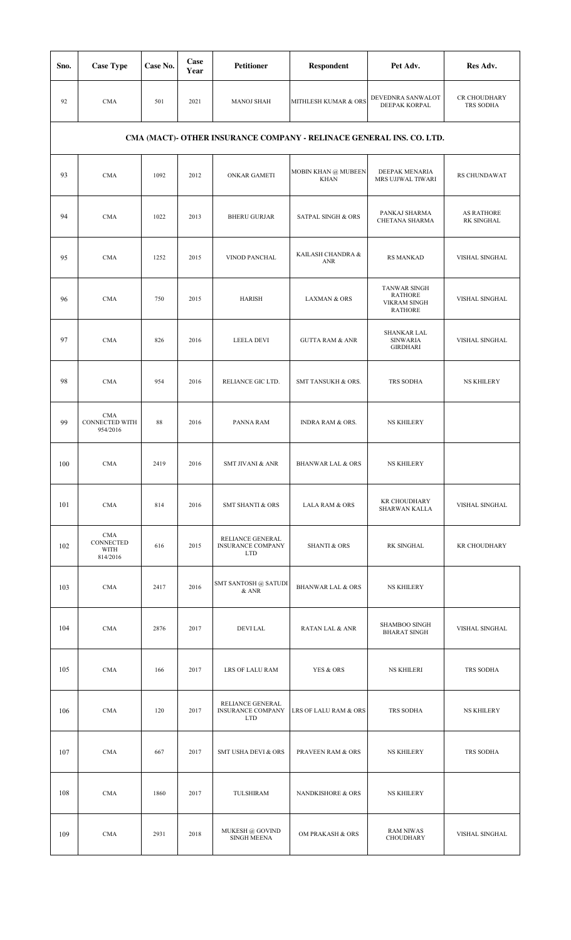| Sno. | <b>Case Type</b>                                | Case No. | Case<br>Year | <b>Petitioner</b>                                          | <b>Respondent</b>                                                    | Pet Adv.                                                                       | Res Adv.                        |
|------|-------------------------------------------------|----------|--------------|------------------------------------------------------------|----------------------------------------------------------------------|--------------------------------------------------------------------------------|---------------------------------|
| 92   | <b>CMA</b>                                      | 501      | 2021         | <b>MANOJ SHAH</b>                                          | MITHLESH KUMAR & ORS                                                 | DEVEDNRA SANWALOT<br>DEEPAK KORPAL                                             | CR CHOUDHARY<br>TRS SODHA       |
|      |                                                 |          |              |                                                            | CMA (MACT)- OTHER INSURANCE COMPANY - RELINACE GENERAL INS. CO. LTD. |                                                                                |                                 |
| 93   | <b>CMA</b>                                      | 1092     | 2012         | ONKAR GAMETI                                               | MOBIN KHAN @ MUBEEN<br><b>KHAN</b>                                   | DEEPAK MENARIA<br>MRS UJJWAL TIWARI                                            | <b>RS CHUNDAWAT</b>             |
| 94   | <b>CMA</b>                                      | 1022     | 2013         | <b>BHERU GURJAR</b>                                        | <b>SATPAL SINGH &amp; ORS</b>                                        | PANKAJ SHARMA<br>CHETANA SHARMA                                                | <b>AS RATHORE</b><br>RK SINGHAL |
| 95   | <b>CMA</b>                                      | 1252     | 2015         | VINOD PANCHAL                                              | KAILASH CHANDRA &<br><b>ANR</b>                                      | <b>RS MANKAD</b>                                                               | VISHAL SINGHAL                  |
| 96   | <b>CMA</b>                                      | 750      | 2015         | <b>HARISH</b>                                              | <b>LAXMAN &amp; ORS</b>                                              | <b>TANWAR SINGH</b><br><b>RATHORE</b><br><b>VIKRAM SINGH</b><br><b>RATHORE</b> | VISHAL SINGHAL                  |
| 97   | <b>CMA</b>                                      | 826      | 2016         | LEELA DEVI                                                 | <b>GUTTA RAM &amp; ANR</b>                                           | <b>SHANKAR LAL</b><br><b>SINWARIA</b><br><b>GIRDHARI</b>                       | VISHAL SINGHAL                  |
| 98   | <b>CMA</b>                                      | 954      | 2016         | RELIANCE GIC LTD.                                          | SMT TANSUKH & ORS.                                                   | TRS SODHA                                                                      | <b>NS KHILERY</b>               |
| 99   | <b>CMA</b><br><b>CONNECTED WITH</b><br>954/2016 | 88       | 2016         | PANNA RAM                                                  | INDRA RAM & ORS.                                                     | <b>NS KHILERY</b>                                                              |                                 |
| 100  | <b>CMA</b>                                      | 2419     | 2016         | <b>SMT JIVANI &amp; ANR</b>                                | <b>BHANWAR LAL &amp; ORS</b>                                         | <b>NS KHILERY</b>                                                              |                                 |
| 101  | <b>CMA</b>                                      | 814      | 2016         | <b>SMT SHANTI &amp; ORS</b>                                | <b>LALA RAM &amp; ORS</b>                                            | <b>KR CHOUDHARY</b><br>SHARWAN KALLA                                           | VISHAL SINGHAL                  |
| 102  | <b>CMA</b><br>CONNECTED<br>WITH<br>814/2016     | 616      | 2015         | RELIANCE GENERAL<br><b>INSURANCE COMPANY</b><br><b>LTD</b> | <b>SHANTI &amp; ORS</b>                                              | RK SINGHAL                                                                     | <b>KR CHOUDHARY</b>             |
| 103  | <b>CMA</b>                                      | 2417     | 2016         | SMT SANTOSH @ SATUDI<br>& ANR                              | <b>BHANWAR LAL &amp; ORS</b>                                         | <b>NS KHILERY</b>                                                              |                                 |
| 104  | <b>CMA</b>                                      | 2876     | 2017         | <b>DEVILAL</b>                                             | RATAN LAL & ANR                                                      | SHAMBOO SINGH<br><b>BHARAT SINGH</b>                                           | VISHAL SINGHAL                  |
| 105  | <b>CMA</b>                                      | 166      | 2017         | LRS OF LALU RAM                                            | YES & ORS                                                            | <b>NS KHILERI</b>                                                              | TRS SODHA                       |
| 106  | <b>CMA</b>                                      | 120      | 2017         | RELIANCE GENERAL<br><b>INSURANCE COMPANY</b><br><b>LTD</b> | LRS OF LALU RAM & ORS                                                | TRS SODHA                                                                      | <b>NS KHILERY</b>               |
| 107  | <b>CMA</b>                                      | 667      | 2017         | SMT USHA DEVI & ORS                                        | PRAVEEN RAM & ORS                                                    | <b>NS KHILERY</b>                                                              | TRS SODHA                       |
| 108  | <b>CMA</b>                                      | 1860     | 2017         | TULSHIRAM                                                  | NANDKISHORE & ORS                                                    | <b>NS KHILERY</b>                                                              |                                 |
| 109  | <b>CMA</b>                                      | 2931     | 2018         | MUKESH @ GOVIND<br><b>SINGH MEENA</b>                      | OM PRAKASH & ORS                                                     | <b>RAM NIWAS</b><br><b>CHOUDHARY</b>                                           | VISHAL SINGHAL                  |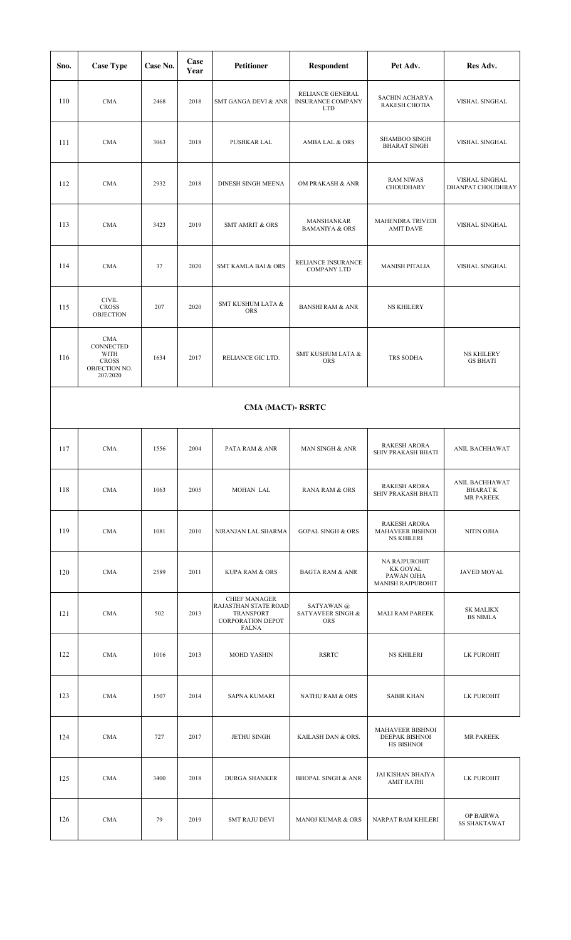| Sno. | <b>Case Type</b>                                                      | Case No. | Case<br>Year | <b>Petitioner</b>                                                                                            | <b>Respondent</b>                                          | Pet Adv.                                                            | Res Adv.                                             |  |  |  |  |
|------|-----------------------------------------------------------------------|----------|--------------|--------------------------------------------------------------------------------------------------------------|------------------------------------------------------------|---------------------------------------------------------------------|------------------------------------------------------|--|--|--|--|
| 110  | <b>CMA</b>                                                            | 2468     | 2018         | <b>SMT GANGA DEVI &amp; ANR</b>                                                                              | RELIANCE GENERAL<br><b>INSURANCE COMPANY</b><br><b>LTD</b> | SACHIN ACHARYA<br>RAKESH CHOTIA                                     | VISHAL SINGHAL                                       |  |  |  |  |
| 111  | <b>CMA</b>                                                            | 3063     | 2018         | PUSHKAR LAL                                                                                                  | AMBA LAL & ORS                                             | SHAMBOO SINGH<br><b>BHARAT SINGH</b>                                | VISHAL SINGHAL                                       |  |  |  |  |
| 112  | <b>CMA</b>                                                            | 2932     | 2018         | DINESH SINGH MEENA                                                                                           | OM PRAKASH & ANR                                           | <b>RAM NIWAS</b><br>CHOUDHARY                                       | VISHAL SINGHAL<br>DHANPAT CHOUDHRAY                  |  |  |  |  |
| 113  | <b>CMA</b>                                                            | 3423     | 2019         | <b>SMT AMRIT &amp; ORS</b>                                                                                   | MANSHANKAR<br><b>BAMANIYA &amp; ORS</b>                    | MAHENDRA TRIVEDI<br><b>AMIT DAVE</b>                                | VISHAL SINGHAL                                       |  |  |  |  |
| 114  | <b>CMA</b>                                                            | 37       | 2020         | <b>SMT KAMLA BAI &amp; ORS</b>                                                                               | RELIANCE INSURANCE<br><b>COMPANY LTD</b>                   | <b>MANISH PITALIA</b>                                               | VISHAL SINGHAL                                       |  |  |  |  |
| 115  | <b>CIVIL</b><br><b>CROSS</b><br><b>OBJECTION</b>                      | 207      | 2020         | SMT KUSHUM LATA &<br>ORS                                                                                     | <b>BANSHI RAM &amp; ANR</b>                                | <b>NS KHILERY</b>                                                   |                                                      |  |  |  |  |
| 116  | CMA<br>CONNECTED<br>WITH<br><b>CROSS</b><br>OBJECTION NO.<br>207/2020 | 1634     | 2017         | RELIANCE GIC LTD.                                                                                            | SMT KUSHUM LATA &<br><b>ORS</b>                            | TRS SODHA                                                           | <b>NS KHILERY</b><br><b>GS BHATI</b>                 |  |  |  |  |
|      | CMA (MACT)-RSRTC                                                      |          |              |                                                                                                              |                                                            |                                                                     |                                                      |  |  |  |  |
| 117  | <b>CMA</b>                                                            | 1556     | 2004         | PATA RAM & ANR                                                                                               | <b>MAN SINGH &amp; ANR</b>                                 | <b>RAKESH ARORA</b><br>SHIV PRAKASH BHATI                           | ANIL BACHHAWAT                                       |  |  |  |  |
| 118  | <b>CMA</b>                                                            | 1063     | 2005         | MOHAN LAL                                                                                                    | <b>RANA RAM &amp; ORS</b>                                  | <b>RAKESH ARORA</b><br>SHIV PRAKASH BHATI                           | ANIL BACHHAWAT<br><b>BHARATK</b><br><b>MR PAREEK</b> |  |  |  |  |
| 119  | <b>CMA</b>                                                            | 1081     | 2010         | NIRANJAN LAL SHARMA                                                                                          | <b>GOPAL SINGH &amp; ORS</b>                               | <b>RAKESH ARORA</b><br><b>MAHAVEER BISHNOI</b><br><b>NS KHILERI</b> | NITIN OJHA                                           |  |  |  |  |
| 120  | <b>CMA</b>                                                            | 2589     | 2011         | <b>KUPA RAM &amp; ORS</b>                                                                                    | <b>BAGTA RAM &amp; ANR</b>                                 | <b>NA RAJPUROHIT</b><br>KK GOYAL<br>PAWAN OJHA<br>MANISH RAJPUROHIT | JAVED MOYAL                                          |  |  |  |  |
| 121  | <b>CMA</b>                                                            | 502      | 2013         | <b>CHIEF MANAGER</b><br><b>RAJASTHAN STATE ROAD</b><br><b>TRANSPORT</b><br>CORPORATION DEPOT<br><b>FALNA</b> | SATYAWAN @<br>SATYAVEER SINGH &<br>ORS                     | <b>MALI RAM PAREEK</b>                                              | <b>SK MALIKX</b><br><b>BS NIMLA</b>                  |  |  |  |  |
| 122  | <b>CMA</b>                                                            | 1016     | 2013         | <b>MOHD YASHIN</b>                                                                                           | <b>RSRTC</b>                                               | <b>NS KHILERI</b>                                                   | LK PUROHIT                                           |  |  |  |  |
| 123  | <b>CMA</b>                                                            | 1507     | 2014         | <b>SAPNA KUMARI</b>                                                                                          | <b>NATHU RAM &amp; ORS</b>                                 | <b>SABIR KHAN</b>                                                   | LK PUROHIT                                           |  |  |  |  |
| 124  | <b>CMA</b>                                                            | 727      | 2017         | <b>JETHU SINGH</b>                                                                                           | KAILASH DAN & ORS.                                         | MAHAVEER BISHNOI<br>DEEPAK BISHNOI<br><b>HS BISHNOI</b>             | <b>MR PAREEK</b>                                     |  |  |  |  |
| 125  | CMA                                                                   | 3400     | 2018         | <b>DURGA SHANKER</b>                                                                                         | <b>BHOPAL SINGH &amp; ANR</b>                              | JAI KISHAN BHAIYA<br><b>AMIT RATHI</b>                              | LK PUROHIT                                           |  |  |  |  |
| 126  | <b>CMA</b>                                                            | 79       | 2019         | <b>SMT RAJU DEVI</b>                                                                                         | <b>MANOJ KUMAR &amp; ORS</b>                               | NARPAT RAM KHILERI                                                  | OP BAIRWA<br><b>SS SHAKTAWAT</b>                     |  |  |  |  |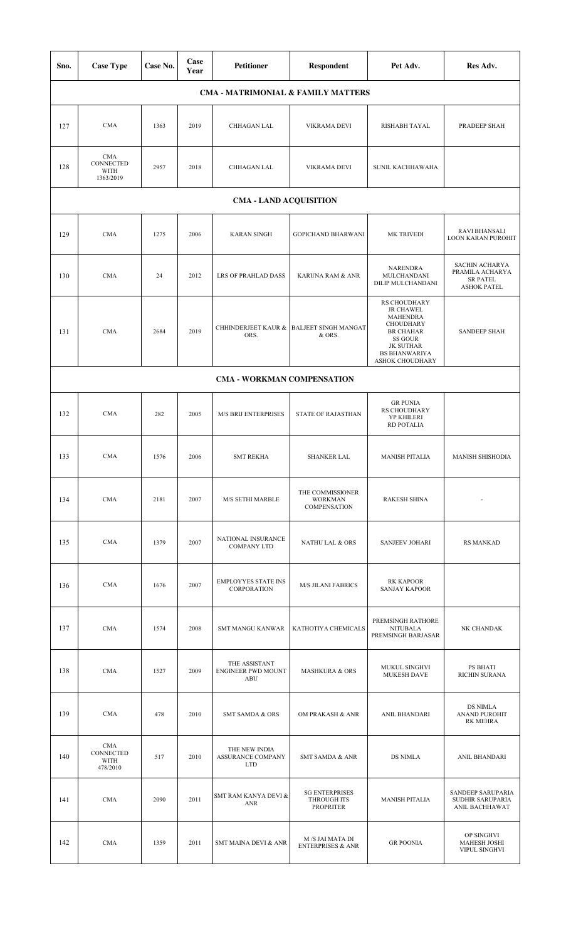| Sno. | <b>Case Type</b>                             | Case No. | Case<br>Year | <b>Petitioner</b>                                 | Respondent                                               | Pet Adv.                                                                                                                                                       | Res Adv.                                                                          |  |
|------|----------------------------------------------|----------|--------------|---------------------------------------------------|----------------------------------------------------------|----------------------------------------------------------------------------------------------------------------------------------------------------------------|-----------------------------------------------------------------------------------|--|
|      |                                              |          |              |                                                   | <b>CMA - MATRIMONIAL &amp; FAMILY MATTERS</b>            |                                                                                                                                                                |                                                                                   |  |
| 127  | <b>CMA</b>                                   | 1363     | 2019         | CHHAGAN LAL                                       | VIKRAMA DEVI                                             | RISHABH TAYAL                                                                                                                                                  | PRADEEP SHAH                                                                      |  |
| 128  | <b>CMA</b><br>CONNECTED<br>WITH<br>1363/2019 | 2957     | 2018         | CHHAGAN LAL                                       | <b>VIKRAMA DEVI</b>                                      | SUNIL KACHHAWAHA                                                                                                                                               |                                                                                   |  |
|      | <b>CMA - LAND ACQUISITION</b>                |          |              |                                                   |                                                          |                                                                                                                                                                |                                                                                   |  |
| 129  | <b>CMA</b>                                   | 1275     | 2006         | <b>KARAN SINGH</b>                                | <b>GOPICHAND BHARWANI</b>                                | <b>MK TRIVEDI</b>                                                                                                                                              | <b>RAVI BHANSALI</b><br>LOON KARAN PUROHIT                                        |  |
| 130  | <b>CMA</b>                                   | 24       | 2012         | LRS OF PRAHLAD DASS                               | KARUNA RAM & ANR                                         | <b>NARENDRA</b><br>MULCHANDANI<br>DILIP MULCHANDANI                                                                                                            | <b>SACHIN ACHARYA</b><br>PRAMILA ACHARYA<br><b>SR PATEL</b><br><b>ASHOK PATEL</b> |  |
| 131  | <b>CMA</b>                                   | 2684     | 2019         | ORS.                                              | CHHINDERJEET KAUR & BALJEET SINGH MANGAT<br>& ORS.       | RS CHOUDHARY<br><b>JR CHAWEL</b><br><b>MAHENDRA</b><br>CHOUDHARY<br><b>BR CHAHAR</b><br>SS GOUR<br><b>JK SUTHAR</b><br><b>BS BHANWARIYA</b><br>ASHOK CHOUDHARY | <b>SANDEEP SHAH</b>                                                               |  |
|      |                                              |          |              | CMA - WORKMAN COMPENSATION                        |                                                          |                                                                                                                                                                |                                                                                   |  |
| 132  | <b>CMA</b>                                   | 282      | 2005         | <b>M/S BRIJ ENTERPRISES</b>                       | STATE OF RAJASTHAN                                       | <b>GR PUNIA</b><br>RS CHOUDHARY<br>YP KHILERI<br>RD POTALIA                                                                                                    |                                                                                   |  |
| 133  | <b>CMA</b>                                   | 1576     | 2006         | <b>SMT REKHA</b>                                  | <b>SHANKER LAL</b>                                       | <b>MANISH PITALIA</b>                                                                                                                                          | <b>MANISH SHISHODIA</b>                                                           |  |
| 134  | <b>CMA</b>                                   | 2181     | 2007         | M/S SETHI MARBLE                                  | THE COMMISSIONER<br><b>WORKMAN</b><br>COMPENSATION       | <b>RAKESH SHINA</b>                                                                                                                                            |                                                                                   |  |
| 135  | <b>CMA</b>                                   | 1379     | 2007         | NATIONAL INSURANCE<br><b>COMPANY LTD</b>          | <b>NATHU LAL &amp; ORS</b>                               | <b>SANJEEV JOHARI</b>                                                                                                                                          | <b>RS MANKAD</b>                                                                  |  |
| 136  | <b>CMA</b>                                   | 1676     | 2007         | <b>EMPLOYYES STATE INS</b><br>CORPORATION         | <b>M/S JILANI FABRICS</b>                                | <b>RK KAPOOR</b><br><b>SANJAY KAPOOR</b>                                                                                                                       |                                                                                   |  |
| 137  | <b>CMA</b>                                   | 1574     | 2008         | <b>SMT MANGU KANWAR</b>                           | KATHOTIYA CHEMICALS                                      | PREMSINGH RATHORE<br><b>NITUBALA</b><br>PREMSINGH BARJASAR                                                                                                     | NK CHANDAK                                                                        |  |
| 138  | <b>CMA</b>                                   | 1527     | 2009         | THE ASSISTANT<br><b>ENGINEER PWD MOUNT</b><br>ABU | <b>MASHKURA &amp; ORS</b>                                | MUKUL SINGHVI<br><b>MUKESH DAVE</b>                                                                                                                            | PS BHATI<br>RICHIN SURANA                                                         |  |
| 139  | <b>CMA</b>                                   | 478      | 2010         | <b>SMT SAMDA &amp; ORS</b>                        | OM PRAKASH & ANR                                         | ANIL BHANDARI                                                                                                                                                  | <b>DS NIMLA</b><br><b>ANAND PUROHIT</b><br><b>RK MEHRA</b>                        |  |
| 140  | CMA<br>CONNECTED<br>WITH<br>478/2010         | 517      | 2010         | THE NEW INDIA<br>ASSURANCE COMPANY<br><b>LTD</b>  | <b>SMT SAMDA &amp; ANR</b>                               | <b>DS NIMLA</b>                                                                                                                                                | ANIL BHANDARI                                                                     |  |
| 141  | <b>CMA</b>                                   | 2090     | 2011         | SMT RAM KANYA DEVI &<br><b>ANR</b>                | <b>SG ENTERPRISES</b><br>THROUGH ITS<br><b>PROPRITER</b> | <b>MANISH PITALIA</b>                                                                                                                                          | SANDEEP SARUPARIA<br>SUDHIR SARUPARIA<br>ANIL BACHHAWAT                           |  |
| 142  | <b>CMA</b>                                   | 1359     | 2011         | SMT MAINA DEVI & ANR                              | M /S JAI MATA DI<br><b>ENTERPRISES &amp; ANR</b>         | <b>GR POONIA</b>                                                                                                                                               | OP SINGHVI<br><b>MAHESH JOSHI</b><br>VIPUL SINGHVI                                |  |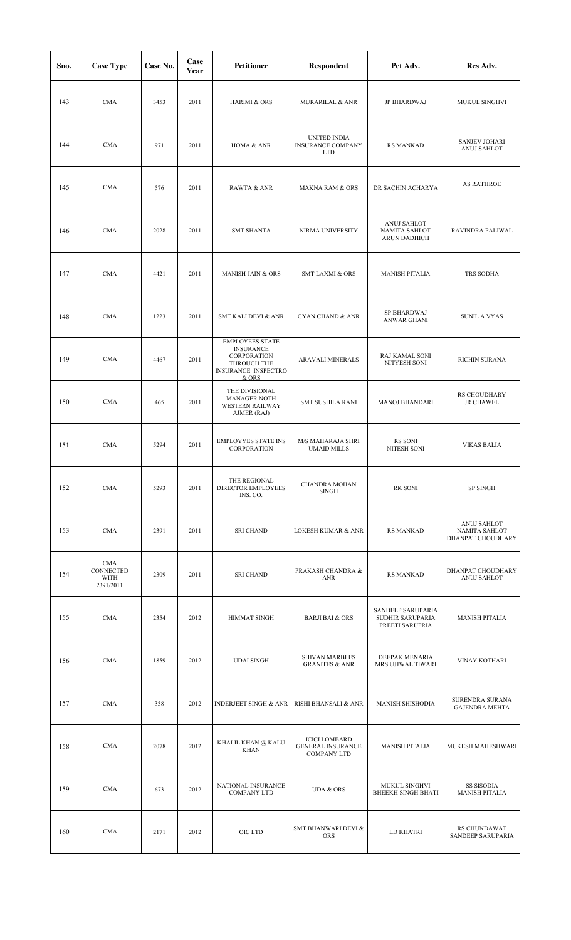| Sno. | <b>Case Type</b>                             | Case No. | Case<br>Year | <b>Petitioner</b>                                                                                               | Respondent                                                             | Pet Adv.                                                 | Res Adv.                                          |
|------|----------------------------------------------|----------|--------------|-----------------------------------------------------------------------------------------------------------------|------------------------------------------------------------------------|----------------------------------------------------------|---------------------------------------------------|
| 143  | <b>CMA</b>                                   | 3453     | 2011         | <b>HARIMI &amp; ORS</b>                                                                                         | <b>MURARILAL &amp; ANR</b>                                             | <b>JP BHARDWAJ</b>                                       | <b>MUKUL SINGHVI</b>                              |
| 144  | <b>CMA</b>                                   | 971      | 2011         | HOMA & ANR                                                                                                      | UNITED INDIA<br><b>INSURANCE COMPANY</b><br><b>LTD</b>                 | <b>RS MANKAD</b>                                         | <b>SANJEV JOHARI</b><br>ANUJ SAHLOT               |
| 145  | <b>CMA</b>                                   | 576      | 2011         | RAWTA & ANR                                                                                                     | <b>MAKNA RAM &amp; ORS</b>                                             | DR SACHIN ACHARYA                                        | <b>AS RATHROE</b>                                 |
| 146  | <b>CMA</b>                                   | 2028     | 2011         | <b>SMT SHANTA</b>                                                                                               | NIRMA UNIVERSITY                                                       | ANUJ SAHLOT<br>NAMITA SAHLOT<br><b>ARUN DADHICH</b>      | RAVINDRA PALIWAL                                  |
| 147  | <b>CMA</b>                                   | 4421     | 2011         | <b>MANISH JAIN &amp; ORS</b>                                                                                    | <b>SMT LAXMI &amp; ORS</b>                                             | <b>MANISH PITALIA</b>                                    | TRS SODHA                                         |
| 148  | <b>CMA</b>                                   | 1223     | 2011         | <b>SMT KALI DEVI &amp; ANR</b>                                                                                  | <b>GYAN CHAND &amp; ANR</b>                                            | SP BHARDWAJ<br>ANWAR GHANI                               | <b>SUNIL A VYAS</b>                               |
| 149  | <b>CMA</b>                                   | 4467     | 2011         | <b>EMPLOYEES STATE</b><br><b>INSURANCE</b><br>CORPORATION<br>THROUGH THE<br><b>INSURANCE INSPECTRO</b><br>& ORS | ARAVALI MINERALS                                                       | RAJ KAMAL SONI<br>NITYESH SONI                           | RICHIN SURANA                                     |
| 150  | <b>CMA</b>                                   | 465      | 2011         | THE DIVISIONAL<br><b>MANAGER NOTH</b><br><b>WESTERN RAILWAY</b><br>AJMER (RAJ)                                  | SMT SUSHILA RANI                                                       | MANOJ BHANDARI                                           | RS CHOUDHARY<br><b>JR CHAWEL</b>                  |
| 151  | <b>CMA</b>                                   | 5294     | 2011         | <b>EMPLOYYES STATE INS</b><br>CORPORATION                                                                       | M/S MAHARAJA SHRI<br><b>UMAID MILLS</b>                                | RS SONI<br>NITESH SONI                                   | <b>VIKAS BALIA</b>                                |
| 152  | <b>CMA</b>                                   | 5293     | 2011         | THE REGIONAL<br><b>DIRECTOR EMPLOYEES</b><br>INS. CO.                                                           | <b>CHANDRA MOHAN</b><br><b>SINGH</b>                                   | <b>RK SONI</b>                                           | SP SINGH                                          |
| 153  | <b>CMA</b>                                   | 2391     | 2011         | <b>SRI CHAND</b>                                                                                                | <b>LOKESH KUMAR &amp; ANR</b>                                          | <b>RS MANKAD</b>                                         | ANUJ SAHLOT<br>NAMITA SAHLOT<br>DHANPAT CHOUDHARY |
| 154  | <b>CMA</b><br>CONNECTED<br>WITH<br>2391/2011 | 2309     | 2011         | <b>SRI CHAND</b>                                                                                                | PRAKASH CHANDRA &<br><b>ANR</b>                                        | <b>RS MANKAD</b>                                         | DHANPAT CHOUDHARY<br><b>ANUJ SAHLOT</b>           |
| 155  | <b>CMA</b>                                   | 2354     | 2012         | HIMMAT SINGH                                                                                                    | <b>BARJI BAI &amp; ORS</b>                                             | SANDEEP SARUPARIA<br>SUDHIR SARUPARIA<br>PREETI SARUPRIA | <b>MANISH PITALIA</b>                             |
| 156  | <b>CMA</b>                                   | 1859     | 2012         | <b>UDAI SINGH</b>                                                                                               | <b>SHIVAN MARBLES</b><br><b>GRANITES &amp; ANR</b>                     | DEEPAK MENARIA<br>MRS UJJWAL TIWARI                      | VINAY KOTHARI                                     |
| 157  | <b>CMA</b>                                   | 358      | 2012         | <b>INDERJEET SINGH &amp; ANR</b>                                                                                | RISHI BHANSALI & ANR                                                   | <b>MANISH SHISHODIA</b>                                  | SURENDRA SURANA<br><b>GAJENDRA MEHTA</b>          |
| 158  | <b>CMA</b>                                   | 2078     | 2012         | KHALIL KHAN @ KALU<br><b>KHAN</b>                                                                               | <b>ICICI LOMBARD</b><br><b>GENERAL INSURANCE</b><br><b>COMPANY LTD</b> | <b>MANISH PITALIA</b>                                    | MUKESH MAHESHWARI                                 |
| 159  | <b>CMA</b>                                   | 673      | 2012         | NATIONAL INSURANCE<br><b>COMPANY LTD</b>                                                                        | <b>UDA &amp; ORS</b>                                                   | MUKUL SINGHVI<br><b>BHEEKH SINGH BHATI</b>               | <b>SS SISODIA</b><br><b>MANISH PITALIA</b>        |
| 160  | <b>CMA</b>                                   | 2171     | 2012         | OIC LTD                                                                                                         | SMT BHANWARI DEVI &<br><b>ORS</b>                                      | LD KHATRI                                                | RS CHUNDAWAT<br>SANDEEP SARUPARIA                 |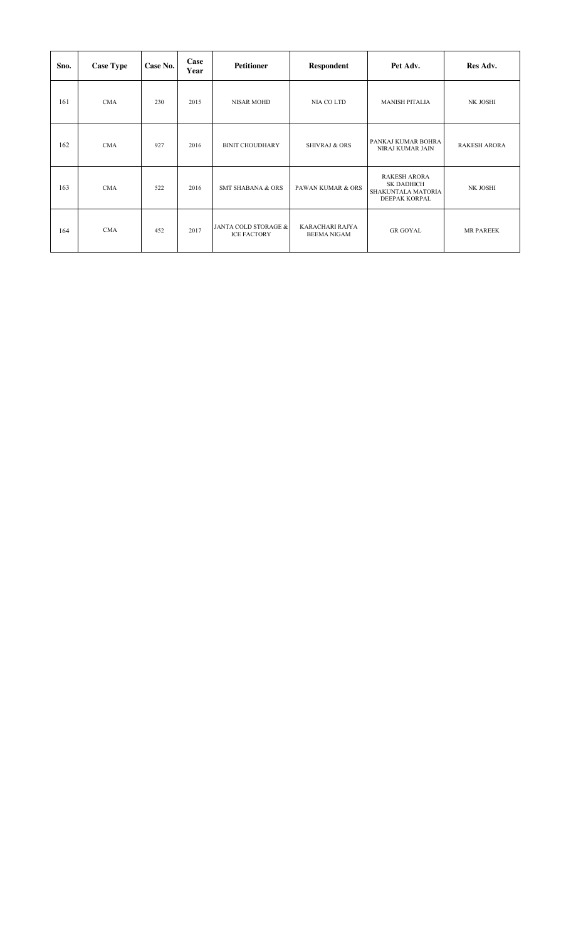| Sno. | <b>Case Type</b> | Case No. | Case<br>Year | <b>Petitioner</b>                          | <b>Respondent</b>                     | Pet Adv.                                                                 | Res Adv.            |
|------|------------------|----------|--------------|--------------------------------------------|---------------------------------------|--------------------------------------------------------------------------|---------------------|
| 161  | <b>CMA</b>       | 230      | 2015         | <b>NISAR MOHD</b>                          | NIA CO LTD                            | <b>MANISH PITALIA</b>                                                    | NK JOSHI            |
| 162  | <b>CMA</b>       | 927      | 2016         | <b>BINIT CHOUDHARY</b>                     | <b>SHIVRAJ &amp; ORS</b>              | PANKAJ KUMAR BOHRA<br>NIRAJ KUMAR JAIN                                   | <b>RAKESH ARORA</b> |
| 163  | <b>CMA</b>       | 522      | 2016         | <b>SMT SHABANA &amp; ORS</b>               | <b>PAWAN KUMAR &amp; ORS</b>          | <b>RAKESH ARORA</b><br>SK DADHICH<br>SHAKUNTALA MATORIA<br>DEEPAK KORPAL | NK JOSHI            |
| 164  | <b>CMA</b>       | 452      | 2017         | JANTA COLD STORAGE &<br><b>ICE FACTORY</b> | KARACHARI RAJYA<br><b>BEEMA NIGAM</b> | <b>GR GOYAL</b>                                                          | <b>MR PAREEK</b>    |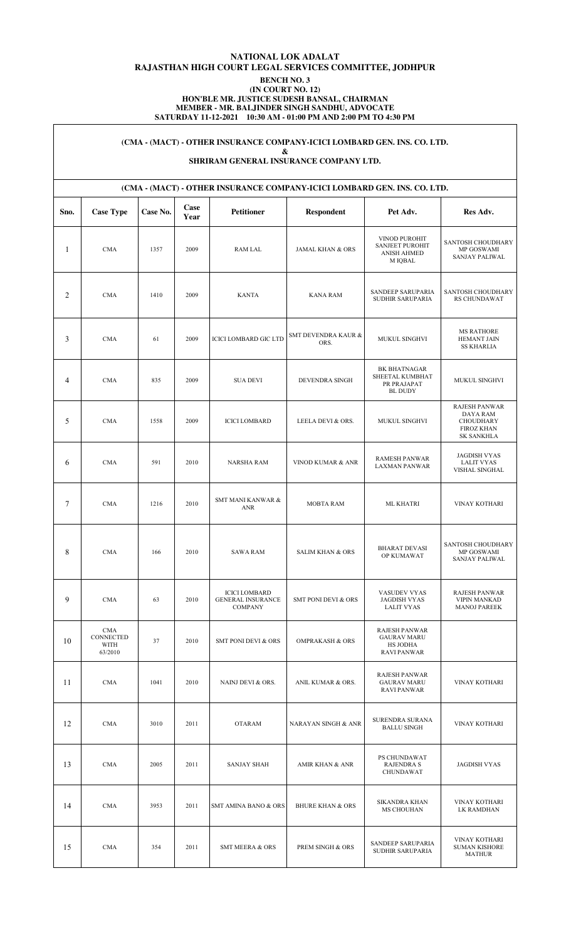## **NATIONAL LOK ADALAT RAJASTHAN HIGH COURT LEGAL SERVICES COMMITTEE, JODHPUR BENCH NO. 3 (IN COURT NO. 12)**

#### **HON'BLE MR. JUSTICE SUDESH BANSAL, CHAIRMAN MEMBER - MR. BALJINDER SINGH SANDHU, ADVOCATE SATURDAY 11-12-2021 10:30 AM - 01:00 PM AND 2:00 PM TO 4:30 PM**

# **(CMA - (MACT) - OTHER INSURANCE COMPANY-ICICI LOMBARD GEN. INS. CO. LTD.**

**&** 

#### **SHRIRAM GENERAL INSURANCE COMPANY LTD.**

|                 | (CMA - (MACT) - OTHER INSURANCE COMPANY-ICICI LOMBARD GEN. INS. CO. LTD. |          |              |                                                                    |                                |                                                                                     |                                                                                                |  |  |  |  |  |
|-----------------|--------------------------------------------------------------------------|----------|--------------|--------------------------------------------------------------------|--------------------------------|-------------------------------------------------------------------------------------|------------------------------------------------------------------------------------------------|--|--|--|--|--|
| Sno.            | <b>Case Type</b>                                                         | Case No. | Case<br>Year | <b>Petitioner</b>                                                  | Respondent                     | Pet Adv.                                                                            | Res Adv.                                                                                       |  |  |  |  |  |
| $\mathbf{1}$    | <b>CMA</b>                                                               | 1357     | 2009         | <b>RAM LAL</b>                                                     | <b>JAMAL KHAN &amp; ORS</b>    | VINOD PUROHIT<br><b>SANJEET PUROHIT</b><br><b>ANISH AHMED</b><br>M IQBAL            | SANTOSH CHOUDHARY<br>MP GOSWAMI<br>SANJAY PALIWAL                                              |  |  |  |  |  |
| 2               | CMA                                                                      | 1410     | 2009         | <b>KANTA</b>                                                       | <b>KANA RAM</b>                | SANDEEP SARUPARIA<br>SUDHIR SARUPARIA                                               | SANTOSH CHOUDHARY<br><b>RS CHUNDAWAT</b>                                                       |  |  |  |  |  |
| 3               | <b>CMA</b>                                                               | 61       | 2009         | <b>ICICI LOMBARD GIC LTD</b>                                       | SMT DEVENDRA KAUR &<br>ORS.    | MUKUL SINGHVI                                                                       | <b>MS RATHORE</b><br>HEMANT JAIN<br><b>SS KHARLIA</b>                                          |  |  |  |  |  |
| 4               | <b>CMA</b>                                                               | 835      | 2009         | <b>SUA DEVI</b>                                                    | DEVENDRA SINGH                 | BK BHATNAGAR<br>SHEETAL KUMBHAT<br>PR PRAJAPAT<br><b>BL DUDY</b>                    | MUKUL SINGHVI                                                                                  |  |  |  |  |  |
| 5               | <b>CMA</b>                                                               | 1558     | 2009         | <b>ICICI LOMBARD</b>                                               | LEELA DEVI & ORS.              | MUKUL SINGHVI                                                                       | <b>RAJESH PANWAR</b><br><b>DAYA RAM</b><br>CHOUDHARY<br><b>FIROZ KHAN</b><br><b>SK SANKHLA</b> |  |  |  |  |  |
| 6               | <b>CMA</b>                                                               | 591      | 2010         | <b>NARSHA RAM</b>                                                  | VINOD KUMAR & ANR              | <b>RAMESH PANWAR</b><br><b>LAXMAN PANWAR</b>                                        | <b>JAGDISH VYAS</b><br><b>LALIT VYAS</b><br>VISHAL SINGHAL                                     |  |  |  |  |  |
| $7\phantom{.0}$ | <b>CMA</b>                                                               | 1216     | 2010         | <b>SMT MANI KANWAR &amp;</b><br><b>ANR</b>                         | <b>MOBTA RAM</b>               | <b>ML KHATRI</b>                                                                    | VINAY KOTHARI                                                                                  |  |  |  |  |  |
| 8               | <b>CMA</b>                                                               | 166      | 2010         | <b>SAWA RAM</b>                                                    | <b>SALIM KHAN &amp; ORS</b>    | <b>BHARAT DEVASI</b><br>OP KUMAWAT                                                  | SANTOSH CHOUDHARY<br>MP GOSWAMI<br>SANJAY PALIWAL                                              |  |  |  |  |  |
| 9               | CMA                                                                      | 63       | 2010         | <b>ICICI LOMBARD</b><br><b>GENERAL INSURANCE</b><br><b>COMPANY</b> | <b>SMT PONI DEVI &amp; ORS</b> | VASUDEV VYAS<br><b>JAGDISH VYAS</b><br><b>LALIT VYAS</b>                            | <b>RAJESH PANWAR</b><br><b>VIPIN MANKAD</b><br><b>MANOJ PAREEK</b>                             |  |  |  |  |  |
| 10              | CMA<br>CONNECTED<br>WITH<br>63/2010                                      | 37       | 2010         | SMT PONI DEVI & ORS                                                | <b>OMPRAKASH &amp; ORS</b>     | <b>RAJESH PANWAR</b><br><b>GAURAV MARU</b><br><b>HS JODHA</b><br><b>RAVI PANWAR</b> |                                                                                                |  |  |  |  |  |
| 11              | CMA                                                                      | 1041     | 2010         | NAINJ DEVI & ORS.                                                  | ANIL KUMAR & ORS.              | <b>RAJESH PANWAR</b><br><b>GAURAV MARU</b><br><b>RAVI PANWAR</b>                    | <b>VINAY KOTHARI</b>                                                                           |  |  |  |  |  |
| 12              | <b>CMA</b>                                                               | 3010     | 2011         | <b>OTARAM</b>                                                      | NARAYAN SINGH & ANR            | SURENDRA SURANA<br><b>BALLU SINGH</b>                                               | VINAY KOTHARI                                                                                  |  |  |  |  |  |
| 13              | CMA                                                                      | 2005     | 2011         | <b>SANJAY SHAH</b>                                                 | AMIR KHAN & ANR                | PS CHUNDAWAT<br><b>RAJENDRA S</b><br><b>CHUNDAWAT</b>                               | <b>JAGDISH VYAS</b>                                                                            |  |  |  |  |  |
| 14              | CMA                                                                      | 3953     | 2011         | <b>SMT AMINA BANO &amp; ORS</b>                                    | <b>BHURE KHAN &amp; ORS</b>    | <b>SIKANDRA KHAN</b><br><b>MS CHOUHAN</b>                                           | VINAY KOTHARI<br>LK RAMDHAN                                                                    |  |  |  |  |  |
| 15              | CMA                                                                      | 354      | 2011         | <b>SMT MEERA &amp; ORS</b>                                         | PREM SINGH & ORS               | SANDEEP SARUPARIA<br>SUDHIR SARUPARIA                                               | VINAY KOTHARI<br><b>SUMAN KISHORE</b><br>MATHUR                                                |  |  |  |  |  |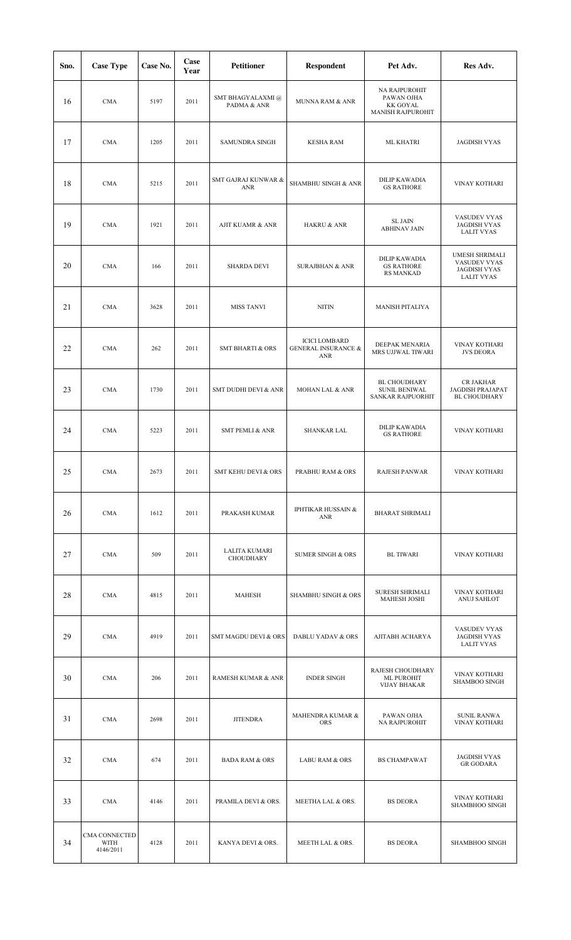| Sno. | <b>Case Type</b>                   | Case No. | Case<br>Year | <b>Petitioner</b>                 | <b>Respondent</b>                                             | Pet Adv.                                                            | Res Adv.                                                                   |
|------|------------------------------------|----------|--------------|-----------------------------------|---------------------------------------------------------------|---------------------------------------------------------------------|----------------------------------------------------------------------------|
| 16   | <b>CMA</b>                         | 5197     | 2011         | SMT BHAGYALAXMI @<br>PADMA & ANR  | MUNNA RAM & ANR                                               | NA RAJPUROHIT<br>PAWAN OJHA<br><b>KK GOYAL</b><br>MANISH RAJPUROHIT |                                                                            |
| 17   | <b>CMA</b>                         | 1205     | 2011         | <b>SAMUNDRA SINGH</b>             | <b>KESHA RAM</b>                                              | <b>ML KHATRI</b>                                                    | <b>JAGDISH VYAS</b>                                                        |
| 18   | <b>CMA</b>                         | 5215     | 2011         | SMT GAJRAJ KUNWAR &<br><b>ANR</b> | SHAMBHU SINGH & ANR                                           | <b>DILIP KAWADIA</b><br><b>GS RATHORE</b>                           | VINAY KOTHARI                                                              |
| 19   | <b>CMA</b>                         | 1921     | 2011         | <b>AJIT KUAMR &amp; ANR</b>       | HAKRU & ANR                                                   | <b>SL JAIN</b><br><b>ABHINAV JAIN</b>                               | VASUDEV VYAS<br><b>JAGDISH VYAS</b><br><b>LALIT VYAS</b>                   |
| 20   | <b>CMA</b>                         | 166      | 2011         | <b>SHARDA DEVI</b>                | <b>SURAJBHAN &amp; ANR</b>                                    | <b>DILIP KAWADIA</b><br><b>GS RATHORE</b><br><b>RS MANKAD</b>       | UMESH SHRIMALI<br>VASUDEV VYAS<br><b>JAGDISH VYAS</b><br><b>LALIT VYAS</b> |
| 21   | <b>CMA</b>                         | 3628     | 2011         | <b>MISS TANVI</b>                 | <b>NITIN</b>                                                  | <b>MANISH PITALIYA</b>                                              |                                                                            |
| 22   | <b>CMA</b>                         | 262      | 2011         | <b>SMT BHARTI &amp; ORS</b>       | <b>ICICI LOMBARD</b><br><b>GENERAL INSURANCE &amp;</b><br>ANR | DEEPAK MENARIA<br>MRS UJJWAL TIWARI                                 | VINAY KOTHARI<br><b>JVS DEORA</b>                                          |
| 23   | <b>CMA</b>                         | 1730     | 2011         | SMT DUDHI DEVI & ANR              | MOHAN LAL & ANR                                               | <b>BL CHOUDHARY</b><br><b>SUNIL BENIWAL</b><br>SANKAR RAJPUORHIT    | CR JAKHAR<br>JAGDISH PRAJAPAT<br><b>BL CHOUDHARY</b>                       |
| 24   | <b>CMA</b>                         | 5223     | 2011         | <b>SMT PEMLI &amp; ANR</b>        | <b>SHANKAR LAL</b>                                            | <b>DILIP KAWADIA</b><br><b>GS RATHORE</b>                           | VINAY KOTHARI                                                              |
| 25   | <b>CMA</b>                         | 2673     | 2011         | SMT KEHU DEVI & ORS               | PRABHU RAM & ORS                                              | RAJESH PANWAR                                                       | VINAY KOTHARI                                                              |
| 26   | <b>CMA</b>                         | 1612     | 2011         | PRAKASH KUMAR                     | <b>IPHTIKAR HUSSAIN &amp;</b><br>ANR                          | <b>BHARAT SHRIMALI</b>                                              |                                                                            |
| 27   | <b>CMA</b>                         | 509      | 2011         | LALITA KUMARI<br>CHOUDHARY        | <b>SUMER SINGH &amp; ORS</b>                                  | <b>BL TIWARI</b>                                                    | <b>VINAY KOTHARI</b>                                                       |
| 28   | <b>CMA</b>                         | 4815     | 2011         | <b>MAHESH</b>                     | <b>SHAMBHU SINGH &amp; ORS</b>                                | SURESH SHRIMALI<br><b>MAHESH JOSHI</b>                              | VINAY KOTHARI<br>ANUJ SAHLOT                                               |
| 29   | <b>CMA</b>                         | 4919     | 2011         | SMT MAGDU DEVI & ORS              | DABLU YADAV & ORS                                             | AJITABH ACHARYA                                                     | VASUDEV VYAS<br><b>JAGDISH VYAS</b><br><b>LALIT VYAS</b>                   |
| 30   | <b>CMA</b>                         | 206      | 2011         | RAMESH KUMAR & ANR                | <b>INDER SINGH</b>                                            | RAJESH CHOUDHARY<br>ML PUROHIT<br><b>VIJAY BHAKAR</b>               | VINAY KOTHARI<br><b>SHAMBOO SINGH</b>                                      |
| 31   | <b>CMA</b>                         | 2698     | 2011         | <b>JITENDRA</b>                   | MAHENDRA KUMAR &<br><b>ORS</b>                                | PAWAN OJHA<br>NA RAJPUROHIT                                         | <b>SUNIL RANWA</b><br>VINAY KOTHARI                                        |
| 32   | <b>CMA</b>                         | 674      | 2011         | <b>BADA RAM &amp; ORS</b>         | <b>LABU RAM &amp; ORS</b>                                     | <b>BS CHAMPAWAT</b>                                                 | <b>JAGDISH VYAS</b><br><b>GR GODARA</b>                                    |
| 33   | <b>CMA</b>                         | 4146     | 2011         | PRAMILA DEVI & ORS.               | MEETHA LAL & ORS.                                             | <b>BS DEORA</b>                                                     | VINAY KOTHARI<br>SHAMBHOO SINGH                                            |
| 34   | CMA CONNECTED<br>WITH<br>4146/2011 | 4128     | 2011         | KANYA DEVI & ORS.                 | MEETH LAL & ORS.                                              | <b>BS DEORA</b>                                                     | SHAMBHOO SINGH                                                             |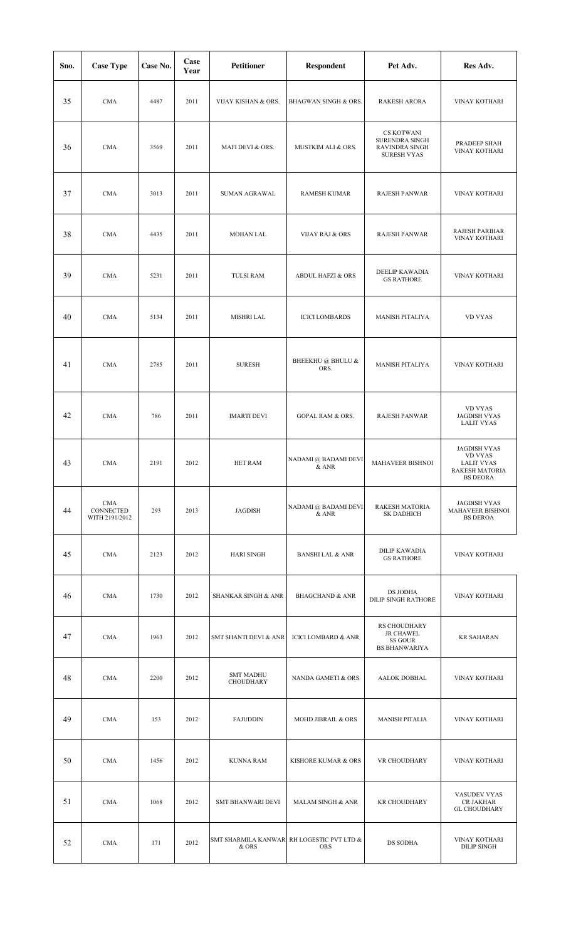| Sno. | <b>Case Type</b>                          | Case No. | Case<br>Year | Petitioner                           | Respondent                                              | Pet Adv.                                                                           | Res Adv.                                                                                        |
|------|-------------------------------------------|----------|--------------|--------------------------------------|---------------------------------------------------------|------------------------------------------------------------------------------------|-------------------------------------------------------------------------------------------------|
| 35   | <b>CMA</b>                                | 4487     | 2011         | VIJAY KISHAN & ORS.                  | BHAGWAN SINGH & ORS.                                    | <b>RAKESH ARORA</b>                                                                | VINAY KOTHARI                                                                                   |
| 36   | <b>CMA</b>                                | 3569     | 2011         | MAFI DEVI & ORS.                     | MUSTKIM ALI & ORS.                                      | <b>CS KOTWANI</b><br><b>SURENDRA SINGH</b><br>RAVINDRA SINGH<br><b>SURESH VYAS</b> | PRADEEP SHAH<br>VINAY KOTHARI                                                                   |
| 37   | <b>CMA</b>                                | 3013     | 2011         | SUMAN AGRAWAL                        | <b>RAMESH KUMAR</b>                                     | <b>RAJESH PANWAR</b>                                                               | VINAY KOTHARI                                                                                   |
| 38   | <b>CMA</b>                                | 4435     | 2011         | MOHAN LAL                            | <b>VIJAY RAJ &amp; ORS</b>                              | RAJESH PANWAR                                                                      | RAJESH PARIHAR<br>VINAY KOTHARI                                                                 |
| 39   | <b>CMA</b>                                | 5231     | 2011         | <b>TULSI RAM</b>                     | <b>ABDUL HAFZI &amp; ORS</b>                            | DEELIP KAWADIA<br><b>GS RATHORE</b>                                                | VINAY KOTHARI                                                                                   |
| 40   | <b>CMA</b>                                | 5134     | 2011         | <b>MISHRI LAL</b>                    | <b>ICICI LOMBARDS</b>                                   | <b>MANISH PITALIYA</b>                                                             | <b>VD VYAS</b>                                                                                  |
| 41   | <b>CMA</b>                                | 2785     | 2011         | <b>SURESH</b>                        | BHEEKHU @ BHULU &<br>ORS.                               | <b>MANISH PITALIYA</b>                                                             | VINAY KOTHARI                                                                                   |
| 42   | <b>CMA</b>                                | 786      | 2011         | <b>IMARTI DEVI</b>                   | <b>GOPAL RAM &amp; ORS.</b>                             | <b>RAJESH PANWAR</b>                                                               | <b>VD VYAS</b><br><b>JAGDISH VYAS</b><br><b>LALIT VYAS</b>                                      |
| 43   | <b>CMA</b>                                | 2191     | 2012         | <b>HET RAM</b>                       | NADAMI @ BADAMI DEVI<br>& ANR                           | <b>MAHAVEER BISHNOI</b>                                                            | <b>JAGDISH VYAS</b><br><b>VD VYAS</b><br><b>LALIT VYAS</b><br>RAKESH MATORIA<br><b>BS DEORA</b> |
| 44   | <b>CMA</b><br>CONNECTED<br>WITH 2191/2012 | 293      | 2013         | JAGDISH                              | NADAMI @ BADAMI DEVI<br>$\&$ ANR                        | RAKESH MATORIA<br><b>SK DADHICH</b>                                                | JAGDISH VYAS<br>MAHAVEER BISHNOI<br><b>BS DEROA</b>                                             |
| 45   | <b>CMA</b>                                | 2123     | 2012         | HARI SINGH                           | <b>BANSHI LAL &amp; ANR</b>                             | <b>DILIP KAWADIA</b><br><b>GS RATHORE</b>                                          | <b>VINAY KOTHARI</b>                                                                            |
| 46   | <b>CMA</b>                                | 1730     | 2012         | <b>SHANKAR SINGH &amp; ANR</b>       | <b>BHAGCHAND &amp; ANR</b>                              | DS JODHA<br><b>DILIP SINGH RATHORE</b>                                             | VINAY KOTHARI                                                                                   |
| 47   | <b>CMA</b>                                | 1963     | 2012         | SMT SHANTI DEVI & ANR                | <b>ICICI LOMBARD &amp; ANR</b>                          | RS CHOUDHARY<br><b>JR CHAWEL</b><br>SS GOUR<br><b>BS BHANWARIYA</b>                | <b>KR SAHARAN</b>                                                                               |
| 48   | <b>CMA</b>                                | 2200     | 2012         | <b>SMT MADHU</b><br><b>CHOUDHARY</b> | NANDA GAMETI & ORS                                      | AALOK DOBHAL                                                                       | VINAY KOTHARI                                                                                   |
| 49   | <b>CMA</b>                                | 153      | 2012         | <b>FAJUDDIN</b>                      | MOHD JIBRAIL & ORS                                      | <b>MANISH PITALIA</b>                                                              | VINAY KOTHARI                                                                                   |
| 50   | <b>CMA</b>                                | 1456     | 2012         | <b>KUNNA RAM</b>                     | KISHORE KUMAR & ORS                                     | VR CHOUDHARY                                                                       | VINAY KOTHARI                                                                                   |
| 51   | <b>CMA</b>                                | 1068     | 2012         | SMT BHANWARI DEVI                    | MALAM SINGH & ANR                                       | <b>KR CHOUDHARY</b>                                                                | VASUDEV VYAS<br>CR JAKHAR<br><b>GL CHOUDHARY</b>                                                |
| 52   | <b>CMA</b>                                | 171      | 2012         | & ORS                                | SMT SHARMILA KANWAR RH LOGESTIC PVT LTD &<br><b>ORS</b> | DS SODHA                                                                           | VINAY KOTHARI<br><b>DILIP SINGH</b>                                                             |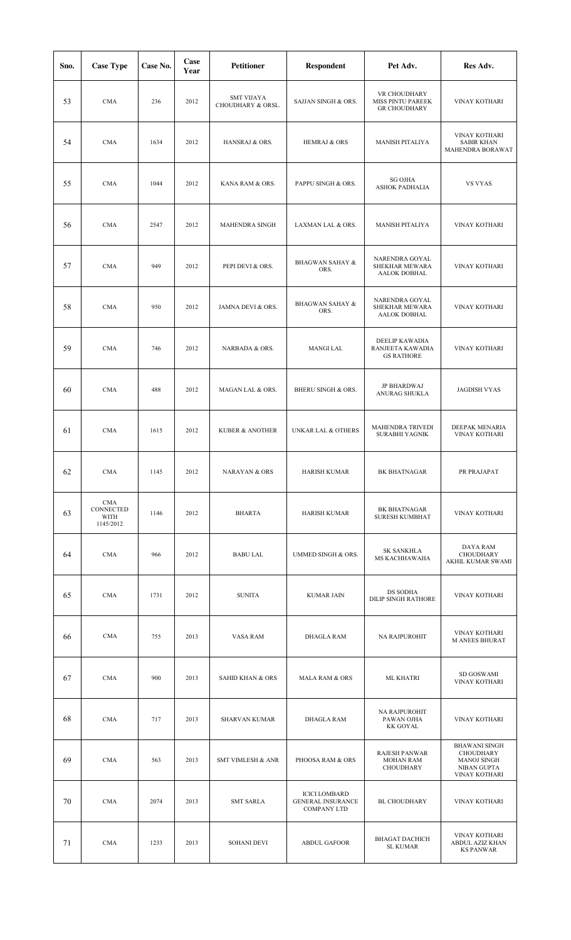| Sno. | <b>Case Type</b>                             | Case No. | Case<br>Year | <b>Petitioner</b>                      | <b>Respondent</b>                                                      | Pet Adv.                                                 | Res Adv.                                                                                |
|------|----------------------------------------------|----------|--------------|----------------------------------------|------------------------------------------------------------------------|----------------------------------------------------------|-----------------------------------------------------------------------------------------|
| 53   | <b>CMA</b>                                   | 236      | 2012         | <b>SMT VIJAYA</b><br>CHOUDHARY & ORSL. | SAJJAN SINGH & ORS.                                                    | VR CHOUDHARY<br>MISS PINTU PAREEK<br><b>GR CHOUDHARY</b> | VINAY KOTHARI                                                                           |
| 54   | <b>CMA</b>                                   | 1634     | 2012         | HANSRAJ & ORS.                         | <b>HEMRAJ &amp; ORS</b>                                                | <b>MANISH PITALIYA</b>                                   | VINAY KOTHARI<br><b>SABIR KHAN</b><br>MAHENDRA BORAWAT                                  |
| 55   | <b>CMA</b>                                   | 1044     | 2012         | KANA RAM & ORS.                        | PAPPU SINGH & ORS.                                                     | <b>SG OJHA</b><br>ASHOK PADHALIA                         | <b>VS VYAS</b>                                                                          |
| 56   | <b>CMA</b>                                   | 2547     | 2012         | MAHENDRA SINGH                         | LAXMAN LAL & ORS.                                                      | <b>MANISH PITALIYA</b>                                   | VINAY KOTHARI                                                                           |
| 57   | <b>CMA</b>                                   | 949      | 2012         | PEPI DEVI & ORS.                       | <b>BHAGWAN SAHAY &amp;</b><br>ORS.                                     | NARENDRA GOYAL<br>SHEKHAR MEWARA<br>AALOK DOBHAL         | VINAY KOTHARI                                                                           |
| 58   | <b>CMA</b>                                   | 950      | 2012         | JAMNA DEVI & ORS.                      | <b>BHAGWAN SAHAY &amp;</b><br>ORS.                                     | NARENDRA GOYAL<br>SHEKHAR MEWARA<br>AALOK DOBHAL         | VINAY KOTHARI                                                                           |
| 59   | <b>CMA</b>                                   | 746      | 2012         | NARBADA & ORS.                         | <b>MANGI LAL</b>                                                       | DEELIP KAWADIA<br>RANJEETA KAWADIA<br><b>GS RATHORE</b>  | VINAY KOTHARI                                                                           |
| 60   | <b>CMA</b>                                   | 488      | 2012         | MAGAN LAL & ORS.                       | BHERU SINGH & ORS.                                                     | JP BHARDWAJ<br>ANURAG SHUKLA                             | <b>JAGDISH VYAS</b>                                                                     |
| 61   | <b>CMA</b>                                   | 1615     | 2012         | <b>KUBER &amp; ANOTHER</b>             | <b>UNKAR LAL &amp; OTHERS</b>                                          | MAHENDRA TRIVEDI<br>SURABHI YAGNIK                       | DEEPAK MENARIA<br>VINAY KOTHARI                                                         |
| 62   | CMA                                          | 1145     | 2012         | NARAYAN & ORS                          | <b>HARISH KUMAR</b>                                                    | BK BHATNAGAR                                             | PR PRAJAPAT                                                                             |
| 63   | <b>CMA</b><br>CONNECTED<br>WITH<br>1145/2012 | 1146     | 2012         | <b>BHARTA</b>                          | <b>HARISH KUMAR</b>                                                    | BK BHATNAGAR<br><b>SURESH KUMBHAT</b>                    | VINAY KOTHARI                                                                           |
| 64   | <b>CMA</b>                                   | 966      | 2012         | <b>BABU LAL</b>                        | UMMED SINGH & ORS.                                                     | <b>SK SANKHLA</b><br>MS KACHHAWAHA                       | DAYA RAM<br>CHOUDHARY<br>AKHIL KUMAR SWAMI                                              |
| 65   | <b>CMA</b>                                   | 1731     | 2012         | <b>SUNITA</b>                          | <b>KUMAR JAIN</b>                                                      | DS SODHA<br><b>DILIP SINGH RATHORE</b>                   | VINAY KOTHARI                                                                           |
| 66   | <b>CMA</b>                                   | 755      | 2013         | VASA RAM                               | <b>DHAGLA RAM</b>                                                      | <b>NA RAJPUROHIT</b>                                     | VINAY KOTHARI<br><b>M ANEES BHURAT</b>                                                  |
| 67   | <b>CMA</b>                                   | 900      | 2013         | <b>SAHID KHAN &amp; ORS</b>            | <b>MALA RAM &amp; ORS</b>                                              | ML KHATRI                                                | SD GOSWAMI<br><b>VINAY KOTHARI</b>                                                      |
| 68   | <b>CMA</b>                                   | 717      | 2013         | <b>SHARVAN KUMAR</b>                   | <b>DHAGLA RAM</b>                                                      | NA RAJPUROHIT<br>PAWAN OJHA<br><b>KK GOYAL</b>           | <b>VINAY KOTHARI</b>                                                                    |
| 69   | <b>CMA</b>                                   | 563      | 2013         | <b>SMT VIMLESH &amp; ANR</b>           | PHOOSA RAM & ORS                                                       | <b>RAJESH PANWAR</b><br><b>MOHAN RAM</b><br>CHOUDHARY    | <b>BHAWANI SINGH</b><br><b>CHOUDHARY</b><br>MANOJ SINGH<br>NIBAN GUPTA<br>VINAY KOTHARI |
| 70   | <b>CMA</b>                                   | 2074     | 2013         | <b>SMT SARLA</b>                       | <b>ICICI LOMBARD</b><br><b>GENERAL INSURANCE</b><br><b>COMPANY LTD</b> | <b>BL CHOUDHARY</b>                                      | VINAY KOTHARI                                                                           |
| 71   | <b>CMA</b>                                   | 1233     | 2013         | <b>SOHANI DEVI</b>                     | <b>ABDUL GAFOOR</b>                                                    | <b>BHAGAT DACHICH</b><br><b>SL KUMAR</b>                 | VINAY KOTHARI<br>ABDUL AZIZ KHAN<br><b>KS PANWAR</b>                                    |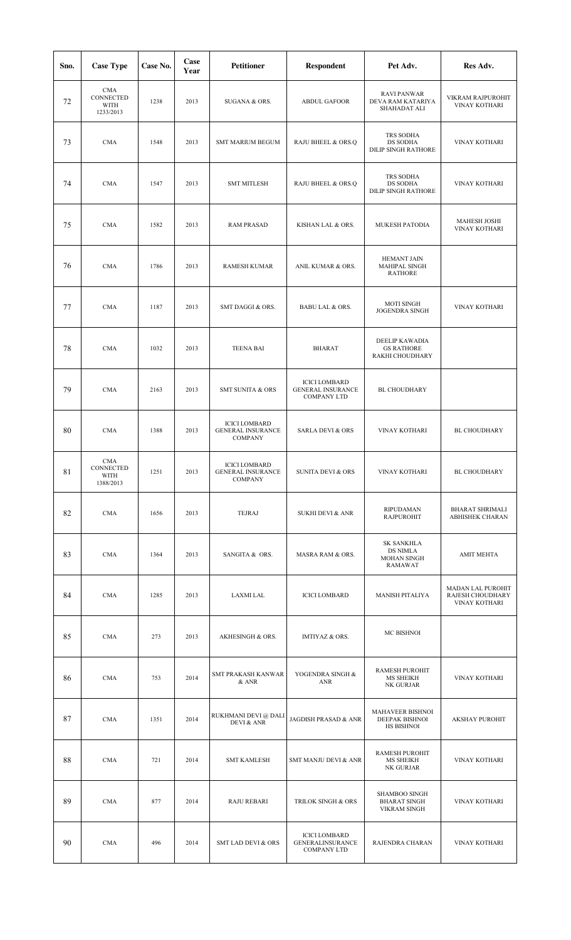| Sno. | <b>Case Type</b>                             | Case No. | Case<br>Year | <b>Petitioner</b>                                                  | <b>Respondent</b>                                                      | Pet Adv.                                                              | Res Adv.                                               |
|------|----------------------------------------------|----------|--------------|--------------------------------------------------------------------|------------------------------------------------------------------------|-----------------------------------------------------------------------|--------------------------------------------------------|
| 72   | <b>CMA</b><br>CONNECTED<br>WITH<br>1233/2013 | 1238     | 2013         | SUGANA & ORS.                                                      | <b>ABDUL GAFOOR</b>                                                    | <b>RAVI PANWAR</b><br>DEVA RAM KATARIYA<br>SHAHADAT ALI               | VIKRAM RAJPUROHIT<br>VINAY KOTHARI                     |
| 73   | <b>CMA</b>                                   | 1548     | 2013         | <b>SMT MARIUM BEGUM</b>                                            | RAJU BHEEL & ORS.Q                                                     | TRS SODHA<br>DS SODHA<br><b>DILIP SINGH RATHORE</b>                   | VINAY KOTHARI                                          |
| 74   | CMA                                          | 1547     | 2013         | <b>SMT MITLESH</b>                                                 | RAJU BHEEL & ORS.Q                                                     | TRS SODHA<br>DS SODHA<br>DILIP SINGH RATHORE                          | VINAY KOTHARI                                          |
| 75   | <b>CMA</b>                                   | 1582     | 2013         | <b>RAM PRASAD</b>                                                  | KISHAN LAL & ORS.                                                      | MUKESH PATODIA                                                        | <b>MAHESH JOSHI</b><br>VINAY KOTHARI                   |
| 76   | <b>CMA</b>                                   | 1786     | 2013         | RAMESH KUMAR                                                       | ANIL KUMAR & ORS.                                                      | <b>HEMANT JAIN</b><br>MAHIPAL SINGH<br><b>RATHORE</b>                 |                                                        |
| 77   | <b>CMA</b>                                   | 1187     | 2013         | SMT DAGGI & ORS.                                                   | <b>BABU LAL &amp; ORS.</b>                                             | <b>MOTI SINGH</b><br><b>JOGENDRA SINGH</b>                            | VINAY KOTHARI                                          |
| 78   | <b>CMA</b>                                   | 1032     | 2013         | <b>TEENA BAI</b>                                                   | <b>BHARAT</b>                                                          | DEELIP KAWADIA<br><b>GS RATHORE</b><br>RAKHI CHOUDHARY                |                                                        |
| 79   | <b>CMA</b>                                   | 2163     | 2013         | <b>SMT SUNITA &amp; ORS</b>                                        | <b>ICICI LOMBARD</b><br><b>GENERAL INSURANCE</b><br><b>COMPANY LTD</b> | BL CHOUDHARY                                                          |                                                        |
| 80   | <b>CMA</b>                                   | 1388     | 2013         | <b>ICICI LOMBARD</b><br><b>GENERAL INSURANCE</b><br><b>COMPANY</b> | <b>SARLA DEVI &amp; ORS</b>                                            | VINAY KOTHARI                                                         | <b>BL CHOUDHARY</b>                                    |
| 81   | CMA<br><b>CONNECTED</b><br>WITH<br>1388/2013 | 1251     | 2013         | <b>ICICI LOMBARD</b><br><b>GENERAL INSURANCE</b><br><b>COMPANY</b> | SUNITA DEVI & ORS                                                      | VINAY KOTHARI                                                         | <b>BL CHOUDHARY</b>                                    |
| 82   | <b>CMA</b>                                   | 1656     | 2013         | TEJRAJ                                                             | <b>SUKHI DEVI &amp; ANR</b>                                            | <b>RIPUDAMAN</b><br><b>RAJPUROHIT</b>                                 | <b>BHARAT SHRIMALI</b><br>ABHISHEK CHARAN              |
| 83   | <b>CMA</b>                                   | 1364     | 2013         | SANGITA & ORS.                                                     | MASRA RAM & ORS.                                                       | <b>SK SANKHLA</b><br><b>DS NIMLA</b><br><b>MOHAN SINGH</b><br>RAMAWAT | <b>AMIT MEHTA</b>                                      |
| 84   | CMA                                          | 1285     | 2013         | LAXMI LAL                                                          | <b>ICICI LOMBARD</b>                                                   | <b>MANISH PITALIYA</b>                                                | MADAN LAL PUROHIT<br>RAJESH CHOUDHARY<br>VINAY KOTHARI |
| 85   | CMA                                          | 273      | 2013         | AKHESINGH & ORS.                                                   | IMTIYAZ & ORS.                                                         | MC BISHNOI                                                            |                                                        |
| 86   | <b>CMA</b>                                   | 753      | 2014         | SMT PRAKASH KANWAR<br>& ANR                                        | YOGENDRA SINGH &<br>ANR                                                | RAMESH PUROHIT<br>MS SHEIKH<br>NK GURJAR                              | VINAY KOTHARI                                          |
| 87   | <b>CMA</b>                                   | 1351     | 2014         | RUKHMANI DEVI @ DALI<br><b>DEVI &amp; ANR</b>                      | JAGDISH PRASAD & ANR                                                   | MAHAVEER BISHNOI<br><b>DEEPAK BISHNOI</b><br>HS BISHNOI               | <b>AKSHAY PUROHIT</b>                                  |
| 88   | CMA                                          | 721      | 2014         | <b>SMT KAMLESH</b>                                                 | SMT MANJU DEVI & ANR                                                   | RAMESH PUROHIT<br>MS SHEIKH<br>NK GURJAR                              | VINAY KOTHARI                                          |
| 89   | <b>CMA</b>                                   | 877      | 2014         | <b>RAJU REBARI</b>                                                 | TRILOK SINGH & ORS                                                     | SHAMBOO SINGH<br><b>BHARAT SINGH</b><br><b>VIKRAM SINGH</b>           | VINAY KOTHARI                                          |
| 90   | CMA                                          | 496      | 2014         | <b>SMT LAD DEVI &amp; ORS</b>                                      | <b>ICICI LOMBARD</b><br><b>GENERALINSURANCE</b><br><b>COMPANY LTD</b>  | RAJENDRA CHARAN                                                       | <b>VINAY KOTHARI</b>                                   |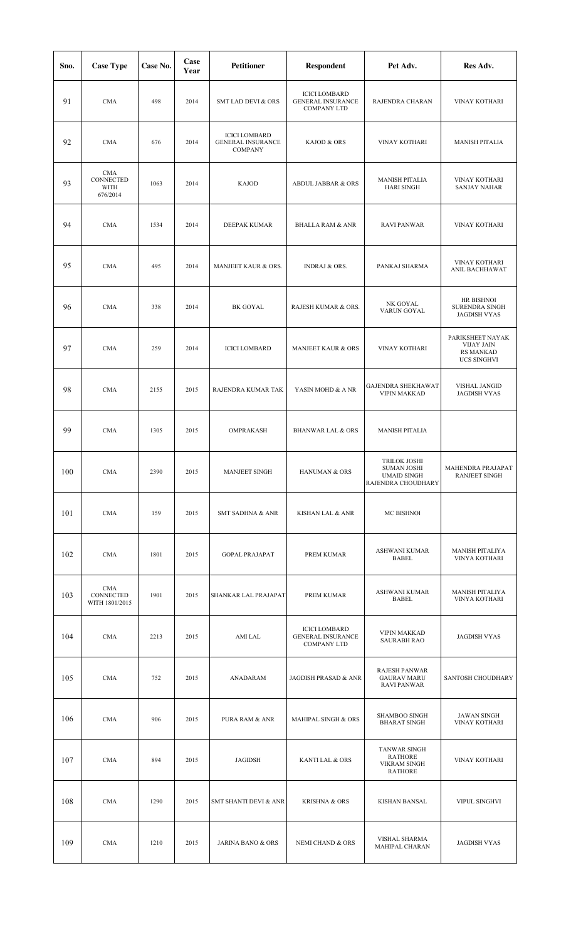| Sno. | <b>Case Type</b>                            | Case No. | Case<br>Year | <b>Petitioner</b>                                                  | <b>Respondent</b>                                                      | Pet Adv.                                                                       | Res Adv.                                                                        |
|------|---------------------------------------------|----------|--------------|--------------------------------------------------------------------|------------------------------------------------------------------------|--------------------------------------------------------------------------------|---------------------------------------------------------------------------------|
| 91   | <b>CMA</b>                                  | 498      | 2014         | <b>SMT LAD DEVI &amp; ORS</b>                                      | <b>ICICI LOMBARD</b><br><b>GENERAL INSURANCE</b><br><b>COMPANY LTD</b> | RAJENDRA CHARAN                                                                | VINAY KOTHARI                                                                   |
| 92   | <b>CMA</b>                                  | 676      | 2014         | <b>ICICI LOMBARD</b><br><b>GENERAL INSURANCE</b><br><b>COMPANY</b> | KAJOD & ORS                                                            | VINAY KOTHARI                                                                  | <b>MANISH PITALIA</b>                                                           |
| 93   | <b>CMA</b><br>CONNECTED<br>WITH<br>676/2014 | 1063     | 2014         | <b>KAJOD</b>                                                       | <b>ABDUL JABBAR &amp; ORS</b>                                          | <b>MANISH PITALIA</b><br><b>HARI SINGH</b>                                     | <b>VINAY KOTHARI</b><br><b>SANJAY NAHAR</b>                                     |
| 94   | <b>CMA</b>                                  | 1534     | 2014         | DEEPAK KUMAR                                                       | <b>BHALLA RAM &amp; ANR</b>                                            | <b>RAVI PANWAR</b>                                                             | VINAY KOTHARI                                                                   |
| 95   | <b>CMA</b>                                  | 495      | 2014         | MANJEET KAUR & ORS.                                                | <b>INDRAJ &amp; ORS.</b>                                               | PANKAJ SHARMA                                                                  | VINAY KOTHARI<br>ANIL BACHHAWAT                                                 |
| 96   | <b>CMA</b>                                  | 338      | 2014         | <b>BK GOYAL</b>                                                    | RAJESH KUMAR & ORS.                                                    | NK GOYAL<br>VARUN GOYAL                                                        | HR BISHNOI<br><b>SURENDRA SINGH</b><br><b>JAGDISH VYAS</b>                      |
| 97   | <b>CMA</b>                                  | 259      | 2014         | <b>ICICI LOMBARD</b>                                               | MANJEET KAUR & ORS                                                     | VINAY KOTHARI                                                                  | PARIKSHEET NAYAK<br><b>VIJAY JAIN</b><br><b>RS MANKAD</b><br><b>UCS SINGHVI</b> |
| 98   | <b>CMA</b>                                  | 2155     | 2015         | RAJENDRA KUMAR TAK                                                 | YASIN MOHD & A NR                                                      | <b>GAJENDRA SHEKHAWAT</b><br><b>VIPIN MAKKAD</b>                               | <b>VISHAL JANGID</b><br><b>JAGDISH VYAS</b>                                     |
| 99   | <b>CMA</b>                                  | 1305     | 2015         | OMPRAKASH                                                          | <b>BHANWAR LAL &amp; ORS</b>                                           | <b>MANISH PITALIA</b>                                                          |                                                                                 |
| 100  | CMA                                         | 2390     | 2015         | MANJEET SINGH                                                      | HANUMAN & ORS                                                          | <b>TRILOK JOSHI</b><br>SUMAN JOSHI<br><b>UMAID SINGH</b><br>RAJENDRA CHOUDHARY | MAHENDRA PRAJAPAT<br><b>RANJEET SINGH</b>                                       |
| 101  | CMA                                         | 159      | 2015         | <b>SMT SADHNA &amp; ANR</b>                                        | KISHAN LAL & ANR                                                       | MC BISHNOI                                                                     |                                                                                 |
| 102  | <b>CMA</b>                                  | 1801     | 2015         | <b>GOPAL PRAJAPAT</b>                                              | PREM KUMAR                                                             | ASHWANI KUMAR<br>BABEL                                                         | MANISH PITALIYA<br>VINYA KOTHARI                                                |
| 103  | <b>CMA</b><br>CONNECTED<br>WITH 1801/2015   | 1901     | 2015         | SHANKAR LAL PRAJAPAT                                               | PREM KUMAR                                                             | ASHWANI KUMAR<br>BABEL                                                         | MANISH PITALIYA<br>VINYA KOTHARI                                                |
| 104  | <b>CMA</b>                                  | 2213     | 2015         | AMI LAL                                                            | <b>ICICI LOMBARD</b><br><b>GENERAL INSURANCE</b><br><b>COMPANY LTD</b> | <b>VIPIN MAKKAD</b><br><b>SAURABH RAO</b>                                      | <b>JAGDISH VYAS</b>                                                             |
| 105  | <b>CMA</b>                                  | 752      | 2015         | ANADARAM                                                           | JAGDISH PRASAD & ANR                                                   | RAJESH PANWAR<br><b>GAURAV MARU</b><br><b>RAVI PANWAR</b>                      | SANTOSH CHOUDHARY                                                               |
| 106  | <b>CMA</b>                                  | 906      | 2015         | PURA RAM & ANR                                                     | MAHIPAL SINGH & ORS                                                    | SHAMBOO SINGH<br><b>BHARAT SINGH</b>                                           | JAWAN SINGH<br>VINAY KOTHARI                                                    |
| 107  | CMA                                         | 894      | 2015         | JAGIDSH                                                            | KANTI LAL & ORS                                                        | TANWAR SINGH<br><b>RATHORE</b><br><b>VIKRAM SINGH</b><br><b>RATHORE</b>        | VINAY KOTHARI                                                                   |
| 108  | <b>CMA</b>                                  | 1290     | 2015         | SMT SHANTI DEVI & ANR                                              | <b>KRISHNA &amp; ORS</b>                                               | <b>KISHAN BANSAL</b>                                                           | VIPUL SINGHVI                                                                   |
| 109  | <b>CMA</b>                                  | 1210     | 2015         | <b>JARINA BANO &amp; ORS</b>                                       | NEMI CHAND & ORS                                                       | VISHAL SHARMA<br>MAHIPAL CHARAN                                                | <b>JAGDISH VYAS</b>                                                             |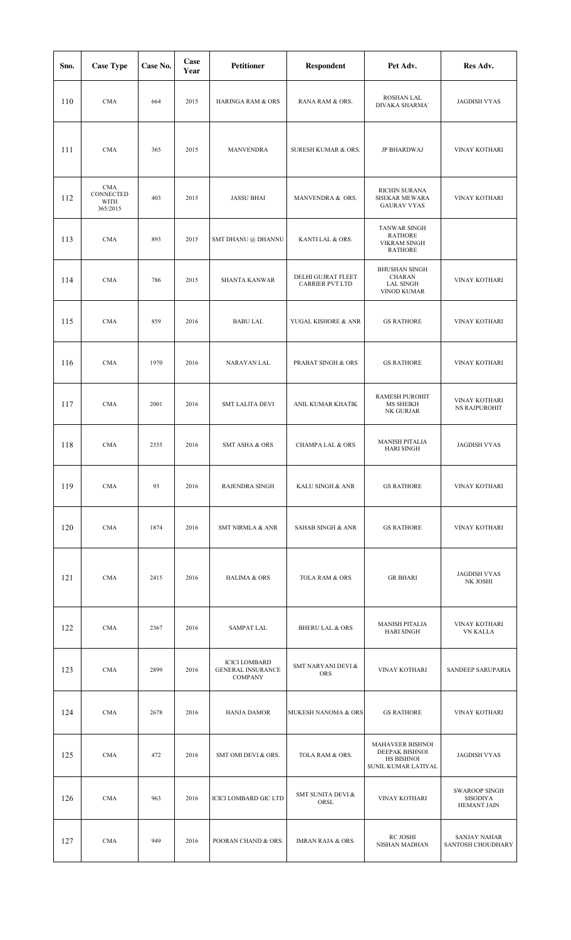| Sno. | <b>Case Type</b>                            | Case No. | Case<br>Year | <b>Petitioner</b>                                                  | <b>Respondent</b>                            | Pet Adv.                                                                       | Res Adv.                                               |
|------|---------------------------------------------|----------|--------------|--------------------------------------------------------------------|----------------------------------------------|--------------------------------------------------------------------------------|--------------------------------------------------------|
| 110  | <b>CMA</b>                                  | 664      | 2015         | <b>HARINGA RAM &amp; ORS</b>                                       | RANA RAM & ORS.                              | ROSHAN LAL<br>DIVAKA SHARMA'                                                   | <b>JAGDISH VYAS</b>                                    |
| 111  | <b>CMA</b>                                  | 365      | 2015         | MANVENDRA                                                          | SURESH KUMAR & ORS.                          | JP BHARDWAJ                                                                    | VINAY KOTHARI                                          |
| 112  | <b>CMA</b><br>CONNECTED<br>WITH<br>365/2015 | 403      | 2015         | <b>JASSU BHAI</b>                                                  | MANVENDRA & ORS.                             | RICHIN SURANA<br>SHEKAR MEWARA<br><b>GAURAV VYAS</b>                           | VINAY KOTHARI                                          |
| 113  | <b>CMA</b>                                  | 893      | 2015         | SMT DHANU @ DHANNU                                                 | KANTI LAL & ORS.                             | <b>TANWAR SINGH</b><br><b>RATHORE</b><br><b>VIKRAM SINGH</b><br><b>RATHORE</b> |                                                        |
| 114  | <b>CMA</b>                                  | 786      | 2015         | <b>SHANTA KANWAR</b>                                               | DELHI GUJRAT FLEET<br><b>CARRIER PVT LTD</b> | <b>BHUSHAN SINGH</b><br><b>CHARAN</b><br><b>LAL SINGH</b><br>VINOD KUMAR       | VINAY KOTHARI                                          |
| 115  | <b>CMA</b>                                  | 859      | 2016         | <b>BABU LAL</b>                                                    | YUGAL KISHORE & ANR                          | <b>GS RATHORE</b>                                                              | VINAY KOTHARI                                          |
| 116  | <b>CMA</b>                                  | 1970     | 2016         | NARAYAN LAL                                                        | PRABAT SINGH & ORS                           | <b>GS RATHORE</b>                                                              | <b>VINAY KOTHARI</b>                                   |
| 117  | <b>CMA</b>                                  | 2001     | 2016         | <b>SMT LALITA DEVI</b>                                             | ANIL KUMAR KHATIK                            | <b>RAMESH PUROHIT</b><br><b>MS SHEIKH</b><br>NK GURJAR                         | VINAY KOTHARI<br><b>NS RAJPUROHIT</b>                  |
| 118  | <b>CMA</b>                                  | 2355     | 2016         | <b>SMT ASHA &amp; ORS</b>                                          | <b>CHAMPA LAL &amp; ORS</b>                  | <b>MANISH PITALIA</b><br><b>HARI SINGH</b>                                     | <b>JAGDISH VYAS</b>                                    |
| 119  | <b>CMA</b>                                  | 93       | 2016         | RAJENDRA SINGH                                                     | KALU SINGH & ANR                             | <b>GS RATHORE</b>                                                              | VINAY KOTHARI                                          |
| 120  | <b>CMA</b>                                  | 1874     | 2016         | <b>SMT NIRMLA &amp; ANR</b>                                        | <b>SAHAB SINGH &amp; ANR</b>                 | <b>GS RATHORE</b>                                                              | VINAY KOTHARI                                          |
| 121  | <b>CMA</b>                                  | 2415     | 2016         | <b>HALIMA &amp; ORS</b>                                            | TOLA RAM & ORS                               | <b>GR BHARI</b>                                                                | <b>JAGDISH VYAS</b><br>NK JOSHI                        |
| 122  | <b>CMA</b>                                  | 2367     | 2016         | <b>SAMPAT LAL</b>                                                  | <b>BHERU LAL &amp; ORS</b>                   | <b>MANISH PITALIA</b><br><b>HARI SINGH</b>                                     | VINAY KOTHARI<br><b>VN KALLA</b>                       |
| 123  | <b>CMA</b>                                  | 2899     | 2016         | <b>ICICI LOMBARD</b><br><b>GENERAL INSURANCE</b><br><b>COMPANY</b> | SMT NARYANI DEVI &<br><b>ORS</b>             | VINAY KOTHARI                                                                  | SANDEEP SARUPARIA                                      |
| 124  | <b>CMA</b>                                  | 2678     | 2016         | <b>HANJA DAMOR</b>                                                 | MUKESH NANOMA & ORS                          | <b>GS RATHORE</b>                                                              | VINAY KOTHARI                                          |
| 125  | <b>CMA</b>                                  | 472      | 2016         | SMT OMI DEVI & ORS.                                                | TOLA RAM & ORS.                              | <b>MAHAVEER BISHNOI</b><br>DEEPAK BISHNOI<br>HS BISHNOI<br>SUNIL KUMAR LATIYAL | <b>JAGDISH VYAS</b>                                    |
| 126  | <b>CMA</b>                                  | 963      | 2016         | <b>ICICI LOMBARD GIC LTD</b>                                       | SMT SUNITA DEVI &<br>ORSL                    | VINAY KOTHARI                                                                  | <b>SWAROOP SINGH</b><br>SISODIYA<br><b>HEMANT JAIN</b> |
| 127  | <b>CMA</b>                                  | 949      | 2016         | POORAN CHAND & ORS.                                                | <b>IMRAN RAJA &amp; ORS.</b>                 | <b>RC JOSHI</b><br>NISHAN MADHAN                                               | <b>SANJAY NAHAR</b><br>SANTOSH CHOUDHARY               |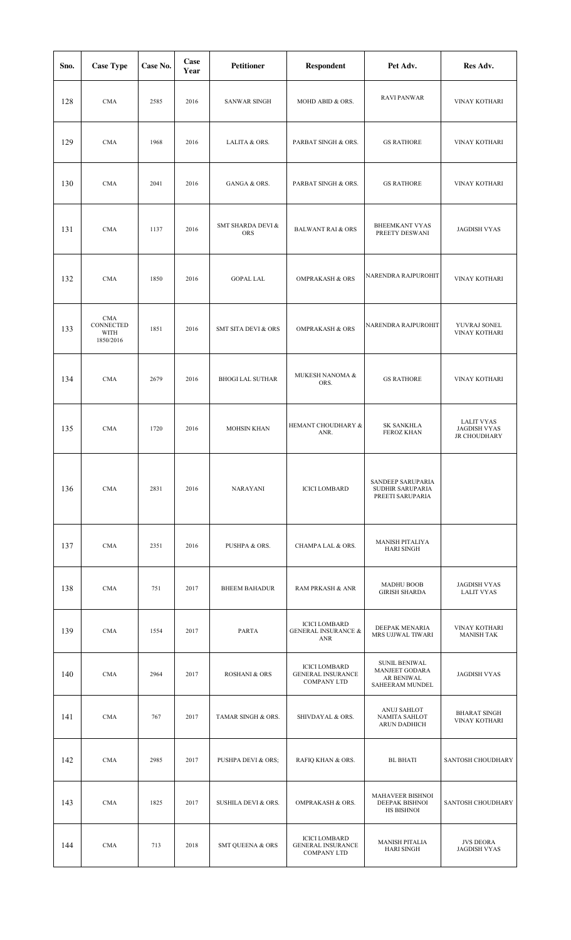| Sno. | <b>Case Type</b>                             | Case No. | Case<br>Year | <b>Petitioner</b>              | <b>Respondent</b>                                                      | Pet Adv.                                                                | Res Adv.                                          |
|------|----------------------------------------------|----------|--------------|--------------------------------|------------------------------------------------------------------------|-------------------------------------------------------------------------|---------------------------------------------------|
| 128  | <b>CMA</b>                                   | 2585     | 2016         | <b>SANWAR SINGH</b>            | MOHD ABID & ORS.                                                       | <b>RAVI PANWAR</b>                                                      | VINAY KOTHARI                                     |
| 129  | <b>CMA</b>                                   | 1968     | 2016         | LALITA & ORS.                  | PARBAT SINGH & ORS.                                                    | <b>GS RATHORE</b>                                                       | VINAY KOTHARI                                     |
| 130  | <b>CMA</b>                                   | 2041     | 2016         | GANGA & ORS.                   | PARBAT SINGH & ORS.                                                    | <b>GS RATHORE</b>                                                       | <b>VINAY KOTHARI</b>                              |
| 131  | <b>CMA</b>                                   | 1137     | 2016         | SMT SHARDA DEVI &<br>ORS       | <b>BALWANT RAI &amp; ORS</b>                                           | <b>BHEEMKANT VYAS</b><br>PREETY DESWANI                                 | <b>JAGDISH VYAS</b>                               |
| 132  | <b>CMA</b>                                   | 1850     | 2016         | <b>GOPAL LAL</b>               | <b>OMPRAKASH &amp; ORS</b>                                             | NARENDRA RAJPUROHIT                                                     | VINAY KOTHARI                                     |
| 133  | <b>CMA</b><br>CONNECTED<br>WITH<br>1850/2016 | 1851     | 2016         | <b>SMT SITA DEVI &amp; ORS</b> | <b>OMPRAKASH &amp; ORS</b>                                             | NARENDRA RAJPUROHIT                                                     | YUVRAJ SONEL<br>VINAY KOTHARI                     |
| 134  | <b>CMA</b>                                   | 2679     | 2016         | <b>BHOGI LAL SUTHAR</b>        | MUKESH NANOMA &<br>ORS.                                                | <b>GS RATHORE</b>                                                       | VINAY KOTHARI                                     |
| 135  | <b>CMA</b>                                   | 1720     | 2016         | <b>MOHSIN KHAN</b>             | HEMANT CHOUDHARY &<br>ANR.                                             | SK SANKHLA<br>FEROZ KHAN                                                | LALIT VYAS<br><b>JAGDISH VYAS</b><br>JR CHOUDHARY |
| 136  | <b>CMA</b>                                   | 2831     | 2016         | <b>NARAYANI</b>                | <b>ICICI LOMBARD</b>                                                   | SANDEEP SARUPARIA<br>SUDHIR SARUPARIA<br>PREETI SARUPARIA               |                                                   |
| 137  | <b>CMA</b>                                   | 2351     | 2016         | PUSHPA & ORS.                  | CHAMPA LAL & ORS.                                                      | <b>MANISH PITALIYA</b><br><b>HARI SINGH</b>                             |                                                   |
| 138  | <b>CMA</b>                                   | 751      | 2017         | <b>BHEEM BAHADUR</b>           | RAM PRKASH & ANR                                                       | <b>MADHU BOOB</b><br><b>GIRISH SHARDA</b>                               | <b>JAGDISH VYAS</b><br><b>LALIT VYAS</b>          |
| 139  | <b>CMA</b>                                   | 1554     | 2017         | PARTA                          | <b>ICICI LOMBARD</b><br><b>GENERAL INSURANCE &amp;</b><br>ANR          | DEEPAK MENARIA<br>MRS UJJWAL TIWARI                                     | VINAY KOTHARI<br><b>MANISH TAK</b>                |
| 140  | <b>CMA</b>                                   | 2964     | 2017         | <b>ROSHANI &amp; ORS</b>       | <b>ICICI LOMBARD</b><br><b>GENERAL INSURANCE</b><br><b>COMPANY LTD</b> | <b>SUNIL BENIWAL</b><br>MANJEET GODARA<br>AR BENIWAL<br>SAHEERAM MUNDEL | <b>JAGDISH VYAS</b>                               |
| 141  | <b>CMA</b>                                   | 767      | 2017         | TAMAR SINGH & ORS.             | SHIVDAYAL & ORS.                                                       | ANUJ SAHLOT<br>NAMITA SAHLOT<br>ARUN DADHICH                            | <b>BHARAT SINGH</b><br><b>VINAY KOTHARI</b>       |
| 142  | <b>CMA</b>                                   | 2985     | 2017         | PUSHPA DEVI & ORS;             | RAFIQ KHAN & ORS.                                                      | <b>BL BHATI</b>                                                         | SANTOSH CHOUDHARY                                 |
| 143  | <b>CMA</b>                                   | 1825     | 2017         | SUSHILA DEVI & ORS.            | OMPRAKASH & ORS.                                                       | <b>MAHAVEER BISHNOI</b><br><b>DEEPAK BISHNOI</b><br>HS BISHNOI          | SANTOSH CHOUDHARY                                 |
| 144  | <b>CMA</b>                                   | 713      | 2018         | <b>SMT QUEENA &amp; ORS</b>    | <b>ICICI LOMBARD</b><br><b>GENERAL INSURANCE</b><br><b>COMPANY LTD</b> | <b>MANISH PITALIA</b><br><b>HARI SINGH</b>                              | <b>JVS DEORA</b><br><b>JAGDISH VYAS</b>           |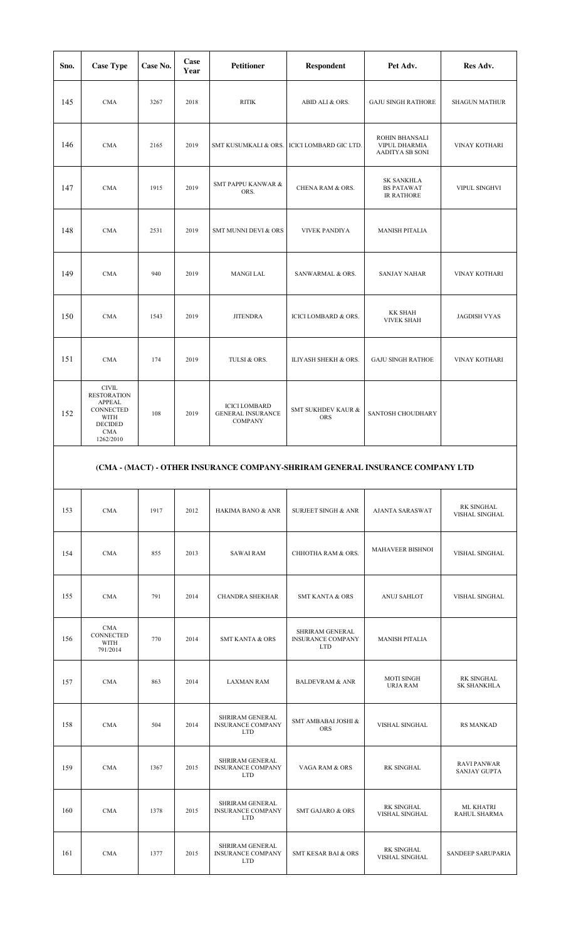| Sno. | <b>Case Type</b>                                                                                                        | Case No. | Case<br>Year | <b>Petitioner</b>                                                  | <b>Respondent</b>                | Pet Adv.                                                    | Res Adv.             |
|------|-------------------------------------------------------------------------------------------------------------------------|----------|--------------|--------------------------------------------------------------------|----------------------------------|-------------------------------------------------------------|----------------------|
| 145  | <b>CMA</b>                                                                                                              | 3267     | 2018         | <b>RITIK</b>                                                       | ABID ALI & ORS.                  | <b>GAJU SINGH RATHORE</b>                                   | <b>SHAGUN MATHUR</b> |
| 146  | <b>CMA</b>                                                                                                              | 2165     | 2019         | SMT KUSUMKALI & ORS.                                               | ICICI LOMBARD GIC LTD.           | ROHIN BHANSALI<br>VIPUL DHARMIA<br>AADITYA SB SONI          | VINAY KOTHARI        |
| 147  | CMA                                                                                                                     | 1915     | 2019         | <b>SMT PAPPU KANWAR &amp;</b><br>ORS.                              | CHENA RAM & ORS.                 | <b>SK SANKHLA</b><br><b>BS PATAWAT</b><br><b>IR RATHORE</b> | VIPUL SINGHVI        |
| 148  | CMA                                                                                                                     | 2531     | 2019         | <b>SMT MUNNI DEVI &amp; ORS</b>                                    | <b>VIVEK PANDIYA</b>             | <b>MANISH PITALIA</b>                                       |                      |
| 149  | <b>CMA</b>                                                                                                              | 940      | 2019         | <b>MANGI LAL</b>                                                   | SANWARMAL & ORS.                 | <b>SANJAY NAHAR</b>                                         | VINAY KOTHARI        |
| 150  | <b>CMA</b>                                                                                                              | 1543     | 2019         | <b>JITENDRA</b>                                                    | <b>ICICI LOMBARD &amp; ORS.</b>  | <b>KK SHAH</b><br><b>VIVEK SHAH</b>                         | <b>JAGDISH VYAS</b>  |
| 151  | <b>CMA</b>                                                                                                              | 174      | 2019         | TULSI & ORS.                                                       | ILIYASH SHEKH & ORS.             | <b>GAJU SINGH RATHOE</b>                                    | VINAY KOTHARI        |
| 152  | $\text{CIVIL}$<br><b>RESTORATION</b><br><b>APPEAL</b><br>CONNECTED<br>WITH<br><b>DECIDED</b><br><b>CMA</b><br>1262/2010 | 108      | 2019         | <b>ICICI LOMBARD</b><br><b>GENERAL INSURANCE</b><br><b>COMPANY</b> | SMT SUKHDEV KAUR &<br><b>ORS</b> | SANTOSH CHOUDHARY                                           |                      |

## **(CMA - (MACT) - OTHER INSURANCE COMPANY-SHRIRAM GENERAL INSURANCE COMPANY LTD**

| 153 | <b>CMA</b>                                  | 1917 | 2012 | HAKIMA BANO & ANR                                         | <b>SURJEET SINGH &amp; ANR</b>                            | <b>AJANTA SARASWAT</b>               | <b>RK SINGHAL</b><br>VISHAL SINGHAL       |
|-----|---------------------------------------------|------|------|-----------------------------------------------------------|-----------------------------------------------------------|--------------------------------------|-------------------------------------------|
| 154 | <b>CMA</b>                                  | 855  | 2013 | <b>SAWAI RAM</b>                                          | CHHOTHA RAM & ORS.                                        | <b>MAHAVEER BISHNOI</b>              | VISHAL SINGHAL                            |
| 155 | <b>CMA</b>                                  | 791  | 2014 | <b>CHANDRA SHEKHAR</b>                                    | <b>SMT KANTA &amp; ORS</b>                                | ANUJ SAHLOT                          | VISHAL SINGHAL                            |
| 156 | <b>CMA</b><br>CONNECTED<br>WITH<br>791/2014 | 770  | 2014 | <b>SMT KANTA &amp; ORS</b>                                | SHRIRAM GENERAL<br><b>INSURANCE COMPANY</b><br><b>LTD</b> | <b>MANISH PITALIA</b>                |                                           |
| 157 | <b>CMA</b>                                  | 863  | 2014 | <b>LAXMAN RAM</b>                                         | <b>BALDEVRAM &amp; ANR</b>                                | <b>MOTI SINGH</b><br><b>URJA RAM</b> | RK SINGHAL<br><b>SK SHANKHLA</b>          |
| 158 | CMA                                         | 504  | 2014 | SHRIRAM GENERAL<br><b>INSURANCE COMPANY</b><br><b>LTD</b> | SMT AMBABAI JOSHI &<br><b>ORS</b>                         | VISHAL SINGHAL                       | <b>RS MANKAD</b>                          |
| 159 | <b>CMA</b>                                  | 1367 | 2015 | SHRIRAM GENERAL<br><b>INSURANCE COMPANY</b><br><b>LTD</b> | VAGA RAM & ORS                                            | RK SINGHAL                           | <b>RAVI PANWAR</b><br><b>SANJAY GUPTA</b> |
| 160 | <b>CMA</b>                                  | 1378 | 2015 | SHRIRAM GENERAL<br><b>INSURANCE COMPANY</b><br><b>LTD</b> | <b>SMT GAJARO &amp; ORS</b>                               | RK SINGHAL<br>VISHAL SINGHAL         | <b>ML KHATRI</b><br>RAHUL SHARMA          |
| 161 | <b>CMA</b>                                  | 1377 | 2015 | SHRIRAM GENERAL<br><b>INSURANCE COMPANY</b><br><b>LTD</b> | <b>SMT KESAR BAI &amp; ORS</b>                            | RK SINGHAL<br>VISHAL SINGHAL         | SANDEEP SARUPARIA                         |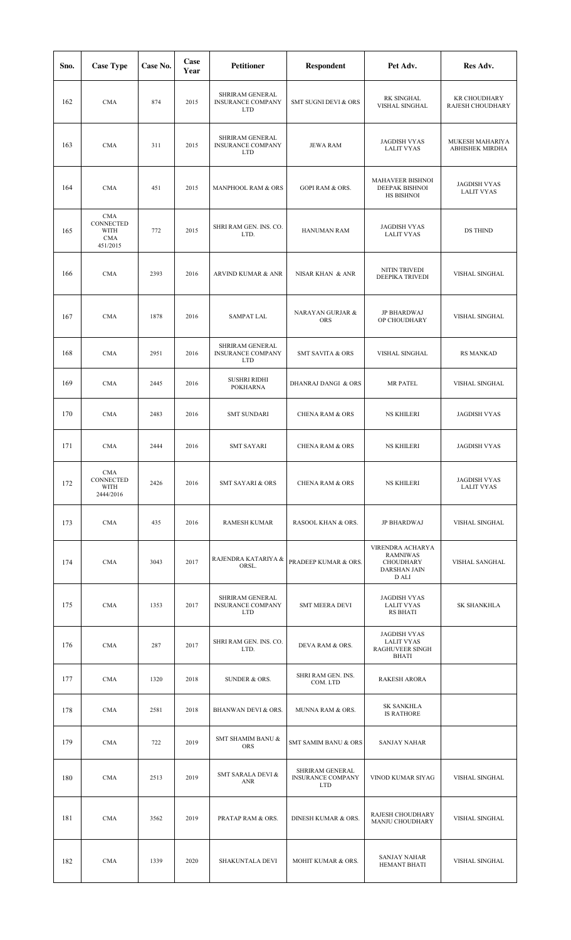| Sno. | <b>Case Type</b>                                          | Case No. | Case<br>Year | <b>Petitioner</b>                                         | <b>Respondent</b>                                         | Pet Adv.                                                                                | Res Adv.                                 |
|------|-----------------------------------------------------------|----------|--------------|-----------------------------------------------------------|-----------------------------------------------------------|-----------------------------------------------------------------------------------------|------------------------------------------|
| 162  | <b>CMA</b>                                                | 874      | 2015         | SHRIRAM GENERAL<br><b>INSURANCE COMPANY</b><br><b>LTD</b> | SMT SUGNI DEVI & ORS                                      | <b>RK SINGHAL</b><br>VISHAL SINGHAL                                                     | <b>KR CHOUDHARY</b><br>RAJESH CHOUDHARY  |
| 163  | <b>CMA</b>                                                | 311      | 2015         | SHRIRAM GENERAL<br><b>INSURANCE COMPANY</b><br>LTD        | <b>JEWA RAM</b>                                           | <b>JAGDISH VYAS</b><br><b>LALIT VYAS</b>                                                | MUKESH MAHARIYA<br>ABHISHEK MIRDHA       |
| 164  | <b>CMA</b>                                                | 451      | 2015         | MANPHOOL RAM & ORS                                        | <b>GOPI RAM &amp; ORS.</b>                                | MAHAVEER BISHNOI<br>DEEPAK BISHNOI<br>HS BISHNOI                                        | <b>JAGDISH VYAS</b><br><b>LALIT VYAS</b> |
| 165  | <b>CMA</b><br>CONNECTED<br>WITH<br><b>CMA</b><br>451/2015 | 772      | 2015         | SHRI RAM GEN. INS. CO.<br>LTD.                            | HANUMAN RAM                                               | <b>JAGDISH VYAS</b><br><b>LALIT VYAS</b>                                                | DS THIND                                 |
| 166  | <b>CMA</b>                                                | 2393     | 2016         | ARVIND KUMAR & ANR                                        | NISAR KHAN & ANR                                          | NITIN TRIVEDI<br>DEEPIKA TRIVEDI                                                        | VISHAL SINGHAL                           |
| 167  | <b>CMA</b>                                                | 1878     | 2016         | SAMPAT LAL                                                | NARAYAN GURJAR &<br><b>ORS</b>                            | <b>JP BHARDWAJ</b><br>OP CHOUDHARY                                                      | VISHAL SINGHAL                           |
| 168  | <b>CMA</b>                                                | 2951     | 2016         | SHRIRAM GENERAL<br><b>INSURANCE COMPANY</b><br>LTD        | <b>SMT SAVITA &amp; ORS</b>                               | VISHAL SINGHAL                                                                          | <b>RS MANKAD</b>                         |
| 169  | <b>CMA</b>                                                | 2445     | 2016         | <b>SUSHRI RIDHI</b><br><b>POKHARNA</b>                    | DHANRAJ DANGI & ORS                                       | MR PATEL                                                                                | VISHAL SINGHAL                           |
| 170  | <b>CMA</b>                                                | 2483     | 2016         | <b>SMT SUNDARI</b>                                        | <b>CHENA RAM &amp; ORS</b>                                | <b>NS KHILERI</b>                                                                       | <b>JAGDISH VYAS</b>                      |
| 171  | <b>CMA</b>                                                | 2444     | 2016         | <b>SMT SAYARI</b>                                         | <b>CHENA RAM &amp; ORS</b>                                | <b>NS KHILERI</b>                                                                       | <b>JAGDISH VYAS</b>                      |
| 172  | CMA<br>CONNECTED<br>WITH<br>2444/2016                     | 2426     | 2016         | <b>SMT SAYARI &amp; ORS</b>                               | <b>CHENA RAM &amp; ORS</b>                                | <b>NS KHILERI</b>                                                                       | <b>JAGDISH VYAS</b><br><b>LALIT VYAS</b> |
| 173  | <b>CMA</b>                                                | 435      | 2016         | RAMESH KUMAR                                              | RASOOL KHAN & ORS.                                        | JP BHARDWAJ                                                                             | VISHAL SINGHAL                           |
| 174  | <b>CMA</b>                                                | 3043     | 2017         | RAJENDRA KATARIYA &<br>ORSL.                              | PRADEEP KUMAR & ORS.                                      | VIRENDRA ACHARYA<br><b>RAMNIWAS</b><br><b>CHOUDHARY</b><br><b>DARSHAN JAIN</b><br>D ALI | VISHAL SANGHAL                           |
| 175  | <b>CMA</b>                                                | 1353     | 2017         | SHRIRAM GENERAL<br><b>INSURANCE COMPANY</b><br><b>LTD</b> | <b>SMT MEERA DEVI</b>                                     | <b>JAGDISH VYAS</b><br><b>LALIT VYAS</b><br>RS BHATI                                    | SK SHANKHLA                              |
| 176  | <b>CMA</b>                                                | 287      | 2017         | SHRI RAM GEN. INS. CO.<br>LTD.                            | DEVA RAM & ORS.                                           | JAGDISH VYAS<br><b>LALIT VYAS</b><br>RAGHUVEER SINGH<br><b>BHATI</b>                    |                                          |
| 177  | <b>CMA</b>                                                | 1320     | 2018         | SUNDER & ORS.                                             | SHRI RAM GEN. INS.<br>COM. LTD                            | <b>RAKESH ARORA</b>                                                                     |                                          |
| 178  | <b>CMA</b>                                                | 2581     | 2018         | BHANWAN DEVI & ORS.                                       | MUNNA RAM & ORS.                                          | <b>SK SANKHLA</b><br><b>IS RATHORE</b>                                                  |                                          |
| 179  | <b>CMA</b>                                                | 722      | 2019         | SMT SHAMIM BANU &<br>ORS                                  | SMT SAMIM BANU & ORS                                      | <b>SANJAY NAHAR</b>                                                                     |                                          |
| 180  | <b>CMA</b>                                                | 2513     | 2019         | SMT SARALA DEVI &<br>ANR                                  | SHRIRAM GENERAL<br><b>INSURANCE COMPANY</b><br><b>LTD</b> | VINOD KUMAR SIYAG                                                                       | VISHAL SINGHAL                           |
| 181  | <b>CMA</b>                                                | 3562     | 2019         | <b>PRATAP RAM &amp; ORS.</b>                              | <b>DINESH KUMAR &amp; ORS.</b>                            | RAJESH CHOUDHARY<br>MANJU CHOUDHARY                                                     | VISHAL SINGHAL                           |
| 182  | <b>CMA</b>                                                | 1339     | 2020         | SHAKUNTALA DEVI                                           | MOHIT KUMAR & ORS.                                        | <b>SANJAY NAHAR</b><br><b>HEMANT BHATI</b>                                              | VISHAL SINGHAL                           |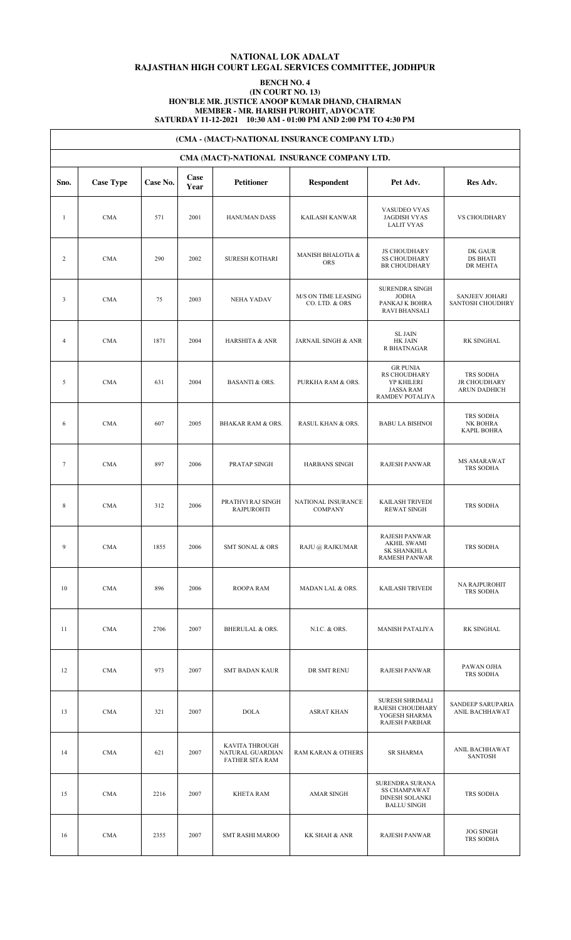### **NATIONAL LOK ADALAT RAJASTHAN HIGH COURT LEGAL SERVICES COMMITTEE, JODHPUR**

#### **BENCH NO. 4 (IN COURT NO. 13) HON'BLE MR. JUSTICE ANOOP KUMAR DHAND, CHAIRMAN MEMBER - MR. HARISH PUROHIT, ADVOCATE SATURDAY 11-12-2021 10:30 AM - 01:00 PM AND 2:00 PM TO 4:30 PM**

|                | (CMA - (MACT)-NATIONAL INSURANCE COMPANY LTD.) |          |              |                                                       |                                            |                                                                                       |                                                         |  |  |  |  |  |
|----------------|------------------------------------------------|----------|--------------|-------------------------------------------------------|--------------------------------------------|---------------------------------------------------------------------------------------|---------------------------------------------------------|--|--|--|--|--|
|                |                                                |          |              |                                                       | CMA (MACT)-NATIONAL INSURANCE COMPANY LTD. |                                                                                       |                                                         |  |  |  |  |  |
| Sno.           | <b>Case Type</b>                               | Case No. | Case<br>Year | Petitioner                                            | <b>Respondent</b>                          | Pet Adv.                                                                              | Res Adv.                                                |  |  |  |  |  |
| $\mathbf{1}$   | <b>CMA</b>                                     | 571      | 2001         | <b>HANUMAN DASS</b>                                   | KAILASH KANWAR                             | VASUDEO VYAS<br><b>JAGDISH VYAS</b><br><b>LALIT VYAS</b>                              | <b>VS CHOUDHARY</b>                                     |  |  |  |  |  |
| $\overline{c}$ | <b>CMA</b>                                     | 290      | 2002         | <b>SURESH KOTHARI</b>                                 | <b>MANISH BHALOTIA &amp;</b><br><b>ORS</b> | <b>JS CHOUDHARY</b><br><b>SS CHOUDHARY</b><br><b>BR CHOUDHARY</b>                     | DK GAUR<br><b>DS BHATI</b><br>DR MEHTA                  |  |  |  |  |  |
| 3              | <b>CMA</b>                                     | 75       | 2003         | <b>NEHA YADAV</b>                                     | M/S ON TIME LEASING<br>CO. LTD. & ORS      | SURENDRA SINGH<br><b>JODHA</b><br>PANKAJ K BOHRA<br><b>RAVI BHANSALI</b>              | SANJEEV JOHARI<br>SANTOSH CHOUDHRY                      |  |  |  |  |  |
| $\overline{4}$ | <b>CMA</b>                                     | 1871     | 2004         | <b>HARSHITA &amp; ANR</b>                             | JARNAIL SINGH & ANR                        | <b>SL JAIN</b><br>HK JAIN<br>R BHATNAGAR                                              | RK SINGHAL                                              |  |  |  |  |  |
| 5              | <b>CMA</b>                                     | 631      | 2004         | <b>BASANTI &amp; ORS.</b>                             | PURKHA RAM & ORS.                          | <b>GR PUNIA</b><br>RS CHOUDHARY<br>YP KHILERI<br><b>JASSA RAM</b><br>RAMDEV POTALIYA  | TRS SODHA<br><b>JR CHOUDHARY</b><br><b>ARUN DADHICH</b> |  |  |  |  |  |
| 6              | <b>CMA</b>                                     | 607      | 2005         | <b>BHAKAR RAM &amp; ORS.</b>                          | RASUL KHAN & ORS.                          | <b>BABU LA BISHNOI</b>                                                                | TRS SODHA<br>NK BOHRA<br><b>KAPIL BOHRA</b>             |  |  |  |  |  |
| $\tau$         | <b>CMA</b>                                     | 897      | 2006         | PRATAP SINGH                                          | <b>HARBANS SINGH</b>                       | <b>RAJESH PANWAR</b>                                                                  | MS AMARAWAT<br>TRS SODHA                                |  |  |  |  |  |
| 8              | <b>CMA</b>                                     | 312      | 2006         | PRATHVI RAJ SINGH<br><b>RAJPUROHTI</b>                | NATIONAL INSURANCE<br><b>COMPANY</b>       | KAILASH TRIVEDI<br><b>REWAT SINGH</b>                                                 | TRS SODHA                                               |  |  |  |  |  |
| 9              | <b>CMA</b>                                     | 1855     | 2006         | <b>SMT SONAL &amp; ORS</b>                            | RAJU @ RAJKUMAR                            | RAJESH PANWAR<br><b>AKHIL SWAMI</b><br>SK SHANKHLA<br><b>RAMESH PANWAR</b>            | TRS SODHA                                               |  |  |  |  |  |
| 10             | <b>CMA</b>                                     | 896      | 2006         | ROOPA RAM                                             | MADAN LAL & ORS.                           | KAILASH TRIVEDI                                                                       | NA RAJPUROHIT<br>TRS SODHA                              |  |  |  |  |  |
| 11             | <b>CMA</b>                                     | 2706     | 2007         | <b>BHERULAL &amp; ORS.</b>                            | N.I.C. & ORS.                              | MANISH PATALIYA                                                                       | RK SINGHAL                                              |  |  |  |  |  |
| 12             | <b>CMA</b>                                     | 973      | 2007         | <b>SMT BADAN KAUR</b>                                 | DR SMT RENU                                | <b>RAJESH PANWAR</b>                                                                  | PAWAN OJHA<br>TRS SODHA                                 |  |  |  |  |  |
| 13             | <b>CMA</b>                                     | 321      | 2007         | <b>DOLA</b>                                           | <b>ASRAT KHAN</b>                          | <b>SURESH SHRIMALI</b><br>RAJESH CHOUDHARY<br>YOGESH SHARMA<br><b>RAJESH PARIHAR</b>  | SANDEEP SARUPARIA<br>ANIL BACHHAWAT                     |  |  |  |  |  |
| 14             | <b>CMA</b>                                     | 621      | 2007         | KAVITA THROUGH<br>NATURAL GUARDIAN<br>FATHER SITA RAM | RAM KARAN & OTHERS                         | <b>SR SHARMA</b>                                                                      | ANIL BACHHAWAT<br>SANTOSH                               |  |  |  |  |  |
| 15             | <b>CMA</b>                                     | 2216     | 2007         | <b>KHETA RAM</b>                                      | AMAR SINGH                                 | SURENDRA SURANA<br><b>SS CHAMPAWAT</b><br><b>DINESH SOLANKI</b><br><b>BALLU SINGH</b> | TRS SODHA                                               |  |  |  |  |  |
| 16             | <b>CMA</b>                                     | 2355     | 2007         | <b>SMT RASHI MAROO</b>                                | KK SHAH & ANR                              | <b>RAJESH PANWAR</b>                                                                  | <b>JOG SINGH</b><br>TRS SODHA                           |  |  |  |  |  |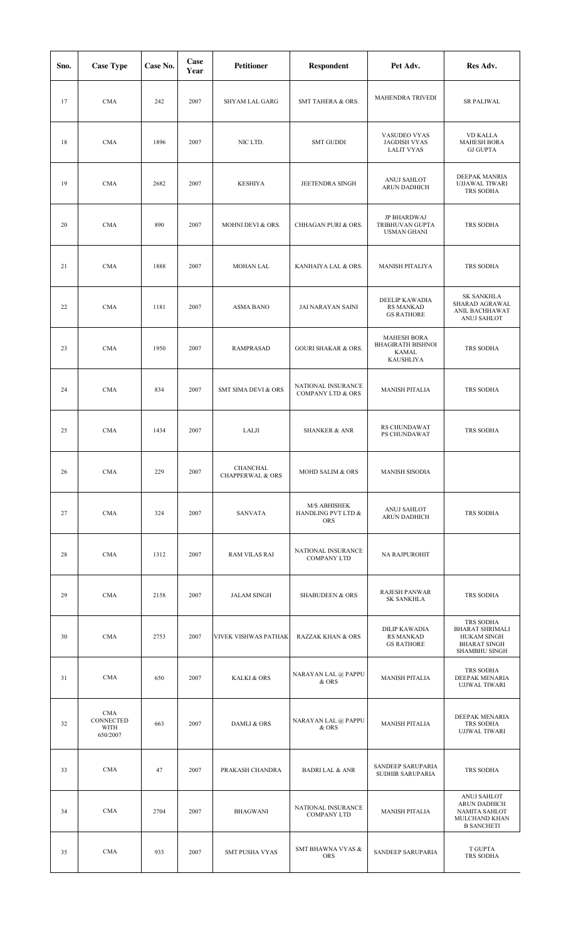| Sno. | <b>Case Type</b>                     | Case No. | Case<br>Year | <b>Petitioner</b>                       | <b>Respondent</b>                                  | Pet Adv.                                                                    | Res Adv.                                                                                          |
|------|--------------------------------------|----------|--------------|-----------------------------------------|----------------------------------------------------|-----------------------------------------------------------------------------|---------------------------------------------------------------------------------------------------|
| 17   | <b>CMA</b>                           | 242      | 2007         | SHYAM LAL GARG                          | SMT TAHERA & ORS.                                  | <b>MAHENDRA TRIVEDI</b>                                                     | <b>SR PALIWAL</b>                                                                                 |
| 18   | <b>CMA</b>                           | 1896     | 2007         | NIC LTD.                                | <b>SMT GUDDI</b>                                   | VASUDEO VYAS<br><b>JAGDISH VYAS</b><br><b>LALIT VYAS</b>                    | <b>VD KALLA</b><br><b>MAHESH BORA</b><br><b>GJ GUPTA</b>                                          |
| 19   | <b>CMA</b>                           | 2682     | 2007         | <b>KESHIYA</b>                          | JEETENDRA SINGH                                    | ANUJ SAHLOT<br>ARUN DADHICH                                                 | DEEPAK MANRIA<br><b>UJJAWAL TIWARI</b><br>TRS SODHA                                               |
| 20   | <b>CMA</b>                           | 890      | 2007         | MOHNI DEVI & ORS.                       | CHHAGAN PURI & ORS.                                | JP BHARDWAJ<br>TRIBHUVAN GUPTA<br><b>USMAN GHANI</b>                        | TRS SODHA                                                                                         |
| 21   | <b>CMA</b>                           | 1888     | 2007         | <b>MOHAN LAL</b>                        | KANHAIYA LAL & ORS.                                | <b>MANISH PITALIYA</b>                                                      | TRS SODHA                                                                                         |
| 22   | <b>CMA</b>                           | 1181     | 2007         | <b>ASMA BANO</b>                        | JAI NARAYAN SAINI                                  | <b>DEELIP KAWADIA</b><br><b>RS MANKAD</b><br><b>GS RATHORE</b>              | <b>SK SANKHLA</b><br>SHARAD AGRAWAL<br>ANIL BACHHAWAT<br>ANUJ SAHLOT                              |
| 23   | <b>CMA</b>                           | 1950     | 2007         | RAMPRASAD                               | <b>GOURI SHAKAR &amp; ORS.</b>                     | <b>MAHESH BORA</b><br><b>BHAGIRATH BISHNOI</b><br><b>KAMAL</b><br>KAUSHLIYA | TRS SODHA                                                                                         |
| 24   | <b>CMA</b>                           | 834      | 2007         | <b>SMT SIMA DEVI &amp; ORS</b>          | NATIONAL INSURANCE<br><b>COMPANY LTD &amp; ORS</b> | <b>MANISH PITALIA</b>                                                       | TRS SODHA                                                                                         |
| 25   | <b>CMA</b>                           | 1434     | 2007         | LALJI                                   | <b>SHANKER &amp; ANR</b>                           | RS CHUNDAWAT<br>PS CHUNDAWAT                                                | TRS SODHA                                                                                         |
| 26   | <b>CMA</b>                           | 229      | 2007         | CHANCHAL<br><b>CHAPPERWAL &amp; ORS</b> | MOHD SALIM & ORS                                   | <b>MANISH SISODIA</b>                                                       |                                                                                                   |
| 27   | <b>CMA</b>                           | 324      | 2007         | <b>SANVATA</b>                          | M/S ABHISHEK<br>HANDLING PVT LTD &<br><b>ORS</b>   | ANUJ SAHLOT<br>ARUN DADHICH                                                 | TRS SODHA                                                                                         |
| 28   | <b>CMA</b>                           | 1312     | 2007         | <b>RAM VILAS RAI</b>                    | NATIONAL INSURANCE<br><b>COMPANY LTD</b>           | NA RAJPUROHIT                                                               |                                                                                                   |
| 29   | <b>CMA</b>                           | 2158     | 2007         | <b>JALAM SINGH</b>                      | <b>SHABUDEEN &amp; ORS</b>                         | <b>RAJESH PANWAR</b><br><b>SK SANKHLA</b>                                   | TRS SODHA                                                                                         |
| 30   | <b>CMA</b>                           | 2753     | 2007         | VIVEK VISHWAS PATHAK                    | <b>RAZZAK KHAN &amp; ORS</b>                       | DILIP KAWADIA<br><b>RS MANKAD</b><br><b>GS RATHORE</b>                      | TRS SODHA<br><b>BHARAT SHRIMALI</b><br><b>HUKAM SINGH</b><br><b>BHARAT SINGH</b><br>SHAMBHU SINGH |
| 31   | <b>CMA</b>                           | 650      | 2007         | <b>KALKI &amp; ORS</b>                  | NARAYAN LAL @ PAPPU<br>& ORS                       | <b>MANISH PITALIA</b>                                                       | TRS SODHA<br>DEEPAK MENARIA<br><b>UJJWAL TIWARI</b>                                               |
| 32   | CMA<br>CONNECTED<br>WITH<br>650/2007 | 663      | 2007         | DAMLI & ORS                             | NARAYAN LAL @ PAPPU<br>& ORS                       | <b>MANISH PITALIA</b>                                                       | DEEPAK MENARIA<br>TRS SODHA<br>UJJWAL TIWARI                                                      |
| 33   | <b>CMA</b>                           | 47       | 2007         | PRAKASH CHANDRA                         | <b>BADRI LAL &amp; ANR</b>                         | SANDEEP SARUPARIA<br>SUDHIR SARUPARIA                                       | TRS SODHA                                                                                         |
| 34   | <b>CMA</b>                           | 2704     | 2007         | <b>BHAGWANI</b>                         | NATIONAL INSURANCE<br><b>COMPANY LTD</b>           | <b>MANISH PITALIA</b>                                                       | ANUJ SAHLOT<br><b>ARUN DADHICH</b><br>NAMITA SAHLOT<br>MULCHAND KHAN<br><b>B SANCHETI</b>         |
| 35   | <b>CMA</b>                           | 933      | 2007         | <b>SMT PUSHA VYAS</b>                   | SMT BHAWNA VYAS $\&$<br>ORS                        | SANDEEP SARUPARIA                                                           | T GUPTA<br>TRS SODHA                                                                              |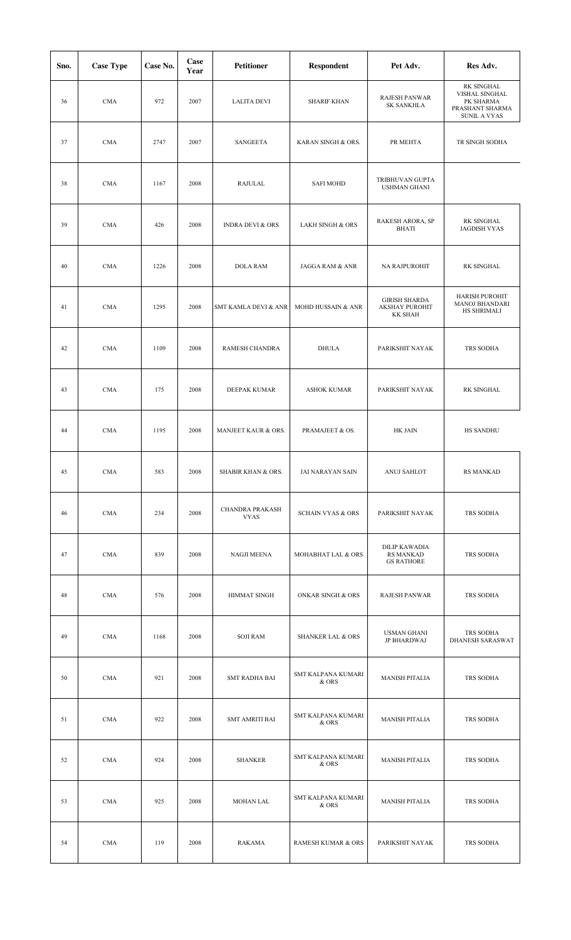| Sno. | <b>Case Type</b> | Case No. | Case<br>Year | <b>Petitioner</b>                     | <b>Respondent</b>              | Pet Adv.                                                        | Res Adv.                                                                            |
|------|------------------|----------|--------------|---------------------------------------|--------------------------------|-----------------------------------------------------------------|-------------------------------------------------------------------------------------|
| 36   | <b>CMA</b>       | 972      | 2007         | <b>LALITA DEVI</b>                    | <b>SHARIF KHAN</b>             | RAJESH PANWAR<br><b>SK SANKHLA</b>                              | RK SINGHAL<br>VISHAL SINGHAL<br>PK SHARMA<br>PRASHANT SHARMA<br><b>SUNIL A VYAS</b> |
| 37   | <b>CMA</b>       | 2747     | 2007         | <b>SANGEETA</b>                       | KARAN SINGH & ORS.             | PR MEHTA                                                        | TR SINGH SODHA                                                                      |
| 38   | <b>CMA</b>       | 1167     | 2008         | <b>RAJULAL</b>                        | <b>SAFI MOHD</b>               | TRIBHUVAN GUPTA<br><b>USHMAN GHANI</b>                          |                                                                                     |
| 39   | <b>CMA</b>       | 426      | 2008         | <b>INDRA DEVI &amp; ORS</b>           | <b>LAKH SINGH &amp; ORS</b>    | RAKESH ARORA, SP<br><b>BHATI</b>                                | RK SINGHAL<br><b>JAGDISH VYAS</b>                                                   |
| 40   | <b>CMA</b>       | 1226     | 2008         | <b>DOLA RAM</b>                       | <b>JAGGA RAM &amp; ANR</b>     | NA RAJPUROHIT                                                   | <b>RK SINGHAL</b>                                                                   |
| 41   | <b>CMA</b>       | 1295     | 2008         | <b>SMT KAMLA DEVI &amp; ANR</b>       | <b>MOHD HUSSAIN &amp; ANR</b>  | <b>GIRISH SHARDA</b><br><b>AKSHAY PUROHIT</b><br><b>KK SHAH</b> | <b>HARISH PUROHIT</b><br><b>MANOJ BHANDARI</b><br>HS SHRIMALI                       |
| 42   | <b>CMA</b>       | 1109     | 2008         | RAMESH CHANDRA                        | <b>DHULA</b>                   | PARIKSHIT NAYAK                                                 | TRS SODHA                                                                           |
| 43   | <b>CMA</b>       | 175      | 2008         | DEEPAK KUMAR                          | <b>ASHOK KUMAR</b>             | PARIKSHIT NAYAK                                                 | <b>RK SINGHAL</b>                                                                   |
| 44   | <b>CMA</b>       | 1195     | 2008         | MANJEET KAUR & ORS.                   | PRAMAJEET & OS.                | HK JAIN                                                         | <b>HS SANDHU</b>                                                                    |
| 45   | <b>CMA</b>       | 583      | 2008         | SHABIR KHAN & ORS.                    | JAI NARAYAN SAIN               | ANUJ SAHLOT                                                     | RS MANKAD                                                                           |
| 46   | <b>CMA</b>       | 234      | 2008         | <b>CHANDRA PRAKASH</b><br><b>VYAS</b> | <b>SCHAIN VYAS &amp; ORS</b>   | PARIKSHIT NAYAK                                                 | TRS SODHA                                                                           |
| 47   | <b>CMA</b>       | 839      | 2008         | NAGJI MEENA                           | MOHABHAT LAL & ORS             | <b>DILIP KAWADIA</b><br><b>RS MANKAD</b><br><b>GS RATHORE</b>   | TRS SODHA                                                                           |
| 48   | CMA              | 576      | 2008         | <b>HIMMAT SINGH</b>                   | <b>ONKAR SINGH &amp; ORS</b>   | <b>RAJESH PANWAR</b>                                            | TRS SODHA                                                                           |
| 49   | <b>CMA</b>       | 1168     | 2008         | <b>SOJI RAM</b>                       | <b>SHANKER LAL &amp; ORS</b>   | <b>USMAN GHANI</b><br>JP BHARDWAJ                               | TRS SODHA<br>DHANESH SARASWAT                                                       |
| 50   | <b>CMA</b>       | 921      | 2008         | <b>SMT RADHA BAI</b>                  | SMT KALPANA KUMARI<br>& ORS    | <b>MANISH PITALIA</b>                                           | TRS SODHA                                                                           |
| 51   | <b>CMA</b>       | 922      | 2008         | <b>SMT AMRITI BAI</b>                 | SMT KALPANA KUMARI<br>& ORS    | <b>MANISH PITALIA</b>                                           | TRS SODHA                                                                           |
| 52   | <b>CMA</b>       | 924      | 2008         | <b>SHANKER</b>                        | SMT KALPANA KUMARI<br>& ORS    | <b>MANISH PITALIA</b>                                           | TRS SODHA                                                                           |
| 53   | <b>CMA</b>       | 925      | 2008         | <b>MOHAN LAL</b>                      | SMT KALPANA KUMARI<br>$\&$ ORS | <b>MANISH PITALIA</b>                                           | TRS SODHA                                                                           |
| 54   | <b>CMA</b>       | 119      | 2008         | RAKAMA                                | <b>RAMESH KUMAR &amp; ORS</b>  | PARIKSHIT NAYAK                                                 | TRS SODHA                                                                           |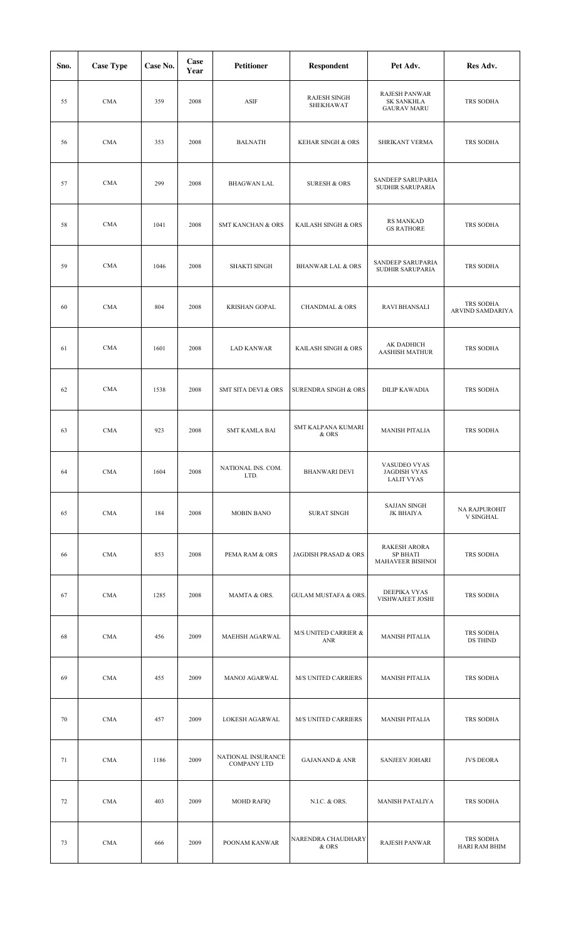| Sno. | <b>Case Type</b> | Case No. | Case<br>Year | <b>Petitioner</b>                        | Respondent                       | Pet Adv.                                                   | Res Adv.                          |
|------|------------------|----------|--------------|------------------------------------------|----------------------------------|------------------------------------------------------------|-----------------------------------|
| 55   | <b>CMA</b>       | 359      | 2008         | <b>ASIF</b>                              | <b>RAJESH SINGH</b><br>SHEKHAWAT | RAJESH PANWAR<br><b>SK SANKHLA</b><br><b>GAURAV MARU</b>   | TRS SODHA                         |
| 56   | <b>CMA</b>       | 353      | 2008         | <b>BALNATH</b>                           | <b>KEHAR SINGH &amp; ORS</b>     | SHRIKANT VERMA                                             | TRS SODHA                         |
| 57   | <b>CMA</b>       | 299      | 2008         | <b>BHAGWAN LAL</b>                       | <b>SURESH &amp; ORS</b>          | SANDEEP SARUPARIA<br>SUDHIR SARUPARIA                      |                                   |
| 58   | <b>CMA</b>       | 1041     | 2008         | <b>SMT KANCHAN &amp; ORS</b>             | KAILASH SINGH & ORS              | <b>RS MANKAD</b><br><b>GS RATHORE</b>                      | TRS SODHA                         |
| 59   | <b>CMA</b>       | 1046     | 2008         | <b>SHAKTI SINGH</b>                      | <b>BHANWAR LAL &amp; ORS</b>     | SANDEEP SARUPARIA<br>SUDHIR SARUPARIA                      | TRS SODHA                         |
| 60   | <b>CMA</b>       | 804      | 2008         | <b>KRISHAN GOPAL</b>                     | <b>CHANDMAL &amp; ORS</b>        | <b>RAVI BHANSALI</b>                                       | TRS SODHA<br>ARVIND SAMDARIYA     |
| 61   | <b>CMA</b>       | 1601     | 2008         | <b>LAD KANWAR</b>                        | KAILASH SINGH & ORS              | AK DADHICH<br><b>AASHISH MATHUR</b>                        | TRS SODHA                         |
| 62   | <b>CMA</b>       | 1538     | 2008         | <b>SMT SITA DEVI &amp; ORS</b>           | SURENDRA SINGH & ORS             | <b>DILIP KAWADIA</b>                                       | TRS SODHA                         |
| 63   | <b>CMA</b>       | 923      | 2008         | <b>SMT KAMLA BAI</b>                     | SMT KALPANA KUMARI<br>& ORS      | <b>MANISH PITALIA</b>                                      | TRS SODHA                         |
| 64   | CMA              | 1604     | 2008         | NATIONAL INS. COM.<br>LTD.               | BHANWARI DEVI                    | VASUDEO VYAS<br><b>JAGDISH VYAS</b><br><b>LALIT VYAS</b>   |                                   |
| 65   | <b>CMA</b>       | 184      | 2008         | <b>MOBIN BANO</b>                        | <b>SURAT SINGH</b>               | <b>SAJJAN SINGH</b><br>JK BHAIYA                           | NA RAJPUROHIT<br><b>V SINGHAL</b> |
| 66   | CMA              | 853      | 2008         | PEMA RAM & ORS                           | <b>JAGDISH PRASAD &amp; ORS</b>  | <b>RAKESH ARORA</b><br><b>SP BHATI</b><br>MAHAVEER BISHNOI | TRS SODHA                         |
| 67   | CMA              | 1285     | 2008         | MAMTA & ORS.                             | <b>GULAM MUSTAFA &amp; ORS.</b>  | DEEPIKA VYAS<br>VISHWAJEET JOSHI                           | TRS SODHA                         |
| 68   | <b>CMA</b>       | 456      | 2009         | MAEHSH AGARWAL                           | M/S UNITED CARRIER &<br>ANR      | <b>MANISH PITALIA</b>                                      | TRS SODHA<br>DS THIND             |
| 69   | <b>CMA</b>       | 455      | 2009         | MANOJ AGARWAL                            | M/S UNITED CARRIERS              | <b>MANISH PITALIA</b>                                      | TRS SODHA                         |
| 70   | <b>CMA</b>       | 457      | 2009         | LOKESH AGARWAL                           | <b>M/S UNITED CARRIERS</b>       | <b>MANISH PITALIA</b>                                      | TRS SODHA                         |
| 71   | CMA              | 1186     | 2009         | NATIONAL INSURANCE<br><b>COMPANY LTD</b> | <b>GAJANAND &amp; ANR</b>        | <b>SANJEEV JOHARI</b>                                      | <b>JVS DEORA</b>                  |
| 72   | <b>CMA</b>       | 403      | 2009         | <b>MOHD RAFIQ</b>                        | N.I.C. & ORS.                    | <b>MANISH PATALIYA</b>                                     | TRS SODHA                         |
| 73   | <b>CMA</b>       | 666      | 2009         | POONAM KANWAR                            | NARENDRA CHAUDHARY<br>& ORS      | <b>RAJESH PANWAR</b>                                       | TRS SODHA<br>HARI RAM BHIM        |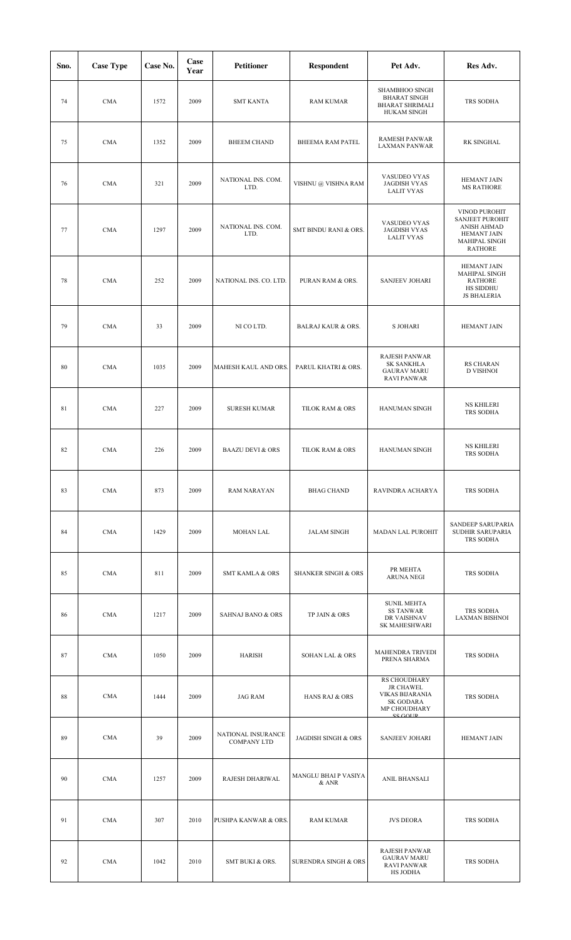| Sno. | <b>Case Type</b> | Case No. | Case<br>Year | <b>Petitioner</b>                        | <b>Respondent</b>              | Pet Adv.                                                                                                 | Res Adv.                                                                                                        |
|------|------------------|----------|--------------|------------------------------------------|--------------------------------|----------------------------------------------------------------------------------------------------------|-----------------------------------------------------------------------------------------------------------------|
| 74   | <b>CMA</b>       | 1572     | 2009         | <b>SMT KANTA</b>                         | <b>RAM KUMAR</b>               | SHAMBHOO SINGH<br><b>BHARAT SINGH</b><br><b>BHARAT SHRIMALI</b><br><b>HUKAM SINGH</b>                    | TRS SODHA                                                                                                       |
| 75   | <b>CMA</b>       | 1352     | 2009         | <b>BHEEM CHAND</b>                       | BHEEMA RAM PATEL               | <b>RAMESH PANWAR</b><br><b>LAXMAN PANWAR</b>                                                             | RK SINGHAL                                                                                                      |
| 76   | <b>CMA</b>       | 321      | 2009         | NATIONAL INS. COM.<br>LTD.               | VISHNU @ VISHNA RAM            | VASUDEO VYAS<br><b>JAGDISH VYAS</b><br><b>LALIT VYAS</b>                                                 | <b>HEMANT JAIN</b><br><b>MS RATHORE</b>                                                                         |
| 77   | <b>CMA</b>       | 1297     | 2009         | NATIONAL INS. COM.<br>LTD.               | SMT BINDU RANI & ORS.          | VASUDEO VYAS<br><b>JAGDISH VYAS</b><br><b>LALIT VYAS</b>                                                 | VINOD PUROHIT<br><b>SANJEET PUROHIT</b><br>ANISH AHMAD<br><b>HEMANT JAIN</b><br>MAHIPAL SINGH<br><b>RATHORE</b> |
| 78   | <b>CMA</b>       | 252      | 2009         | NATIONAL INS. CO. LTD.                   | PURAN RAM & ORS.               | <b>SANJEEV JOHARI</b>                                                                                    | <b>HEMANT JAIN</b><br>MAHIPAL SINGH<br><b>RATHORE</b><br>HS SIDDHU<br><b>JS BHALERIA</b>                        |
| 79   | <b>CMA</b>       | 33       | 2009         | NI CO LTD.                               | <b>BALRAJ KAUR &amp; ORS.</b>  | <b>S JOHARI</b>                                                                                          | <b>HEMANT JAIN</b>                                                                                              |
| 80   | <b>CMA</b>       | 1035     | 2009         | MAHESH KAUL AND ORS.                     | PARUL KHATRI & ORS.            | <b>RAJESH PANWAR</b><br><b>SK SANKHLA</b><br><b>GAURAV MARU</b><br><b>RAVI PANWAR</b>                    | <b>RS CHARAN</b><br><b>D VISHNOI</b>                                                                            |
| 81   | <b>CMA</b>       | 227      | 2009         | <b>SURESH KUMAR</b>                      | TILOK RAM & ORS                | HANUMAN SINGH                                                                                            | <b>NS KHILERI</b><br>TRS SODHA                                                                                  |
| 82   | <b>CMA</b>       | 226      | 2009         | <b>BAAZU DEVI &amp; ORS</b>              | TILOK RAM & ORS                | <b>HANUMAN SINGH</b>                                                                                     | <b>NS KHILERI</b><br>TRS SODHA                                                                                  |
| 83   | <b>CMA</b>       | 873      | 2009         | <b>RAM NARAYAN</b>                       | <b>BHAG CHAND</b>              | RAVINDRA ACHARYA                                                                                         | TRS SODHA                                                                                                       |
| 84   | <b>CMA</b>       | 1429     | 2009         | <b>MOHAN LAL</b>                         | <b>JALAM SINGH</b>             | <b>MADAN LAL PUROHIT</b>                                                                                 | SANDEEP SARUPARIA<br>SUDHIR SARUPARIA<br>TRS SODHA                                                              |
| 85   | <b>CMA</b>       | 811      | 2009         | <b>SMT KAMLA &amp; ORS</b>               | <b>SHANKER SINGH &amp; ORS</b> | PR MEHTA<br><b>ARUNA NEGI</b>                                                                            | TRS SODHA                                                                                                       |
| 86   | <b>CMA</b>       | 1217     | 2009         | <b>SAHNAJ BANO &amp; ORS</b>             | TP JAIN & ORS                  | <b>SUNIL MEHTA</b><br><b>SS TANWAR</b><br>DR VAISHNAV<br>SK MAHESHWARI                                   | TRS SODHA<br>LAXMAN BISHNOI                                                                                     |
| 87   | <b>CMA</b>       | 1050     | 2009         | HARISH                                   | <b>SOHAN LAL &amp; ORS</b>     | <b>MAHENDRA TRIVEDI</b><br>PRENA SHARMA                                                                  | TRS SODHA                                                                                                       |
| 88   | <b>CMA</b>       | 1444     | 2009         | <b>JAG RAM</b>                           | HANS RAJ & ORS                 | <b>RS CHOUDHARY</b><br><b>JR CHAWEL</b><br><b>VIKAS BIJARANIA</b><br>SK GODARA<br>MP CHOUDHARY<br>SCGOID | TRS SODHA                                                                                                       |
| 89   | <b>CMA</b>       | 39       | 2009         | NATIONAL INSURANCE<br><b>COMPANY LTD</b> | JAGDISH SINGH & ORS            | <b>SANJEEV JOHARI</b>                                                                                    | <b>HEMANT JAIN</b>                                                                                              |
| 90   | <b>CMA</b>       | 1257     | 2009         | RAJESH DHARIWAL                          | MANGLU BHAI P VASIYA<br>& ANR  | ANIL BHANSALI                                                                                            |                                                                                                                 |
| 91   | <b>CMA</b>       | 307      | 2010         | PUSHPA KANWAR & ORS.                     | <b>RAM KUMAR</b>               | <b>JVS DEORA</b>                                                                                         | TRS SODHA                                                                                                       |
| 92   | <b>CMA</b>       | 1042     | 2010         | SMT BUKI & ORS.                          | SURENDRA SINGH & ORS           | <b>RAJESH PANWAR</b><br><b>GAURAV MARU</b><br><b>RAVI PANWAR</b><br><b>HS JODHA</b>                      | TRS SODHA                                                                                                       |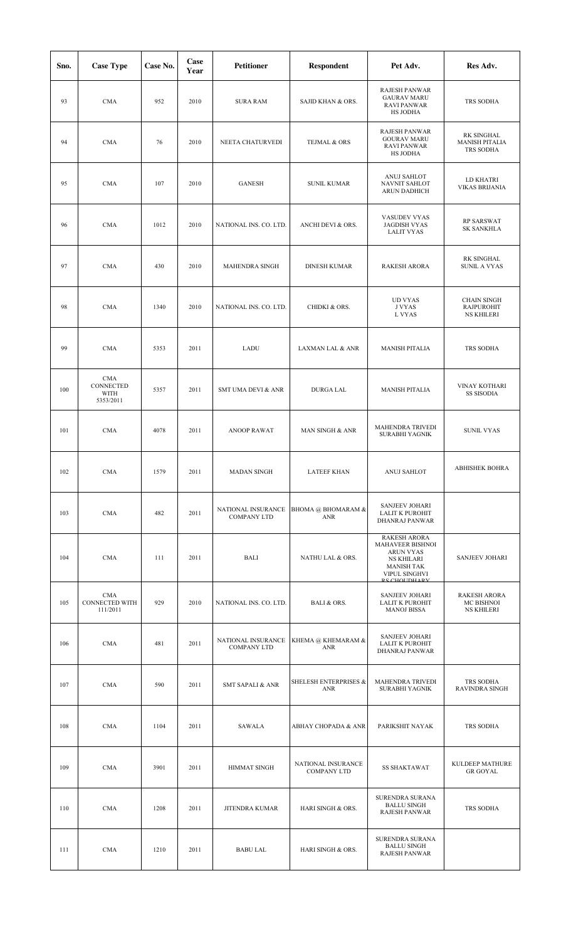| Sno. | <b>Case Type</b>                                | Case No. | Case<br>Year | <b>Petitioner</b>                        | <b>Respondent</b>                        | Pet Adv.                                                                                                                                       | Res Adv.                                                     |
|------|-------------------------------------------------|----------|--------------|------------------------------------------|------------------------------------------|------------------------------------------------------------------------------------------------------------------------------------------------|--------------------------------------------------------------|
| 93   | <b>CMA</b>                                      | 952      | 2010         | <b>SURA RAM</b>                          | SAJID KHAN & ORS.                        | <b>RAJESH PANWAR</b><br><b>GAURAV MARU</b><br><b>RAVI PANWAR</b><br>HS JODHA                                                                   | TRS SODHA                                                    |
| 94   | <b>CMA</b>                                      | 76       | 2010         | NEETA CHATURVEDI                         | TEJMAL & ORS                             | RAJESH PANWAR<br><b>GOURAV MARU</b><br><b>RAVI PANWAR</b><br>HS JODHA                                                                          | RK SINGHAL<br><b>MANISH PITALIA</b><br>TRS SODHA             |
| 95   | <b>CMA</b>                                      | 107      | 2010         | <b>GANESH</b>                            | <b>SUNIL KUMAR</b>                       | ANUJ SAHLOT<br>NAVNIT SAHLOT<br>ARUN DADHICH                                                                                                   | LD KHATRI<br><b>VIKAS BRIJANIA</b>                           |
| 96   | <b>CMA</b>                                      | 1012     | 2010         | NATIONAL INS. CO. LTD.                   | ANCHI DEVI & ORS.                        | VASUDEV VYAS<br><b>JAGDISH VYAS</b><br><b>LALIT VYAS</b>                                                                                       | <b>RP SARSWAT</b><br><b>SK SANKHLA</b>                       |
| 97   | <b>CMA</b>                                      | 430      | 2010         | MAHENDRA SINGH                           | <b>DINESH KUMAR</b>                      | <b>RAKESH ARORA</b>                                                                                                                            | RK SINGHAL<br><b>SUNIL A VYAS</b>                            |
| 98   | <b>CMA</b>                                      | 1340     | 2010         | NATIONAL INS. CO. LTD.                   | <b>CHIDKI &amp; ORS.</b>                 | <b>UD VYAS</b><br><b>J VYAS</b><br>L VYAS                                                                                                      | <b>CHAIN SINGH</b><br><b>RAJPUROHIT</b><br><b>NS KHILERI</b> |
| 99   | <b>CMA</b>                                      | 5353     | 2011         | LADU                                     | LAXMAN LAL & ANR                         | <b>MANISH PITALIA</b>                                                                                                                          | TRS SODHA                                                    |
| 100  | <b>CMA</b><br>CONNECTED<br>WITH<br>5353/2011    | 5357     | 2011         | <b>SMT UMA DEVI &amp; ANR</b>            | <b>DURGA LAL</b>                         | <b>MANISH PITALIA</b>                                                                                                                          | <b>VINAY KOTHARI</b><br><b>SS SISODIA</b>                    |
| 101  | <b>CMA</b>                                      | 4078     | 2011         | <b>ANOOP RAWAT</b>                       | MAN SINGH & ANR                          | MAHENDRA TRIVEDI<br><b>SURABHI YAGNIK</b>                                                                                                      | <b>SUNIL VYAS</b>                                            |
| 102  | <b>CMA</b>                                      | 1579     | 2011         | <b>MADAN SINGH</b>                       | <b>LATEEF KHAN</b>                       | <b>ANUJ SAHLOT</b>                                                                                                                             | <b>ABHISHEK BOHRA</b>                                        |
| 103  | <b>CMA</b>                                      | 482      | 2011         | NATIONAL INSURANCE<br><b>COMPANY LTD</b> | BHOMA @ BHOMARAM &<br><b>ANR</b>         | <b>SANJEEV JOHARI</b><br><b>LALIT K PUROHIT</b><br>DHANRAJ PANWAR                                                                              |                                                              |
| 104  | <b>CMA</b>                                      | 111      | 2011         | BALI                                     | NATHU LAL & ORS.                         | <b>RAKESH ARORA</b><br>MAHAVEER BISHNOI<br><b>ARUN VYAS</b><br><b>NS KHILARI</b><br><b>MANISH TAK</b><br>VIPUL SINGHVI<br><b>DS CHOLIDHADV</b> | <b>SANJEEV JOHARI</b>                                        |
| 105  | <b>CMA</b><br><b>CONNECTED WITH</b><br>111/2011 | 929      | 2010         | NATIONAL INS. CO. LTD.                   | BALI & ORS.                              | <b>SANJEEV JOHARI</b><br><b>LALIT K PUROHIT</b><br><b>MANOJ BISSA</b>                                                                          | <b>RAKESH ARORA</b><br>MC BISHNOI<br><b>NS KHILERI</b>       |
| 106  | <b>CMA</b>                                      | 481      | 2011         | NATIONAL INSURANCE<br><b>COMPANY LTD</b> | KHEMA @ KHEMARAM &<br><b>ANR</b>         | <b>SANJEEV JOHARI</b><br><b>LALIT K PUROHIT</b><br>DHANRAJ PANWAR                                                                              |                                                              |
| 107  | <b>CMA</b>                                      | 590      | 2011         | <b>SMT SAPALI &amp; ANR</b>              | <b>SHELESH ENTERPRISES &amp;</b><br>ANR  | MAHENDRA TRIVEDI<br>SURABHI YAGNIK                                                                                                             | TRS SODHA<br>RAVINDRA SINGH                                  |
| 108  | CMA                                             | 1104     | 2011         | SAWALA                                   | ABHAY CHOPADA & ANR                      | PARIKSHIT NAYAK                                                                                                                                | TRS SODHA                                                    |
| 109  | <b>CMA</b>                                      | 3901     | 2011         | <b>HIMMAT SINGH</b>                      | NATIONAL INSURANCE<br><b>COMPANY LTD</b> | <b>SS SHAKTAWAT</b>                                                                                                                            | KULDEEP MATHURE<br><b>GR GOYAL</b>                           |
| 110  | <b>CMA</b>                                      | 1208     | 2011         | <b>JITENDRA KUMAR</b>                    | HARI SINGH & ORS.                        | SURENDRA SURANA<br><b>BALLU SINGH</b><br><b>RAJESH PANWAR</b>                                                                                  | TRS SODHA                                                    |
| 111  | <b>CMA</b>                                      | 1210     | 2011         | <b>BABU LAL</b>                          | HARI SINGH & ORS.                        | SURENDRA SURANA<br><b>BALLU SINGH</b><br>RAJESH PANWAR                                                                                         |                                                              |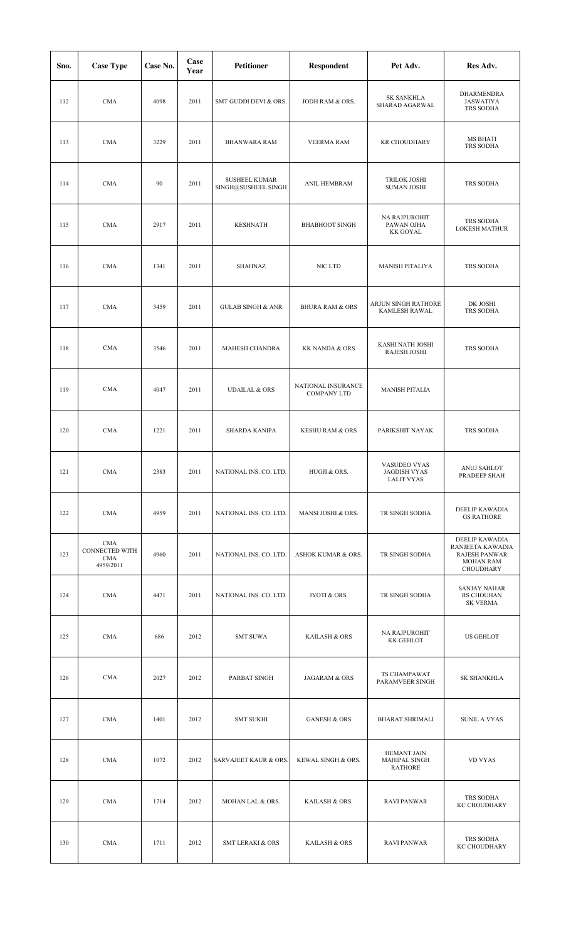| Sno. | <b>Case Type</b>                                 | Case No. | Case<br>Year | <b>Petitioner</b>                           | <b>Respondent</b>                 | Pet Adv.                                                 | Res Adv.                                                                                    |
|------|--------------------------------------------------|----------|--------------|---------------------------------------------|-----------------------------------|----------------------------------------------------------|---------------------------------------------------------------------------------------------|
| 112  | <b>CMA</b>                                       | 4098     | 2011         | SMT GUDDI DEVI & ORS.                       | JODH RAM & ORS.                   | <b>SK SANKHLA</b><br>SHARAD AGARWAL                      | <b>DHARMENDRA</b><br><b>JASWATIYA</b><br>TRS SODHA                                          |
| 113  | <b>CMA</b>                                       | 3229     | 2011         | <b>BHANWARA RAM</b>                         | <b>VEERMA RAM</b>                 | <b>KR CHOUDHARY</b>                                      | MS BHATI<br>TRS SODHA                                                                       |
| 114  | <b>CMA</b>                                       | 90       | 2011         | <b>SUSHEEL KUMAR</b><br>SINGH@SUSHEEL SINGH | ANIL HEMBRAM                      | <b>TRILOK JOSHI</b><br><b>SUMAN JOSHI</b>                | TRS SODHA                                                                                   |
| 115  | <b>CMA</b>                                       | 2917     | 2011         | <b>KESHNATH</b>                             | <b>BHABHOOT SINGH</b>             | NA RAJPUROHIT<br>PAWAN OJHA<br><b>KK GOYAL</b>           | TRS SODHA<br><b>LOKESH MATHUR</b>                                                           |
| 116  | <b>CMA</b>                                       | 1341     | 2011         | <b>SHAHNAZ</b>                              | NIC LTD                           | MANISH PITALIYA                                          | TRS SODHA                                                                                   |
| 117  | <b>CMA</b>                                       | 3459     | 2011         | <b>GULAB SINGH &amp; ANR</b>                | <b>BHURA RAM &amp; ORS</b>        | ARJUN SINGH RATHORE<br>KAMLESH RAWAL                     | DK JOSHI<br>TRS SODHA                                                                       |
| 118  | <b>CMA</b>                                       | 3546     | 2011         | MAHESH CHANDRA                              | <b>KK NANDA &amp; ORS</b>         | KASHI NATH JOSHI<br><b>RAJESH JOSHI</b>                  | TRS SODHA                                                                                   |
| 119  | <b>CMA</b>                                       | 4047     | 2011         | <b>UDAILAL &amp; ORS</b>                    | NATIONAL INSURANCE<br>COMPANY LTD | <b>MANISH PITALIA</b>                                    |                                                                                             |
| 120  | <b>CMA</b>                                       | 1221     | 2011         | SHARDA KANIPA                               | <b>KESHU RAM &amp; ORS</b>        | PARIKSHIT NAYAK                                          | TRS SODHA                                                                                   |
| 121  | <b>CMA</b>                                       | 2383     | 2011         | NATIONAL INS. CO. LTD.                      | HUGJI & ORS.                      | VASUDEO VYAS<br><b>JAGDISH VYAS</b><br><b>LALIT VYAS</b> | ANUJ SAHLOT<br>PRADEEP SHAH                                                                 |
| 122  | <b>CMA</b>                                       | 4959     | 2011         | NATIONAL INS. CO. LTD.                      | MANSI JOSHI & ORS.                | TR SINGH SODHA                                           | DEELIP KAWADIA<br><b>GS RATHORE</b>                                                         |
| 123  | CMA<br>CONNECTED WITH<br><b>CMA</b><br>4959/2011 | 4960     | 2011         | NATIONAL INS. CO. LTD.                      | <b>ASHOK KUMAR &amp; ORS.</b>     | TR SINGH SODHA                                           | DEELIP KAWADIA<br>RANJEETA KAWADIA<br><b>RAJESH PANWAR</b><br><b>MOHAN RAM</b><br>CHOUDHARY |
| 124  | <b>CMA</b>                                       | 4471     | 2011         | NATIONAL INS. CO. LTD.                      | JYOTI & ORS.                      | TR SINGH SODHA                                           | <b>SANJAY NAHAR</b><br><b>RS CHOUHAN</b><br><b>SK VERMA</b>                                 |
| 125  | CMA                                              | 686      | 2012         | <b>SMT SUWA</b>                             | KAILASH & ORS                     | NA RAJPUROHIT<br><b>KK GEHLOT</b>                        | <b>US GEHLOT</b>                                                                            |
| 126  | <b>CMA</b>                                       | 2027     | 2012         | PARBAT SINGH                                | JAGARAM & ORS                     | TS CHAMPAWAT<br>PARAMVEER SINGH                          | SK SHANKHLA                                                                                 |
| 127  | <b>CMA</b>                                       | 1401     | 2012         | <b>SMT SUKHI</b>                            | <b>GANESH &amp; ORS</b>           | <b>BHARAT SHRIMALI</b>                                   | <b>SUNIL A VYAS</b>                                                                         |
| 128  | CMA                                              | 1072     | 2012         | SARVAJEET KAUR & ORS.                       | KEWAL SINGH & ORS.                | <b>HEMANT JAIN</b><br>MAHIPAL SINGH<br><b>RATHORE</b>    | <b>VD VYAS</b>                                                                              |
| 129  | <b>CMA</b>                                       | 1714     | 2012         | MOHAN LAL & ORS.                            | KAILASH & ORS.                    | <b>RAVI PANWAR</b>                                       | TRS SODHA<br>KC CHOUDHARY                                                                   |
| 130  | <b>CMA</b>                                       | 1711     | 2012         | <b>SMT LERAKI &amp; ORS</b>                 | KAILASH & ORS                     | <b>RAVI PANWAR</b>                                       | TRS SODHA<br>KC CHOUDHARY                                                                   |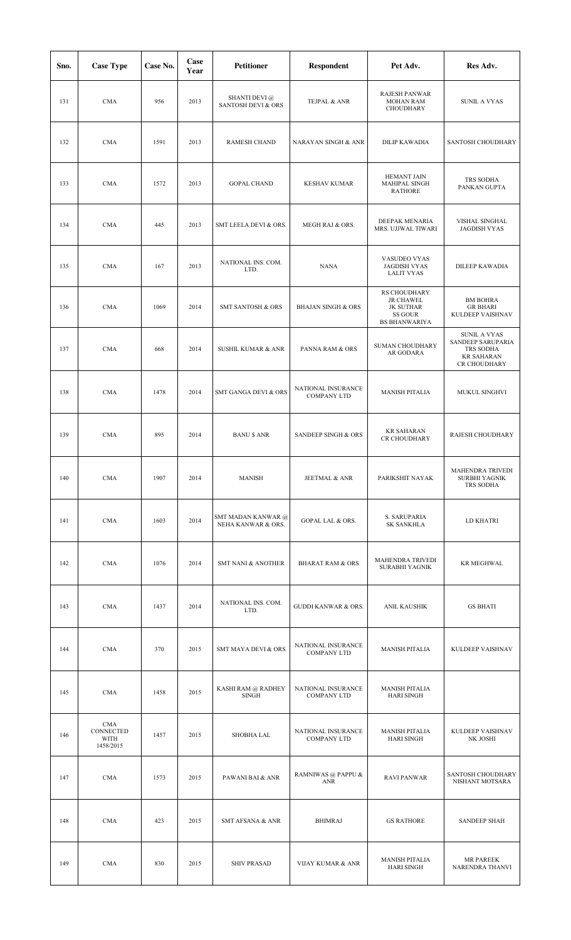| Sno. | <b>Case Type</b>                      | Case No. | Case<br>Year | <b>Petitioner</b>                                     | Respondent                                 | Pet Adv.                                                                                | Res Adv.                                                                                   |
|------|---------------------------------------|----------|--------------|-------------------------------------------------------|--------------------------------------------|-----------------------------------------------------------------------------------------|--------------------------------------------------------------------------------------------|
| 131  | <b>CMA</b>                            | 956      | 2013         | <b>SHANTI DEVI</b> @<br><b>SANTOSH DEVI &amp; ORS</b> | TEJPAL & ANR                               | <b>RAJESH PANWAR</b><br><b>MOHAN RAM</b><br>CHOUDHARY                                   | <b>SUNIL A VYAS</b>                                                                        |
| 132  | <b>CMA</b>                            | 1591     | 2013         | <b>RAMESH CHAND</b>                                   | <b>NARAYAN SINGH &amp; ANR</b>             | <b>DILIP KAWADIA</b>                                                                    | SANTOSH CHOUDHARY                                                                          |
| 133  | <b>CMA</b>                            | 1572     | 2013         | <b>GOPAL CHAND</b>                                    | <b>KESHAV KUMAR</b>                        | HEMANT JAIN<br><b>MAHIPAL SINGH</b><br><b>RATHORE</b>                                   | TRS SODHA<br>PANKAN GUPTA                                                                  |
| 134  | <b>CMA</b>                            | 445      | 2013         | SMT LEELA DEVI & ORS.                                 | MEGH RAJ & ORS.                            | DEEPAK MENARIA<br>MRS. UJJWAL TIWARI                                                    | VISHAL SINGHAL<br><b>JAGDISH VYAS</b>                                                      |
| 135  | <b>CMA</b>                            | 167      | 2013         | NATIONAL INS. COM.<br>LTD.                            | <b>NANA</b>                                | VASUDEO VYAS<br><b>JAGDISH VYAS</b><br><b>LALIT VYAS</b>                                | DILEEP KAWADIA                                                                             |
| 136  | <b>CMA</b>                            | 1069     | 2014         | <b>SMT SANTOSH &amp; ORS</b>                          | <b>BHAJAN SINGH &amp; ORS</b>              | RS CHOUDHARY<br><b>JR CHAWEL</b><br><b>JK SUTHAR</b><br>SS GOUR<br><b>BS BHANWARIYA</b> | <b>BM BOHRA</b><br><b>GR BHARI</b><br>KULDEEP VAISHNAV                                     |
| 137  | <b>CMA</b>                            | 668      | 2014         | <b>SUSHIL KUMAR &amp; ANR</b>                         | PANNA RAM & ORS                            | SUMAN CHOUDHARY<br>AR GODARA                                                            | <b>SUNIL A VYAS</b><br>SANDEEP SARUPARIA<br>TRS SODHA<br><b>KR SAHARAN</b><br>CR CHOUDHARY |
| 138  | <b>CMA</b>                            | 1478     | 2014         | SMT GANGA DEVI & ORS                                  | NATIONAL INSURANCE<br><b>COMPANY LTD</b>   | <b>MANISH PITALIA</b>                                                                   | MUKUL SINGHVI                                                                              |
| 139  | <b>CMA</b>                            | 895      | 2014         | <b>BANU \$ ANR</b>                                    | SANDEEP SINGH & ORS                        | <b>KR SAHARAN</b><br>CR CHOUDHARY                                                       | RAJESH CHOUDHARY                                                                           |
| 140  | <b>CMA</b>                            | 1907     | 2014         | <b>MANISH</b>                                         | JEETMAL & ANR                              | PARIKSHIT NAYAK                                                                         | MAHENDRA TRIVEDI<br>SURBHI YAGNIK<br>TRS SODHA                                             |
| 141  | <b>CMA</b>                            | 1603     | 2014         | SMT MADAN KANWAR @<br>NEHA KANWAR & ORS.              | GOPAL LAL & ORS.                           | S. SARUPARIA<br><b>SK SANKHLA</b>                                                       | LD KHATRI                                                                                  |
| 142  | <b>CMA</b>                            | 1076     | 2014         | <b>SMT NANI &amp; ANOTHER</b>                         | <b>BHARAT RAM &amp; ORS</b>                | <b>MAHENDRA TRIVEDI</b><br>SURABHI YAGNIK                                               | <b>KR MEGHWAL</b>                                                                          |
| 143  | <b>CMA</b>                            | 1437     | 2014         | NATIONAL INS. COM.<br>LTD.                            | <b>GUDDI KANWAR &amp; ORS.</b>             | ANIL KAUSHIK                                                                            | <b>GS BHATI</b>                                                                            |
| 144  | <b>CMA</b>                            | 370      | 2015         | SMT MAYA DEVI & ORS                                   | NATIONAL INSURANCE<br><b>COMPANY LTD</b>   | <b>MANISH PITALIA</b>                                                                   | KULDEEP VAISHNAV                                                                           |
| 145  | <b>CMA</b>                            | 1458     | 2015         | KASHI RAM @ RADHEY<br><b>SINGH</b>                    | NATIONAL INSURANCE<br><b>COMPANY LTD</b>   | <b>MANISH PITALIA</b><br><b>HARI SINGH</b>                                              |                                                                                            |
| 146  | CMA<br>CONNECTED<br>WITH<br>1458/2015 | 1457     | 2015         | SHOBHA LAL                                            | NATIONAL INSURANCE<br><b>COMPANY LTD</b>   | <b>MANISH PITALIA</b><br><b>HARI SINGH</b>                                              | KULDEEP VAISHNAV<br>NK JOSHI                                                               |
| 147  | <b>CMA</b>                            | 1573     | 2015         | PAWANI BAI & ANR                                      | RAMNIWAS @ PAPPU &<br>$\operatorname{ANR}$ | <b>RAVI PANWAR</b>                                                                      | SANTOSH CHOUDHARY<br>NISHANT MOTSARA                                                       |
| 148  | <b>CMA</b>                            | 423      | 2015         | <b>SMT AFSANA &amp; ANR</b>                           | <b>BHIMRAJ</b>                             | <b>GS RATHORE</b>                                                                       | <b>SANDEEP SHAH</b>                                                                        |
| 149  | <b>CMA</b>                            | 830      | 2015         | <b>SHIV PRASAD</b>                                    | <b>VIJAY KUMAR &amp; ANR</b>               | <b>MANISH PITALIA</b><br><b>HARI SINGH</b>                                              | MR PAREEK<br>NARENDRA THANVI                                                               |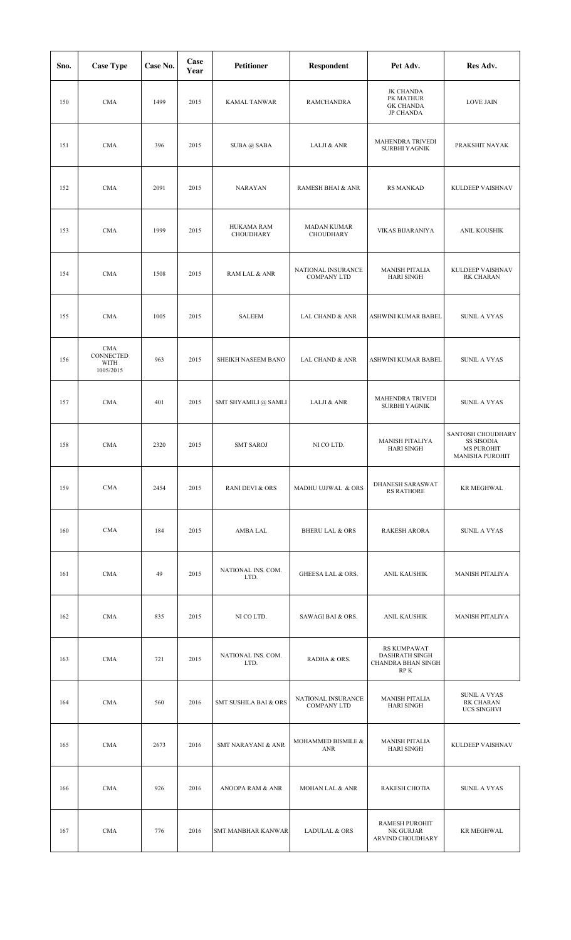| Sno. | <b>Case Type</b>                             | Case No. | Case<br>Year | <b>Petitioner</b>              | <b>Respondent</b>                        | Pet Adv.                                                                  | Res Adv.                                                                       |
|------|----------------------------------------------|----------|--------------|--------------------------------|------------------------------------------|---------------------------------------------------------------------------|--------------------------------------------------------------------------------|
| 150  | <b>CMA</b>                                   | 1499     | 2015         | <b>KAMAL TANWAR</b>            | <b>RAMCHANDRA</b>                        | <b>JK CHANDA</b><br>PK MATHUR<br><b>GK CHANDA</b><br><b>JP CHANDA</b>     | <b>LOVE JAIN</b>                                                               |
| 151  | <b>CMA</b>                                   | 396      | 2015         | SUBA @ SABA                    | LALJI & ANR                              | MAHENDRA TRIVEDI<br>SURBHI YAGNIK                                         | PRAKSHIT NAYAK                                                                 |
| 152  | <b>CMA</b>                                   | 2091     | 2015         | <b>NARAYAN</b>                 | RAMESH BHAI & ANR                        | <b>RS MANKAD</b>                                                          | KULDEEP VAISHNAV                                                               |
| 153  | <b>CMA</b>                                   | 1999     | 2015         | <b>HUKAMA RAM</b><br>CHOUDHARY | <b>MADAN KUMAR</b><br><b>CHOUDHARY</b>   | VIKAS BIJARANIYA                                                          | ANIL KOUSHIK                                                                   |
| 154  | <b>CMA</b>                                   | 1508     | 2015         | RAM LAL & ANR                  | NATIONAL INSURANCE<br><b>COMPANY LTD</b> | <b>MANISH PITALIA</b><br><b>HARI SINGH</b>                                | KULDEEP VAISHNAV<br><b>RK CHARAN</b>                                           |
| 155  | <b>CMA</b>                                   | 1005     | 2015         | <b>SALEEM</b>                  | LAL CHAND & ANR                          | ASHWINI KUMAR BABEL                                                       | <b>SUNIL A VYAS</b>                                                            |
| 156  | <b>CMA</b><br>CONNECTED<br>WITH<br>1005/2015 | 963      | 2015         | SHEIKH NASEEM BANO             | LAL CHAND & ANR                          | ASHWINI KUMAR BABEL                                                       | <b>SUNIL A VYAS</b>                                                            |
| 157  | <b>CMA</b>                                   | 401      | 2015         | SMT SHYAMILI @ SAMLI           | LALJI & ANR                              | MAHENDRA TRIVEDI<br>SURBHI YAGNIK                                         | <b>SUNIL A VYAS</b>                                                            |
| 158  | <b>CMA</b>                                   | 2320     | 2015         | <b>SMT SAROJ</b>               | NI CO LTD.                               | <b>MANISH PITALIYA</b><br><b>HARI SINGH</b>                               | SANTOSH CHOUDHARY<br>SS SISODIA<br><b>MS PUROHIT</b><br><b>MANISHA PUROHIT</b> |
| 159  | <b>CMA</b>                                   | 2454     | 2015         | <b>RANI DEVI &amp; ORS</b>     | MADHU UJJWAL & ORS                       | DHANESH SARASWAT<br><b>RS RATHORE</b>                                     | <b>KR MEGHWAL</b>                                                              |
| 160  | <b>CMA</b>                                   | 184      | 2015         | AMBA LAL                       | <b>BHERU LAL &amp; ORS</b>               | <b>RAKESH ARORA</b>                                                       | <b>SUNIL A VYAS</b>                                                            |
| 161  | <b>CMA</b>                                   | 49       | 2015         | NATIONAL INS. COM.<br>LTD.     | <b>GHEESA LAL &amp; ORS.</b>             | ANIL KAUSHIK                                                              | <b>MANISH PITALIYA</b>                                                         |
| 162  | <b>CMA</b>                                   | 835      | 2015         | NI CO LTD.                     | SAWAGI BAI & ORS.                        | <b>ANIL KAUSHIK</b>                                                       | <b>MANISH PITALIYA</b>                                                         |
| 163  | <b>CMA</b>                                   | 721      | 2015         | NATIONAL INS. COM.<br>LTD.     | RADHA & ORS.                             | <b>RS KUMPAWAT</b><br><b>DASHRATH SINGH</b><br>CHANDRA BHAN SINGH<br>RP K |                                                                                |
| 164  | <b>CMA</b>                                   | 560      | 2016         | SMT SUSHILA BAI & ORS          | NATIONAL INSURANCE<br><b>COMPANY LTD</b> | <b>MANISH PITALIA</b><br><b>HARI SINGH</b>                                | <b>SUNIL A VYAS</b><br><b>RK CHARAN</b><br><b>UCS SINGHVI</b>                  |
| 165  | <b>CMA</b>                                   | 2673     | 2016         | <b>SMT NARAYANI &amp; ANR</b>  | MOHAMMED BISMILE &<br>ANR                | <b>MANISH PITALIA</b><br><b>HARI SINGH</b>                                | KULDEEP VAISHNAV                                                               |
| 166  | <b>CMA</b>                                   | 926      | 2016         | ANOOPA RAM & ANR               | <b>MOHAN LAL &amp; ANR</b>               | <b>RAKESH CHOTIA</b>                                                      | <b>SUNIL A VYAS</b>                                                            |
| 167  | <b>CMA</b>                                   | 776      | 2016         | SMT MANBHAR KANWAR             | <b>LADULAL &amp; ORS</b>                 | <b>RAMESH PUROHIT</b><br>NK GURJAR<br>ARVIND CHOUDHARY                    | <b>KR MEGHWAL</b>                                                              |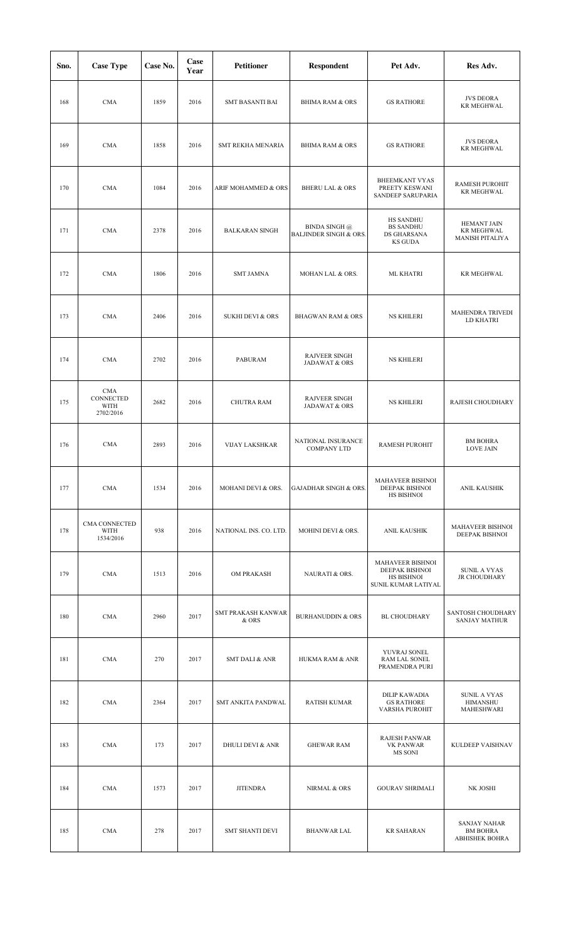| Sno. | <b>Case Type</b>                             | Case No. | Case<br>Year | <b>Petitioner</b>           | <b>Respondent</b>                                         | Pet Adv.                                                                       | Res Adv.                                                          |
|------|----------------------------------------------|----------|--------------|-----------------------------|-----------------------------------------------------------|--------------------------------------------------------------------------------|-------------------------------------------------------------------|
| 168  | <b>CMA</b>                                   | 1859     | 2016         | <b>SMT BASANTI BAI</b>      | <b>BHIMA RAM &amp; ORS</b>                                | <b>GS RATHORE</b>                                                              | <b>JVS DEORA</b><br><b>KR MEGHWAL</b>                             |
| 169  | <b>CMA</b>                                   | 1858     | 2016         | SMT REKHA MENARIA           | <b>BHIMA RAM &amp; ORS</b>                                | <b>GS RATHORE</b>                                                              | <b>JVS DEORA</b><br><b>KR MEGHWAL</b>                             |
| 170  | <b>CMA</b>                                   | 1084     | 2016         | ARIF MOHAMMED & ORS         | <b>BHERU LAL &amp; ORS</b>                                | <b>BHEEMKANT VYAS</b><br>PREETY KESWANI<br>SANDEEP SARUPARIA                   | <b>RAMESH PUROHIT</b><br><b>KR MEGHWAL</b>                        |
| 171  | <b>CMA</b>                                   | 2378     | 2016         | <b>BALKARAN SINGH</b>       | <b>BINDA SINGH @</b><br><b>BALJINDER SINGH &amp; ORS.</b> | <b>HS SANDHU</b><br><b>BS SANDHU</b><br>DS GHARSANA<br><b>KS GUDA</b>          | <b>HEMANT JAIN</b><br><b>KR MEGHWAL</b><br><b>MANISH PITALIYA</b> |
| 172  | <b>CMA</b>                                   | 1806     | 2016         | <b>SMT JAMNA</b>            | MOHAN LAL & ORS.                                          | <b>ML KHATRI</b>                                                               | <b>KR MEGHWAL</b>                                                 |
| 173  | <b>CMA</b>                                   | 2406     | 2016         | <b>SUKHI DEVI &amp; ORS</b> | <b>BHAGWAN RAM &amp; ORS</b>                              | <b>NS KHILERI</b>                                                              | MAHENDRA TRIVEDI<br>LD KHATRI                                     |
| 174  | <b>CMA</b>                                   | 2702     | 2016         | <b>PABURAM</b>              | <b>RAJVEER SINGH</b><br>JADAWAT & ORS                     | <b>NS KHILERI</b>                                                              |                                                                   |
| 175  | <b>CMA</b><br>CONNECTED<br>WITH<br>2702/2016 | 2682     | 2016         | <b>CHUTRA RAM</b>           | <b>RAJVEER SINGH</b><br>JADAWAT & ORS                     | <b>NS KHILERI</b>                                                              | RAJESH CHOUDHARY                                                  |
| 176  | <b>CMA</b>                                   | 2893     | 2016         | <b>VIJAY LAKSHKAR</b>       | NATIONAL INSURANCE<br><b>COMPANY LTD</b>                  | RAMESH PUROHIT                                                                 | <b>BM BOHRA</b><br><b>LOVE JAIN</b>                               |
| 177  | <b>CMA</b>                                   | 1534     | 2016         | MOHANI DEVI & ORS.          | <b>GAJADHAR SINGH &amp; ORS.</b>                          | <b>MAHAVEER BISHNOI</b><br>DEEPAK BISHNOI<br>HS BISHNOI                        | ANIL KAUSHIK                                                      |
| 178  | CMA CONNECTED<br><b>WITH</b><br>1534/2016    | 938      | 2016         | NATIONAL INS. CO. LTD.      | MOHINI DEVI & ORS.                                        | ANIL KAUSHIK                                                                   | MAHAVEER BISHNOI<br>DEEPAK BISHNOI                                |
| 179  | <b>CMA</b>                                   | 1513     | 2016         | <b>OM PRAKASH</b>           | NAURATI & ORS.                                            | <b>MAHAVEER BISHNOI</b><br>DEEPAK BISHNOI<br>HS BISHNOI<br>SUNIL KUMAR LATIYAL | <b>SUNIL A VYAS</b><br>JR CHOUDHARY                               |
| 180  | <b>CMA</b>                                   | 2960     | 2017         | SMT PRAKASH KANWAR<br>& ORS | <b>BURHANUDDIN &amp; ORS</b>                              | <b>BL CHOUDHARY</b>                                                            | SANTOSH CHOUDHARY<br><b>SANJAY MATHUR</b>                         |
| 181  | <b>CMA</b>                                   | 270      | 2017         | <b>SMT DALI &amp; ANR</b>   | HUKMA RAM & ANR                                           | YUVRAJ SONEL<br>RAM LAL SONEL<br>PRAMENDRA PURI                                |                                                                   |
| 182  | <b>CMA</b>                                   | 2364     | 2017         | SMT ANKITA PANDWAL          | <b>RATISH KUMAR</b>                                       | DILIP KAWADIA<br><b>GS RATHORE</b><br>VARSHA PUROHIT                           | <b>SUNIL A VYAS</b><br>HIMANSHU<br>MAHESHWARI                     |
| 183  | <b>CMA</b>                                   | 173      | 2017         | <b>DHULI DEVI &amp; ANR</b> | <b>GHEWAR RAM</b>                                         | <b>RAJESH PANWAR</b><br><b>VK PANWAR</b><br>MS SONI                            | KULDEEP VAISHNAV                                                  |
| 184  | <b>CMA</b>                                   | 1573     | 2017         | <b>JITENDRA</b>             | NIRMAL & ORS                                              | <b>GOURAV SHRIMALI</b>                                                         | NK JOSHI                                                          |
| 185  | <b>CMA</b>                                   | 278      | 2017         | <b>SMT SHANTI DEVI</b>      | <b>BHANWAR LAL</b>                                        | <b>KR SAHARAN</b>                                                              | <b>SANJAY NAHAR</b><br><b>BM BOHRA</b><br><b>ABHISHEK BOHRA</b>   |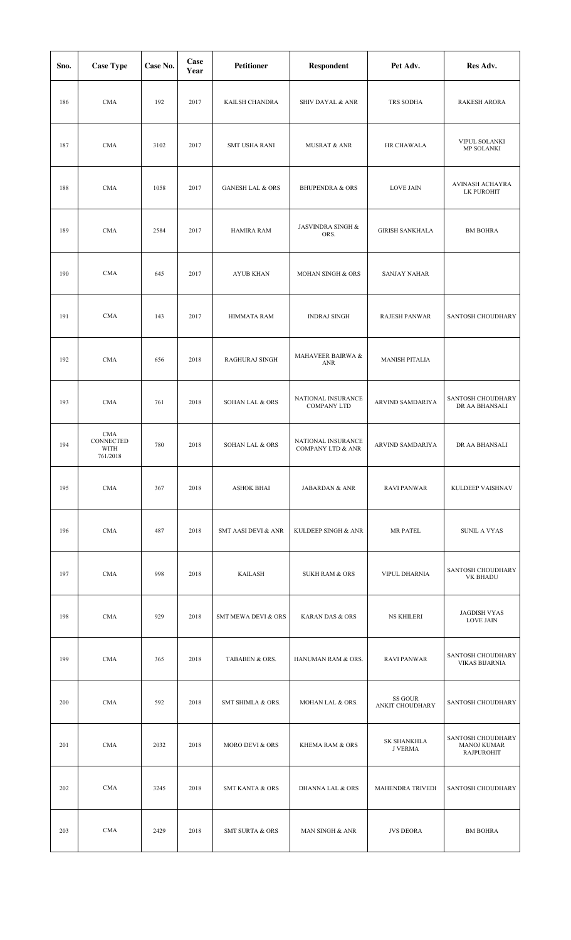| Sno. | <b>Case Type</b>                            | Case No. | Case<br>Year | <b>Petitioner</b>              | <b>Respondent</b>                                  | Pet Adv.                             | Res Adv.                                                     |
|------|---------------------------------------------|----------|--------------|--------------------------------|----------------------------------------------------|--------------------------------------|--------------------------------------------------------------|
| 186  | <b>CMA</b>                                  | 192      | 2017         | KAILSH CHANDRA                 | SHIV DAYAL & ANR                                   | TRS SODHA                            | RAKESH ARORA                                                 |
| 187  | <b>CMA</b>                                  | 3102     | 2017         | <b>SMT USHA RANI</b>           | <b>MUSRAT &amp; ANR</b>                            | HR CHAWALA                           | VIPUL SOLANKI<br>MP SOLANKI                                  |
| 188  | <b>CMA</b>                                  | 1058     | 2017         | <b>GANESH LAL &amp; ORS</b>    | <b>BHUPENDRA &amp; ORS</b>                         | <b>LOVE JAIN</b>                     | AVINASH ACHAYRA<br>LK PUROHIT                                |
| 189  | <b>CMA</b>                                  | 2584     | 2017         | <b>HAMIRA RAM</b>              | <b>JASVINDRA SINGH &amp;</b><br>ORS.               | <b>GIRISH SANKHALA</b>               | <b>BM BOHRA</b>                                              |
| 190  | <b>CMA</b>                                  | 645      | 2017         | <b>AYUB KHAN</b>               | MOHAN SINGH & ORS                                  | <b>SANJAY NAHAR</b>                  |                                                              |
| 191  | <b>CMA</b>                                  | 143      | 2017         | HIMMATA RAM                    | <b>INDRAJ SINGH</b>                                | <b>RAJESH PANWAR</b>                 | <b>SANTOSH CHOUDHARY</b>                                     |
| 192  | <b>CMA</b>                                  | 656      | 2018         | RAGHURAJ SINGH                 | MAHAVEER BAIRWA &<br><b>ANR</b>                    | <b>MANISH PITALIA</b>                |                                                              |
| 193  | <b>CMA</b>                                  | 761      | 2018         | <b>SOHAN LAL &amp; ORS</b>     | NATIONAL INSURANCE<br><b>COMPANY LTD</b>           | ARVIND SAMDARIYA                     | SANTOSH CHOUDHARY<br>DR AA BHANSALI                          |
| 194  | <b>CMA</b><br>CONNECTED<br>WITH<br>761/2018 | 780      | 2018         | <b>SOHAN LAL &amp; ORS</b>     | NATIONAL INSURANCE<br><b>COMPANY LTD &amp; ANR</b> | ARVIND SAMDARIYA                     | DR AA BHANSALI                                               |
| 195  | <b>CMA</b>                                  | 367      | 2018         | <b>ASHOK BHAI</b>              | <b>JABARDAN &amp; ANR</b>                          | <b>RAVI PANWAR</b>                   | KULDEEP VAISHNAV                                             |
| 196  | <b>CMA</b>                                  | 487      | 2018         | <b>SMT AASI DEVI &amp; ANR</b> | KULDEEP SINGH & ANR                                | <b>MR PATEL</b>                      | <b>SUNIL A VYAS</b>                                          |
| 197  | <b>CMA</b>                                  | 998      | 2018         | KAILASH                        | <b>SUKH RAM &amp; ORS</b>                          | VIPUL DHARNIA                        | SANTOSH CHOUDHARY<br>VK BHADU                                |
| 198  | <b>CMA</b>                                  | 929      | 2018         | <b>SMT MEWA DEVI &amp; ORS</b> | <b>KARAN DAS &amp; ORS</b>                         | <b>NS KHILERI</b>                    | JAGDISH VYAS<br><b>LOVE JAIN</b>                             |
| 199  | <b>CMA</b>                                  | 365      | 2018         | TABABEN & ORS.                 | HANUMAN RAM & ORS.                                 | <b>RAVI PANWAR</b>                   | SANTOSH CHOUDHARY<br><b>VIKAS BIJARNIA</b>                   |
| 200  | <b>CMA</b>                                  | 592      | 2018         | SMT SHIMLA & ORS.              | MOHAN LAL & ORS.                                   | SS GOUR<br>ANKIT CHOUDHARY           | SANTOSH CHOUDHARY                                            |
| 201  | <b>CMA</b>                                  | 2032     | 2018         | <b>MORO DEVI &amp; ORS</b>     | KHEMA RAM & ORS                                    | <b>SK SHANKHLA</b><br><b>J VERMA</b> | SANTOSH CHOUDHARY<br><b>MANOJ KUMAR</b><br><b>RAJPUROHIT</b> |
| 202  | <b>CMA</b>                                  | 3245     | 2018         | <b>SMT KANTA &amp; ORS</b>     | <b>DHANNA LAL &amp; ORS</b>                        | <b>MAHENDRA TRIVEDI</b>              | SANTOSH CHOUDHARY                                            |
| 203  | <b>CMA</b>                                  | 2429     | 2018         | <b>SMT SURTA &amp; ORS</b>     | MAN SINGH & ANR                                    | <b>JVS DEORA</b>                     | <b>BM BOHRA</b>                                              |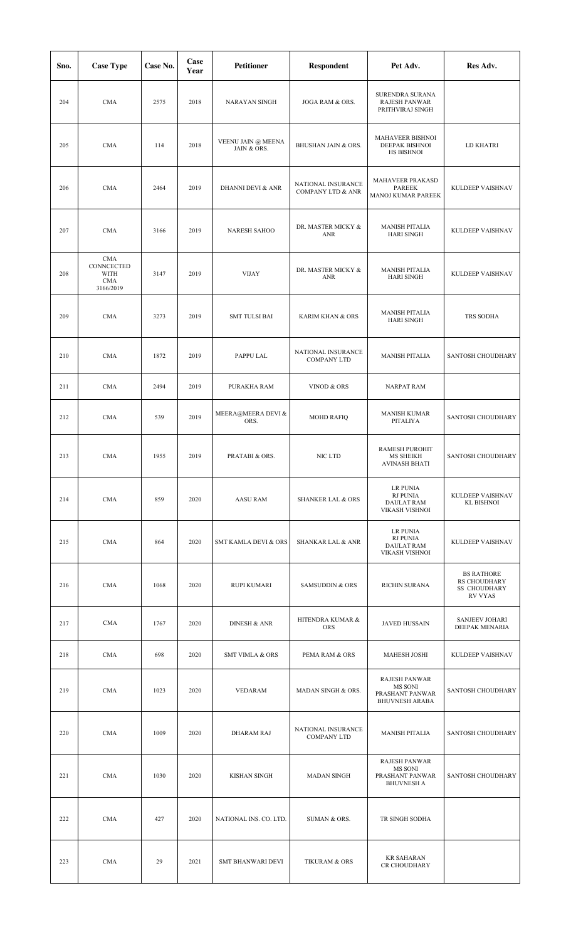| Sno. | <b>Case Type</b>                                            | Case No. | Case<br>Year | <b>Petitioner</b>                 | Respondent                                         | Pet Adv.                                                                    | Res Adv.                                                                          |
|------|-------------------------------------------------------------|----------|--------------|-----------------------------------|----------------------------------------------------|-----------------------------------------------------------------------------|-----------------------------------------------------------------------------------|
| 204  | <b>CMA</b>                                                  | 2575     | 2018         | <b>NARAYAN SINGH</b>              | JOGA RAM & ORS.                                    | SURENDRA SURANA<br>RAJESH PANWAR<br>PRITHVIRAJ SINGH                        |                                                                                   |
| 205  | <b>CMA</b>                                                  | 114      | 2018         | VEENU JAIN @ MEENA<br>JAIN & ORS. | BHUSHAN JAIN & ORS.                                | MAHAVEER BISHNOI<br>DEEPAK BISHNOI<br><b>HS BISHNOI</b>                     | LD KHATRI                                                                         |
| 206  | <b>CMA</b>                                                  | 2464     | 2019         | <b>DHANNI DEVI &amp; ANR</b>      | NATIONAL INSURANCE<br><b>COMPANY LTD &amp; ANR</b> | MAHAVEER PRAKASD<br><b>PAREEK</b><br>MANOJ KUMAR PAREEK                     | KULDEEP VAISHNAV                                                                  |
| 207  | <b>CMA</b>                                                  | 3166     | 2019         | <b>NARESH SAHOO</b>               | DR. MASTER MICKY &<br>ANR                          | <b>MANISH PITALIA</b><br><b>HARI SINGH</b>                                  | KULDEEP VAISHNAV                                                                  |
| 208  | <b>CMA</b><br>CONNCECTED<br>WITH<br><b>CMA</b><br>3166/2019 | 3147     | 2019         | <b>VIJAY</b>                      | DR. MASTER MICKY &<br>ANR                          | <b>MANISH PITALIA</b><br><b>HARI SINGH</b>                                  | KULDEEP VAISHNAV                                                                  |
| 209  | <b>CMA</b>                                                  | 3273     | 2019         | <b>SMT TULSI BAI</b>              | <b>KARIM KHAN &amp; ORS</b>                        | <b>MANISH PITALIA</b><br><b>HARI SINGH</b>                                  | TRS SODHA                                                                         |
| 210  | <b>CMA</b>                                                  | 1872     | 2019         | PAPPU LAL                         | NATIONAL INSURANCE<br><b>COMPANY LTD</b>           | <b>MANISH PITALIA</b>                                                       | SANTOSH CHOUDHARY                                                                 |
| 211  | <b>CMA</b>                                                  | 2494     | 2019         | PURAKHA RAM                       | VINOD & ORS                                        | <b>NARPAT RAM</b>                                                           |                                                                                   |
| 212  | <b>CMA</b>                                                  | 539      | 2019         | MEERA@MEERA DEVI &<br>ORS.        | <b>MOHD RAFIQ</b>                                  | <b>MANISH KUMAR</b><br>PITALIYA                                             | <b>SANTOSH CHOUDHARY</b>                                                          |
| 213  | <b>CMA</b>                                                  | 1955     | 2019         | PRATABI & ORS.                    | NIC LTD                                            | RAMESH PUROHIT<br><b>MS SHEIKH</b><br><b>AVINASH BHATI</b>                  | SANTOSH CHOUDHARY                                                                 |
| 214  | <b>CMA</b>                                                  | 859      | 2020         | <b>AASU RAM</b>                   | <b>SHANKER LAL &amp; ORS</b>                       | <b>LR PUNIA</b><br><b>RJ PUNIA</b><br><b>DAULAT RAM</b><br>VIKASH VISHNOI   | KULDEEP VAISHNAV<br><b>KL BISHNOI</b>                                             |
| 215  | <b>CMA</b>                                                  | 864      | 2020         | SMT KAMLA DEVI & ORS              | <b>SHANKAR LAL &amp; ANR</b>                       | LR PUNIA<br><b>RJ PUNIA</b><br><b>DAULAT RAM</b><br>VIKASH VISHNOI          | KULDEEP VAISHNAV                                                                  |
| 216  | <b>CMA</b>                                                  | 1068     | 2020         | <b>RUPI KUMARI</b>                | <b>SAMSUDDIN &amp; ORS</b>                         | <b>RICHIN SURANA</b>                                                        | <b>BS RATHORE</b><br><b>RS CHOUDHARY</b><br><b>SS CHOUDHARY</b><br><b>RV VYAS</b> |
| 217  | <b>CMA</b>                                                  | 1767     | 2020         | <b>DINESH &amp; ANR</b>           | HITENDRA KUMAR &<br><b>ORS</b>                     | <b>JAVED HUSSAIN</b>                                                        | <b>SANJEEV JOHARI</b><br>DEEPAK MENARIA                                           |
| 218  | <b>CMA</b>                                                  | 698      | 2020         | <b>SMT VIMLA &amp; ORS</b>        | PEMA RAM & ORS                                     | <b>MAHESH JOSHI</b>                                                         | KULDEEP VAISHNAV                                                                  |
| 219  | <b>CMA</b>                                                  | 1023     | 2020         | <b>VEDARAM</b>                    | MADAN SINGH & ORS.                                 | <b>RAJESH PANWAR</b><br>MS SONI<br>PRASHANT PANWAR<br><b>BHUVNESH ARABA</b> | SANTOSH CHOUDHARY                                                                 |
| 220  | <b>CMA</b>                                                  | 1009     | 2020         | <b>DHARAM RAJ</b>                 | NATIONAL INSURANCE<br><b>COMPANY LTD</b>           | <b>MANISH PITALIA</b>                                                       | SANTOSH CHOUDHARY                                                                 |
| 221  | <b>CMA</b>                                                  | 1030     | 2020         | <b>KISHAN SINGH</b>               | <b>MADAN SINGH</b>                                 | <b>RAJESH PANWAR</b><br>MS SONI<br>PRASHANT PANWAR<br><b>BHUVNESH A</b>     | SANTOSH CHOUDHARY                                                                 |
| 222  | <b>CMA</b>                                                  | 427      | 2020         | NATIONAL INS. CO. LTD.            | SUMAN & ORS.                                       | TR SINGH SODHA                                                              |                                                                                   |
| 223  | <b>CMA</b>                                                  | 29       | 2021         | <b>SMT BHANWARI DEVI</b>          | <b>TIKURAM &amp; ORS</b>                           | <b>KR SAHARAN</b><br>CR CHOUDHARY                                           |                                                                                   |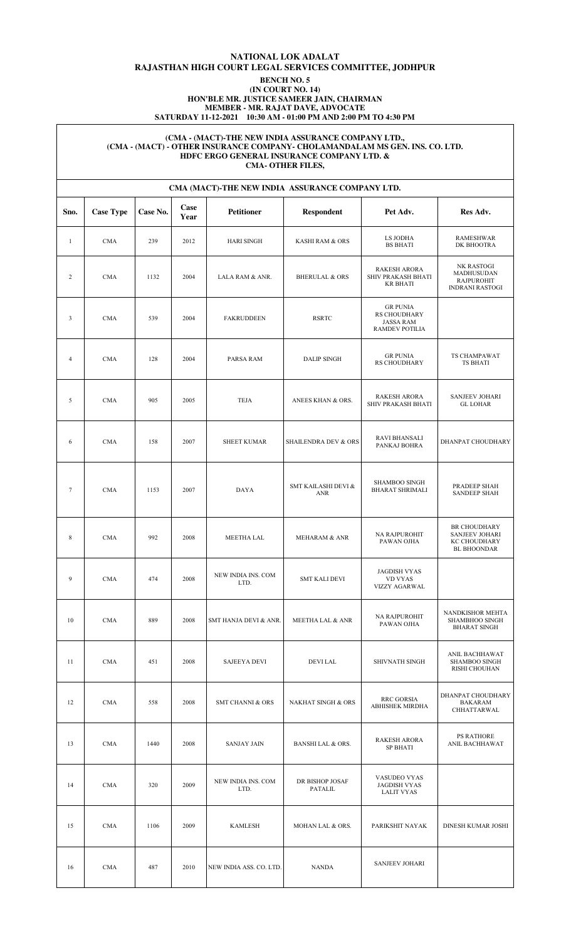## **NATIONAL LOK ADALAT RAJASTHAN HIGH COURT LEGAL SERVICES COMMITTEE, JODHPUR BENCH NO. 5**

### **(IN COURT NO. 14) HON'BLE MR. JUSTICE SAMEER JAIN, CHAIRMAN MEMBER - MR. RAJAT DAVE, ADVOCATE SATURDAY 11-12-2021 10:30 AM - 01:00 PM AND 2:00 PM TO 4:30 PM**

### **(CMA - (MACT)-THE NEW INDIA ASSURANCE COMPANY LTD., (CMA - (MACT) - OTHER INSURANCE COMPANY- CHOLAMANDALAM MS GEN. INS. CO. LTD. HDFC ERGO GENERAL INSURANCE COMPANY LTD. & CMA- OTHER FILES,**

|                | CMA (MACT)-THE NEW INDIA ASSURANCE COMPANY LTD. |          |              |                             |                                   |                                                                       |                                                                                           |  |  |  |  |  |
|----------------|-------------------------------------------------|----------|--------------|-----------------------------|-----------------------------------|-----------------------------------------------------------------------|-------------------------------------------------------------------------------------------|--|--|--|--|--|
| Sno.           | <b>Case Type</b>                                | Case No. | Case<br>Year | <b>Petitioner</b>           | <b>Respondent</b>                 | Pet Adv.                                                              | Res Adv.                                                                                  |  |  |  |  |  |
| $\mathbf{1}$   | <b>CMA</b>                                      | 239      | 2012         | <b>HARI SINGH</b>           | KASHI RAM & ORS                   | LS JODHA<br><b>BS BHATI</b>                                           | <b>RAMESHWAR</b><br>DK BHOOTRA                                                            |  |  |  |  |  |
| $\overline{2}$ | <b>CMA</b>                                      | 1132     | 2004         | LALA RAM & ANR.             | <b>BHERULAL &amp; ORS</b>         | <b>RAKESH ARORA</b><br>SHIV PRAKASH BHATI<br><b>KR BHATI</b>          | NK RASTOGI<br>MADHUSUDAN<br><b>RAJPUROHIT</b><br><b>INDRANI RASTOGI</b>                   |  |  |  |  |  |
| 3              | <b>CMA</b>                                      | 539      | 2004         | <b>FAKRUDDEEN</b>           | <b>RSRTC</b>                      | <b>GR PUNIA</b><br>RS CHOUDHARY<br><b>JASSA RAM</b><br>RAMDEV POTILIA |                                                                                           |  |  |  |  |  |
| $\overline{4}$ | <b>CMA</b>                                      | 128      | 2004         | PARSA RAM                   | <b>DALIP SINGH</b>                | <b>GR PUNIA</b><br>RS CHOUDHARY                                       | TS CHAMPAWAT<br>TS BHATI                                                                  |  |  |  |  |  |
| 5              | <b>CMA</b>                                      | 905      | 2005         | <b>TEJA</b>                 | ANEES KHAN & ORS.                 | <b>RAKESH ARORA</b><br><b>SHIV PRAKASH BHATI</b>                      | <b>SANJEEV JOHARI</b><br><b>GL LOHAR</b>                                                  |  |  |  |  |  |
| 6              | <b>CMA</b>                                      | 158      | 2007         | <b>SHEET KUMAR</b>          | <b>SHAILENDRA DEV &amp; ORS</b>   | <b>RAVI BHANSALI</b><br>PANKAJ BOHRA                                  | DHANPAT CHOUDHARY                                                                         |  |  |  |  |  |
| $\overline{7}$ | <b>CMA</b>                                      | 1153     | 2007         | <b>DAYA</b>                 | SMT KAILASHI DEVI &<br><b>ANR</b> | SHAMBOO SINGH<br><b>BHARAT SHRIMALI</b>                               | PRADEEP SHAH<br><b>SANDEEP SHAH</b>                                                       |  |  |  |  |  |
| 8              | <b>CMA</b>                                      | 992      | 2008         | <b>MEETHA LAL</b>           | <b>MEHARAM &amp; ANR</b>          | NA RAJPUROHIT<br>PAWAN OJHA                                           | <b>BR CHOUDHARY</b><br><b>SANJEEV JOHARI</b><br><b>KC CHOUDHARY</b><br><b>BL BHOONDAR</b> |  |  |  |  |  |
| 9              | <b>CMA</b>                                      | 474      | 2008         | NEW INDIA INS. COM<br>LTD.  | <b>SMT KALI DEVI</b>              | <b>JAGDISH VYAS</b><br><b>VD VYAS</b><br><b>VIZZY AGARWAL</b>         |                                                                                           |  |  |  |  |  |
| 10             | <b>CMA</b>                                      | 889      | 2008         | SMT HANJA DEVI & ANR.       | <b>MEETHA LAL &amp; ANR</b>       | NA RAJPUROHIT<br>PAWAN OJHA                                           | NANDKISHOR MEHTA<br>SHAMBHOO SINGH<br><b>BHARAT SINGH</b>                                 |  |  |  |  |  |
| 11             | <b>CMA</b>                                      | 451      | 2008         | <b>SAJEEYA DEVI</b>         | <b>DEVILAL</b>                    | SHIVNATH SINGH                                                        | ANIL BACHHAWAT<br><b>SHAMBOO SINGH</b><br>RISHI CHOUHAN                                   |  |  |  |  |  |
| 12             | <b>CMA</b>                                      | 558      | 2008         | <b>SMT CHANNI &amp; ORS</b> | <b>NAKHAT SINGH &amp; ORS</b>     | <b>RRC GORSIA</b><br><b>ABHISHEK MIRDHA</b>                           | DHANPAT CHOUDHARY<br>BAKARAM<br>CHHATTARWAL                                               |  |  |  |  |  |
| 13             | <b>CMA</b>                                      | 1440     | 2008         | <b>SANJAY JAIN</b>          | <b>BANSHI LAL &amp; ORS.</b>      | <b>RAKESH ARORA</b><br><b>SP BHATI</b>                                | <b>PS RATHORE</b><br>ANIL BACHHAWAT                                                       |  |  |  |  |  |
| 14             | <b>CMA</b>                                      | 320      | 2009         | NEW INDIA INS. COM<br>LTD.  | DR BISHOP JOSAF<br>PATALIL        | VASUDEO VYAS<br><b>JAGDISH VYAS</b><br><b>LALIT VYAS</b>              |                                                                                           |  |  |  |  |  |
| 15             | $\rm CMA$                                       | 1106     | 2009         | <b>KAMLESH</b>              | MOHAN LAL & ORS.                  | PARIKSHIT NAYAK                                                       | DINESH KUMAR JOSHI                                                                        |  |  |  |  |  |
| 16             | <b>CMA</b>                                      | 487      | 2010         | NEW INDIA ASS. CO. LTD.     | <b>NANDA</b>                      | <b>SANJEEV JOHARI</b>                                                 |                                                                                           |  |  |  |  |  |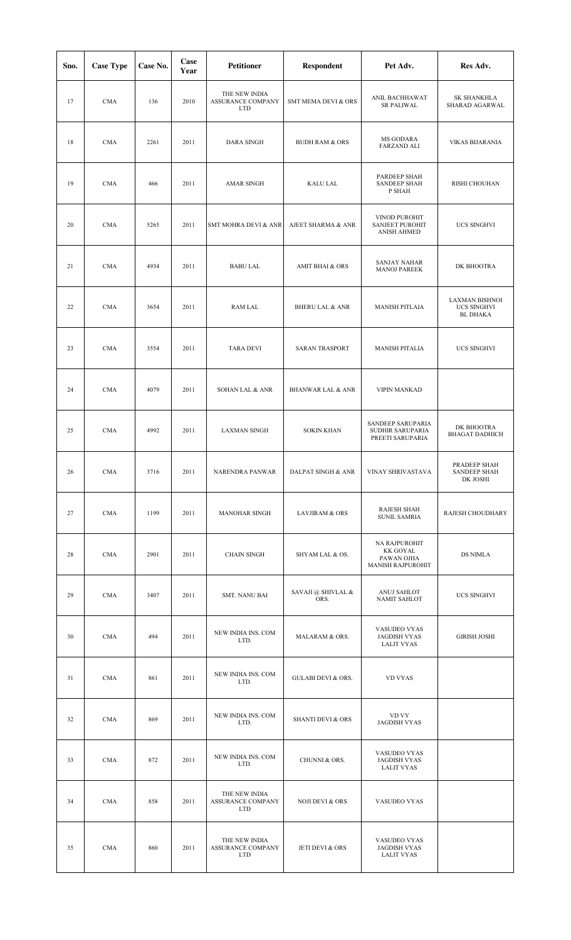| Sno. | <b>Case Type</b> | Case No. | Case<br>Year | <b>Petitioner</b>                                | <b>Respondent</b>             | Pet Adv.                                                      | Res Adv.                                                       |
|------|------------------|----------|--------------|--------------------------------------------------|-------------------------------|---------------------------------------------------------------|----------------------------------------------------------------|
| 17   | <b>CMA</b>       | 136      | 2010         | THE NEW INDIA<br>ASSURANCE COMPANY<br><b>LTD</b> | SMT MEMA DEVI & ORS           | ANIL BACHHAWAT<br><b>SR PALIWAL</b>                           | SK SHANKHLA<br>SHARAD AGARWAL                                  |
| 18   | <b>CMA</b>       | 2261     | 2011         | <b>DARA SINGH</b>                                | <b>BUDH RAM &amp; ORS</b>     | MS GODARA<br><b>FARZAND ALI</b>                               | <b>VIKAS BIJARANIA</b>                                         |
| 19   | <b>CMA</b>       | 466      | 2011         | <b>AMAR SINGH</b>                                | <b>KALU LAL</b>               | PARDEEP SHAH<br>SANDEEP SHAH<br>P SHAH                        | RISHI CHOUHAN                                                  |
| 20   | <b>CMA</b>       | 5265     | 2011         | SMT MOHRA DEVI & ANR                             | AJEET SHARMA & ANR            | VINOD PUROHIT<br><b>SANJEET PUROHIT</b><br><b>ANISH AHMED</b> | UCS SINGHVI                                                    |
| 21   | <b>CMA</b>       | 4934     | 2011         | <b>BABU LAL</b>                                  | AMIT BHAI & ORS               | <b>SANJAY NAHAR</b><br><b>MANOJ PAREEK</b>                    | DK BHOOTRA                                                     |
| 22   | <b>CMA</b>       | 3654     | 2011         | RAM LAL                                          | <b>BHERU LAL &amp; ANR</b>    | <b>MANISH PITLAIA</b>                                         | <b>LAXMAN BISHNOI</b><br><b>UCS SINGHVI</b><br><b>BL DHAKA</b> |
| 23   | <b>CMA</b>       | 3554     | 2011         | <b>TARA DEVI</b>                                 | <b>SARAN TRASPORT</b>         | <b>MANISH PITALIA</b>                                         | UCS SINGHVI                                                    |
| 24   | <b>CMA</b>       | 4079     | 2011         | <b>SOHAN LAL &amp; ANR</b>                       | <b>BHANWAR LAL &amp; ANR</b>  | <b>VIPIN MANKAD</b>                                           |                                                                |
| 25   | <b>CMA</b>       | 4992     | 2011         | <b>LAXMAN SINGH</b>                              | <b>SOKIN KHAN</b>             | SANDEEP SARUPARIA<br>SUDHIR SARUPARIA<br>PREETI SARUPARIA     | DK BHOOTRA<br><b>BHAGAT DADHICH</b>                            |
| 26   | <b>CMA</b>       | 3716     | 2011         | NARENDRA PANWAR                                  | <b>DALPAT SINGH &amp; ANR</b> | VINAY SHRIVASTAVA                                             | PRADEEP SHAH<br>SANDEEP SHAH<br>DK JOSHI                       |
| 27   | <b>CMA</b>       | 1199     | 2011         | <b>MANOHAR SINGH</b>                             | <b>LAVJIRAM &amp; ORS</b>     | <b>RAJESH SHAH</b><br><b>SUNIL SAMRIA</b>                     | RAJESH CHOUDHARY                                               |
| 28   | <b>CMA</b>       | 2901     | 2011         | <b>CHAIN SINGH</b>                               | SHYAM LAL & OS.               | NA RAJPUROHIT<br>KK GOYAL<br>PAWAN OJHA<br>MANISH RAJPUROHIT  | DS NIMLA                                                       |
| 29   | <b>CMA</b>       | 3407     | 2011         | SMT. NANU BAI                                    | SAVAJI @ SHIVLAL &<br>ORS.    | ANUJ SAHLOT<br><b>NAMIT SAHLOT</b>                            | UCS SINGHVI                                                    |
| 30   | <b>CMA</b>       | 494      | 2011         | NEW INDIA INS. COM<br>LTD.                       | MALARAM & ORS.                | VASUDEO VYAS<br><b>JAGDISH VYAS</b><br><b>LALIT VYAS</b>      | <b>GIRISH JOSHI</b>                                            |
| 31   | <b>CMA</b>       | 861      | 2011         | NEW INDIA INS. COM<br>LTD.                       | <b>GULABI DEVI &amp; ORS.</b> | <b>VD VYAS</b>                                                |                                                                |
| 32   | <b>CMA</b>       | 869      | 2011         | NEW INDIA INS. COM<br>LTD.                       | <b>SHANTI DEVI &amp; ORS</b>  | VD VY<br><b>JAGDISH VYAS</b>                                  |                                                                |
| 33   | <b>CMA</b>       | 872      | 2011         | NEW INDIA INS. COM<br>LTD.                       | CHUNNI & ORS.                 | VASUDEO VYAS<br><b>JAGDISH VYAS</b><br><b>LALIT VYAS</b>      |                                                                |
| 34   | <b>CMA</b>       | 858      | 2011         | THE NEW INDIA<br>ASSURANCE COMPANY<br><b>LTD</b> | <b>NOJI DEVI &amp; ORS</b>    | VASUDEO VYAS                                                  |                                                                |
| 35   | <b>CMA</b>       | 860      | 2011         | THE NEW INDIA<br>ASSURANCE COMPANY<br><b>LTD</b> | JETI DEVI & ORS               | VASUDEO VYAS<br><b>JAGDISH VYAS</b><br><b>LALIT VYAS</b>      |                                                                |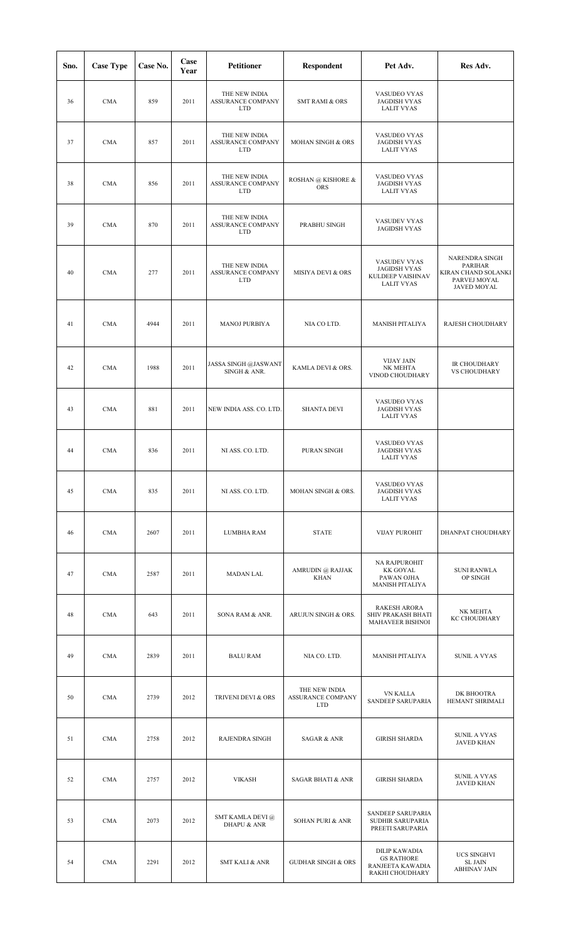| Sno. | <b>Case Type</b> | Case No. | Case<br>Year | <b>Petitioner</b>                                       | <b>Respondent</b>                                | Pet Adv.                                                                         | Res Adv.                                                                               |
|------|------------------|----------|--------------|---------------------------------------------------------|--------------------------------------------------|----------------------------------------------------------------------------------|----------------------------------------------------------------------------------------|
| 36   | <b>CMA</b>       | 859      | 2011         | THE NEW INDIA<br><b>ASSURANCE COMPANY</b><br><b>LTD</b> | <b>SMT RAMI &amp; ORS</b>                        | VASUDEO VYAS<br><b>JAGDISH VYAS</b><br><b>LALIT VYAS</b>                         |                                                                                        |
| 37   | <b>CMA</b>       | 857      | 2011         | THE NEW INDIA<br>ASSURANCE COMPANY<br><b>LTD</b>        | MOHAN SINGH & ORS                                | VASUDEO VYAS<br><b>JAGDISH VYAS</b><br><b>LALIT VYAS</b>                         |                                                                                        |
| 38   | <b>CMA</b>       | 856      | 2011         | THE NEW INDIA<br>ASSURANCE COMPANY<br><b>LTD</b>        | ROSHAN @ KISHORE &<br><b>ORS</b>                 | VASUDEO VYAS<br><b>JAGDISH VYAS</b><br><b>LALIT VYAS</b>                         |                                                                                        |
| 39   | <b>CMA</b>       | 870      | 2011         | THE NEW INDIA<br>ASSURANCE COMPANY<br><b>LTD</b>        | PRABHU SINGH                                     | VASUDEV VYAS<br><b>JAGIDSH VYAS</b>                                              |                                                                                        |
| 40   | <b>CMA</b>       | 277      | 2011         | THE NEW INDIA<br><b>ASSURANCE COMPANY</b><br><b>LTD</b> | <b>MISIYA DEVI &amp; ORS</b>                     | VASUDEV VYAS<br><b>JAGIDSH VYAS</b><br>KULDEEP VAISHNAV<br><b>LALIT VYAS</b>     | NARENDRA SINGH<br><b>PARIHAR</b><br>KIRAN CHAND SOLANKI<br>PARVEJ MOYAL<br>JAVED MOYAL |
| 41   | <b>CMA</b>       | 4944     | 2011         | <b>MANOJ PURBIYA</b>                                    | NIA CO LTD.                                      | <b>MANISH PITALIYA</b>                                                           | RAJESH CHOUDHARY                                                                       |
| 42   | <b>CMA</b>       | 1988     | 2011         | JASSA SINGH @JASWANT<br>SINGH & ANR.                    | KAMLA DEVI & ORS.                                | <b>VIJAY JAIN</b><br>NK MEHTA<br>VINOD CHOUDHARY                                 | IR CHOUDHARY<br><b>VS CHOUDHARY</b>                                                    |
| 43   | <b>CMA</b>       | 881      | 2011         | NEW INDIA ASS. CO. LTD.                                 | <b>SHANTA DEVI</b>                               | VASUDEO VYAS<br><b>JAGDISH VYAS</b><br><b>LALIT VYAS</b>                         |                                                                                        |
| 44   | <b>CMA</b>       | 836      | 2011         | NI ASS. CO. LTD.                                        | PURAN SINGH                                      | VASUDEO VYAS<br><b>JAGDISH VYAS</b><br><b>LALIT VYAS</b>                         |                                                                                        |
| 45   | <b>CMA</b>       | 835      | 2011         | NI ASS. CO. LTD.                                        | MOHAN SINGH & ORS.                               | VASUDEO VYAS<br><b>JAGDISH VYAS</b><br><b>LALIT VYAS</b>                         |                                                                                        |
| 46   | <b>CMA</b>       | 2607     | 2011         | LUMBHA RAM                                              | <b>STATE</b>                                     | <b>VIJAY PUROHIT</b>                                                             | DHANPAT CHOUDHARY                                                                      |
| 47   | <b>CMA</b>       | 2587     | 2011         | <b>MADAN LAL</b>                                        | AMRUDIN @ RAJJAK<br><b>KHAN</b>                  | NA RAJPUROHIT<br><b>KK GOYAL</b><br>PAWAN OJHA<br>MANISH PITALIYA                | <b>SUNI RANWLA</b><br>OP SINGH                                                         |
| 48   | <b>CMA</b>       | 643      | 2011         | SONA RAM & ANR.                                         | ARUJUN SINGH & ORS.                              | <b>RAKESH ARORA</b><br>SHIV PRAKASH BHATI<br>MAHAVEER BISHNOI                    | NK MEHTA<br>KC CHOUDHARY                                                               |
| 49   | <b>CMA</b>       | 2839     | 2011         | <b>BALU RAM</b>                                         | NIA CO. LTD.                                     | MANISH PITALIYA                                                                  | <b>SUNIL A VYAS</b>                                                                    |
| 50   | <b>CMA</b>       | 2739     | 2012         | TRIVENI DEVI & ORS                                      | THE NEW INDIA<br>ASSURANCE COMPANY<br><b>LTD</b> | <b>VN KALLA</b><br>SANDEEP SARUPARIA                                             | DK BHOOTRA<br>HEMANT SHRIMALI                                                          |
| 51   | <b>CMA</b>       | 2758     | 2012         | RAJENDRA SINGH                                          | <b>SAGAR &amp; ANR</b>                           | <b>GIRISH SHARDA</b>                                                             | <b>SUNIL A VYAS</b><br><b>JAVED KHAN</b>                                               |
| 52   | <b>CMA</b>       | 2757     | 2012         | <b>VIKASH</b>                                           | <b>SAGAR BHATI &amp; ANR</b>                     | <b>GIRISH SHARDA</b>                                                             | <b>SUNIL A VYAS</b><br><b>JAVED KHAN</b>                                               |
| 53   | <b>CMA</b>       | 2073     | 2012         | SMT KAMLA DEVI@<br><b>DHAPU &amp; ANR</b>               | <b>SOHAN PURI &amp; ANR</b>                      | SANDEEP SARUPARIA<br>SUDHIR SARUPARIA<br>PREETI SARUPARIA                        |                                                                                        |
| 54   | <b>CMA</b>       | 2291     | 2012         | <b>SMT KALI &amp; ANR</b>                               | <b>GUDHAR SINGH &amp; ORS</b>                    | <b>DILIP KAWADIA</b><br><b>GS RATHORE</b><br>RANJEETA KAWADIA<br>RAKHI CHOUDHARY | UCS SINGHVI<br><b>SL JAIN</b><br><b>ABHINAV JAIN</b>                                   |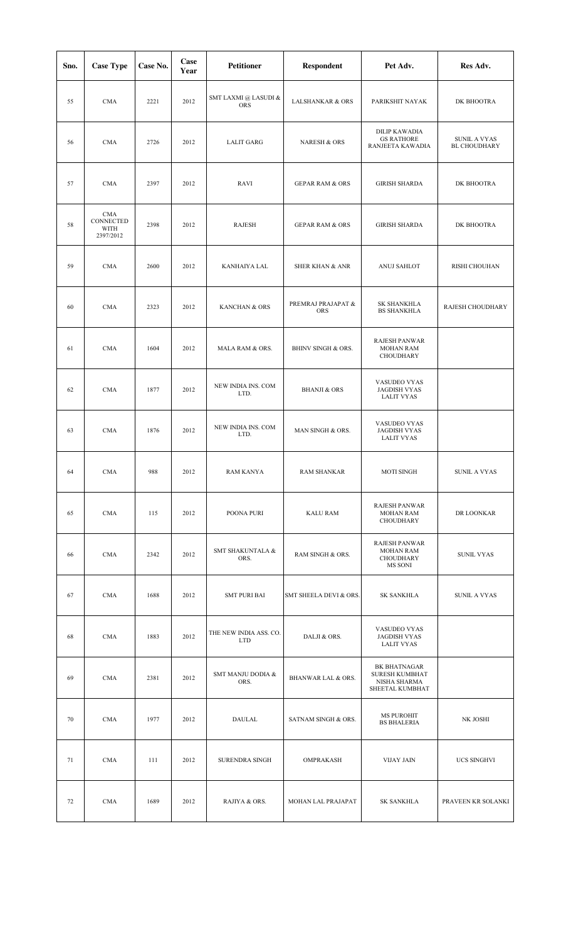| Sno. | <b>Case Type</b>                             | Case No. | Case<br>Year | <b>Petitioner</b>                    | <b>Respondent</b>                | Pet Adv.                                                                        | Res Adv.                            |
|------|----------------------------------------------|----------|--------------|--------------------------------------|----------------------------------|---------------------------------------------------------------------------------|-------------------------------------|
| 55   | <b>CMA</b>                                   | 2221     | 2012         | SMT LAXMI @ LASUDI &<br><b>ORS</b>   | <b>LALSHANKAR &amp; ORS</b>      | PARIKSHIT NAYAK                                                                 | DK BHOOTRA                          |
| 56   | <b>CMA</b>                                   | 2726     | 2012         | <b>LALIT GARG</b>                    | <b>NARESH &amp; ORS</b>          | <b>DILIP KAWADIA</b><br><b>GS RATHORE</b><br>RANJEETA KAWADIA                   | SUNIL A VYAS<br><b>BL CHOUDHARY</b> |
| 57   | <b>CMA</b>                                   | 2397     | 2012         | RAVI                                 | <b>GEPAR RAM &amp; ORS</b>       | <b>GIRISH SHARDA</b>                                                            | DK BHOOTRA                          |
| 58   | <b>CMA</b><br>CONNECTED<br>WITH<br>2397/2012 | 2398     | 2012         | RAJESH                               | <b>GEPAR RAM &amp; ORS</b>       | <b>GIRISH SHARDA</b>                                                            | DK BHOOTRA                          |
| 59   | <b>CMA</b>                                   | 2600     | 2012         | KANHAIYA LAL                         | <b>SHER KHAN &amp; ANR</b>       | ANUJ SAHLOT                                                                     | RISHI CHOUHAN                       |
| 60   | <b>CMA</b>                                   | 2323     | 2012         | KANCHAN & ORS                        | PREMRAJ PRAJAPAT &<br><b>ORS</b> | <b>SK SHANKHLA</b><br><b>BS SHANKHLA</b>                                        | RAJESH CHOUDHARY                    |
| 61   | <b>CMA</b>                                   | 1604     | 2012         | MALA RAM & ORS.                      | <b>BHINV SINGH &amp; ORS.</b>    | <b>RAJESH PANWAR</b><br><b>MOHAN RAM</b><br>CHOUDHARY                           |                                     |
| 62   | <b>CMA</b>                                   | 1877     | 2012         | NEW INDIA INS. COM<br>LTD.           | <b>BHANJI &amp; ORS</b>          | VASUDEO VYAS<br><b>JAGDISH VYAS</b><br><b>LALIT VYAS</b>                        |                                     |
| 63   | <b>CMA</b>                                   | 1876     | 2012         | NEW INDIA INS. COM<br>LTD.           | MAN SINGH & ORS.                 | VASUDEO VYAS<br><b>JAGDISH VYAS</b><br><b>LALIT VYAS</b>                        |                                     |
| 64   | CMA                                          | 988      | 2012         | RAM KANYA                            | <b>RAM SHANKAR</b>               | <b>MOTI SINGH</b>                                                               | SUNIL A VYAS                        |
| 65   | <b>CMA</b>                                   | 115      | 2012         | POONA PURI                           | <b>KALU RAM</b>                  | <b>RAJESH PANWAR</b><br><b>MOHAN RAM</b><br>CHOUDHARY                           | DR LOONKAR                          |
| 66   | <b>CMA</b>                                   | 2342     | 2012         | <b>SMT SHAKUNTALA &amp;</b><br>ORS.  | RAM SINGH & ORS.                 | <b>RAJESH PANWAR</b><br><b>MOHAN RAM</b><br><b>CHOUDHARY</b><br>MS SONI         | <b>SUNIL VYAS</b>                   |
| 67   | <b>CMA</b>                                   | 1688     | 2012         | <b>SMT PURI BAI</b>                  | SMT SHEELA DEVI & ORS.           | <b>SK SANKHLA</b>                                                               | <b>SUNIL A VYAS</b>                 |
| 68   | <b>CMA</b>                                   | 1883     | 2012         | THE NEW INDIA ASS. CO.<br><b>LTD</b> | DALJI & ORS.                     | VASUDEO VYAS<br><b>JAGDISH VYAS</b><br><b>LALIT VYAS</b>                        |                                     |
| 69   | <b>CMA</b>                                   | 2381     | 2012         | SMT MANJU DODIA &<br>ORS.            | <b>BHANWAR LAL &amp; ORS.</b>    | <b>BK BHATNAGAR</b><br><b>SURESH KUMBHAT</b><br>NISHA SHARMA<br>SHEETAL KUMBHAT |                                     |
| 70   | <b>CMA</b>                                   | 1977     | 2012         | DAULAL                               | SATNAM SINGH & ORS.              | <b>MS PUROHIT</b><br><b>BS BHALERIA</b>                                         | NK JOSHI                            |
| 71   | <b>CMA</b>                                   | 111      | 2012         | <b>SURENDRA SINGH</b>                | OMPRAKASH                        | VIJAY JAIN                                                                      | UCS SINGHVI                         |
| 72   | <b>CMA</b>                                   | 1689     | 2012         | RAJIYA & ORS.                        | MOHAN LAL PRAJAPAT               | <b>SK SANKHLA</b>                                                               | PRAVEEN KR SOLANKI                  |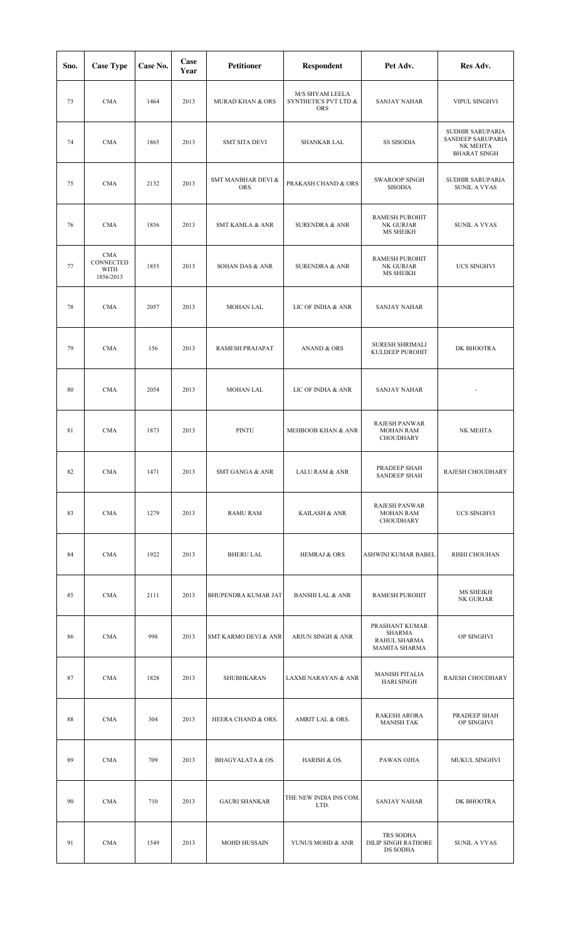| Sno. | <b>Case Type</b>                                    | Case No. | Case<br>Year | <b>Petitioner</b>                | Respondent                                            | Pet Adv.                                                  | Res Adv.                                                                 |
|------|-----------------------------------------------------|----------|--------------|----------------------------------|-------------------------------------------------------|-----------------------------------------------------------|--------------------------------------------------------------------------|
| 73   | <b>CMA</b>                                          | 1464     | 2013         | <b>MURAD KHAN &amp; ORS</b>      | M/S SHYAM LEELA<br>SYNTHETICS PVT LTD &<br><b>ORS</b> | <b>SANJAY NAHAR</b>                                       | VIPUL SINGHVI                                                            |
| 74   | <b>CMA</b>                                          | 1865     | 2013         | <b>SMT SITA DEVI</b>             | <b>SHANKAR LAL</b>                                    | <b>SS SISODIA</b>                                         | SUDHIR SARUPARIA<br>SANDEEP SARUPARIA<br>NK MEHTA<br><b>BHARAT SINGH</b> |
| 75   | <b>CMA</b>                                          | 2132     | 2013         | SMT MANBHAR DEVI &<br><b>ORS</b> | PRAKASH CHAND & ORS                                   | <b>SWAROOP SINGH</b><br><b>SISODIA</b>                    | SUDHIR SARUPARIA<br>SUNIL A VYAS                                         |
| 76   | <b>CMA</b>                                          | 1856     | 2013         | <b>SMT KAMLA &amp; ANR</b>       | <b>SURENDRA &amp; ANR</b>                             | RAMESH PUROHIT<br>NK GURJAR<br>MS SHEIKH                  | <b>SUNIL A VYAS</b>                                                      |
| 77   | <b>CMA</b><br>CONNECTED<br><b>WITH</b><br>1856/2013 | 1855     | 2013         | SOHAN DAS & ANR                  | <b>SURENDRA &amp; ANR</b>                             | RAMESH PUROHIT<br>NK GURJAR<br>MS SHEIKH                  | <b>UCS SINGHVI</b>                                                       |
| 78   | <b>CMA</b>                                          | 2057     | 2013         | <b>MOHAN LAL</b>                 | LIC OF INDIA & ANR                                    | <b>SANJAY NAHAR</b>                                       |                                                                          |
| 79   | <b>CMA</b>                                          | 156      | 2013         | RAMESH PRAJAPAT                  | <b>ANAND &amp; ORS</b>                                | SURESH SHRIMALI<br>KULDEEP PUROHIT                        | DK BHOOTRA                                                               |
| 80   | <b>CMA</b>                                          | 2054     | 2013         | <b>MOHAN LAL</b>                 | LIC OF INDIA & ANR                                    | <b>SANJAY NAHAR</b>                                       |                                                                          |
| 81   | <b>CMA</b>                                          | 1873     | 2013         | PINTU                            | MEHBOOB KHAN & ANR                                    | RAJESH PANWAR<br><b>MOHAN RAM</b><br><b>CHOUDHARY</b>     | NK MEHTA                                                                 |
| 82   | <b>CMA</b>                                          | 1471     | 2013         | SMT GANGA & ANR                  | LALU RAM & ANR                                        | PRADEEP SHAH<br><b>SANDEEP SHAH</b>                       | RAJESH CHOUDHARY                                                         |
| 83   | <b>CMA</b>                                          | 1279     | 2013         | <b>RAMU RAM</b>                  | KAILASH & ANR                                         | <b>RAJESH PANWAR</b><br><b>MOHAN RAM</b><br>CHOUDHARY     | <b>UCS SINGHVI</b>                                                       |
| 84   | <b>CMA</b>                                          | 1922     | 2013         | <b>BHERU LAL</b>                 | <b>HEMRAJ &amp; ORS</b>                               | ASHWINI KUMAR BABEL                                       | RISHI CHOUHAN                                                            |
| 85   | <b>CMA</b>                                          | 2111     | 2013         | BHUPENDRA KUMAR JAT              | <b>BANSHI LAL &amp; ANR</b>                           | RAMESH PUROHIT                                            | MS SHEIKH<br>NK GURJAR                                                   |
| 86   | <b>CMA</b>                                          | 998      | 2013         | SMT KARMO DEVI & ANR             | ARJUN SINGH & ANR                                     | PRASHANT KUMAR<br>SHARMA<br>RAHUL SHARMA<br>MAMITA SHARMA | OP SINGHVI                                                               |
| 87   | <b>CMA</b>                                          | 1828     | 2013         | SHUBHKARAN                       | LAXMI NARAYAN & ANR                                   | <b>MANISH PITALIA</b><br><b>HARI SINGH</b>                | RAJESH CHOUDHARY                                                         |
| 88   | <b>CMA</b>                                          | 304      | 2013         | HEERA CHAND & ORS.               | AMRIT LAL & ORS.                                      | <b>RAKESH ARORA</b><br><b>MANISH TAK</b>                  | PRADEEP SHAH<br>OP SINGHVI                                               |
| 89   | <b>CMA</b>                                          | 709      | 2013         | BHAGYALATA & OS.                 | HARISH & OS.                                          | PAWAN OJHA                                                | MUKUL SINGHVI                                                            |
| 90   | <b>CMA</b>                                          | 710      | 2013         | <b>GAURI SHANKAR</b>             | THE NEW INDIA INS COM.<br>LTD.                        | <b>SANJAY NAHAR</b>                                       | DK BHOOTRA                                                               |
| 91   | <b>CMA</b>                                          | 1549     | 2013         | <b>MOHD HUSSAIN</b>              | YUNUS MOHD & ANR                                      | TRS SODHA<br>DILIP SINGH RATHORE<br>DS SODHA              | <b>SUNIL A VYAS</b>                                                      |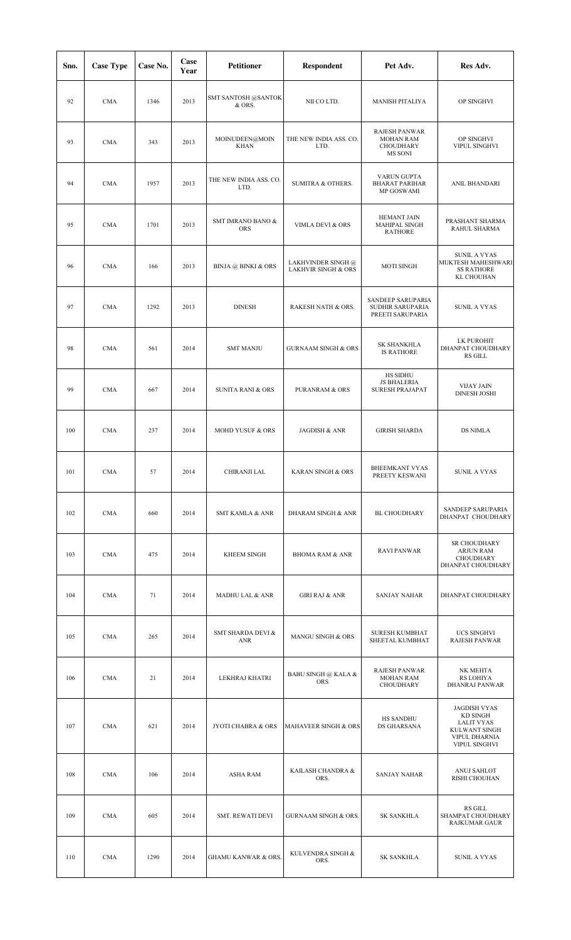| Sno. | <b>Case Type</b> | Case No. | Case<br>Year | <b>Petitioner</b>               | <b>Respondent</b>                                    | Pet Adv.                                                  | Res Adv.                                                                                                |
|------|------------------|----------|--------------|---------------------------------|------------------------------------------------------|-----------------------------------------------------------|---------------------------------------------------------------------------------------------------------|
| 92   | <b>CMA</b>       | 1346     | 2013         | SMT SANTOSH @SANTOK<br>& ORS.   | NII CO LTD.                                          | <b>MANISH PITALIYA</b>                                    | OP SINGHVI                                                                                              |
| 93   | <b>CMA</b>       | 343      | 2013         | MOINUDEEN@MOIN<br><b>KHAN</b>   | THE NEW INDIA ASS. CO.<br>LTD.                       | RAJESH PANWAR<br><b>MOHAN RAM</b><br>CHOUDHARY<br>MS SONI | OP SINGHVI<br>VIPUL SINGHVI                                                                             |
| 94   | <b>CMA</b>       | 1957     | 2013         | THE NEW INDIA ASS. CO.<br>LTD.  | <b>SUMITRA &amp; OTHERS.</b>                         | VARUN GUPTA<br><b>BHARAT PARIHAR</b><br>MP GOSWAMI        | <b>ANIL BHANDARI</b>                                                                                    |
| 95   | <b>CMA</b>       | 1701     | 2013         | SMT IMRANO BANO &<br><b>ORS</b> | VIMLA DEVI & ORS                                     | <b>HEMANT JAIN</b><br>MAHIPAL SINGH<br><b>RATHORE</b>     | PRASHANT SHARMA<br>RAHUL SHARMA                                                                         |
| 96   | <b>CMA</b>       | 166      | 2013         | <b>BINJA</b> @ BINKI & ORS      | LAKHVINDER SINGH @<br><b>LAKHVIR SINGH &amp; ORS</b> | <b>MOTI SINGH</b>                                         | <b>SUNIL A VYAS</b><br>MUKTESH MAHESHWARI<br><b>SS RATHORE</b><br><b>KL CHOUHAN</b>                     |
| 97   | <b>CMA</b>       | 1292     | 2013         | <b>DINESH</b>                   | RAKESH NATH & ORS.                                   | SANDEEP SARUPARIA<br>SUDHIR SARUPARIA<br>PREETI SARUPARIA | <b>SUNIL A VYAS</b>                                                                                     |
| 98   | <b>CMA</b>       | 561      | 2014         | <b>SMT MANJU</b>                | <b>GURNAAM SINGH &amp; ORS</b>                       | <b>SK SHANKHLA</b><br><b>IS RATHORE</b>                   | LK PUROHIT<br>DHANPAT CHOUDHARY<br><b>RS GILL</b>                                                       |
| 99   | <b>CMA</b>       | 667      | 2014         | <b>SUNITA RANI &amp; ORS</b>    | <b>PURANRAM &amp; ORS</b>                            | HS SIDHU<br><b>JS BHALERIA</b><br><b>SURESH PRAJAPAT</b>  | <b>VIJAY JAIN</b><br><b>DINESH JOSHI</b>                                                                |
| 100  | <b>CMA</b>       | 237      | 2014         | MOHD YUSUF & ORS                | JAGDISH & ANR                                        | <b>GIRISH SHARDA</b>                                      | <b>DS NIMLA</b>                                                                                         |
| 101  | <b>CMA</b>       | 57       | 2014         | CHIRANJI LAL                    | KARAN SINGH & ORS                                    | BHEEMKANT VYAS<br>PREETY KESWANI                          | SUNIL A VYAS                                                                                            |
| 102  | <b>CMA</b>       | 660      | 2014         | <b>SMT KAMLA &amp; ANR</b>      | DHARAM SINGH & ANR                                   | <b>BL CHOUDHARY</b>                                       | SANDEEP SARUPARIA<br>DHANPAT CHOUDHARY                                                                  |
| 103  | <b>CMA</b>       | 475      | 2014         | <b>KHEEM SINGH</b>              | <b>BHOMA RAM &amp; ANR</b>                           | <b>RAVI PANWAR</b>                                        | SR CHOUDHARY<br><b>ARJUN RAM</b><br>CHOUDHARY<br>DHANPAT CHOUDHARY                                      |
| 104  | <b>CMA</b>       | 71       | 2014         | <b>MADHU LAL &amp; ANR</b>      | <b>GIRI RAJ &amp; ANR</b>                            | <b>SANJAY NAHAR</b>                                       | DHANPAT CHOUDHARY                                                                                       |
| 105  | <b>CMA</b>       | 265      | 2014         | SMT SHARDA DEVI &<br><b>ANR</b> | MANGU SINGH & ORS                                    | <b>SURESH KUMBHAT</b><br>SHEETAL KUMBHAT                  | UCS SINGHVI<br>RAJESH PANWAR                                                                            |
| 106  | <b>CMA</b>       | 21       | 2014         | LEKHRAJ KHATRI                  | <b>BABU SINGH @ KALA &amp;</b><br><b>ORS</b>         | RAJESH PANWAR<br><b>MOHAN RAM</b><br>CHOUDHARY            | NK MEHTA<br><b>RS LOHIYA</b><br>DHANRAJ PANWAR                                                          |
| 107  | <b>CMA</b>       | 621      | 2014         | JYOTI CHABRA & ORS              | MAHAVEER SINGH & ORS                                 | <b>HS SANDHU</b><br>DS GHARSANA                           | <b>JAGDISH VYAS</b><br>KD SINGH<br><b>LALIT VYAS</b><br>KULWANT SINGH<br>VIPUL DHARNIA<br>VIPUL SINGHVI |
| 108  | <b>CMA</b>       | 106      | 2014         | <b>ASHA RAM</b>                 | KAILASH CHANDRA &<br>ORS.                            | <b>SANJAY NAHAR</b>                                       | ANUJ SAHLOT<br>RISHI CHOUHAN                                                                            |
| 109  | <b>CMA</b>       | 605      | 2014         | SMT. REWATI DEVI                | <b>GURNAAM SINGH &amp; ORS.</b>                      | <b>SK SANKHLA</b>                                         | <b>RS GILL</b><br>SHAMPAT CHOUDHARY<br><b>RAJKUMAR GAUR</b>                                             |
| 110  | <b>CMA</b>       | 1290     | 2014         | <b>GHAMU KANWAR &amp; ORS.</b>  | KULVENDRA SINGH &<br>ORS.                            | <b>SK SANKHLA</b>                                         | <b>SUNIL A VYAS</b>                                                                                     |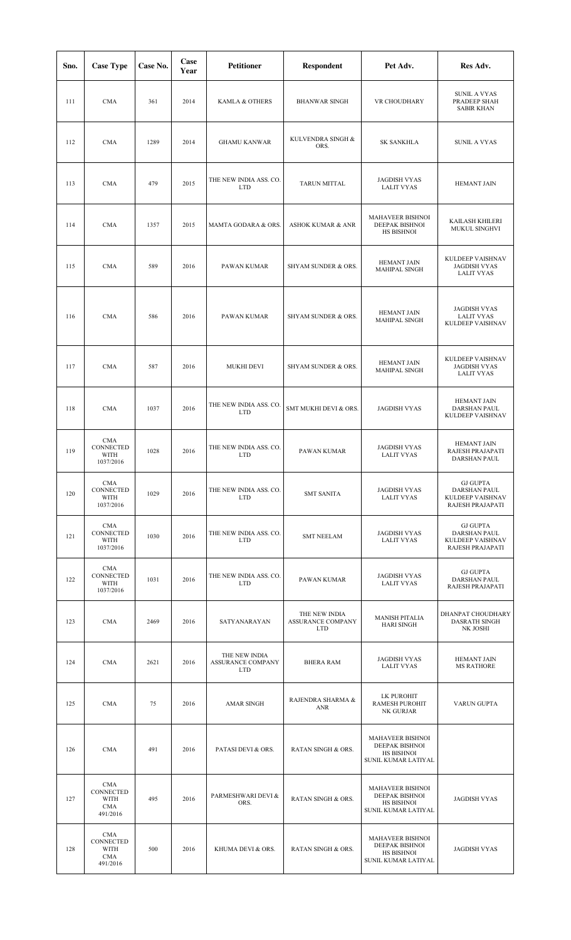| Sno. | <b>Case Type</b>                                   | Case No. | Case<br>Year | <b>Petitioner</b>                                | <b>Respondent</b>                                       | Pet Adv.                                                                              | Res Adv.                                                                       |
|------|----------------------------------------------------|----------|--------------|--------------------------------------------------|---------------------------------------------------------|---------------------------------------------------------------------------------------|--------------------------------------------------------------------------------|
| 111  | <b>CMA</b>                                         | 361      | 2014         | KAMLA & OTHERS                                   | <b>BHANWAR SINGH</b>                                    | VR CHOUDHARY                                                                          | <b>SUNIL A VYAS</b><br>PRADEEP SHAH<br><b>SABIR KHAN</b>                       |
| 112  | <b>CMA</b>                                         | 1289     | 2014         | <b>GHAMU KANWAR</b>                              | KULVENDRA SINGH &<br>ORS.                               | <b>SK SANKHLA</b>                                                                     | <b>SUNIL A VYAS</b>                                                            |
| 113  | <b>CMA</b>                                         | 479      | 2015         | THE NEW INDIA ASS. CO.<br><b>LTD</b>             | TARUN MITTAL                                            | <b>JAGDISH VYAS</b><br><b>LALIT VYAS</b>                                              | <b>HEMANT JAIN</b>                                                             |
| 114  | <b>CMA</b>                                         | 1357     | 2015         | MAMTA GODARA & ORS.                              | <b>ASHOK KUMAR &amp; ANR</b>                            | MAHAVEER BISHNOI<br>DEEPAK BISHNOI<br>HS BISHNOI                                      | KAILASH KHILERI<br>MUKUL SINGHVI                                               |
| 115  | <b>CMA</b>                                         | 589      | 2016         | PAWAN KUMAR                                      | SHYAM SUNDER & ORS.                                     | HEMANT JAIN<br>MAHIPAL SINGH                                                          | KULDEEP VAISHNAV<br><b>JAGDISH VYAS</b><br>LALIT VYAS                          |
| 116  | <b>CMA</b>                                         | 586      | 2016         | PAWAN KUMAR                                      | SHYAM SUNDER & ORS.                                     | HEMANT JAIN<br><b>MAHIPAL SINGH</b>                                                   | <b>JAGDISH VYAS</b><br><b>LALIT VYAS</b><br>KULDEEP VAISHNAV                   |
| 117  | <b>CMA</b>                                         | 587      | 2016         | MUKHI DEVI                                       | SHYAM SUNDER & ORS.                                     | HEMANT JAIN<br>MAHIPAL SINGH                                                          | KULDEEP VAISHNAV<br><b>JAGDISH VYAS</b><br><b>LALIT VYAS</b>                   |
| 118  | <b>CMA</b>                                         | 1037     | 2016         | THE NEW INDIA ASS. CO.<br><b>LTD</b>             | SMT MUKHI DEVI & ORS.                                   | <b>JAGDISH VYAS</b>                                                                   | <b>HEMANT JAIN</b><br>DARSHAN PAUL<br>KULDEEP VAISHNAV                         |
| 119  | CMA<br>CONNECTED<br>WITH<br>1037/2016              | 1028     | 2016         | THE NEW INDIA ASS. CO.<br><b>LTD</b>             | PAWAN KUMAR                                             | <b>JAGDISH VYAS</b><br><b>LALIT VYAS</b>                                              | <b>HEMANT JAIN</b><br>RAJESH PRAJAPATI<br>DARSHAN PAUL                         |
| 120  | CMA<br>CONNECTED<br>WITH<br>1037/2016              | 1029     | 2016         | THE NEW INDIA ASS. CO.<br><b>LTD</b>             | <b>SMT SANITA</b>                                       | <b>JAGDISH VYAS</b><br><b>LALIT VYAS</b>                                              | <b>GJ GUPTA</b><br><b>DARSHAN PAUL</b><br>KULDEEP VAISHNAV<br>RAJESH PRAJAPATI |
| 121  | <b>CMA</b><br>CONNECTED<br>WITH<br>1037/2016       | 1030     | 2016         | THE NEW INDIA ASS. CO.<br><b>LTD</b>             | <b>SMT NEELAM</b>                                       | <b>JAGDISH VYAS</b><br><b>LALIT VYAS</b>                                              | <b>GJ GUPTA</b><br><b>DARSHAN PAUL</b><br>KULDEEP VAISHNAV<br>RAJESH PRAJAPATI |
| 122  | CMA<br>CONNECTED<br>WITH<br>1037/2016              | 1031     | 2016         | THE NEW INDIA ASS. CO.<br><b>LTD</b>             | PAWAN KUMAR                                             | <b>JAGDISH VYAS</b><br><b>LALIT VYAS</b>                                              | <b>GJ GUPTA</b><br><b>DARSHAN PAUL</b><br>RAJESH PRAJAPATI                     |
| 123  | <b>CMA</b>                                         | 2469     | 2016         | SATYANARAYAN                                     | THE NEW INDIA<br><b>ASSURANCE COMPANY</b><br><b>LTD</b> | <b>MANISH PITALIA</b><br><b>HARI SINGH</b>                                            | DHANPAT CHOUDHARY<br><b>DASRATH SINGH</b><br>NK JOSHI                          |
| 124  | <b>CMA</b>                                         | 2621     | 2016         | THE NEW INDIA<br>ASSURANCE COMPANY<br><b>LTD</b> | <b>BHERA RAM</b>                                        | <b>JAGDISH VYAS</b><br><b>LALIT VYAS</b>                                              | <b>HEMANT JAIN</b><br><b>MS RATHORE</b>                                        |
| 125  | <b>CMA</b>                                         | 75       | 2016         | <b>AMAR SINGH</b>                                | RAJENDRA SHARMA &<br>ANR                                | LK PUROHIT<br><b>RAMESH PUROHIT</b><br>NK GURJAR                                      | VARUN GUPTA                                                                    |
| 126  | <b>CMA</b>                                         | 491      | 2016         | PATASI DEVI & ORS.                               | <b>RATAN SINGH &amp; ORS.</b>                           | <b>MAHAVEER BISHNOI</b><br>DEEPAK BISHNOI<br>HS BISHNOI<br>SUNIL KUMAR LATIYAL        |                                                                                |
| 127  | CMA<br><b>CONNECTED</b><br>WITH<br>CMA<br>491/2016 | 495      | 2016         | PARMESHWARI DEVI &<br>ORS.                       | <b>RATAN SINGH &amp; ORS.</b>                           | MAHAVEER BISHNOI<br><b>DEEPAK BISHNOI</b><br>HS BISHNOI<br>SUNIL KUMAR LATIYAL        | <b>JAGDISH VYAS</b>                                                            |
| 128  | CMA<br>CONNECTED<br>WITH<br><b>CMA</b><br>491/2016 | 500      | 2016         | KHUMA DEVI & ORS.                                | RATAN SINGH & ORS.                                      | <b>MAHAVEER BISHNOI</b><br><b>DEEPAK BISHNOI</b><br>HS BISHNOI<br>SUNIL KUMAR LATIYAL | <b>JAGDISH VYAS</b>                                                            |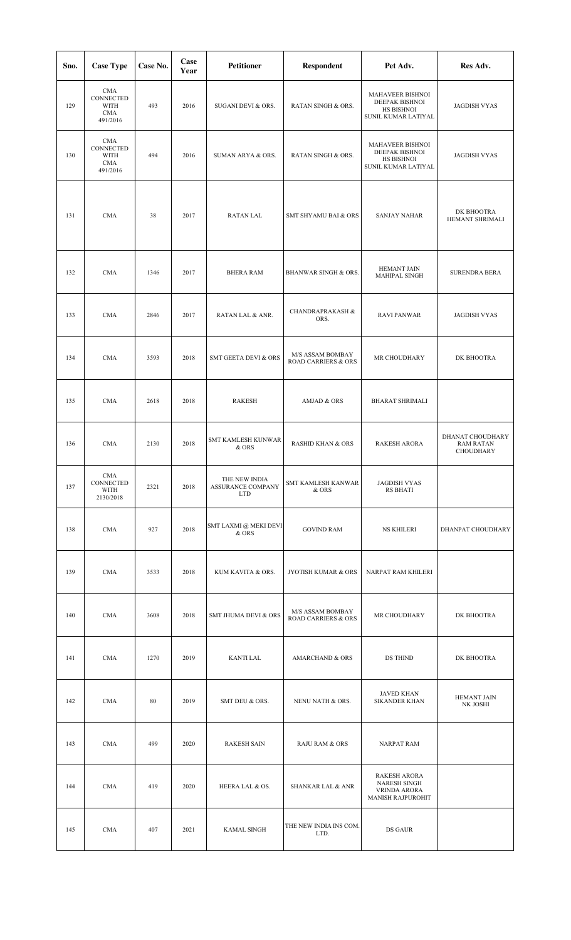| Sno. | <b>Case Type</b>                                          | Case No. | Case<br>Year | Petitioner                                       | <b>Respondent</b>                                  | Pet Adv.                                                                        | Res Adv.                                          |
|------|-----------------------------------------------------------|----------|--------------|--------------------------------------------------|----------------------------------------------------|---------------------------------------------------------------------------------|---------------------------------------------------|
| 129  | <b>CMA</b><br>CONNECTED<br>WITH<br><b>CMA</b><br>491/2016 | 493      | 2016         | SUGANI DEVI & ORS.                               | RATAN SINGH & ORS.                                 | MAHAVEER BISHNOI<br>DEEPAK BISHNOI<br>HS BISHNOI<br>SUNIL KUMAR LATIYAL         | <b>JAGDISH VYAS</b>                               |
| 130  | <b>CMA</b><br>CONNECTED<br>WITH<br><b>CMA</b><br>491/2016 | 494      | 2016         | SUMAN ARYA & ORS.                                | RATAN SINGH & ORS.                                 | MAHAVEER BISHNOI<br>DEEPAK BISHNOI<br>HS BISHNOI<br>SUNIL KUMAR LATIYAL         | <b>JAGDISH VYAS</b>                               |
| 131  | <b>CMA</b>                                                | 38       | 2017         | RATAN LAL                                        | SMT SHYAMU BAI & ORS                               | <b>SANJAY NAHAR</b>                                                             | DK BHOOTRA<br>HEMANT SHRIMALI                     |
| 132  | <b>CMA</b>                                                | 1346     | 2017         | <b>BHERA RAM</b>                                 | BHANWAR SINGH & ORS.                               | HEMANT JAIN<br>MAHIPAL SINGH                                                    | <b>SURENDRA BERA</b>                              |
| 133  | <b>CMA</b>                                                | 2846     | 2017         | RATAN LAL & ANR.                                 | <b>CHANDRAPRAKASH &amp;</b><br>ORS.                | <b>RAVI PANWAR</b>                                                              | <b>JAGDISH VYAS</b>                               |
| 134  | <b>CMA</b>                                                | 3593     | 2018         | <b>SMT GEETA DEVI &amp; ORS</b>                  | M/S ASSAM BOMBAY<br><b>ROAD CARRIERS &amp; ORS</b> | MR CHOUDHARY                                                                    | DK BHOOTRA                                        |
| 135  | <b>CMA</b>                                                | 2618     | 2018         | <b>RAKESH</b>                                    | AMJAD & ORS                                        | <b>BHARAT SHRIMALI</b>                                                          |                                                   |
| 136  | <b>CMA</b>                                                | 2130     | 2018         | <b>SMT KAMLESH KUNWAR</b><br>& ORS               | <b>RASHID KHAN &amp; ORS</b>                       | <b>RAKESH ARORA</b>                                                             | DHANAT CHOUDHARY<br><b>RAM RATAN</b><br>CHOUDHARY |
| 137  | CMA<br>CONNECTED<br>WITH<br>2130/2018                     | 2321     | 2018         | THE NEW INDIA<br>ASSURANCE COMPANY<br><b>LTD</b> | SMT KAMLESH KANWAR<br>& ORS                        | <b>JAGDISH VYAS</b><br><b>RS BHATI</b>                                          |                                                   |
| 138  | <b>CMA</b>                                                | 927      | 2018         | SMT LAXMI @ MEKI DEVI<br>& ORS                   | <b>GOVIND RAM</b>                                  | <b>NS KHILERI</b>                                                               | DHANPAT CHOUDHARY                                 |
| 139  | <b>CMA</b>                                                | 3533     | 2018         | KUM KAVITA & ORS.                                | JYOTISH KUMAR & ORS                                | NARPAT RAM KHILERI                                                              |                                                   |
| 140  | <b>CMA</b>                                                | 3608     | 2018         | SMT JHUMA DEVI & ORS                             | M/S ASSAM BOMBAY<br><b>ROAD CARRIERS &amp; ORS</b> | MR CHOUDHARY                                                                    | DK BHOOTRA                                        |
| 141  | <b>CMA</b>                                                | 1270     | 2019         | KANTI LAL                                        | <b>AMARCHAND &amp; ORS</b>                         | DS THIND                                                                        | DK BHOOTRA                                        |
| 142  | <b>CMA</b>                                                | 80       | 2019         | SMT DEU & ORS.                                   | NENU NATH & ORS.                                   | JAVED KHAN<br><b>SIKANDER KHAN</b>                                              | <b>HEMANT JAIN</b><br>NK JOSHI                    |
| 143  | <b>CMA</b>                                                | 499      | 2020         | <b>RAKESH SAIN</b>                               | <b>RAJU RAM &amp; ORS</b>                          | <b>NARPAT RAM</b>                                                               |                                                   |
| 144  | <b>CMA</b>                                                | 419      | 2020         | HEERA LAL & OS.                                  | <b>SHANKAR LAL &amp; ANR</b>                       | <b>RAKESH ARORA</b><br><b>NARESH SINGH</b><br>VRINDA ARORA<br>MANISH RAJPUROHIT |                                                   |
| 145  | <b>CMA</b>                                                | 407      | 2021         | <b>KAMAL SINGH</b>                               | THE NEW INDIA INS COM.<br>LTD.                     | DS GAUR                                                                         |                                                   |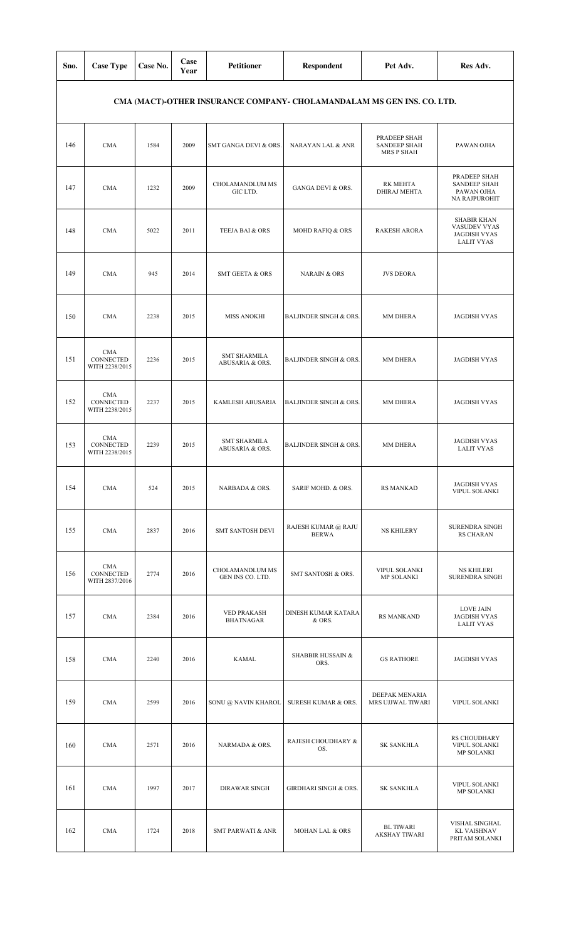| Sno. | <b>Case Type</b>                          | Case No. | Case<br>Year | <b>Petitioner</b>                      | <b>Respondent</b>                                                      | Pet Adv.                                          | Res Adv.                                                                       |
|------|-------------------------------------------|----------|--------------|----------------------------------------|------------------------------------------------------------------------|---------------------------------------------------|--------------------------------------------------------------------------------|
|      |                                           |          |              |                                        | CMA (MACT)-OTHER INSURANCE COMPANY- CHOLAMANDALAM MS GEN INS. CO. LTD. |                                                   |                                                                                |
| 146  | <b>CMA</b>                                | 1584     | 2009         | SMT GANGA DEVI & ORS.                  | NARAYAN LAL & ANR                                                      | PRADEEP SHAH<br><b>SANDEEP SHAH</b><br>MRS P SHAH | PAWAN OJHA                                                                     |
| 147  | <b>CMA</b>                                | 1232     | 2009         | CHOLAMANDLUM MS<br>GIC LTD.            | GANGA DEVI & ORS.                                                      | RK MEHTA<br>DHIRAJ MEHTA                          | PRADEEP SHAH<br><b>SANDEEP SHAH</b><br>PAWAN OJHA<br>NA RAJPUROHIT             |
| 148  | <b>CMA</b>                                | 5022     | 2011         | TEEJA BAI & ORS                        | MOHD RAFIQ & ORS                                                       | <b>RAKESH ARORA</b>                               | <b>SHABIR KHAN</b><br>VASUDEV VYAS<br><b>JAGDISH VYAS</b><br><b>LALIT VYAS</b> |
| 149  | <b>CMA</b>                                | 945      | 2014         | <b>SMT GEETA &amp; ORS</b>             | <b>NARAIN &amp; ORS</b>                                                | <b>JVS DEORA</b>                                  |                                                                                |
| 150  | <b>CMA</b>                                | 2238     | 2015         | <b>MISS ANOKHI</b>                     | <b>BALJINDER SINGH &amp; ORS.</b>                                      | MM DHERA                                          | <b>JAGDISH VYAS</b>                                                            |
| 151  | <b>CMA</b><br>CONNECTED<br>WITH 2238/2015 | 2236     | 2015         | <b>SMT SHARMILA</b><br>ABUSARIA & ORS. | <b>BALJINDER SINGH &amp; ORS.</b>                                      | MM DHERA                                          | <b>JAGDISH VYAS</b>                                                            |
| 152  | <b>CMA</b><br>CONNECTED<br>WITH 2238/2015 | 2237     | 2015         | KAMLESH ABUSARIA                       | <b>BALJINDER SINGH &amp; ORS.</b>                                      | MM DHERA                                          | <b>JAGDISH VYAS</b>                                                            |
| 153  | CMA<br>CONNECTED<br>WITH 2238/2015        | 2239     | 2015         | <b>SMT SHARMILA</b><br>ABUSARIA & ORS. | <b>BALJINDER SINGH &amp; ORS.</b>                                      | MM DHERA                                          | <b>JAGDISH VYAS</b><br><b>LALIT VYAS</b>                                       |
| 154  | <b>CMA</b>                                | 524      | 2015         | NARBADA & ORS.                         | SARIF MOHD. & ORS.                                                     | <b>RS MANKAD</b>                                  | <b>JAGDISH VYAS</b><br>VIPUL SOLANKI                                           |
| 155  | <b>CMA</b>                                | 2837     | 2016         | <b>SMT SANTOSH DEVI</b>                | RAJESH KUMAR @ RAJU<br><b>BERWA</b>                                    | <b>NS KHILERY</b>                                 | SURENDRA SINGH<br><b>RS CHARAN</b>                                             |
| 156  | CMA<br>CONNECTED<br>WITH 2837/2016        | 2774     | 2016         | CHOLAMANDLUM MS<br>GEN INS CO. LTD.    | SMT SANTOSH & ORS.                                                     | <b>VIPUL SOLANKI</b><br>MP SOLANKI                | <b>NS KHILERI</b><br><b>SURENDRA SINGH</b>                                     |
| 157  | <b>CMA</b>                                | 2384     | 2016         | <b>VED PRAKASH</b><br><b>BHATNAGAR</b> | DINESH KUMAR KATARA<br>& ORS.                                          | <b>RS MANKAND</b>                                 | <b>LOVE JAIN</b><br><b>JAGDISH VYAS</b><br><b>LALIT VYAS</b>                   |
| 158  | <b>CMA</b>                                | 2240     | 2016         | <b>KAMAL</b>                           | <b>SHABBIR HUSSAIN &amp;</b><br>ORS.                                   | <b>GS RATHORE</b>                                 | <b>JAGDISH VYAS</b>                                                            |
| 159  | <b>CMA</b>                                | 2599     | 2016         | SONU @ NAVIN KHAROL                    | SURESH KUMAR & ORS.                                                    | DEEPAK MENARIA<br>MRS UJJWAL TIWARI               | VIPUL SOLANKI                                                                  |
| 160  | <b>CMA</b>                                | 2571     | 2016         | NARMADA & ORS.                         | RAJESH CHOUDHARY &<br>OS.                                              | <b>SK SANKHLA</b>                                 | <b>RS CHOUDHARY</b><br>VIPUL SOLANKI<br>MP SOLANKI                             |
| 161  | <b>CMA</b>                                | 1997     | 2017         | <b>DIRAWAR SINGH</b>                   | <b>GIRDHARI SINGH &amp; ORS.</b>                                       | <b>SK SANKHLA</b>                                 | VIPUL SOLANKI<br><b>MP SOLANKI</b>                                             |
| 162  | <b>CMA</b>                                | 1724     | 2018         | <b>SMT PARWATI &amp; ANR</b>           | <b>MOHAN LAL &amp; ORS</b>                                             | <b>BL TIWARI</b><br>AKSHAY TIWARI                 | VISHAL SINGHAL<br><b>KL VAISHNAV</b><br>PRITAM SOLANKI                         |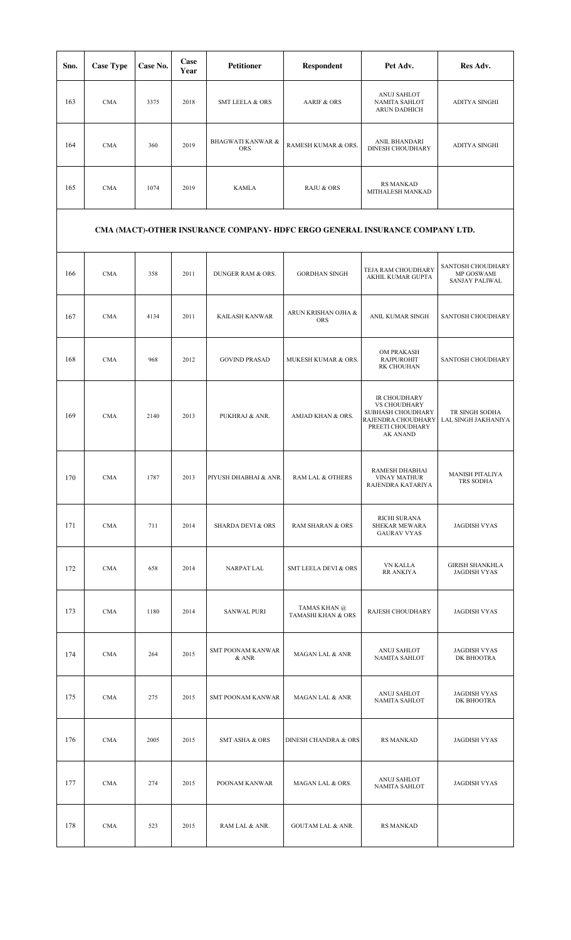| Sno. | <b>Case Type</b> | Case No. | Case<br>Year | <b>Petitioner</b>                          | <b>Respondent</b>     | Pet Adv.                                                   | Res Adv.             |
|------|------------------|----------|--------------|--------------------------------------------|-----------------------|------------------------------------------------------------|----------------------|
| 163  | <b>CMA</b>       | 3375     | 2018         | <b>SMT LEELA &amp; ORS</b>                 | AARIF & ORS           | ANUJ SAHLOT<br><b>NAMITA SAHLOT</b><br><b>ARUN DADHICH</b> | <b>ADITYA SINGHI</b> |
| 164  | <b>CMA</b>       | 360      | 2019         | <b>BHAGWATI KANWAR &amp;</b><br><b>ORS</b> | RAMESH KUMAR & ORS.   | ANIL BHANDARI<br><b>DINESH CHOUDHARY</b>                   | <b>ADITYA SINGHI</b> |
| 165  | <b>CMA</b>       | 1074     | 2019         | <b>KAMLA</b>                               | <b>RAJU &amp; ORS</b> | <b>RS MANKAD</b><br>MITHALESH MANKAD                       |                      |

## **CMA (MACT)-OTHER INSURANCE COMPANY- HDFC ERGO GENERAL INSURANCE COMPANY LTD.**

| 166 | <b>CMA</b> | 358  | 2011 | DUNGER RAM & ORS.                 | <b>GORDHAN SINGH</b>               | TEJA RAM CHOUDHARY<br>AKHIL KUMAR GUPTA                                                                                      | SANTOSH CHOUDHARY<br>MP GOSWAMI<br><b>SANJAY PALIWAL</b> |
|-----|------------|------|------|-----------------------------------|------------------------------------|------------------------------------------------------------------------------------------------------------------------------|----------------------------------------------------------|
| 167 | <b>CMA</b> | 4134 | 2011 | KAILASH KANWAR                    | ARUN KRISHAN OJHA &<br><b>ORS</b>  | ANIL KUMAR SINGH                                                                                                             | SANTOSH CHOUDHARY                                        |
| 168 | <b>CMA</b> | 968  | 2012 | <b>GOVIND PRASAD</b>              | MUKESH KUMAR & ORS.                | OM PRAKASH<br><b>RAJPUROHIT</b><br>RK CHOUHAN                                                                                | SANTOSH CHOUDHARY                                        |
| 169 | <b>CMA</b> | 2140 | 2013 | PUKHRAJ & ANR.                    | AMJAD KHAN & ORS.                  | IR CHOUDHARY<br><b>VS CHOUDHARY</b><br><b>SUBHASH CHOUDHARY</b><br>RAJENDRA CHOUDHARY<br>PREETI CHOUDHARY<br><b>AK ANAND</b> | TR SINGH SODHA<br>LAL SINGH JAKHANIYA                    |
| 170 | <b>CMA</b> | 1787 | 2013 | PIYUSH DHABHAI & ANR.             | RAM LAL & OTHERS                   | RAMESH DHABHAI<br><b>VINAY MATHUR</b><br>RAJENDRA KATARIYA                                                                   | <b>MANISH PITALIYA</b><br><b>TRS SODHA</b>               |
| 171 | <b>CMA</b> | 711  | 2014 | <b>SHARDA DEVI &amp; ORS</b>      | <b>RAM SHARAN &amp; ORS</b>        | RICHI SURANA<br>SHEKAR MEWARA<br><b>GAURAV VYAS</b>                                                                          | <b>JAGDISH VYAS</b>                                      |
| 172 | <b>CMA</b> | 658  | 2014 | NARPAT LAL                        | <b>SMT LEELA DEVI &amp; ORS</b>    | <b>VN KALLA</b><br><b>RR ANKIYA</b>                                                                                          | <b>GIRISH SHANKHLA</b><br><b>JAGDISH VYAS</b>            |
| 173 | <b>CMA</b> | 1180 | 2014 | <b>SANWAL PURI</b>                | TAMAS KHAN @<br>TAMASHI KHAN & ORS | RAJESH CHOUDHARY                                                                                                             | <b>JAGDISH VYAS</b>                                      |
| 174 | <b>CMA</b> | 264  | 2015 | <b>SMT POONAM KANWAR</b><br>& ANR | MAGAN LAL & ANR                    | <b>ANUJ SAHLOT</b><br><b>NAMITA SAHLOT</b>                                                                                   | <b>JAGDISH VYAS</b><br>DK BHOOTRA                        |
| 175 | <b>CMA</b> | 275  | 2015 | <b>SMT POONAM KANWAR</b>          | <b>MAGAN LAL &amp; ANR</b>         | ANUJ SAHLOT<br><b>NAMITA SAHLOT</b>                                                                                          | <b>JAGDISH VYAS</b><br>DK BHOOTRA                        |
| 176 | <b>CMA</b> | 2005 | 2015 | <b>SMT ASHA &amp; ORS</b>         | DINESH CHANDRA & ORS               | <b>RS MANKAD</b>                                                                                                             | <b>JAGDISH VYAS</b>                                      |
| 177 | <b>CMA</b> | 274  | 2015 | POONAM KANWAR                     | MAGAN LAL & ORS.                   | ANUJ SAHLOT<br>NAMITA SAHLOT                                                                                                 | <b>JAGDISH VYAS</b>                                      |
| 178 | CMA        | 523  | 2015 | RAM LAL & ANR.                    | <b>GOUTAM LAL &amp; ANR.</b>       | <b>RS MANKAD</b>                                                                                                             |                                                          |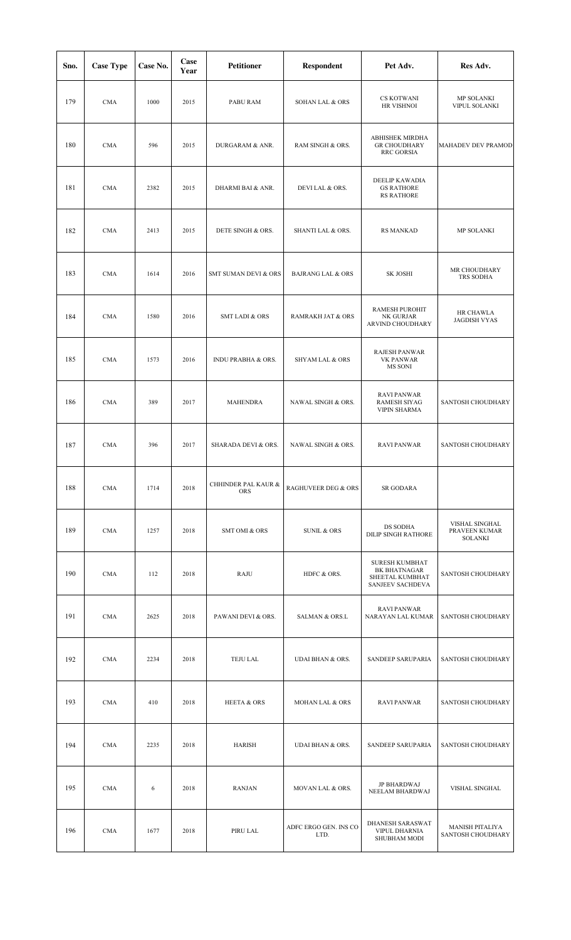| Sno. | <b>Case Type</b> | Case No. | Case<br>Year | <b>Petitioner</b>                 | Respondent                     | Pet Adv.                                                                     | Res Adv.                                          |
|------|------------------|----------|--------------|-----------------------------------|--------------------------------|------------------------------------------------------------------------------|---------------------------------------------------|
| 179  | <b>CMA</b>       | 1000     | 2015         | PABU RAM                          | <b>SOHAN LAL &amp; ORS</b>     | <b>CS KOTWANI</b><br>HR VISHNOI                                              | MP SOLANKI<br>VIPUL SOLANKI                       |
| 180  | <b>CMA</b>       | 596      | 2015         | DURGARAM & ANR.                   | RAM SINGH & ORS.               | ABHISHEK MIRDHA<br><b>GR CHOUDHARY</b><br><b>RRC GORSIA</b>                  | MAHADEV DEV PRAMOD                                |
| 181  | <b>CMA</b>       | 2382     | 2015         | DHARMI BAI & ANR.                 | DEVILAL & ORS.                 | <b>DEELIP KAWADIA</b><br><b>GS RATHORE</b><br><b>RS RATHORE</b>              |                                                   |
| 182  | <b>CMA</b>       | 2413     | 2015         | DETE SINGH & ORS.                 | SHANTI LAL & ORS.              | <b>RS MANKAD</b>                                                             | MP SOLANKI                                        |
| 183  | <b>CMA</b>       | 1614     | 2016         | <b>SMT SUMAN DEVI &amp; ORS</b>   | <b>BAJRANG LAL &amp; ORS</b>   | <b>SK JOSHI</b>                                                              | MR CHOUDHARY<br>TRS SODHA                         |
| 184  | <b>CMA</b>       | 1580     | 2016         | <b>SMT LADI &amp; ORS</b>         | <b>RAMRAKH JAT &amp; ORS</b>   | RAMESH PUROHIT<br>NK GURJAR<br>ARVIND CHOUDHARY                              | HR CHAWLA<br><b>JAGDISH VYAS</b>                  |
| 185  | <b>CMA</b>       | 1573     | 2016         | <b>INDU PRABHA &amp; ORS.</b>     | <b>SHYAM LAL &amp; ORS</b>     | RAJESH PANWAR<br>VK PANWAR<br>MS SONI                                        |                                                   |
| 186  | <b>CMA</b>       | 389      | 2017         | MAHENDRA                          | NAWAL SINGH & ORS.             | <b>RAVI PANWAR</b><br><b>RAMESH SIYAG</b><br><b>VIPIN SHARMA</b>             | SANTOSH CHOUDHARY                                 |
| 187  | $\rm CMA$        | 396      | 2017         | SHARADA DEVI & ORS.               | NAWAL SINGH & ORS.             | <b>RAVI PANWAR</b>                                                           | SANTOSH CHOUDHARY                                 |
| 188  | <b>CMA</b>       | 1714     | 2018         | CHHINDER PAL KAUR &<br><b>ORS</b> | <b>RAGHUVEER DEG &amp; ORS</b> | SR GODARA                                                                    |                                                   |
| 189  | <b>CMA</b>       | 1257     | 2018         | SMT OMI & ORS                     | <b>SUNIL &amp; ORS</b>         | DS SODHA<br>DILIP SINGH RATHORE                                              | VISHAL SINGHAL<br>PRAVEEN KUMAR<br><b>SOLANKI</b> |
| 190  | <b>CMA</b>       | 112      | 2018         | RAJU                              | HDFC & ORS.                    | <b>SURESH KUMBHAT</b><br>BK BHATNAGAR<br>SHEETAL KUMBHAT<br>SANJEEV SACHDEVA | SANTOSH CHOUDHARY                                 |
| 191  | <b>CMA</b>       | 2625     | 2018         | PAWANI DEVI & ORS.                | <b>SALMAN &amp; ORS.L</b>      | <b>RAVI PANWAR</b><br>NARAYAN LAL KUMAR                                      | SANTOSH CHOUDHARY                                 |
| 192  | <b>CMA</b>       | 2234     | 2018         | TEJU LAL                          | <b>UDAI BHAN &amp; ORS.</b>    | SANDEEP SARUPARIA                                                            | SANTOSH CHOUDHARY                                 |
| 193  | <b>CMA</b>       | 410      | 2018         | <b>HEETA &amp; ORS</b>            | MOHAN LAL & ORS                | <b>RAVI PANWAR</b>                                                           | SANTOSH CHOUDHARY                                 |
| 194  | <b>CMA</b>       | 2235     | 2018         | HARISH                            | <b>UDAI BHAN &amp; ORS.</b>    | SANDEEP SARUPARIA                                                            | SANTOSH CHOUDHARY                                 |
| 195  | <b>CMA</b>       | 6        | 2018         | <b>RANJAN</b>                     | MOVAN LAL & ORS.               | <b>JP BHARDWAJ</b><br>NEELAM BHARDWAJ                                        | VISHAL SINGHAL                                    |
| 196  | <b>CMA</b>       | 1677     | 2018         | PIRU LAL                          | ADFC ERGO GEN. INS CO<br>LTD.  | DHANESH SARASWAT<br><b>VIPUL DHARNIA</b><br>SHUBHAM MODI                     | <b>MANISH PITALIYA</b><br>SANTOSH CHOUDHARY       |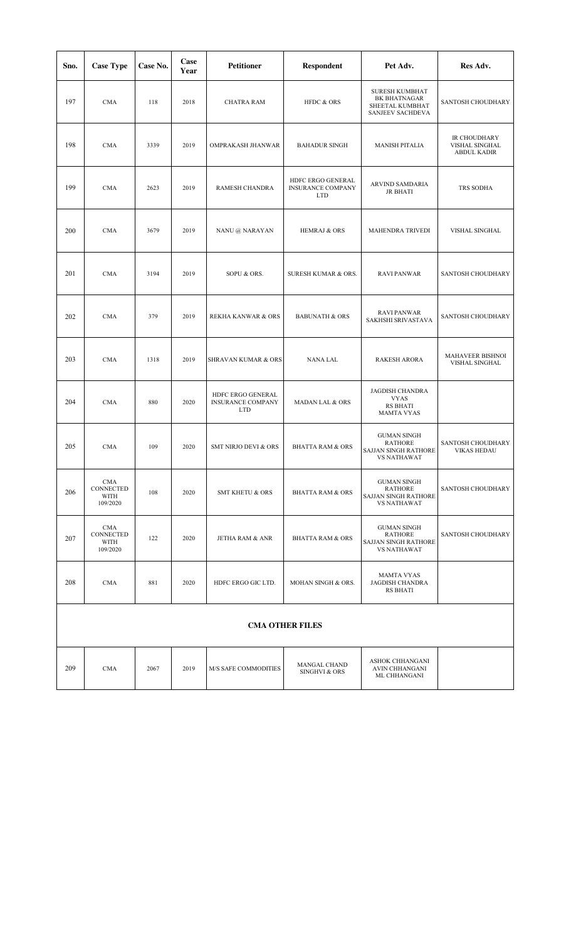| Sno. | <b>Case Type</b>                            | Case No. | Case<br>Year | <b>Petitioner</b>                                           | Respondent                                                  | Pet Adv.                                                                                  | Res Adv.                                             |
|------|---------------------------------------------|----------|--------------|-------------------------------------------------------------|-------------------------------------------------------------|-------------------------------------------------------------------------------------------|------------------------------------------------------|
| 197  | <b>CMA</b>                                  | 118      | 2018         | <b>CHATRA RAM</b>                                           | HFDC & ORS                                                  | <b>SURESH KUMBHAT</b><br>BK BHATNAGAR<br>SHEETAL KUMBHAT<br>SANJEEV SACHDEVA              | SANTOSH CHOUDHARY                                    |
| 198  | <b>CMA</b>                                  | 3339     | 2019         | OMPRAKASH JHANWAR                                           | <b>BAHADUR SINGH</b>                                        | <b>MANISH PITALIA</b>                                                                     | IR CHOUDHARY<br>VISHAL SINGHAL<br><b>ABDUL KADIR</b> |
| 199  | <b>CMA</b>                                  | 2623     | 2019         | RAMESH CHANDRA                                              | HDFC ERGO GENERAL<br><b>INSURANCE COMPANY</b><br><b>LTD</b> | ARVIND SAMDARIA<br><b>JR BHATI</b>                                                        | TRS SODHA                                            |
| 200  | <b>CMA</b>                                  | 3679     | 2019         | NANU @ NARAYAN                                              | <b>HEMRAJ &amp; ORS</b>                                     | MAHENDRA TRIVEDI                                                                          | VISHAL SINGHAL                                       |
| 201  | <b>CMA</b>                                  | 3194     | 2019         | SOPU & ORS.                                                 | SURESH KUMAR & ORS.                                         | <b>RAVI PANWAR</b>                                                                        | SANTOSH CHOUDHARY                                    |
| 202  | <b>CMA</b>                                  | 379      | 2019         | <b>REKHA KANWAR &amp; ORS</b>                               | <b>BABUNATH &amp; ORS</b>                                   | <b>RAVI PANWAR</b><br>SAKHSHI SRIVASTAVA                                                  | SANTOSH CHOUDHARY                                    |
| 203  | <b>CMA</b>                                  | 1318     | 2019         | SHRAVAN KUMAR & ORS                                         | <b>NANA LAL</b>                                             | <b>RAKESH ARORA</b>                                                                       | MAHAVEER BISHNOI<br>VISHAL SINGHAL                   |
| 204  | <b>CMA</b>                                  | 880      | 2020         | HDFC ERGO GENERAL<br><b>INSURANCE COMPANY</b><br><b>LTD</b> | <b>MADAN LAL &amp; ORS</b>                                  | <b>JAGDISH CHANDRA</b><br><b>VYAS</b><br><b>RS BHATI</b><br><b>MAMTA VYAS</b>             |                                                      |
| 205  | <b>CMA</b>                                  | 109      | 2020         | <b>SMT NIRJO DEVI &amp; ORS</b>                             | <b>BHATTA RAM &amp; ORS</b>                                 | <b>GUMAN SINGH</b><br><b>RATHORE</b><br><b>SAJJAN SINGH RATHORE</b><br><b>VS NATHAWAT</b> | SANTOSH CHOUDHARY<br><b>VIKAS HEDAU</b>              |
| 206  | <b>CMA</b><br>CONNECTED<br>WITH<br>109/2020 | 108      | 2020         | <b>SMT KHETU &amp; ORS</b>                                  | <b>BHATTA RAM &amp; ORS</b>                                 | <b>GUMAN SINGH</b><br><b>RATHORE</b><br>SAJJAN SINGH RATHORE<br><b>VS NATHAWAT</b>        | SANTOSH CHOUDHARY                                    |
| 207  | <b>CMA</b><br>CONNECTED<br>WITH<br>109/2020 | 122      | 2020         | JETHA RAM & ANR                                             | <b>BHATTA RAM &amp; ORS</b>                                 | <b>GUMAN SINGH</b><br><b>RATHORE</b><br>SAJJAN SINGH RATHORE<br><b>VS NATHAWAT</b>        | SANTOSH CHOUDHARY                                    |
| 208  | <b>CMA</b>                                  | 881      | 2020         | HDFC ERGO GIC LTD.                                          | MOHAN SINGH & ORS.                                          | <b>MAMTA VYAS</b><br><b>JAGDISH CHANDRA</b><br><b>RS BHATI</b>                            |                                                      |
|      |                                             |          |              |                                                             | <b>CMA OTHER FILES</b>                                      |                                                                                           |                                                      |
| 209  | <b>CMA</b>                                  | 2067     | 2019         | M/S SAFE COMMODITIES                                        | MANGAL CHAND<br>SINGHVI & ORS                               | ASHOK CHHANGANI<br>AVIN CHHANGANI<br>ML CHHANGANI                                         |                                                      |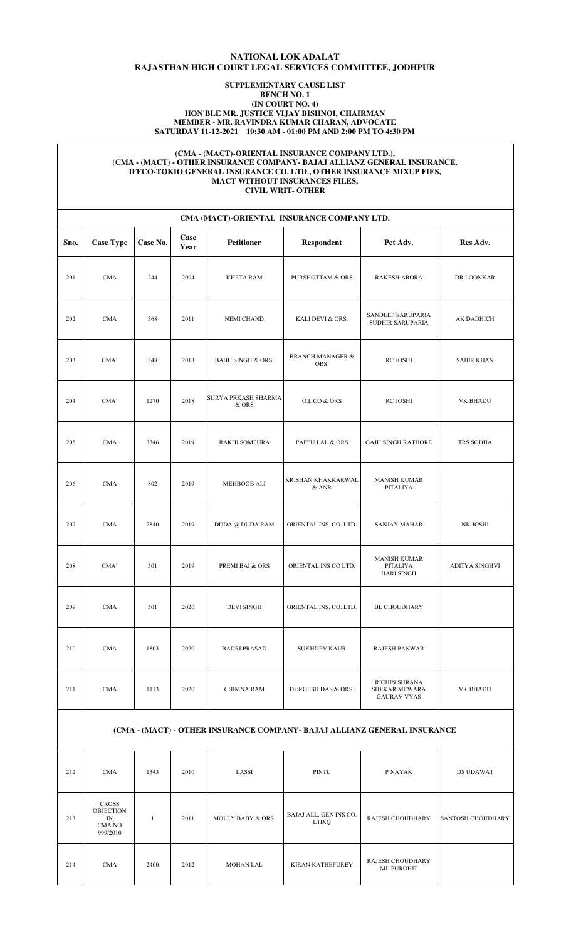## **NATIONAL LOK ADALAT RAJASTHAN HIGH COURT LEGAL SERVICES COMMITTEE, JODHPUR**

### **SUPPLEMENTARY CAUSE LIST BENCH NO. 1 (IN COURT NO. 4) HON'BLE MR. JUSTICE VIJAY BISHNOI, CHAIRMAN MEMBER - MR. RAVINDRA KUMAR CHARAN, ADVOCATE SATURDAY 11-12-2021 10:30 AM - 01:00 PM AND 2:00 PM TO 4:30 PM**

### **(CMA - (MACT)-ORIENTAL INSURANCE COMPANY LTD.), (CMA - (MACT) - OTHER INSURANCE COMPANY- BAJAJ ALLIANZ GENERAL INSURANCE, IFFCO-TOKIO GENERAL INSURANCE CO. LTD., OTHER INSURANCE MIXUP FIES, MACT WITHOUT INSURANCES FILES, CIVIL WRIT- OTHER**

|      | CMA (MACT)-ORIENTAL INSURANCE COMPANY LTD. |          |              |                              |                                     |                                                      |                   |  |  |  |  |  |
|------|--------------------------------------------|----------|--------------|------------------------------|-------------------------------------|------------------------------------------------------|-------------------|--|--|--|--|--|
| Sno. | <b>Case Type</b>                           | Case No. | Case<br>Year | <b>Petitioner</b>            | <b>Respondent</b>                   | Pet Adv.                                             | Res Adv.          |  |  |  |  |  |
| 201  | <b>CMA</b>                                 | 244      | 2004         | <b>KHETA RAM</b>             | <b>PURSHOTTAM &amp; ORS</b>         | <b>RAKESH ARORA</b>                                  | DR LOONKAR        |  |  |  |  |  |
| 202  | <b>CMA</b>                                 | 368      | 2011         | <b>NEMI CHAND</b>            | KALI DEVI & ORS.                    | SANDEEP SARUPARIA<br>SUDHIR SARUPARIA                | AK DADHICH        |  |  |  |  |  |
| 203  | CMA'                                       | 348      | 2013         | <b>BABU SINGH &amp; ORS.</b> | <b>BRANCH MANAGER &amp;</b><br>ORS. | RC JOSHI                                             | <b>SABIR KHAN</b> |  |  |  |  |  |
| 204  | CMA'                                       | 1270     | 2018         | SURYA PRKASH SHARMA<br>& ORS | O.I. CO & ORS                       | RC JOSHI                                             | VK BHADU          |  |  |  |  |  |
| 205  | <b>CMA</b>                                 | 3346     | 2019         | <b>RAKHI SOMPURA</b>         | PAPPU LAL & ORS                     | <b>GAJU SINGH RATHORE</b>                            | TRS SODHA         |  |  |  |  |  |
| 206  | <b>CMA</b>                                 | 802      | 2019         | MEHBOOB ALI                  | KRISHAN KHAKKARWAL<br>& ANR         | <b>MANISH KUMAR</b><br>PITALIYA                      |                   |  |  |  |  |  |
| 207  | <b>CMA</b>                                 | 2840     | 2019         | DUDA @ DUDA RAM              | ORIENTAL INS. CO. LTD.              | <b>SANJAY MAHAR</b>                                  | NK JOSHI          |  |  |  |  |  |
| 208  | CMA'                                       | 501      | 2019         | PREMI BAI & ORS              | ORIENTAL INS CO LTD.                | <b>MANISH KUMAR</b><br>PITALIYA<br><b>HARI SINGH</b> | ADITYA SINGHVI    |  |  |  |  |  |
| 209  | <b>CMA</b>                                 | 501      | 2020         | <b>DEVI SINGH</b>            | ORIENTAL INS. CO. LTD.              | <b>BL CHOUDHARY</b>                                  |                   |  |  |  |  |  |
| 210  | <b>CMA</b>                                 | 1803     | 2020         | <b>BADRI PRASAD</b>          | <b>SUKHDEV KAUR</b>                 | <b>RAJESH PANWAR</b>                                 |                   |  |  |  |  |  |
| 211  | CMA                                        | 1113     | 2020         | <b>CHIMNA RAM</b>            | DURGESH DAS & ORS.                  | RICHIN SURANA<br>SHEKAR MEWARA<br><b>GAURAV VYAS</b> | VK BHADU          |  |  |  |  |  |

### **(CMA - (MACT) - OTHER INSURANCE COMPANY- BAJAJ ALLIANZ GENERAL INSURANCE**

| 212 | <b>CMA</b>                                                    | 1343 | 2010 | LASSI             | PINTU                           | P NAYAK                               | <b>DS UDAWAT</b>  |
|-----|---------------------------------------------------------------|------|------|-------------------|---------------------------------|---------------------------------------|-------------------|
| 213 | <b>CROSS</b><br><b>OBJECTION</b><br>IN<br>CMA NO.<br>999/2010 |      | 2011 | MOLLY BABY & ORS. | BAJAJ ALL. GEN INS CO.<br>LTD.Q | RAJESH CHOUDHARY                      | SANTOSH CHOUDHARY |
| 214 | <b>CMA</b>                                                    | 2400 | 2012 | MOHAN LAL         | <b>KIRAN KATHEPUREY</b>         | RAJESH CHOUDHARY<br><b>ML PUROHIT</b> |                   |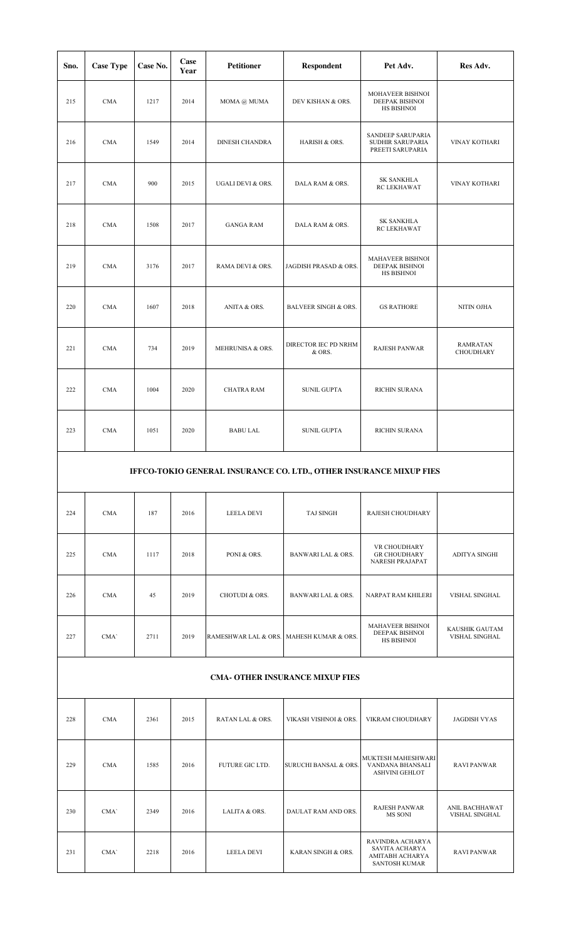| Sno. | <b>Case Type</b>                                                   | Case No. | Case<br>Year | <b>Petitioner</b> | Respondent                      | Pet Adv.                                                  | Res Adv.                            |  |  |  |
|------|--------------------------------------------------------------------|----------|--------------|-------------------|---------------------------------|-----------------------------------------------------------|-------------------------------------|--|--|--|
| 215  | <b>CMA</b>                                                         | 1217     | 2014         | MOMA @ MUMA       | DEV KISHAN & ORS.               | MOHAVEER BISHNOI<br>DEEPAK BISHNOI<br>HS BISHNOI          |                                     |  |  |  |
| 216  | CMA                                                                | 1549     | 2014         | DINESH CHANDRA    | HARISH & ORS.                   | SANDEEP SARUPARIA<br>SUDHIR SARUPARIA<br>PREETI SARUPARIA | VINAY KOTHARI                       |  |  |  |
| 217  | CMA                                                                | 900      | 2015         | UGALI DEVI & ORS. | DALA RAM & ORS.                 | <b>SK SANKHLA</b><br>RC LEKHAWAT                          | VINAY KOTHARI                       |  |  |  |
| 218  | <b>CMA</b>                                                         | 1508     | 2017         | <b>GANGA RAM</b>  | DALA RAM & ORS.                 | <b>SK SANKHLA</b><br>RC LEKHAWAT                          |                                     |  |  |  |
| 219  | <b>CMA</b>                                                         | 3176     | 2017         | RAMA DEVI & ORS.  | JAGDISH PRASAD & ORS.           | MAHAVEER BISHNOI<br>DEEPAK BISHNOI<br>HS BISHNOI          |                                     |  |  |  |
| 220  | CMA                                                                | 1607     | 2018         | ANITA & ORS.      | <b>BALVEER SINGH &amp; ORS.</b> | <b>GS RATHORE</b>                                         | NITIN OJHA                          |  |  |  |
| 221  | <b>CMA</b>                                                         | 734      | 2019         | MEHRUNISA & ORS.  | DIRECTOR IEC PD NRHM<br>& ORS.  | <b>RAJESH PANWAR</b>                                      | <b>RAMRATAN</b><br><b>CHOUDHARY</b> |  |  |  |
| 222  | <b>CMA</b>                                                         | 1004     | 2020         | <b>CHATRA RAM</b> | <b>SUNIL GUPTA</b>              | RICHIN SURANA                                             |                                     |  |  |  |
| 223  | CMA                                                                | 1051     | 2020         | <b>BABU LAL</b>   | <b>SUNIL GUPTA</b>              | RICHIN SURANA                                             |                                     |  |  |  |
|      | IFFCO-TOKIO GENERAL INSURANCE CO. LTD., OTHER INSURANCE MIXUP FIES |          |              |                   |                                 |                                                           |                                     |  |  |  |

| 224 | <b>CMA</b>       | 187  | 2016 | LEELA DEVI                               | <b>TAJ SINGH</b>              | RAJESH CHOUDHARY                                                      |                                  |
|-----|------------------|------|------|------------------------------------------|-------------------------------|-----------------------------------------------------------------------|----------------------------------|
| 225 | <b>CMA</b>       | 1117 | 2018 | PONI & ORS.                              | BANWARI LAL & ORS.            | VR CHOUDHARY<br><b>GR CHOUDHARY</b><br><b>NARESH PRAJAPAT</b>         | ADITYA SINGHI                    |
| 226 | <b>CMA</b>       | 45   | 2019 | <b>CHOTUDI &amp; ORS.</b>                | <b>BANWARI LAL &amp; ORS.</b> | NARPAT RAM KHILERI                                                    | VISHAL SINGHAL                   |
| 227 | CMA <sup>'</sup> | 2711 | 2019 | RAMESHWAR LAL & ORS. MAHESH KUMAR & ORS. |                               | <b>MAHAVEER BISHNOI</b><br><b>DEEPAK BISHNOI</b><br><b>HS BISHNOI</b> | KAUSHIK GAUTAM<br>VISHAL SINGHAL |

## **CMA- OTHER INSURANCE MIXUP FIES**

| 228 | <b>CMA</b>       | 2361 | 2015 | RATAN LAL & ORS.  | VIKASH VISHNOI & ORS.            | VIKRAM CHOUDHARY                                                              | <b>JAGDISH VYAS</b>              |
|-----|------------------|------|------|-------------------|----------------------------------|-------------------------------------------------------------------------------|----------------------------------|
| 229 | <b>CMA</b>       | 1585 | 2016 | FUTURE GIC LTD.   | <b>SURUCHI BANSAL &amp; ORS.</b> | MUKTESH MAHESHWARI<br>VANDANA BHANSALI<br><b>ASHVINI GEHLOT</b>               | <b>RAVI PANWAR</b>               |
| 230 | CMA'             | 2349 | 2016 | LALITA & ORS.     | DAULAT RAM AND ORS.              | <b>RAJESH PANWAR</b><br>MS SONI                                               | ANIL BACHHAWAT<br>VISHAL SINGHAL |
| 231 | CMA <sup>'</sup> | 2218 | 2016 | <b>LEELA DEVI</b> | KARAN SINGH & ORS.               | RAVINDRA ACHARYA<br>SAVITA ACHARYA<br>AMITABH ACHARYA<br><b>SANTOSH KUMAR</b> | <b>RAVI PANWAR</b>               |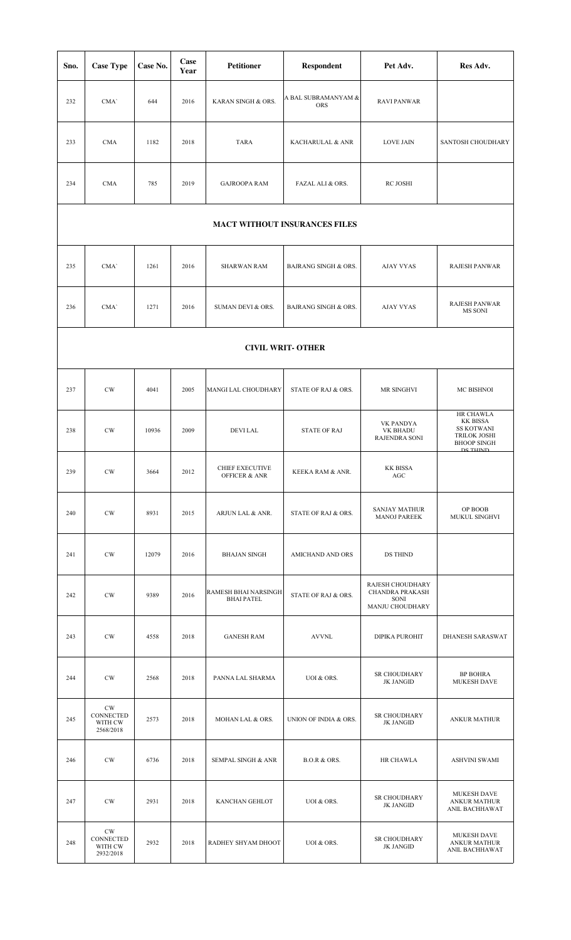| Sno. | <b>Case Type</b>                                   | Case No. | Case<br>Year | <b>Petitioner</b>                           | Respondent                        | Pet Adv.                                                       | Res Adv.                                                                                            |  |  |  |  |  |
|------|----------------------------------------------------|----------|--------------|---------------------------------------------|-----------------------------------|----------------------------------------------------------------|-----------------------------------------------------------------------------------------------------|--|--|--|--|--|
| 232  | CMA'                                               | 644      | 2016         | KARAN SINGH & ORS.                          | A BAL SUBRAMANYAM &<br><b>ORS</b> | <b>RAVI PANWAR</b>                                             |                                                                                                     |  |  |  |  |  |
| 233  | <b>CMA</b>                                         | 1182     | 2018         | <b>TARA</b>                                 | KACHARULAL & ANR                  | <b>LOVE JAIN</b>                                               | SANTOSH CHOUDHARY                                                                                   |  |  |  |  |  |
| 234  | <b>CMA</b>                                         | 785      | 2019         | <b>GAJROOPA RAM</b>                         | FAZAL ALI & ORS.                  | RC JOSHI                                                       |                                                                                                     |  |  |  |  |  |
|      | <b>MACT WITHOUT INSURANCES FILES</b>               |          |              |                                             |                                   |                                                                |                                                                                                     |  |  |  |  |  |
| 235  | CMA'                                               | 1261     | 2016         | <b>SHARWAN RAM</b>                          | <b>BAJRANG SINGH &amp; ORS.</b>   | <b>AJAY VYAS</b>                                               | <b>RAJESH PANWAR</b>                                                                                |  |  |  |  |  |
| 236  | CMA'                                               | 1271     | 2016         | SUMAN DEVI & ORS.                           | <b>BAJRANG SINGH &amp; ORS.</b>   | <b>AJAY VYAS</b>                                               | <b>RAJESH PANWAR</b><br>MS SONI                                                                     |  |  |  |  |  |
|      |                                                    |          |              |                                             | <b>CIVIL WRIT- OTHER</b>          |                                                                |                                                                                                     |  |  |  |  |  |
| 237  | $\mathrm{CW}$                                      | 4041     | 2005         | MANGI LAL CHOUDHARY                         | STATE OF RAJ & ORS.               | MR SINGHVI                                                     | MC BISHNOI                                                                                          |  |  |  |  |  |
| 238  | CW                                                 | 10936    | 2009         | <b>DEVILAL</b>                              | <b>STATE OF RAJ</b>               | VK PANDYA<br><b>VK BHADU</b><br><b>RAJENDRA SONI</b>           | HR CHAWLA<br>KK BISSA<br><b>SS KOTWANI</b><br><b>TRILOK JOSHI</b><br><b>BHOOP SINGH</b><br>DS THIND |  |  |  |  |  |
| 239  | $\mathrm{CW}$                                      | 3664     | 2012         | CHIEF EXECUTIVE<br><b>OFFICER &amp; ANR</b> | KEEKA RAM & ANR.                  | KK BISSA<br>AGC                                                |                                                                                                     |  |  |  |  |  |
| 240  | CW                                                 | 8931     | 2015         | ARJUN LAL & ANR.                            | STATE OF RAJ & ORS.               | <b>SANJAY MATHUR</b><br><b>MANOJ PAREEK</b>                    | OP BOOB<br>MUKUL SINGHVI                                                                            |  |  |  |  |  |
| 241  | $\mathrm{CW}$                                      | 12079    | 2016         | <b>BHAJAN SINGH</b>                         | AMICHAND AND ORS                  | DS THIND                                                       |                                                                                                     |  |  |  |  |  |
| 242  | $\mathrm{CW}$                                      | 9389     | 2016         | RAMESH BHAI NARSINGH<br><b>BHAI PATEL</b>   | STATE OF RAJ & ORS.               | RAJESH CHOUDHARY<br>CHANDRA PRAKASH<br>SONI<br>MANJU CHOUDHARY |                                                                                                     |  |  |  |  |  |
| 243  | $\mathrm{CW}$                                      | 4558     | 2018         | <b>GANESH RAM</b>                           | <b>AVVNL</b>                      | <b>DIPIKA PUROHIT</b>                                          | DHANESH SARASWAT                                                                                    |  |  |  |  |  |
| 244  | $\mathrm{CW}$                                      | 2568     | 2018         | PANNA LAL SHARMA                            | UOI & ORS.                        | SR CHOUDHARY<br><b>JK JANGID</b>                               | <b>BP BOHRA</b><br><b>MUKESH DAVE</b>                                                               |  |  |  |  |  |
| 245  | $\mathrm{CW}$<br>CONNECTED<br>WITH CW<br>2568/2018 | 2573     | 2018         | MOHAN LAL & ORS.                            | UNION OF INDIA & ORS.             | SR CHOUDHARY<br><b>JK JANGID</b>                               | <b>ANKUR MATHUR</b>                                                                                 |  |  |  |  |  |
| 246  | $\mathrm{CW}$                                      | 6736     | 2018         | <b>SEMPAL SINGH &amp; ANR</b>               | <b>B.O.R &amp; ORS.</b>           | HR CHAWLA                                                      | ASHVINI SWAMI                                                                                       |  |  |  |  |  |
| 247  | $\mathrm{CW}$                                      | 2931     | 2018         | KANCHAN GEHLOT                              | UOI & ORS.                        | SR CHOUDHARY<br><b>JK JANGID</b>                               | <b>MUKESH DAVE</b><br><b>ANKUR MATHUR</b><br>ANIL BACHHAWAT                                         |  |  |  |  |  |
| 248  | CW<br>CONNECTED<br>WITH CW<br>2932/2018            | 2932     | 2018         | RADHEY SHYAM DHOOT                          | UOI & ORS.                        | SR CHOUDHARY<br><b>JK JANGID</b>                               | <b>MUKESH DAVE</b><br><b>ANKUR MATHUR</b><br>ANIL BACHHAWAT                                         |  |  |  |  |  |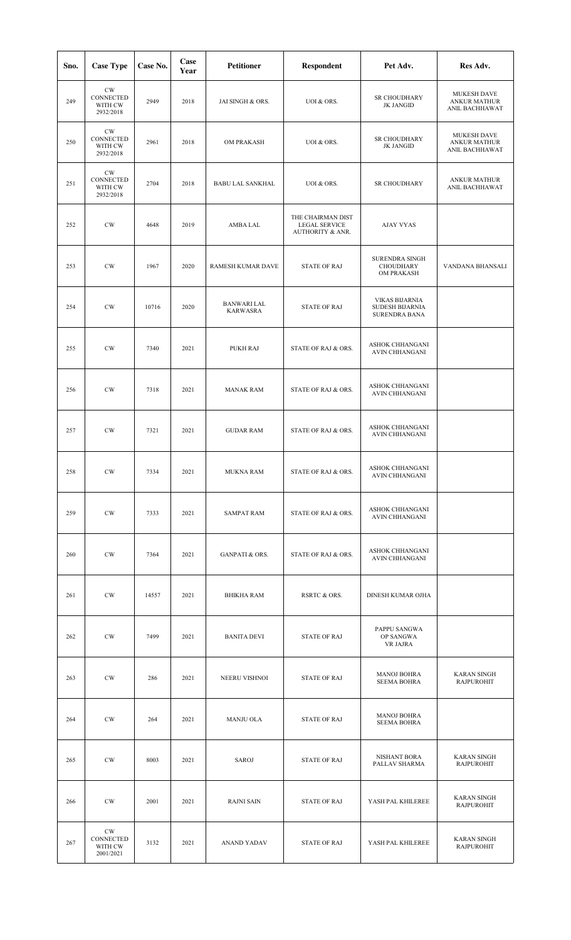| Sno. | <b>Case Type</b>                                   | Case No. | Case<br>Year | <b>Petitioner</b>                     | Respondent                                                               | Pet Adv.                                                                | Res Adv.                                                    |
|------|----------------------------------------------------|----------|--------------|---------------------------------------|--------------------------------------------------------------------------|-------------------------------------------------------------------------|-------------------------------------------------------------|
| 249  | $\mathrm{CW}$<br>CONNECTED<br>WITH CW<br>2932/2018 | 2949     | 2018         | JAI SINGH & ORS.                      | UOI & ORS.                                                               | SR CHOUDHARY<br><b>JK JANGID</b>                                        | <b>MUKESH DAVE</b><br><b>ANKUR MATHUR</b><br>ANIL BACHHAWAT |
| 250  | CW<br>CONNECTED<br>WITH CW<br>2932/2018            | 2961     | 2018         | OM PRAKASH                            | UOI & ORS.                                                               | SR CHOUDHARY<br><b>JK JANGID</b>                                        | MUKESH DAVE<br><b>ANKUR MATHUR</b><br>ANIL BACHHAWAT        |
| 251  | $\mathrm{CW}$<br>CONNECTED<br>WITH CW<br>2932/2018 | 2704     | 2018         | <b>BABU LAL SANKHAL</b>               | UOI & ORS.                                                               | SR CHOUDHARY                                                            | <b>ANKUR MATHUR</b><br>ANIL BACHHAWAT                       |
| 252  | $\mathrm{CW}$                                      | 4648     | 2019         | AMBA LAL                              | THE CHAIRMAN DIST<br><b>LEGAL SERVICE</b><br><b>AUTHORITY &amp; ANR.</b> | <b>AJAY VYAS</b>                                                        |                                                             |
| 253  | CW                                                 | 1967     | 2020         | <b>RAMESH KUMAR DAVE</b>              | <b>STATE OF RAJ</b>                                                      | <b>SURENDRA SINGH</b><br><b>CHOUDHARY</b><br>OM PRAKASH                 | VANDANA BHANSALI                                            |
| 254  | $\mathrm{CW}$                                      | 10716    | 2020         | <b>BANWARI LAL</b><br><b>KARWASRA</b> | <b>STATE OF RAJ</b>                                                      | <b>VIKAS BIJARNIA</b><br><b>SUDESH BIJARNIA</b><br><b>SURENDRA BANA</b> |                                                             |
| 255  | $\mathrm{CW}$                                      | 7340     | 2021         | PUKH RAJ                              | STATE OF RAJ & ORS.                                                      | ASHOK CHHANGANI<br>AVIN CHHANGANI                                       |                                                             |
| 256  | CW                                                 | 7318     | 2021         | <b>MANAK RAM</b>                      | STATE OF RAJ & ORS.                                                      | ASHOK CHHANGANI<br>AVIN CHHANGANI                                       |                                                             |
| 257  | $\mathrm{CW}$                                      | 7321     | 2021         | <b>GUDAR RAM</b>                      | STATE OF RAJ & ORS.                                                      | ASHOK CHHANGANI<br>AVIN CHHANGANI                                       |                                                             |
| 258  | CW                                                 | 7334     | 2021         | MUKNA RAM                             | STATE OF RAJ & ORS.                                                      | <b>ASHOK CHHANGANI</b><br>AVIN CHHANGANI                                |                                                             |
| 259  | $\mathrm{CW}$                                      | 7333     | 2021         | <b>SAMPAT RAM</b>                     | STATE OF RAJ & ORS.                                                      | ASHOK CHHANGANI<br><b>AVIN CHHANGANI</b>                                |                                                             |
| 260  | $\mathrm{CW}$                                      | 7364     | 2021         | <b>GANPATI &amp; ORS.</b>             | STATE OF RAJ & ORS.                                                      | ASHOK CHHANGANI<br><b>AVIN CHHANGANI</b>                                |                                                             |
| 261  | $\mathrm{CW}$                                      | 14557    | 2021         | <b>BHIKHA RAM</b>                     | RSRTC & ORS.                                                             | DINESH KUMAR OJHA                                                       |                                                             |
| 262  | $\mathrm{CW}$                                      | 7499     | 2021         | <b>BANITA DEVI</b>                    | <b>STATE OF RAJ</b>                                                      | PAPPU SANGWA<br>OP SANGWA<br>VR JAJRA                                   |                                                             |
| 263  | $\mathrm{CW}$                                      | 286      | 2021         | NEERU VISHNOI                         | <b>STATE OF RAJ</b>                                                      | <b>MANOJ BOHRA</b><br><b>SEEMA BOHRA</b>                                | <b>KARAN SINGH</b><br><b>RAJPUROHIT</b>                     |
| 264  | CW                                                 | 264      | 2021         | <b>MANJU OLA</b>                      | <b>STATE OF RAJ</b>                                                      | <b>MANOJ BOHRA</b><br><b>SEEMA BOHRA</b>                                |                                                             |
| 265  | CW                                                 | 8003     | 2021         | SAROJ                                 | <b>STATE OF RAJ</b>                                                      | NISHANT BORA<br>PALLAV SHARMA                                           | <b>KARAN SINGH</b><br><b>RAJPUROHIT</b>                     |
| 266  | $\mathrm{CW}$                                      | 2001     | 2021         | <b>RAJNI SAIN</b>                     | <b>STATE OF RAJ</b>                                                      | YASH PAL KHILEREE                                                       | <b>KARAN SINGH</b><br><b>RAJPUROHIT</b>                     |
| 267  | CW.<br><b>CONNECTED</b><br>WITH CW<br>2001/2021    | 3132     | 2021         | ANAND YADAV                           | <b>STATE OF RAJ</b>                                                      | YASH PAL KHILEREE                                                       | <b>KARAN SINGH</b><br><b>RAJPUROHIT</b>                     |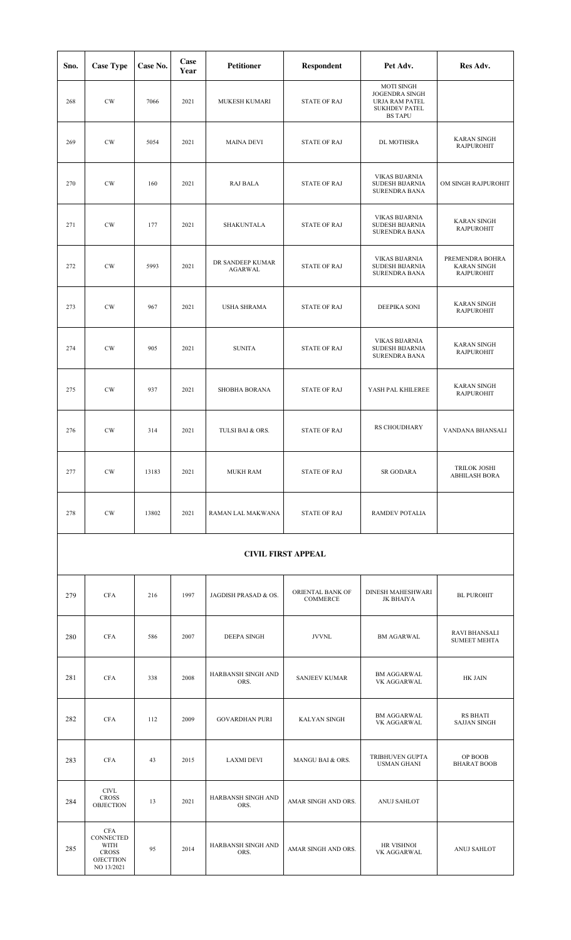| Sno. | <b>Case Type</b>                                | Case No. | Case<br>Year | <b>Petitioner</b>                  | <b>Respondent</b>            | Pet Adv.                                                                                               | Res Adv.                                                   |
|------|-------------------------------------------------|----------|--------------|------------------------------------|------------------------------|--------------------------------------------------------------------------------------------------------|------------------------------------------------------------|
| 268  | $\mathrm{CW}$                                   | 7066     | 2021         | <b>MUKESH KUMARI</b>               | <b>STATE OF RAJ</b>          | <b>MOTI SINGH</b><br><b>JOGENDRA SINGH</b><br>URJA RAM PATEL<br><b>SUKHDEV PATEL</b><br><b>BS TAPU</b> |                                                            |
| 269  | $\mathrm{CW}$                                   | 5054     | 2021         | <b>MAINA DEVI</b>                  | <b>STATE OF RAJ</b>          | DL MOTHSRA                                                                                             | <b>KARAN SINGH</b><br><b>RAJPUROHIT</b>                    |
| 270  | $\mathrm{CW}$                                   | 160      | 2021         | <b>RAJ BALA</b>                    | <b>STATE OF RAJ</b>          | <b>VIKAS BIJARNIA</b><br>SUDESH BIJARNIA<br><b>SURENDRA BANA</b>                                       | OM SINGH RAJPUROHIT                                        |
| 271  | CW                                              | 177      | 2021         | SHAKUNTALA                         | <b>STATE OF RAJ</b>          | <b>VIKAS BIJARNIA</b><br>SUDESH BIJARNIA<br>SURENDRA BANA                                              | <b>KARAN SINGH</b><br><b>RAJPUROHIT</b>                    |
| 272  | $\mathrm{CW}$                                   | 5993     | 2021         | DR SANDEEP KUMAR<br><b>AGARWAL</b> | <b>STATE OF RAJ</b>          | <b>VIKAS BIJARNIA</b><br>SUDESH BIJARNIA<br>SURENDRA BANA                                              | PREMENDRA BOHRA<br><b>KARAN SINGH</b><br><b>RAJPUROHIT</b> |
| 273  | $\mathrm{CW}$                                   | 967      | 2021         | <b>USHA SHRAMA</b>                 | <b>STATE OF RAJ</b>          | DEEPIKA SONI                                                                                           | <b>KARAN SINGH</b><br><b>RAJPUROHIT</b>                    |
| 274  | $\mathrm{CW}$                                   | 905      | 2021         | <b>SUNITA</b>                      | <b>STATE OF RAJ</b>          | <b>VIKAS BIJARNIA</b><br>SUDESH BIJARNIA<br>SURENDRA BANA                                              | <b>KARAN SINGH</b><br><b>RAJPUROHIT</b>                    |
| 275  | $\mathrm{CW}$                                   | 937      | 2021         | <b>SHOBHA BORANA</b>               | <b>STATE OF RAJ</b>          | YASH PAL KHILEREE                                                                                      | <b>KARAN SINGH</b><br><b>RAJPUROHIT</b>                    |
| 276  | $\mathrm{CW}$                                   | 314      | 2021         | TULSI BAI & ORS.                   | <b>STATE OF RAJ</b>          | RS CHOUDHARY                                                                                           | VANDANA BHANSALI                                           |
| 277  | CW                                              | 13183    | 2021         | <b>MUKH RAM</b>                    | <b>STATE OF RAJ</b>          | <b>SR GODARA</b>                                                                                       | <b>TRILOK JOSHI</b><br><b>ABHILASH BORA</b>                |
| 278  | $\mathrm{CW}$                                   | 13802    | 2021         | RAMAN LAL MAKWANA                  | <b>STATE OF RAJ</b>          | RAMDEV POTALIA                                                                                         |                                                            |
|      |                                                 |          |              |                                    | <b>CIVIL FIRST APPEAL</b>    |                                                                                                        |                                                            |
| 279  | <b>CFA</b>                                      | 216      | 1997         | JAGDISH PRASAD & OS.               | ORIENTAL BANK OF<br>COMMERCE | DINESH MAHESHWARI<br>JK BHAIYA                                                                         | <b>BL PUROHIT</b>                                          |
| 280  | <b>CFA</b>                                      | 586      | 2007         | DEEPA SINGH                        | <b>JVVNL</b>                 | <b>BM AGARWAL</b>                                                                                      | <b>RAVI BHANSALI</b><br><b>SUMEET MEHTA</b>                |
| 281  | <b>CFA</b>                                      | 338      | 2008         | HARBANSH SINGH AND<br>ORS.         | <b>SANJEEV KUMAR</b>         | <b>BM AGGARWAL</b><br>VK AGGARWAL                                                                      | HK JAIN                                                    |
| 282  | <b>CFA</b>                                      | 112      | 2009         | <b>GOVARDHAN PURI</b>              | <b>KALYAN SINGH</b>          | <b>BM AGGARWAL</b><br>VK AGGARWAL                                                                      | RS BHATI<br><b>SAJJAN SINGH</b>                            |
| 283  | <b>CFA</b>                                      | 43       | 2015         | <b>LAXMI DEVI</b>                  | MANGU BAI & ORS.             | TRIBHUVEN GUPTA<br><b>USMAN GHANI</b>                                                                  | OP BOOB<br><b>BHARAT BOOB</b>                              |
| 284  | <b>CIVL</b><br><b>CROSS</b><br><b>OBJECTION</b> | 13       | 2021         | HARBANSH SINGH AND<br>ORS.         | AMAR SINGH AND ORS.          | ANUJ SAHLOT                                                                                            |                                                            |

VK AGGARWAL ANUJ SAHLOT

AMAR SINGH AND ORS.

285

CFA CONNECTED WITH CROSS OJECTTION NO 13/2021

95 2014 HARBANSH SINGH AND ORS.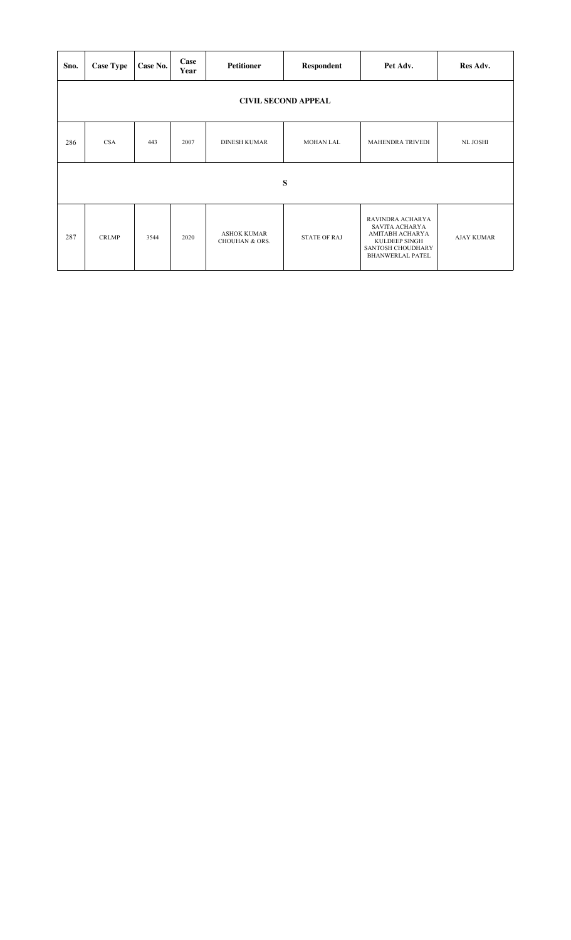| Sno.                       | <b>Case Type</b> | Case No. | Case<br>Year | <b>Petitioner</b>                               | Respondent          | Pet Adv.                                                                                                                      | Res Adv.          |  |  |  |  |
|----------------------------|------------------|----------|--------------|-------------------------------------------------|---------------------|-------------------------------------------------------------------------------------------------------------------------------|-------------------|--|--|--|--|
| <b>CIVIL SECOND APPEAL</b> |                  |          |              |                                                 |                     |                                                                                                                               |                   |  |  |  |  |
| 286                        | <b>CSA</b>       | 443      | 2007         | <b>DINESH KUMAR</b>                             | <b>MOHAN LAL</b>    | <b>MAHENDRA TRIVEDI</b>                                                                                                       | <b>NL JOSHI</b>   |  |  |  |  |
|                            |                  |          |              |                                                 | S                   |                                                                                                                               |                   |  |  |  |  |
| 287                        | <b>CRLMP</b>     | 3544     | 2020         | <b>ASHOK KUMAR</b><br><b>CHOUHAN &amp; ORS.</b> | <b>STATE OF RAJ</b> | RAVINDRA ACHARYA<br><b>SAVITA ACHARYA</b><br>AMITABH ACHARYA<br>KULDEEP SINGH<br>SANTOSH CHOUDHARY<br><b>BHANWERLAL PATEL</b> | <b>AJAY KUMAR</b> |  |  |  |  |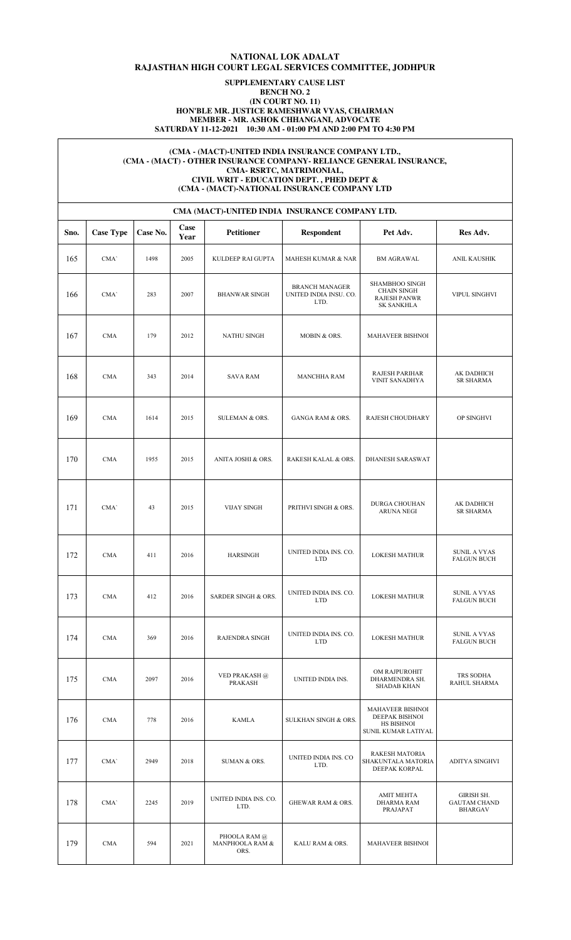## **NATIONAL LOK ADALAT RAJASTHAN HIGH COURT LEGAL SERVICES COMMITTEE, JODHPUR**

### **SUPPLEMENTARY CAUSE LIST BENCH NO. 2 (IN COURT NO. 11) HON'BLE MR. JUSTICE RAMESHWAR VYAS, CHAIRMAN MEMBER - MR. ASHOK CHHANGANI, ADVOCATE SATURDAY 11-12-2021 10:30 AM - 01:00 PM AND 2:00 PM TO 4:30 PM**

#### **(CMA - (MACT)-UNITED INDIA INSURANCE COMPANY LTD., (CMA - (MACT) - OTHER INSURANCE COMPANY- RELIANCE GENERAL INSURANCE, CMA- RSRTC, MATRIMONIAL, CIVIL WRIT - EDUCATION DEPT. , PHED DEPT & (CMA - (MACT)-NATIONAL INSURANCE COMPANY LTD**

|      | CMA (MACT)-UNITED INDIA INSURANCE COMPANY LTD. |          |              |                                         |                                                         |                                                                                |                                                     |  |  |  |  |  |
|------|------------------------------------------------|----------|--------------|-----------------------------------------|---------------------------------------------------------|--------------------------------------------------------------------------------|-----------------------------------------------------|--|--|--|--|--|
| Sno. | <b>Case Type</b>                               | Case No. | Case<br>Year | <b>Petitioner</b>                       | <b>Respondent</b>                                       | Pet Adv.                                                                       | Res Adv.                                            |  |  |  |  |  |
| 165  | CMA'                                           | 1498     | 2005         | KULDEEP RAI GUPTA                       | <b>MAHESH KUMAR &amp; NAR</b>                           | <b>BM AGRAWAL</b>                                                              | ANIL KAUSHIK                                        |  |  |  |  |  |
| 166  | CMA'                                           | 283      | 2007         | <b>BHANWAR SINGH</b>                    | <b>BRANCH MANAGER</b><br>UNITED INDIA INSU. CO.<br>LTD. | SHAMBHOO SINGH<br><b>CHAIN SINGH</b><br><b>RAJESH PANWR</b><br>SK SANKHLA      | VIPUL SINGHVI                                       |  |  |  |  |  |
| 167  | <b>CMA</b>                                     | 179      | 2012         | NATHU SINGH                             | MOBIN & ORS.                                            | MAHAVEER BISHNOI                                                               |                                                     |  |  |  |  |  |
| 168  | <b>CMA</b>                                     | 343      | 2014         | <b>SAVA RAM</b>                         | <b>MANCHHA RAM</b>                                      | RAJESH PARIHAR<br>VINIT SANADHYA                                               | AK DADHICH<br><b>SR SHARMA</b>                      |  |  |  |  |  |
| 169  | <b>CMA</b>                                     | 1614     | 2015         | SULEMAN & ORS.                          | <b>GANGA RAM &amp; ORS.</b>                             | RAJESH CHOUDHARY                                                               | OP SINGHVI                                          |  |  |  |  |  |
| 170  | <b>CMA</b>                                     | 1955     | 2015         | ANITA JOSHI & ORS.                      | RAKESH KALAL & ORS.                                     | <b>DHANESH SARASWAT</b>                                                        |                                                     |  |  |  |  |  |
| 171  | CMA'                                           | 43       | 2015         | <b>VIJAY SINGH</b>                      | PRITHVI SINGH & ORS.                                    | DURGA CHOUHAN<br><b>ARUNA NEGI</b>                                             | AK DADHICH<br><b>SR SHARMA</b>                      |  |  |  |  |  |
| 172  | <b>CMA</b>                                     | 411      | 2016         | <b>HARSINGH</b>                         | UNITED INDIA INS. CO.<br><b>LTD</b>                     | <b>LOKESH MATHUR</b>                                                           | SUNIL A VYAS<br><b>FALGUN BUCH</b>                  |  |  |  |  |  |
| 173  | <b>CMA</b>                                     | 412      | 2016         | SARDER SINGH & ORS.                     | UNITED INDIA INS. CO.<br><b>LTD</b>                     | <b>LOKESH MATHUR</b>                                                           | SUNIL A VYAS<br><b>FALGUN BUCH</b>                  |  |  |  |  |  |
| 174  | <b>CMA</b>                                     | 369      | 2016         | <b>RAJENDRA SINGH</b>                   | UNITED INDIA INS. CO.<br><b>LTD</b>                     | <b>LOKESH MATHUR</b>                                                           | <b>SUNIL A VYAS</b><br><b>FALGUN BUCH</b>           |  |  |  |  |  |
| 175  | <b>CMA</b>                                     | 2097     | 2016         | VED PRAKASH $@$<br><b>PRAKASH</b>       | UNITED INDIA INS.                                       | OM RAJPUROHIT<br>DHARMENDRA SH.<br><b>SHADAB KHAN</b>                          | TRS SODHA<br>RAHUL SHARMA                           |  |  |  |  |  |
| 176  | $\rm CMA$                                      | 778      | 2016         | <b>KAMLA</b>                            | SULKHAN SINGH & ORS.                                    | <b>MAHAVEER BISHNOI</b><br>DEEPAK BISHNOI<br>HS BISHNOI<br>SUNIL KUMAR LATIYAL |                                                     |  |  |  |  |  |
| 177  | CMA'                                           | 2949     | 2018         | SUMAN & ORS.                            | UNITED INDIA INS. CO<br>LTD.                            | RAKESH MATORIA<br>SHAKUNTALA MATORIA<br>DEEPAK KORPAL                          | ADITYA SINGHVI                                      |  |  |  |  |  |
| 178  | CMA'                                           | 2245     | 2019         | UNITED INDIA INS. CO.<br>LTD.           | <b>GHEWAR RAM &amp; ORS.</b>                            | AMIT MEHTA<br><b>DHARMA RAM</b><br>PRAJAPAT                                    | GIRISH SH.<br><b>GAUTAM CHAND</b><br><b>BHARGAV</b> |  |  |  |  |  |
| 179  | <b>CMA</b>                                     | 594      | 2021         | PHOOLA RAM @<br>MANPHOOLA RAM &<br>ORS. | KALU RAM & ORS.                                         | MAHAVEER BISHNOI                                                               |                                                     |  |  |  |  |  |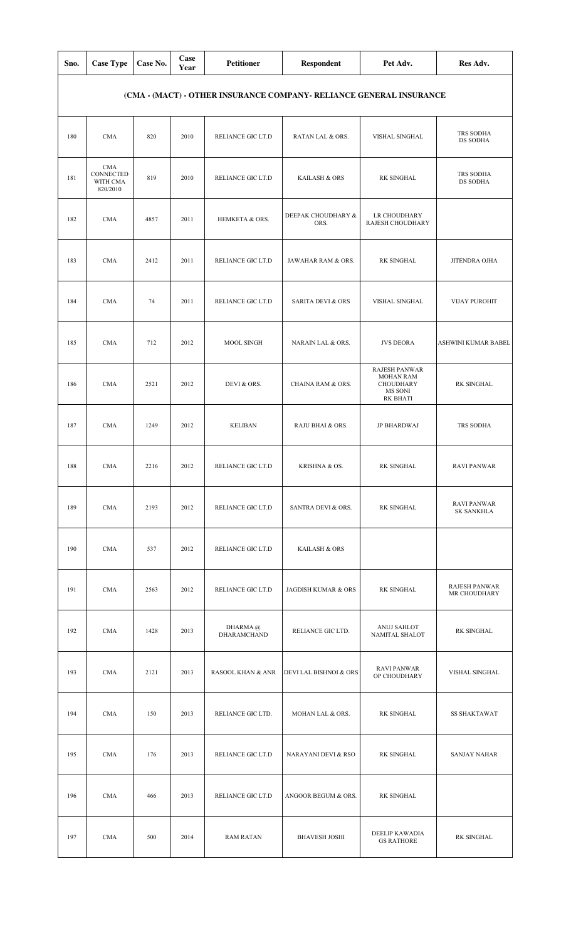| Sno. | <b>Case Type</b>                                | Case No. | Case<br>Year | <b>Petitioner</b>            | <b>Respondent</b>                                                   | Pet Adv.                                                                                   | Res Adv.                                |
|------|-------------------------------------------------|----------|--------------|------------------------------|---------------------------------------------------------------------|--------------------------------------------------------------------------------------------|-----------------------------------------|
|      |                                                 |          |              |                              | (CMA - (MACT) - OTHER INSURANCE COMPANY- RELIANCE GENERAL INSURANCE |                                                                                            |                                         |
| 180  | <b>CMA</b>                                      | 820      | 2010         | RELIANCE GIC LT.D            | RATAN LAL & ORS.                                                    | VISHAL SINGHAL                                                                             | TRS SODHA<br>DS SODHA                   |
| 181  | <b>CMA</b><br>CONNECTED<br>WITH CMA<br>820/2010 | 819      | 2010         | RELIANCE GIC LT.D            | KAILASH & ORS                                                       | <b>RK SINGHAL</b>                                                                          | TRS SODHA<br>DS SODHA                   |
| 182  | <b>CMA</b>                                      | 4857     | 2011         | HEMKETA & ORS.               | DEEPAK CHOUDHARY &<br>ORS.                                          | LR CHOUDHARY<br>RAJESH CHOUDHARY                                                           |                                         |
| 183  | <b>CMA</b>                                      | 2412     | 2011         | RELIANCE GIC LT.D            | JAWAHAR RAM & ORS.                                                  | <b>RK SINGHAL</b>                                                                          | JITENDRA OJHA                           |
| 184  | <b>CMA</b>                                      | 74       | 2011         | RELIANCE GIC LT.D            | <b>SARITA DEVI &amp; ORS</b>                                        | VISHAL SINGHAL                                                                             | <b>VIJAY PUROHIT</b>                    |
| 185  | <b>CMA</b>                                      | 712      | 2012         | MOOL SINGH                   | NARAIN LAL & ORS.                                                   | <b>JVS DEORA</b>                                                                           | ASHWINI KUMAR BABEL                     |
| 186  | <b>CMA</b>                                      | 2521     | 2012         | DEVI & ORS.                  | CHAINA RAM & ORS.                                                   | <b>RAJESH PANWAR</b><br><b>MOHAN RAM</b><br><b>CHOUDHARY</b><br>MS SONI<br><b>RK BHATI</b> | <b>RK SINGHAL</b>                       |
| 187  | <b>CMA</b>                                      | 1249     | 2012         | <b>KELIBAN</b>               | RAJU BHAI & ORS.                                                    | <b>JP BHARDWAJ</b>                                                                         | TRS SODHA                               |
| 188  | <b>CMA</b>                                      | 2216     | 2012         | RELIANCE GIC LT.D            | KRISHNA & OS.                                                       | RK SINGHAL                                                                                 | <b>RAVI PANWAR</b>                      |
| 189  | <b>CMA</b>                                      | 2193     | 2012         | RELIANCE GIC LT.D            | SANTRA DEVI & ORS.                                                  | RK SINGHAL                                                                                 | <b>RAVI PANWAR</b><br><b>SK SANKHLA</b> |
| 190  | <b>CMA</b>                                      | 537      | 2012         | RELIANCE GIC LT.D            | <b>KAILASH &amp; ORS</b>                                            |                                                                                            |                                         |
| 191  | <b>CMA</b>                                      | 2563     | 2012         | RELIANCE GIC LT.D            | JAGDISH KUMAR & ORS                                                 | RK SINGHAL                                                                                 | <b>RAJESH PANWAR</b><br>MR CHOUDHARY    |
| 192  | <b>CMA</b>                                      | 1428     | 2013         | DHARMA @<br>DHARAMCHAND      | RELIANCE GIC LTD.                                                   | ANUJ SAHLOT<br>NAMITAL SHALOT                                                              | <b>RK SINGHAL</b>                       |
| 193  | <b>CMA</b>                                      | 2121     | 2013         | <b>RASOOL KHAN &amp; ANR</b> | DEVI LAL BISHNOI & ORS                                              | <b>RAVI PANWAR</b><br>OP CHOUDHARY                                                         | VISHAL SINGHAL                          |
| 194  | <b>CMA</b>                                      | 150      | 2013         | RELIANCE GIC LTD.            | MOHAN LAL & ORS.                                                    | <b>RK SINGHAL</b>                                                                          | <b>SS SHAKTAWAT</b>                     |
| 195  | <b>CMA</b>                                      | 176      | 2013         | RELIANCE GIC LT.D            | NARAYANI DEVI & RSO                                                 | <b>RK SINGHAL</b>                                                                          | <b>SANJAY NAHAR</b>                     |
| 196  | <b>CMA</b>                                      | 466      | 2013         | RELIANCE GIC LT.D            | ANGOOR BEGUM & ORS.                                                 | <b>RK SINGHAL</b>                                                                          |                                         |
| 197  | <b>CMA</b>                                      | 500      | 2014         | <b>RAM RATAN</b>             | <b>BHAVESH JOSHI</b>                                                | DEELIP KAWADIA<br><b>GS RATHORE</b>                                                        | <b>RK SINGHAL</b>                       |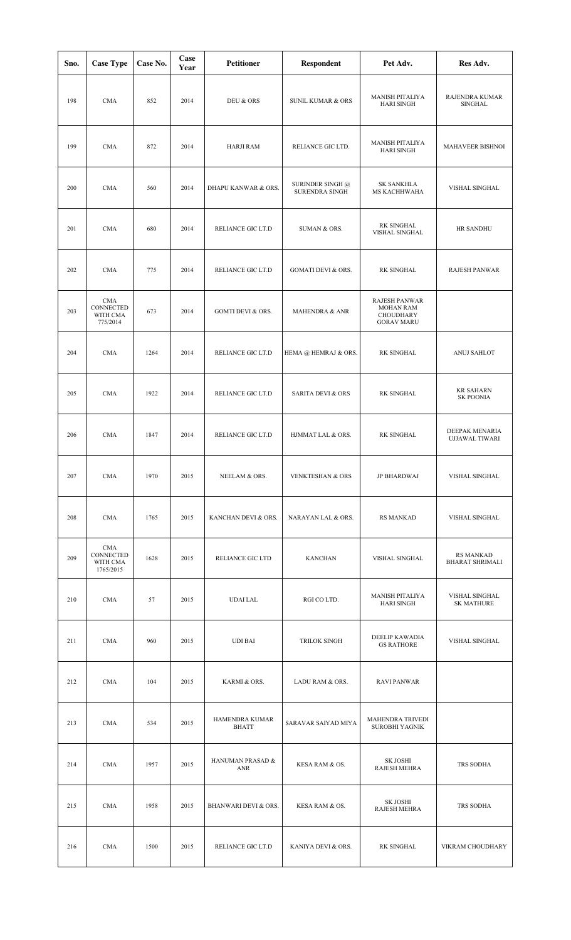| Sno. | <b>Case Type</b>                                 | Case No. | Case<br>Year | <b>Petitioner</b>              | <b>Respondent</b>                         | Pet Adv.                                                                          | Res Adv.                                   |
|------|--------------------------------------------------|----------|--------------|--------------------------------|-------------------------------------------|-----------------------------------------------------------------------------------|--------------------------------------------|
| 198  | CMA                                              | 852      | 2014         | DEU & ORS                      | <b>SUNIL KUMAR &amp; ORS</b>              | MANISH PITALIYA<br><b>HARI SINGH</b>                                              | RAJENDRA KUMAR<br>SINGHAL                  |
| 199  | <b>CMA</b>                                       | 872      | 2014         | HARJI RAM                      | RELIANCE GIC LTD.                         | MANISH PITALIYA<br><b>HARI SINGH</b>                                              | MAHAVEER BISHNOI                           |
| 200  | <b>CMA</b>                                       | 560      | 2014         | DHAPU KANWAR & ORS.            | SURINDER SINGH @<br><b>SURENDRA SINGH</b> | <b>SK SANKHLA</b><br>MS KACHHWAHA                                                 | VISHAL SINGHAL                             |
| 201  | <b>CMA</b>                                       | 680      | 2014         | RELIANCE GIC LT.D              | SUMAN & ORS.                              | RK SINGHAL<br>VISHAL SINGHAL                                                      | <b>HR SANDHU</b>                           |
| 202  | <b>CMA</b>                                       | 775      | 2014         | RELIANCE GIC LT.D              | <b>GOMATI DEVI &amp; ORS.</b>             | RK SINGHAL                                                                        | <b>RAJESH PANWAR</b>                       |
| 203  | <b>CMA</b><br>CONNECTED<br>WITH CMA<br>775/2014  | 673      | 2014         | <b>GOMTI DEVI &amp; ORS.</b>   | MAHENDRA & ANR                            | <b>RAJESH PANWAR</b><br><b>MOHAN RAM</b><br><b>CHOUDHARY</b><br><b>GORAV MARU</b> |                                            |
| 204  | <b>CMA</b>                                       | 1264     | 2014         | RELIANCE GIC LT.D              | HEMA @ HEMRAJ & ORS.                      | RK SINGHAL                                                                        | ANUJ SAHLOT                                |
| 205  | <b>CMA</b>                                       | 1922     | 2014         | RELIANCE GIC LT.D              | <b>SARITA DEVI &amp; ORS</b>              | RK SINGHAL                                                                        | <b>KR SAHARN</b><br><b>SK POONIA</b>       |
| 206  | <b>CMA</b>                                       | 1847     | 2014         | RELIANCE GIC LT.D              | HJMMAT LAL & ORS.                         | RK SINGHAL                                                                        | DEEPAK MENARIA<br>UJJAWAL TIWARI           |
| 207  | <b>CMA</b>                                       | 1970     | 2015         | NEELAM & ORS.                  | <b>VENKTESHAN &amp; ORS</b>               | JP BHARDWAJ                                                                       | VISHAL SINGHAL                             |
| 208  | <b>CMA</b>                                       | 1765     | 2015         | KANCHAN DEVI & ORS.            | NARAYAN LAL & ORS.                        | <b>RS MANKAD</b>                                                                  | VISHAL SINGHAL                             |
| 209  | <b>CMA</b><br>CONNECTED<br>WITH CMA<br>1765/2015 | 1628     | 2015         | RELIANCE GIC LTD               | <b>KANCHAN</b>                            | VISHAL SINGHAL                                                                    | <b>RS MANKAD</b><br><b>BHARAT SHRIMALI</b> |
| 210  | <b>CMA</b>                                       | 57       | 2015         | UDAI LAL                       | RGI CO LTD.                               | MANISH PITALIYA<br><b>HARI SINGH</b>                                              | VISHAL SINGHAL<br><b>SK MATHURE</b>        |
| 211  | <b>CMA</b>                                       | 960      | 2015         | UDI BAI                        | TRILOK SINGH                              | DEELIP KAWADIA<br><b>GS RATHORE</b>                                               | VISHAL SINGHAL                             |
| 212  | <b>CMA</b>                                       | 104      | 2015         | KARMI & ORS.                   | LADU RAM & ORS.                           | <b>RAVI PANWAR</b>                                                                |                                            |
| 213  | <b>CMA</b>                                       | 534      | 2015         | HAMENDRA KUMAR<br><b>BHATT</b> | SARAVAR SAIYAD MIYA                       | MAHENDRA TRIVEDI<br>SUROBHI YAGNIK                                                |                                            |
| 214  | <b>CMA</b>                                       | 1957     | 2015         | HANUMAN PRASAD &<br>ANR        | KESA RAM & OS.                            | <b>SK JOSHI</b><br><b>RAJESH MEHRA</b>                                            | TRS SODHA                                  |
| 215  | <b>CMA</b>                                       | 1958     | 2015         | BHANWARI DEVI & ORS.           | KESA RAM & OS.                            | SK JOSHI<br><b>RAJESH MEHRA</b>                                                   | TRS SODHA                                  |
| 216  | <b>CMA</b>                                       | 1500     | 2015         | RELIANCE GIC LT.D              | KANIYA DEVI & ORS.                        | <b>RK SINGHAL</b>                                                                 | VIKRAM CHOUDHARY                           |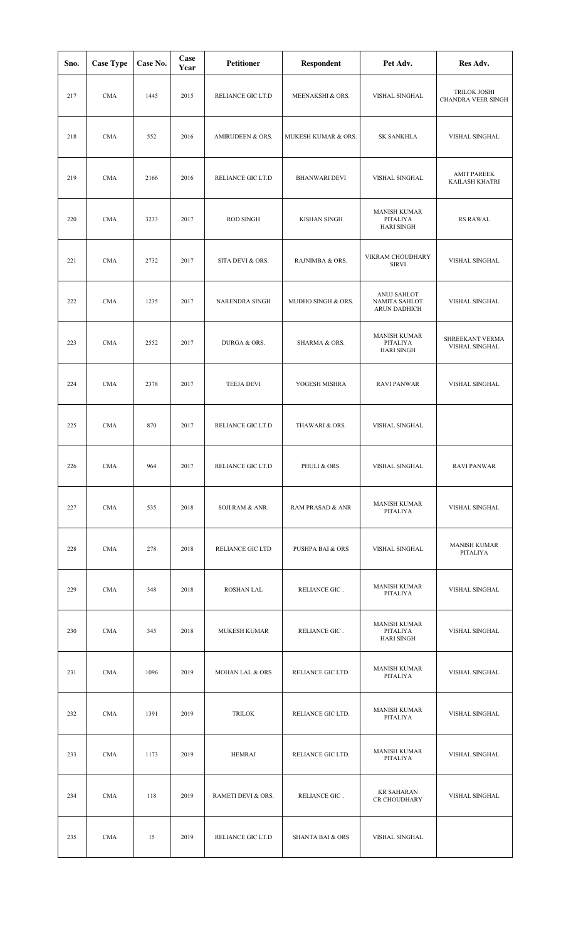| Sno. | <b>Case Type</b> | Case No. | Case<br>Year | <b>Petitioner</b>   | <b>Respondent</b>           | Pet Adv.                                             | Res Adv.                                    |
|------|------------------|----------|--------------|---------------------|-----------------------------|------------------------------------------------------|---------------------------------------------|
| 217  | <b>CMA</b>       | 1445     | 2015         | RELIANCE GIC LT.D   | MEENAKSHI & ORS.            | VISHAL SINGHAL                                       | TRILOK JOSHI<br>CHANDRA VEER SINGH          |
| 218  | <b>CMA</b>       | 552      | 2016         | AMIRUDEEN & ORS.    | MUKESH KUMAR & ORS.         | <b>SK SANKHLA</b>                                    | VISHAL SINGHAL                              |
| 219  | <b>CMA</b>       | 2166     | 2016         | RELIANCE GIC LT.D   | <b>BHANWARI DEVI</b>        | VISHAL SINGHAL                                       | <b>AMIT PAREEK</b><br><b>KAILASH KHATRI</b> |
| 220  | <b>CMA</b>       | 3233     | 2017         | <b>ROD SINGH</b>    | <b>KISHAN SINGH</b>         | <b>MANISH KUMAR</b><br>PITALIYA<br><b>HARI SINGH</b> | <b>RS RAWAL</b>                             |
| 221  | <b>CMA</b>       | 2732     | 2017         | SITA DEVI & ORS.    | RAJNIMBA & ORS.             | VIKRAM CHOUDHARY<br><b>SIRVI</b>                     | VISHAL SINGHAL                              |
| 222  | <b>CMA</b>       | 1235     | 2017         | NARENDRA SINGH      | MUDHO SINGH & ORS.          | ANUJ SAHLOT<br>NAMITA SAHLOT<br><b>ARUN DADHICH</b>  | VISHAL SINGHAL                              |
| 223  | <b>CMA</b>       | 2552     | 2017         | DURGA & ORS.        | SHARMA & ORS.               | <b>MANISH KUMAR</b><br>PITALIYA<br><b>HARI SINGH</b> | SHREEKANT VERMA<br>VISHAL SINGHAL           |
| 224  | <b>CMA</b>       | 2378     | 2017         | <b>TEEJA DEVI</b>   | YOGESH MISHRA               | <b>RAVI PANWAR</b>                                   | VISHAL SINGHAL                              |
| 225  | <b>CMA</b>       | 870      | 2017         | RELIANCE GIC LT.D   | THAWARI & ORS.              | VISHAL SINGHAL                                       |                                             |
| 226  | <b>CMA</b>       | 964      | 2017         | RELIANCE GIC LT.D   | PHULI & ORS.                | VISHAL SINGHAL                                       | <b>RAVI PANWAR</b>                          |
| 227  | <b>CMA</b>       | 535      | 2018         | SOJI RAM & ANR.     | <b>RAM PRASAD &amp; ANR</b> | <b>MANISH KUMAR</b><br>PITALIYA                      | VISHAL SINGHAL                              |
| 228  | <b>CMA</b>       | 278      | 2018         | RELIANCE GIC LTD    | <b>PUSHPA BAI &amp; ORS</b> | VISHAL SINGHAL                                       | <b>MANISH KUMAR</b><br>PITALIYA             |
| 229  | <b>CMA</b>       | 348      | 2018         | <b>ROSHAN LAL</b>   | RELIANCE GIC.               | <b>MANISH KUMAR</b><br>PITALIYA                      | VISHAL SINGHAL                              |
| 230  | <b>CMA</b>       | 345      | 2018         | <b>MUKESH KUMAR</b> | RELIANCE GIC.               | <b>MANISH KUMAR</b><br>PITALIYA<br><b>HARI SINGH</b> | VISHAL SINGHAL                              |
| 231  | <b>CMA</b>       | 1096     | 2019         | MOHAN LAL & ORS     | RELIANCE GIC LTD.           | <b>MANISH KUMAR</b><br>PITALIYA                      | VISHAL SINGHAL                              |
| 232  | <b>CMA</b>       | 1391     | 2019         | <b>TRILOK</b>       | RELIANCE GIC LTD.           | <b>MANISH KUMAR</b><br>PITALIYA                      | VISHAL SINGHAL                              |
| 233  | <b>CMA</b>       | 1173     | 2019         | <b>HEMRAJ</b>       | RELIANCE GIC LTD.           | <b>MANISH KUMAR</b><br>PITALIYA                      | VISHAL SINGHAL                              |
| 234  | <b>CMA</b>       | 118      | 2019         | RAMETI DEVI & ORS.  | RELIANCE GIC.               | <b>KR SAHARAN</b><br>CR CHOUDHARY                    | VISHAL SINGHAL                              |
| 235  | <b>CMA</b>       | 15       | 2019         | RELIANCE GIC LT.D   | <b>SHANTA BAI &amp; ORS</b> | VISHAL SINGHAL                                       |                                             |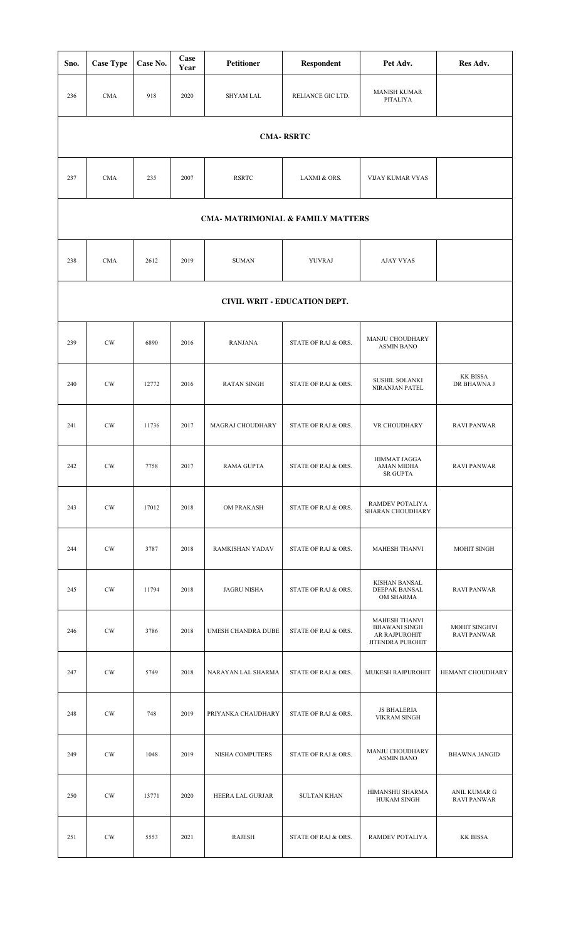| Sno.                                                                            | <b>Case Type</b>             | Case No. | Case<br>Year | <b>Petitioner</b>  | <b>Respondent</b>   | Pet Adv.                                                                          | Res Adv.                            |  |  |  |  |
|---------------------------------------------------------------------------------|------------------------------|----------|--------------|--------------------|---------------------|-----------------------------------------------------------------------------------|-------------------------------------|--|--|--|--|
| 236                                                                             | <b>CMA</b>                   | 918      | 2020         | <b>SHYAM LAL</b>   | RELIANCE GIC LTD.   | <b>MANISH KUMAR</b><br>PITALIYA                                                   |                                     |  |  |  |  |
|                                                                                 |                              |          |              |                    | <b>CMA-RSRTC</b>    |                                                                                   |                                     |  |  |  |  |
| 237                                                                             | <b>CMA</b>                   | 235      | 2007         | <b>RSRTC</b>       | LAXMI & ORS.        | VIJAY KUMAR VYAS                                                                  |                                     |  |  |  |  |
| <b>CMA- MATRIMONIAL &amp; FAMILY MATTERS</b>                                    |                              |          |              |                    |                     |                                                                                   |                                     |  |  |  |  |
| 238<br><b>CMA</b><br>2612<br>2019<br><b>SUMAN</b><br>YUVRAJ<br><b>AJAY VYAS</b> |                              |          |              |                    |                     |                                                                                   |                                     |  |  |  |  |
|                                                                                 | CIVIL WRIT - EDUCATION DEPT. |          |              |                    |                     |                                                                                   |                                     |  |  |  |  |
| 239                                                                             | CW                           | 6890     | 2016         | <b>RANJANA</b>     | STATE OF RAJ & ORS. | MANJU CHOUDHARY<br><b>ASMIN BANO</b>                                              |                                     |  |  |  |  |
| 240                                                                             | CW                           | 12772    | 2016         | <b>RATAN SINGH</b> | STATE OF RAJ & ORS. | <b>SUSHIL SOLANKI</b><br>NIRANJAN PATEL                                           | KK BISSA<br>DR BHAWNA J             |  |  |  |  |
| 241                                                                             | CW                           | 11736    | 2017         | MAGRAJ CHOUDHARY   | STATE OF RAJ & ORS. | VR CHOUDHARY                                                                      | <b>RAVI PANWAR</b>                  |  |  |  |  |
| 242                                                                             | CW                           | 7758     | 2017         | RAMA GUPTA         | STATE OF RAJ & ORS. | HIMMAT JAGGA<br>AMAN MIDHA<br><b>SR GUPTA</b>                                     | <b>RAVI PANWAR</b>                  |  |  |  |  |
| 243                                                                             | CW                           | 17012    | 2018         | OM PRAKASH         | STATE OF RAJ & ORS. | RAMDEV POTALIYA<br>SHARAN CHOUDHARY                                               |                                     |  |  |  |  |
| 244                                                                             | <b>CW</b>                    | 3787     | 2018         | RAMKISHAN YADAV    | STATE OF RAJ & ORS. | <b>MAHESH THANVI</b>                                                              | MOHIT SINGH                         |  |  |  |  |
| 245                                                                             | CW                           | 11794    | 2018         | <b>JAGRU NISHA</b> | STATE OF RAJ & ORS. | KISHAN BANSAL<br>DEEPAK BANSAL<br>OM SHARMA                                       | <b>RAVI PANWAR</b>                  |  |  |  |  |
| 246                                                                             | $\mathrm{CW}$                | 3786     | 2018         | UMESH CHANDRA DUBE | STATE OF RAJ & ORS. | <b>MAHESH THANVI</b><br><b>BHAWANI SINGH</b><br>AR RAJPUROHIT<br>JITENDRA PUROHIT | MOHIT SINGHVI<br><b>RAVI PANWAR</b> |  |  |  |  |
| 247                                                                             | <b>CW</b>                    | 5749     | 2018         | NARAYAN LAL SHARMA | STATE OF RAJ & ORS. | MUKESH RAJPUROHIT                                                                 | HEMANT CHOUDHARY                    |  |  |  |  |
| 248                                                                             | $\mathrm{CW}$                | 748      | 2019         | PRIYANKA CHAUDHARY | STATE OF RAJ & ORS. | <b>JS BHALERIA</b><br><b>VIKRAM SINGH</b>                                         |                                     |  |  |  |  |
| 249                                                                             | $\mathrm{CW}$                | 1048     | 2019         | NISHA COMPUTERS    | STATE OF RAJ & ORS. | MANJU CHOUDHARY<br><b>ASMIN BANO</b>                                              | <b>BHAWNA JANGID</b>                |  |  |  |  |
| 250                                                                             | CW                           | 13771    | 2020         | HEERA LAL GURJAR   | <b>SULTAN KHAN</b>  | HIMANSHU SHARMA<br><b>HUKAM SINGH</b>                                             | ANIL KUMAR G<br><b>RAVI PANWAR</b>  |  |  |  |  |
| 251                                                                             | <b>CW</b>                    | 5553     | 2021         | <b>RAJESH</b>      | STATE OF RAJ & ORS. | RAMDEV POTALIYA                                                                   | KK BISSA                            |  |  |  |  |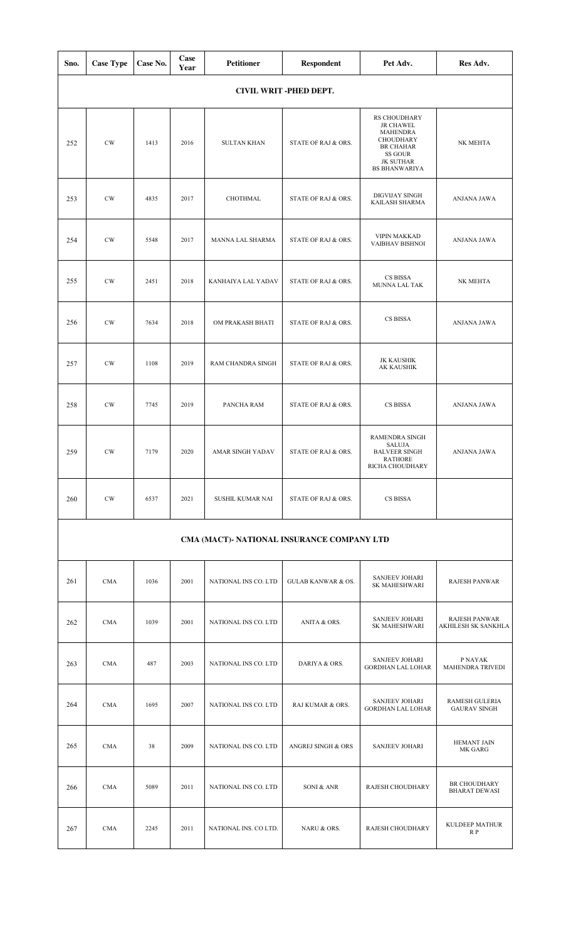| Sno. | <b>Case Type</b>        | Case No. | Case<br>Year | <b>Petitioner</b>  | <b>Respondent</b>   | Pet Adv.                                                                                                                                           | Res Adv.    |  |  |  |  |  |
|------|-------------------------|----------|--------------|--------------------|---------------------|----------------------------------------------------------------------------------------------------------------------------------------------------|-------------|--|--|--|--|--|
|      | CIVIL WRIT - PHED DEPT. |          |              |                    |                     |                                                                                                                                                    |             |  |  |  |  |  |
| 252  | CW                      | 1413     | 2016         | <b>SULTAN KHAN</b> | STATE OF RAJ & ORS. | RS CHOUDHARY<br><b>JR CHAWEL</b><br><b>MAHENDRA</b><br><b>CHOUDHARY</b><br><b>BR CHAHAR</b><br>SS GOUR<br><b>JK SUTHAR</b><br><b>BS BHANWARIYA</b> | NK MEHTA    |  |  |  |  |  |
| 253  | CW                      | 4835     | 2017         | CHOTHMAL           | STATE OF RAJ & ORS. | DIGVIJAY SINGH<br>KAILASH SHARMA                                                                                                                   | ANJANA JAWA |  |  |  |  |  |
| 254  | CW                      | 5548     | 2017         | MANNA LAL SHARMA   | STATE OF RAJ & ORS. | <b>VIPIN MAKKAD</b><br>VAIBHAV BISHNOI                                                                                                             | ANJANA JAWA |  |  |  |  |  |
| 255  | CW                      | 2451     | 2018         | KANHAIYA LAL YADAV | STATE OF RAJ & ORS. | CS BISSA<br>MUNNA LAL TAK                                                                                                                          | NK MEHTA    |  |  |  |  |  |
| 256  | $\mathrm{CW}$           | 7634     | 2018         | OM PRAKASH BHATI   | STATE OF RAJ & ORS. | CS BISSA                                                                                                                                           | ANJANA JAWA |  |  |  |  |  |
| 257  | CW                      | 1108     | 2019         | RAM CHANDRA SINGH  | STATE OF RAJ & ORS. | <b>JK KAUSHIK</b><br>AK KAUSHIK                                                                                                                    |             |  |  |  |  |  |
| 258  | CW                      | 7745     | 2019         | PANCHA RAM         | STATE OF RAJ & ORS. | CS BISSA                                                                                                                                           | ANJANA JAWA |  |  |  |  |  |
| 259  | CW                      | 7179     | 2020         | AMAR SINGH YADAV   | STATE OF RAJ & ORS. | RAMENDRA SINGH<br><b>SALUJA</b><br><b>BALVEER SINGH</b><br><b>RATHORE</b><br>RICHA CHOUDHARY                                                       | ANJANA JAWA |  |  |  |  |  |
| 260  | $\mathrm{CW}$           | 6537     | 2021         | SUSHIL KUMAR NAI   | STATE OF RAJ & ORS. | CS BISSA                                                                                                                                           |             |  |  |  |  |  |
|      |                         |          |              |                    |                     |                                                                                                                                                    |             |  |  |  |  |  |

# **CMA (MACT)- NATIONAL INSURANCE COMPANY LTD**

| 261 | <b>CMA</b> | 1036 | 2001 | NATIONAL INS CO. LTD  | <b>GULAB KANWAR &amp; OS.</b> | <b>SANJEEV JOHARI</b><br><b>SK MAHESHWARI</b>     | <b>RAJESH PANWAR</b>                         |
|-----|------------|------|------|-----------------------|-------------------------------|---------------------------------------------------|----------------------------------------------|
| 262 | <b>CMA</b> | 1039 | 2001 | NATIONAL INS CO. LTD  | ANITA & ORS.                  | <b>SANJEEV JOHARI</b><br><b>SK MAHESHWARI</b>     | <b>RAJESH PANWAR</b><br>AKHILESH SK SANKHLA  |
| 263 | <b>CMA</b> | 487  | 2003 | NATIONAL INS CO. LTD  | DARIYA & ORS.                 | <b>SANJEEV JOHARI</b><br><b>GORDHAN LAL LOHAR</b> | P NAYAK<br><b>MAHENDRA TRIVEDI</b>           |
| 264 | <b>CMA</b> | 1695 | 2007 | NATIONAL INS CO. LTD  | RAJ KUMAR & ORS.              | <b>SANJEEV JOHARI</b><br><b>GORDHAN LAL LOHAR</b> | <b>RAMESH GULERIA</b><br><b>GAURAV SINGH</b> |
| 265 | <b>CMA</b> | 38   | 2009 | NATIONAL INS CO. LTD  | <b>ANGREJ SINGH &amp; ORS</b> | <b>SANJEEV JOHARI</b>                             | <b>HEMANT JAIN</b><br><b>MK GARG</b>         |
| 266 | <b>CMA</b> | 5089 | 2011 | NATIONAL INS CO. LTD  | SONI & ANR                    | RAJESH CHOUDHARY                                  | <b>BR CHOUDHARY</b><br><b>BHARAT DEWASI</b>  |
| 267 | <b>CMA</b> | 2245 | 2011 | NATIONAL INS. CO LTD. | NARU & ORS.                   | RAJESH CHOUDHARY                                  | <b>KULDEEP MATHUR</b><br>R P                 |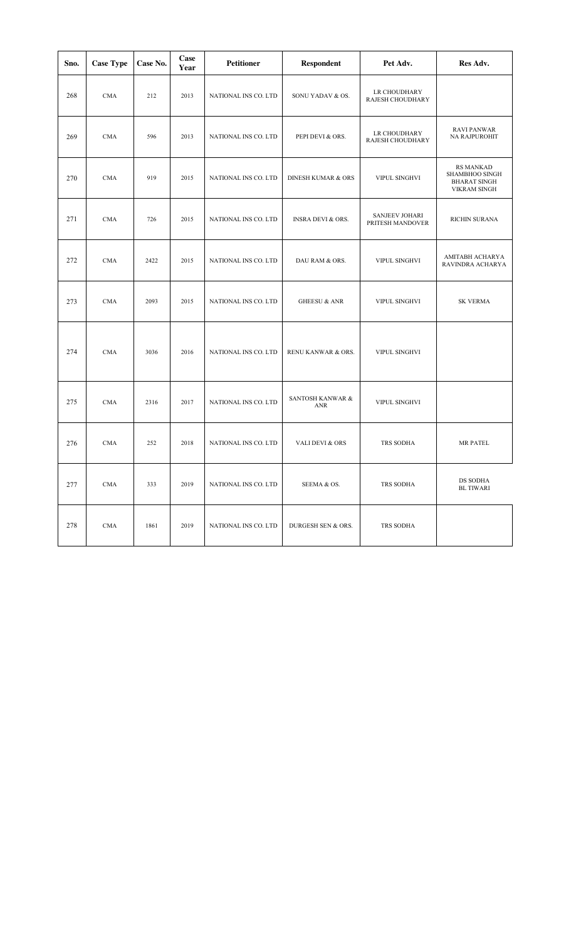| Sno. | <b>Case Type</b> | Case No. | Case<br>Year | Petitioner           | <b>Respondent</b>             | Pet Adv.                                  | Res Adv.                                                                         |
|------|------------------|----------|--------------|----------------------|-------------------------------|-------------------------------------------|----------------------------------------------------------------------------------|
| 268  | <b>CMA</b>       | 212      | 2013         | NATIONAL INS CO. LTD | SONU YADAV & OS.              | LR CHOUDHARY<br>RAJESH CHOUDHARY          |                                                                                  |
| 269  | <b>CMA</b>       | 596      | 2013         | NATIONAL INS CO. LTD | PEPI DEVI & ORS.              | LR CHOUDHARY<br>RAJESH CHOUDHARY          | <b>RAVI PANWAR</b><br>NA RAJPUROHIT                                              |
| 270  | <b>CMA</b>       | 919      | 2015         | NATIONAL INS CO. LTD | <b>DINESH KUMAR &amp; ORS</b> | VIPUL SINGHVI                             | <b>RS MANKAD</b><br>SHAMBHOO SINGH<br><b>BHARAT SINGH</b><br><b>VIKRAM SINGH</b> |
| 271  | <b>CMA</b>       | 726      | 2015         | NATIONAL INS CO. LTD | INSRA DEVI & ORS.             | <b>SANJEEV JOHARI</b><br>PRITESH MANDOVER | RICHIN SURANA                                                                    |
| 272  | <b>CMA</b>       | 2422     | 2015         | NATIONAL INS CO. LTD | DAU RAM & ORS.                | VIPUL SINGHVI                             | AMITABH ACHARYA<br>RAVINDRA ACHARYA                                              |
| 273  | <b>CMA</b>       | 2093     | 2015         | NATIONAL INS CO. LTD | <b>GHEESU &amp; ANR</b>       | VIPUL SINGHVI                             | <b>SK VERMA</b>                                                                  |
| 274  | <b>CMA</b>       | 3036     | 2016         | NATIONAL INS CO. LTD | RENU KANWAR & ORS.            | VIPUL SINGHVI                             |                                                                                  |
| 275  | <b>CMA</b>       | 2316     | 2017         | NATIONAL INS CO. LTD | SANTOSH KANWAR &<br>ANR       | VIPUL SINGHVI                             |                                                                                  |
| 276  | <b>CMA</b>       | 252      | 2018         | NATIONAL INS CO. LTD | VALI DEVI & ORS               | TRS SODHA                                 | MR PATEL                                                                         |
| 277  | <b>CMA</b>       | 333      | 2019         | NATIONAL INS CO. LTD | SEEMA & OS.                   | TRS SODHA                                 | DS SODHA<br><b>BL TIWARI</b>                                                     |
| 278  | <b>CMA</b>       | 1861     | 2019         | NATIONAL INS CO. LTD | DURGESH SEN & ORS.            | TRS SODHA                                 |                                                                                  |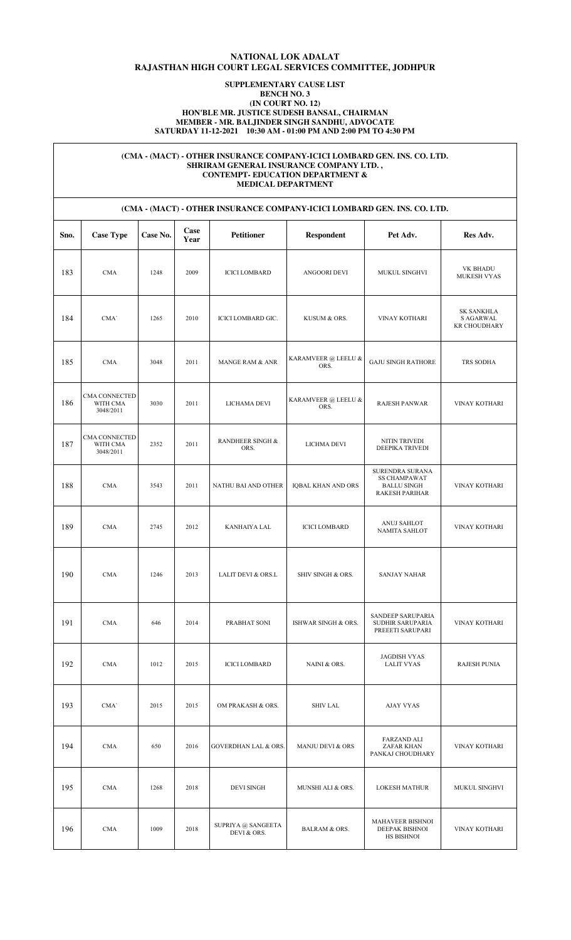## **NATIONAL LOK ADALAT RAJASTHAN HIGH COURT LEGAL SERVICES COMMITTEE, JODHPUR**

### **SUPPLEMENTARY CAUSE LIST BENCH NO. 3 (IN COURT NO. 12) HON'BLE MR. JUSTICE SUDESH BANSAL, CHAIRMAN MEMBER - MR. BALJINDER SINGH SANDHU, ADVOCATE SATURDAY 11-12-2021 10:30 AM - 01:00 PM AND 2:00 PM TO 4:30 PM**

### **(CMA - (MACT) - OTHER INSURANCE COMPANY-ICICI LOMBARD GEN. INS. CO. LTD. SHRIRAM GENERAL INSURANCE COMPANY LTD. , CONTEMPT- EDUCATION DEPARTMENT & MEDICAL DEPARTMENT**

| (CMA - (MACT) - OTHER INSURANCE COMPANY-ICICI LOMBARD GEN. INS. CO. LTD. |                                        |          |              |                                   |                                  |                                                                                |                                                       |  |
|--------------------------------------------------------------------------|----------------------------------------|----------|--------------|-----------------------------------|----------------------------------|--------------------------------------------------------------------------------|-------------------------------------------------------|--|
| Sno.                                                                     | <b>Case Type</b>                       | Case No. | Case<br>Year | <b>Petitioner</b>                 | Respondent                       | Pet Adv.                                                                       | Res Adv.                                              |  |
| 183                                                                      | <b>CMA</b>                             | 1248     | 2009         | <b>ICICI LOMBARD</b>              | ANGOORI DEVI                     | MUKUL SINGHVI                                                                  | VK BHADU<br>MUKESH VYAS                               |  |
| 184                                                                      | CMA'                                   | 1265     | 2010         | ICICI LOMBARD GIC.                | KUSUM & ORS.                     | VINAY KOTHARI                                                                  | <b>SK SANKHLA</b><br>S AGARWAL<br><b>KR CHOUDHARY</b> |  |
| 185                                                                      | <b>CMA</b>                             | 3048     | 2011         | <b>MANGE RAM &amp; ANR</b>        | KARAMVEER @ LEELU &<br>ORS.      | <b>GAJU SINGH RATHORE</b>                                                      | TRS SODHA                                             |  |
| 186                                                                      | CMA CONNECTED<br>WITH CMA<br>3048/2011 | 3030     | 2011         | LICHAMA DEVI                      | KARAMVEER $@$ LEELU $\&$<br>ORS. | RAJESH PANWAR                                                                  | <b>VINAY KOTHARI</b>                                  |  |
| 187                                                                      | CMA CONNECTED<br>WITH CMA<br>3048/2011 | 2352     | 2011         | RANDHEER SINGH &<br>ORS.          | LICHMA DEVI                      | NITIN TRIVEDI<br>DEEPIKA TRIVEDI                                               |                                                       |  |
| 188                                                                      | <b>CMA</b>                             | 3543     | 2011         | NATHU BAI AND OTHER               | <b>IQBAL KHAN AND ORS</b>        | SURENDRA SURANA<br><b>SS CHAMPAWAT</b><br><b>BALLU SINGH</b><br>RAKESH PARIHAR | VINAY KOTHARI                                         |  |
| 189                                                                      | <b>CMA</b>                             | 2745     | 2012         | KANHAIYA LAL                      | <b>ICICI LOMBARD</b>             | ANUJ SAHLOT<br>NAMITA SAHLOT                                                   | VINAY KOTHARI                                         |  |
| 190                                                                      | <b>CMA</b>                             | 1246     | 2013         | LALIT DEVI & ORS.L                | SHIV SINGH & ORS.                | <b>SANJAY NAHAR</b>                                                            |                                                       |  |
| 191                                                                      | CMA                                    | 646      | 2014         | PRABHAT SONI                      | ISHWAR SINGH & ORS.              | SANDEEP SARUPARIA<br>SUDHIR SARUPARIA<br>PREEETI SARUPARI                      | VINAY KOTHARI                                         |  |
| 192                                                                      | <b>CMA</b>                             | 1012     | 2015         | <b>ICICI LOMBARD</b>              | NAINI & ORS.                     | <b>JAGDISH VYAS</b><br><b>LALIT VYAS</b>                                       | <b>RAJESH PUNIA</b>                                   |  |
| 193                                                                      | CMA'                                   | 2015     | 2015         | OM PRAKASH & ORS.                 | SHIV LAL                         | <b>AJAY VYAS</b>                                                               |                                                       |  |
| 194                                                                      | <b>CMA</b>                             | 650      | 2016         | <b>GOVERDHAN LAL &amp; ORS.</b>   | MANJU DEVI & ORS                 | FARZAND ALI<br>ZAFAR KHAN<br>PANKAJ CHOUDHARY                                  | VINAY KOTHARI                                         |  |
| 195                                                                      | <b>CMA</b>                             | 1268     | 2018         | DEVI SINGH                        | MUNSHI ALI & ORS.                | <b>LOKESH MATHUR</b>                                                           | MUKUL SINGHVI                                         |  |
| 196                                                                      | <b>CMA</b>                             | 1009     | 2018         | SUPRIYA @ SANGEETA<br>DEVI & ORS. | <b>BALRAM &amp; ORS.</b>         | MAHAVEER BISHNOI<br>DEEPAK BISHNOI<br>HS BISHNOI                               | VINAY KOTHARI                                         |  |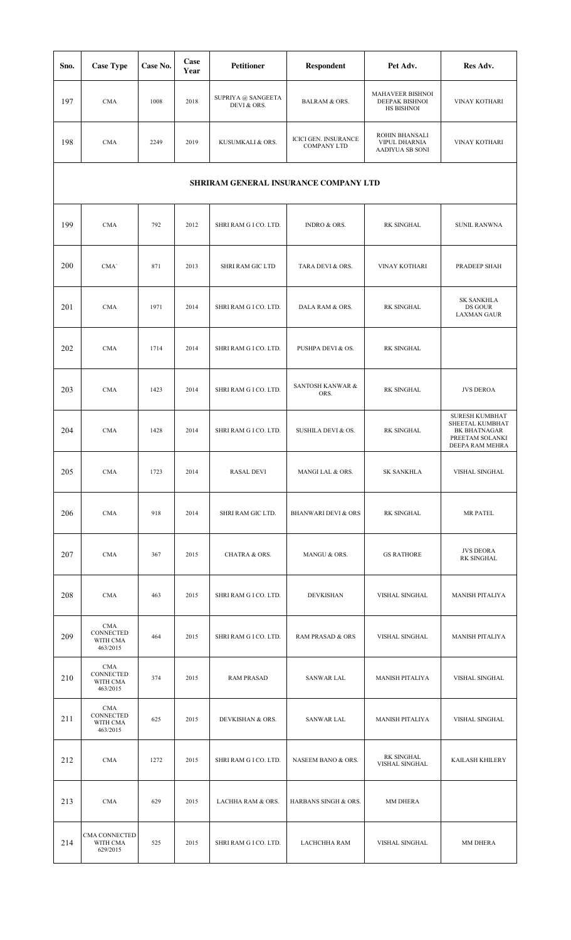| Sno. | <b>Case Type</b>                                | Case No. | Case<br>Year | <b>Petitioner</b>                 | <b>Respondent</b>                          | Pet Adv.                                                | Res Adv.                                                                                              |  |  |  |
|------|-------------------------------------------------|----------|--------------|-----------------------------------|--------------------------------------------|---------------------------------------------------------|-------------------------------------------------------------------------------------------------------|--|--|--|
| 197  | <b>CMA</b>                                      | 1008     | 2018         | SUPRIYA @ SANGEETA<br>DEVI & ORS. | <b>BALRAM &amp; ORS.</b>                   | MAHAVEER BISHNOI<br>DEEPAK BISHNOI<br><b>HS BISHNOI</b> | VINAY KOTHARI                                                                                         |  |  |  |
| 198  | <b>CMA</b>                                      | 2249     | 2019         | KUSUMKALI & ORS.                  | ICICI GEN. INSURANCE<br><b>COMPANY LTD</b> | ROHIN BHANSALI<br>VIPUL DHARNIA<br>AADIYUA SB SONI      | VINAY KOTHARI                                                                                         |  |  |  |
|      | SHRIRAM GENERAL INSURANCE COMPANY LTD           |          |              |                                   |                                            |                                                         |                                                                                                       |  |  |  |
| 199  | <b>CMA</b>                                      | 792      | 2012         | SHRI RAM G I CO. LTD.             | <b>INDRO &amp; ORS.</b>                    | <b>RK SINGHAL</b>                                       | <b>SUNIL RANWNA</b>                                                                                   |  |  |  |
| 200  | CMA'                                            | 871      | 2013         | SHRI RAM GIC LTD                  | TARA DEVI & ORS.                           | VINAY KOTHARI                                           | PRADEEP SHAH                                                                                          |  |  |  |
| 201  | <b>CMA</b>                                      | 1971     | 2014         | SHRI RAM G I CO. LTD.             | DALA RAM & ORS.                            | <b>RK SINGHAL</b>                                       | <b>SK SANKHLA</b><br>DS GOUR<br><b>LAXMAN GAUR</b>                                                    |  |  |  |
| 202  | <b>CMA</b>                                      | 1714     | 2014         | SHRI RAM G I CO. LTD.             | PUSHPA DEVI & OS.                          | <b>RK SINGHAL</b>                                       |                                                                                                       |  |  |  |
| 203  | <b>CMA</b>                                      | 1423     | 2014         | SHRI RAM G I CO. LTD.             | SANTOSH KANWAR &<br>ORS.                   | <b>RK SINGHAL</b>                                       | <b>JVS DEROA</b>                                                                                      |  |  |  |
| 204  | <b>CMA</b>                                      | 1428     | 2014         | SHRI RAM G I CO. LTD.             | SUSHILA DEVI & OS.                         | RK SINGHAL                                              | <b>SURESH KUMBHAT</b><br>SHEETAL KUMBHAT<br><b>BK BHATNAGAR</b><br>PREETAM SOLANKI<br>DEEPA RAM MEHRA |  |  |  |
| 205  | CMA                                             | 1723     | 2014         | <b>RASAL DEVI</b>                 | MANGI LAL & ORS.                           | <b>SK SANKHLA</b>                                       | VISHAL SINGHAL                                                                                        |  |  |  |
| 206  | CMA                                             | 918      | 2014         | SHRI RAM GIC LTD.                 | <b>BHANWARI DEVI &amp; ORS</b>             | RK SINGHAL                                              | MR PATEL                                                                                              |  |  |  |
| 207  | <b>CMA</b>                                      | 367      | 2015         | <b>CHATRA &amp; ORS.</b>          | MANGU & ORS.                               | <b>GS RATHORE</b>                                       | <b>JVS DEORA</b><br>RK SINGHAL                                                                        |  |  |  |
| 208  | CMA                                             | 463      | 2015         | SHRI RAM G I CO. LTD.             | DEVKISHAN                                  | VISHAL SINGHAL                                          | <b>MANISH PITALIYA</b>                                                                                |  |  |  |
| 209  | CMA<br>CONNECTED<br>WITH CMA<br>463/2015        | 464      | 2015         | SHRI RAM G I CO. LTD.             | <b>RAM PRASAD &amp; ORS</b>                | VISHAL SINGHAL                                          | <b>MANISH PITALIYA</b>                                                                                |  |  |  |
| 210  | CMA<br>CONNECTED<br>WITH CMA<br>463/2015        | 374      | 2015         | <b>RAM PRASAD</b>                 | <b>SANWAR LAL</b>                          | <b>MANISH PITALIYA</b>                                  | VISHAL SINGHAL                                                                                        |  |  |  |
| 211  | <b>CMA</b><br>CONNECTED<br>WITH CMA<br>463/2015 | 625      | 2015         | DEVKISHAN & ORS.                  | SANWAR LAL                                 | <b>MANISH PITALIYA</b>                                  | VISHAL SINGHAL                                                                                        |  |  |  |
| 212  | <b>CMA</b>                                      | 1272     | 2015         | SHRI RAM G I CO. LTD.             | NASEEM BANO & ORS.                         | RK SINGHAL<br>VISHAL SINGHAL                            | KAILASH KHILERY                                                                                       |  |  |  |
| 213  | CMA                                             | 629      | 2015         | LACHHA RAM & ORS.                 | HARBANS SINGH & ORS.                       | MM DHERA                                                |                                                                                                       |  |  |  |
| 214  | CMA CONNECTED<br>WITH CMA<br>629/2015           | 525      | 2015         | SHRI RAM G I CO. LTD.             | LACHCHHA RAM                               | VISHAL SINGHAL                                          | MM DHERA                                                                                              |  |  |  |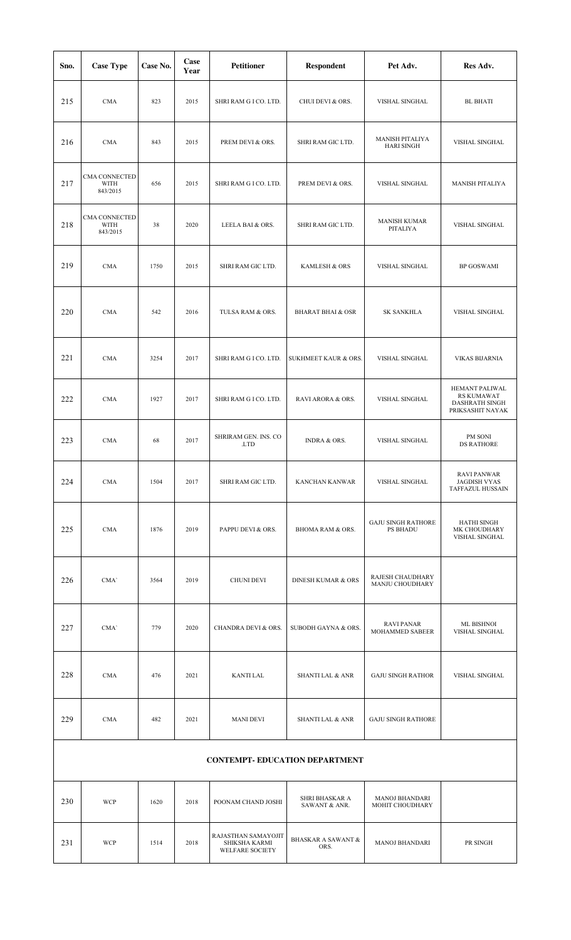| Sno.                                  | <b>Case Type</b>                  | Case No. | Case<br>Year | Petitioner                                              | <b>Respondent</b>                     | Pet Adv.                                 | Res Adv.                                                                         |  |
|---------------------------------------|-----------------------------------|----------|--------------|---------------------------------------------------------|---------------------------------------|------------------------------------------|----------------------------------------------------------------------------------|--|
| 215                                   | <b>CMA</b>                        | 823      | 2015         | SHRI RAM G I CO. LTD.                                   | CHUI DEVI & ORS.                      | VISHAL SINGHAL                           | <b>BL BHATI</b>                                                                  |  |
| 216                                   | <b>CMA</b>                        | 843      | 2015         | PREM DEVI & ORS.                                        | SHRI RAM GIC LTD.                     | MANISH PITALIYA<br><b>HARI SINGH</b>     | VISHAL SINGHAL                                                                   |  |
| 217                                   | CMA CONNECTED<br>WITH<br>843/2015 | 656      | 2015         | SHRI RAM G I CO. LTD.                                   | PREM DEVI & ORS.                      | VISHAL SINGHAL                           | <b>MANISH PITALIYA</b>                                                           |  |
| 218                                   | CMA CONNECTED<br>WITH<br>843/2015 | 38       | 2020         | LEELA BAI & ORS.                                        | SHRI RAM GIC LTD.                     | <b>MANISH KUMAR</b><br>PITALIYA          | VISHAL SINGHAL                                                                   |  |
| 219                                   | <b>CMA</b>                        | 1750     | 2015         | SHRI RAM GIC LTD.                                       | KAMLESH & ORS                         | VISHAL SINGHAL                           | <b>BP GOSWAMI</b>                                                                |  |
| 220                                   | <b>CMA</b>                        | 542      | 2016         | TULSA RAM & ORS.                                        | <b>BHARAT BHAI &amp; OSR</b>          | <b>SK SANKHLA</b>                        | VISHAL SINGHAL                                                                   |  |
| 221                                   | CMA                               | 3254     | 2017         | SHRI RAM G I CO. LTD.                                   | SUKHMEET KAUR & ORS.                  | VISHAL SINGHAL                           | <b>VIKAS BIJARNIA</b>                                                            |  |
| 222                                   | <b>CMA</b>                        | 1927     | 2017         | SHRI RAM G I CO. LTD.                                   | RAVI ARORA & ORS.                     | VISHAL SINGHAL                           | HEMANT PALIWAL<br><b>RS KUMAWAT</b><br><b>DASHRATH SINGH</b><br>PRIKSASHIT NAYAK |  |
| 223                                   | <b>CMA</b>                        | 68       | 2017         | SHRIRAM GEN. INS. CO<br>.LTD                            | INDRA & ORS.                          | VISHAL SINGHAL                           | PM SONI<br><b>DS RATHORE</b>                                                     |  |
| 224                                   | CMA                               | 1504     | 2017         | SHRI RAM GIC LTD.                                       | <b>KANCHAN KANWAR</b>                 | VISHAL SINGHAL                           | <b>RAVI PANWAR</b><br><b>JAGDISH VYAS</b><br><b>TAFFAZUL HUSSAIN</b>             |  |
| 225                                   | <b>CMA</b>                        | 1876     | 2019         | PAPPU DEVI & ORS.                                       | BHOMA RAM & ORS.                      | <b>GAJU SINGH RATHORE</b><br>PS BHADU    | HATHI SINGH<br>MK CHOUDHARY<br>VISHAL SINGHAL                                    |  |
| 226                                   | CMA'                              | 3564     | 2019         | <b>CHUNI DEVI</b>                                       | <b>DINESH KUMAR &amp; ORS</b>         | RAJESH CHAUDHARY<br>MANJU CHOUDHARY      |                                                                                  |  |
| 227                                   | CMA'                              | 779      | 2020         | CHANDRA DEVI & ORS.                                     | <b>SUBODH GAYNA &amp; ORS.</b>        | <b>RAVI PANAR</b><br>MOHAMMED SABEER     | ML BISHNOI<br>VISHAL SINGHAL                                                     |  |
| 228                                   | <b>CMA</b>                        | 476      | 2021         | <b>KANTI LAL</b>                                        | <b>SHANTI LAL &amp; ANR</b>           | <b>GAJU SINGH RATHOR</b>                 | VISHAL SINGHAL                                                                   |  |
| 229                                   | <b>CMA</b>                        | 482      | 2021         | <b>MANI DEVI</b>                                        | <b>SHANTI LAL &amp; ANR</b>           | <b>GAJU SINGH RATHORE</b>                |                                                                                  |  |
| <b>CONTEMPT- EDUCATION DEPARTMENT</b> |                                   |          |              |                                                         |                                       |                                          |                                                                                  |  |
| 230                                   | <b>WCP</b>                        | 1620     | 2018         | POONAM CHAND JOSHI                                      | SHRI BHASKAR A<br>SAWANT & ANR.       | <b>MANOJ BHANDARI</b><br>MOHIT CHOUDHARY |                                                                                  |  |
| 231                                   | <b>WCP</b>                        | 1514     | 2018         | RAJASTHAN SAMAYOJIT<br>SHIKSHA KARMI<br>WELFARE SOCIETY | <b>BHASKAR A SAWANT &amp;</b><br>ORS. | <b>MANOJ BHANDARI</b>                    | PR SINGH                                                                         |  |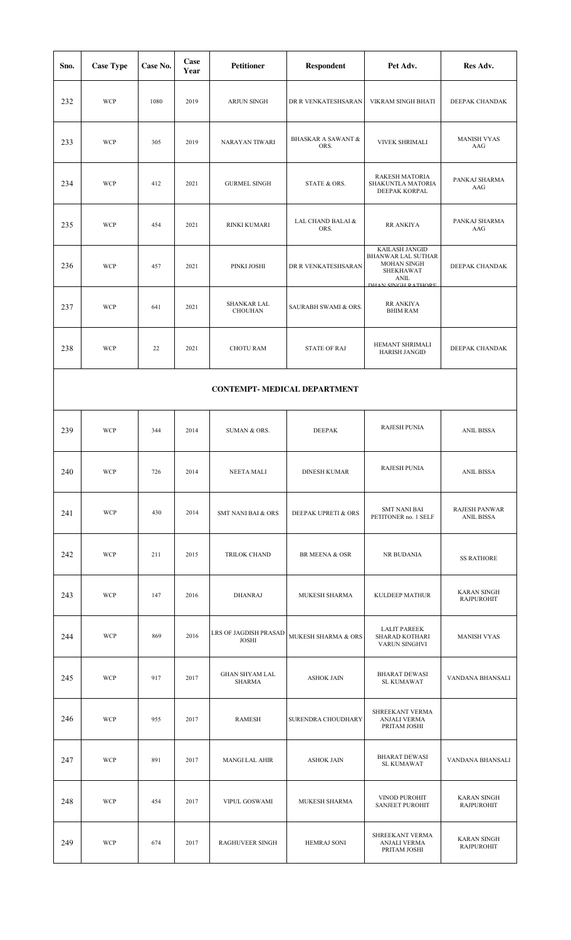| Sno.                                | <b>Case Type</b> | Case No. | Case<br>Year | <b>Petitioner</b>                      | <b>Respondent</b>                     | Pet Adv.                                                                                                                   | Res Adv.                                  |  |  |
|-------------------------------------|------------------|----------|--------------|----------------------------------------|---------------------------------------|----------------------------------------------------------------------------------------------------------------------------|-------------------------------------------|--|--|
| 232                                 | <b>WCP</b>       | 1080     | 2019         | <b>ARJUN SINGH</b>                     | DR R VENKATESHSARAN                   | VIKRAM SINGH BHATI                                                                                                         | DEEPAK CHANDAK                            |  |  |
| 233                                 | <b>WCP</b>       | 305      | 2019         | <b>NARAYAN TIWARI</b>                  | <b>BHASKAR A SAWANT &amp;</b><br>ORS. | VIVEK SHRIMALI                                                                                                             | <b>MANISH VYAS</b><br>AAG                 |  |  |
| 234                                 | <b>WCP</b>       | 412      | 2021         | <b>GURMEL SINGH</b>                    | STATE & ORS.                          | <b>RAKESH MATORIA</b><br>SHAKUNTLA MATORIA<br>DEEPAK KORPAL                                                                | PANKAJ SHARMA<br>AAG                      |  |  |
| 235                                 | <b>WCP</b>       | 454      | 2021         | RINKI KUMARI                           | LAL CHAND BALAI &<br>ORS.             | <b>RR ANKIYA</b>                                                                                                           | PANKAJ SHARMA<br>AAG                      |  |  |
| 236                                 | <b>WCP</b>       | 457      | 2021         | PINKI JOSHI                            | DR R VENKATESHSARAN                   | KAILASH JANGID<br><b>BHANWAR LAL SUTHAR</b><br><b>MOHAN SINGH</b><br>SHEKHAWAT<br><b>ANIL</b><br><b>DHAM SIMGH PATHOPE</b> | DEEPAK CHANDAK                            |  |  |
| 237                                 | <b>WCP</b>       | 641      | 2021         | <b>SHANKAR LAL</b><br><b>CHOUHAN</b>   | SAURABH SWAMI & ORS.                  | <b>RR ANKIYA</b><br><b>BHIM RAM</b>                                                                                        |                                           |  |  |
| 238                                 | <b>WCP</b>       | 22       | 2021         | <b>CHOTU RAM</b>                       | <b>STATE OF RAJ</b>                   | HEMANT SHRIMALI<br>HARISH JANGID                                                                                           | DEEPAK CHANDAK                            |  |  |
| <b>CONTEMPT- MEDICAL DEPARTMENT</b> |                  |          |              |                                        |                                       |                                                                                                                            |                                           |  |  |
| 239                                 | <b>WCP</b>       | 344      | 2014         | SUMAN & ORS.                           | <b>DEEPAK</b>                         | <b>RAJESH PUNIA</b>                                                                                                        | <b>ANIL BISSA</b>                         |  |  |
| 240                                 | <b>WCP</b>       | 726      | 2014         | <b>NEETA MALI</b>                      | <b>DINESH KUMAR</b>                   | <b>RAJESH PUNIA</b>                                                                                                        | <b>ANIL BISSA</b>                         |  |  |
| 241                                 | <b>WCP</b>       | 430      | 2014         | <b>SMT NANI BAI &amp; ORS</b>          | DEEPAK UPRETI & ORS                   | <b>SMT NANI BAI</b><br>PETITONER no. 1 SELF                                                                                | <b>RAJESH PANWAR</b><br><b>ANIL BISSA</b> |  |  |
| 242                                 | <b>WCP</b>       | 211      | 2015         | TRILOK CHAND                           | <b>BR MEENA &amp; OSR</b>             | NR BUDANIA                                                                                                                 | <b>SS RATHORE</b>                         |  |  |
| 243                                 | <b>WCP</b>       | 147      | 2016         | <b>DHANRAJ</b>                         | MUKESH SHARMA                         | KULDEEP MATHUR                                                                                                             | <b>KARAN SINGH</b><br><b>RAJPUROHIT</b>   |  |  |
| 244                                 | <b>WCP</b>       | 869      | 2016         | LRS OF JAGDISH PRASAD<br><b>JOSHI</b>  | MUKESH SHARMA & ORS                   | <b>LALIT PAREEK</b><br>SHARAD KOTHARI<br>VARUN SINGHVI                                                                     | <b>MANISH VYAS</b>                        |  |  |
| 245                                 | <b>WCP</b>       | 917      | 2017         | <b>GHAN SHYAM LAL</b><br><b>SHARMA</b> | <b>ASHOK JAIN</b>                     | <b>BHARAT DEWASI</b><br>SL KUMAWAT                                                                                         | VANDANA BHANSALI                          |  |  |
| 246                                 | <b>WCP</b>       | 955      | 2017         | <b>RAMESH</b>                          | SURENDRA CHOUDHARY                    | SHREEKANT VERMA<br><b>ANJALI VERMA</b><br>PRITAM JOSHI                                                                     |                                           |  |  |
| 247                                 | <b>WCP</b>       | 891      | 2017         | <b>MANGI LAL AHIR</b>                  | <b>ASHOK JAIN</b>                     | <b>BHARAT DEWASI</b><br>SL KUMAWAT                                                                                         | VANDANA BHANSALI                          |  |  |
| 248                                 | <b>WCP</b>       | 454      | 2017         | VIPUL GOSWAMI                          | MUKESH SHARMA                         | VINOD PUROHIT<br><b>SANJEET PUROHIT</b>                                                                                    | <b>KARAN SINGH</b><br><b>RAJPUROHIT</b>   |  |  |
| 249                                 | <b>WCP</b>       | 674      | 2017         | <b>RAGHUVEER SINGH</b>                 | <b>HEMRAJ SONI</b>                    | SHREEKANT VERMA<br><b>ANJALI VERMA</b><br>PRITAM JOSHI                                                                     | <b>KARAN SINGH</b><br><b>RAJPUROHIT</b>   |  |  |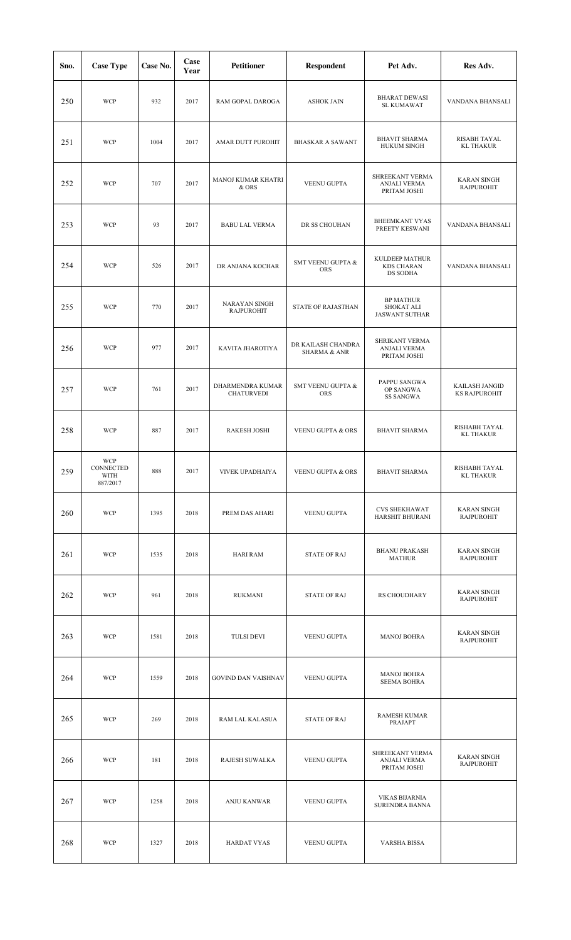| Sno. | <b>Case Type</b>                     | Case No. | Case<br>Year | <b>Petitioner</b>                         | <b>Respondent</b>                             | Pet Adv.                                                | Res Adv.                                |
|------|--------------------------------------|----------|--------------|-------------------------------------------|-----------------------------------------------|---------------------------------------------------------|-----------------------------------------|
| 250  | <b>WCP</b>                           | 932      | 2017         | RAM GOPAL DAROGA                          | <b>ASHOK JAIN</b>                             | <b>BHARAT DEWASI</b><br>SL KUMAWAT                      | VANDANA BHANSALI                        |
| 251  | <b>WCP</b>                           | 1004     | 2017         | AMAR DUTT PUROHIT                         | <b>BHASKAR A SAWANT</b>                       | <b>BHAVIT SHARMA</b><br><b>HUKUM SINGH</b>              | RISABH TAYAL<br><b>KL THAKUR</b>        |
| 252  | <b>WCP</b>                           | 707      | 2017         | MANOJ KUMAR KHATRI<br>& ORS               | <b>VEENU GUPTA</b>                            | SHREEKANT VERMA<br>ANJALI VERMA<br>PRITAM JOSHI         | <b>KARAN SINGH</b><br><b>RAJPUROHIT</b> |
| 253  | <b>WCP</b>                           | 93       | 2017         | <b>BABU LAL VERMA</b>                     | DR SS CHOUHAN                                 | <b>BHEEMKANT VYAS</b><br>PREETY KESWANI                 | VANDANA BHANSALI                        |
| 254  | <b>WCP</b>                           | 526      | 2017         | DR ANJANA KOCHAR                          | <b>SMT VEENU GUPTA &amp;</b><br><b>ORS</b>    | KULDEEP MATHUR<br><b>KDS CHARAN</b><br>DS SODHA         | VANDANA BHANSALI                        |
| 255  | <b>WCP</b>                           | 770      | 2017         | <b>NARAYAN SINGH</b><br><b>RAJPUROHIT</b> | <b>STATE OF RAJASTHAN</b>                     | <b>BP MATHUR</b><br>SHOKAT ALI<br><b>JASWANT SUTHAR</b> |                                         |
| 256  | <b>WCP</b>                           | 977      | 2017         | KAVITA JHAROTIYA                          | DR KAILASH CHANDRA<br><b>SHARMA &amp; ANR</b> | SHRIKANT VERMA<br>ANJALI VERMA<br>PRITAM JOSHI          |                                         |
| 257  | <b>WCP</b>                           | 761      | 2017         | DHARMENDRA KUMAR<br><b>CHATURVEDI</b>     | SMT VEENU GUPTA &<br>ORS                      | PAPPU SANGWA<br>OP SANGWA<br><b>SS SANGWA</b>           | KAILASH JANGID<br><b>KS RAJPUROHIT</b>  |
| 258  | <b>WCP</b>                           | 887      | 2017         | <b>RAKESH JOSHI</b>                       | VEENU GUPTA & ORS                             | <b>BHAVIT SHARMA</b>                                    | RISHABH TAYAL<br><b>KL THAKUR</b>       |
| 259  | WCP<br>CONNECTED<br>WITH<br>887/2017 | 888      | 2017         | VIVEK UPADHAIYA                           | VEENU GUPTA & ORS                             | <b>BHAVIT SHARMA</b>                                    | RISHABH TAYAL<br><b>KL THAKUR</b>       |
| 260  | <b>WCP</b>                           | 1395     | 2018         | PREM DAS AHARI                            | <b>VEENU GUPTA</b>                            | <b>CVS SHEKHAWAT</b><br>HARSHIT BHURANI                 | <b>KARAN SINGH</b><br><b>RAJPUROHIT</b> |
| 261  | <b>WCP</b>                           | 1535     | 2018         | <b>HARI RAM</b>                           | <b>STATE OF RAJ</b>                           | <b>BHANU PRAKASH</b><br>MATHUR                          | <b>KARAN SINGH</b><br><b>RAJPUROHIT</b> |
| 262  | <b>WCP</b>                           | 961      | 2018         | <b>RUKMANI</b>                            | <b>STATE OF RAJ</b>                           | RS CHOUDHARY                                            | <b>KARAN SINGH</b><br><b>RAJPUROHIT</b> |
| 263  | <b>WCP</b>                           | 1581     | 2018         | <b>TULSI DEVI</b>                         | VEENU GUPTA                                   | <b>MANOJ BOHRA</b>                                      | <b>KARAN SINGH</b><br><b>RAJPUROHIT</b> |
| 264  | <b>WCP</b>                           | 1559     | 2018         | <b>GOVIND DAN VAISHNAV</b>                | VEENU GUPTA                                   | <b>MANOJ BOHRA</b><br><b>SEEMA BOHRA</b>                |                                         |
| 265  | <b>WCP</b>                           | 269      | 2018         | RAM LAL KALASUA                           | <b>STATE OF RAJ</b>                           | <b>RAMESH KUMAR</b><br>PRAJAPT                          |                                         |
| 266  | <b>WCP</b>                           | 181      | 2018         | RAJESH SUWALKA                            | VEENU GUPTA                                   | SHREEKANT VERMA<br>ANJALI VERMA<br>PRITAM JOSHI         | <b>KARAN SINGH</b><br><b>RAJPUROHIT</b> |
| 267  | <b>WCP</b>                           | 1258     | 2018         | <b>ANJU KANWAR</b>                        | <b>VEENU GUPTA</b>                            | <b>VIKAS BIJARNIA</b><br>SURENDRA BANNA                 |                                         |
| 268  | <b>WCP</b>                           | 1327     | 2018         | <b>HARDAT VYAS</b>                        | VEENU GUPTA                                   | <b>VARSHA BISSA</b>                                     |                                         |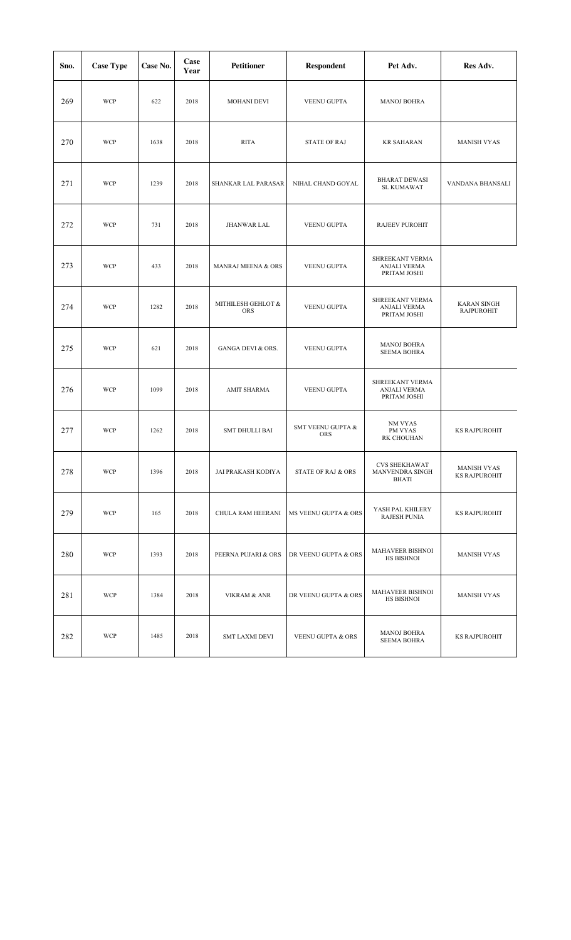| Sno. | <b>Case Type</b> | Case No. | Case<br>Year | <b>Petitioner</b>                | Respondent                      | Pet Adv.                                               | Res Adv.                                |
|------|------------------|----------|--------------|----------------------------------|---------------------------------|--------------------------------------------------------|-----------------------------------------|
| 269  | <b>WCP</b>       | 622      | 2018         | <b>MOHANI DEVI</b>               | VEENU GUPTA                     | <b>MANOJ BOHRA</b>                                     |                                         |
| 270  | <b>WCP</b>       | 1638     | 2018         | <b>RITA</b>                      | <b>STATE OF RAJ</b>             | <b>KR SAHARAN</b>                                      | <b>MANISH VYAS</b>                      |
| 271  | <b>WCP</b>       | 1239     | 2018         | SHANKAR LAL PARASAR              | NIHAL CHAND GOYAL               | <b>BHARAT DEWASI</b><br>SL KUMAWAT                     | VANDANA BHANSALI                        |
| 272  | <b>WCP</b>       | 731      | 2018         | <b>JHANWAR LAL</b>               | <b>VEENU GUPTA</b>              | RAJEEV PUROHIT                                         |                                         |
| 273  | <b>WCP</b>       | 433      | 2018         | MANRAJ MEENA & ORS               | VEENU GUPTA                     | SHREEKANT VERMA<br>ANJALI VERMA<br>PRITAM JOSHI        |                                         |
| 274  | <b>WCP</b>       | 1282     | 2018         | MITHILESH GEHLOT &<br><b>ORS</b> | <b>VEENU GUPTA</b>              | SHREEKANT VERMA<br><b>ANJALI VERMA</b><br>PRITAM JOSHI | <b>KARAN SINGH</b><br><b>RAJPUROHIT</b> |
| 275  | <b>WCP</b>       | 621      | 2018         | <b>GANGA DEVI &amp; ORS.</b>     | VEENU GUPTA                     | <b>MANOJ BOHRA</b><br><b>SEEMA BOHRA</b>               |                                         |
| 276  | <b>WCP</b>       | 1099     | 2018         | AMIT SHARMA                      | VEENU GUPTA                     | SHREEKANT VERMA<br>ANJALI VERMA<br>PRITAM JOSHI        |                                         |
| 277  | <b>WCP</b>       | 1262     | 2018         | SMT DHULLI BAI                   | SMT VEENU GUPTA &<br><b>ORS</b> | NM VYAS<br>PM VYAS<br>RK CHOUHAN                       | <b>KS RAJPUROHIT</b>                    |
| 278  | <b>WCP</b>       | 1396     | 2018         | JAI PRAKASH KODIYA               | <b>STATE OF RAJ &amp; ORS</b>   | <b>CVS SHEKHAWAT</b><br>MANVENDRA SINGH<br>BHATI       | MANISH VYAS<br><b>KS RAJPUROHIT</b>     |
| 279  | <b>WCP</b>       | 165      | 2018         | CHULA RAM HEERANI                | MS VEENU GUPTA & ORS            | YASH PAL KHILERY<br><b>RAJESH PUNIA</b>                | KS RAJPUROHIT                           |
| 280  | <b>WCP</b>       | 1393     | 2018         | PEERNA PUJARI & ORS              | DR VEENU GUPTA & ORS            | MAHAVEER BISHNOI<br>HS BISHNOI                         | <b>MANISH VYAS</b>                      |
| 281  | WCP              | 1384     | 2018         | <b>VIKRAM &amp; ANR</b>          | DR VEENU GUPTA & ORS            | MAHAVEER BISHNOI<br>HS BISHNOI                         | <b>MANISH VYAS</b>                      |
| 282  | <b>WCP</b>       | 1485     | 2018         | <b>SMT LAXMI DEVI</b>            | VEENU GUPTA & ORS               | <b>MANOJ BOHRA</b><br><b>SEEMA BOHRA</b>               | <b>KS RAJPUROHIT</b>                    |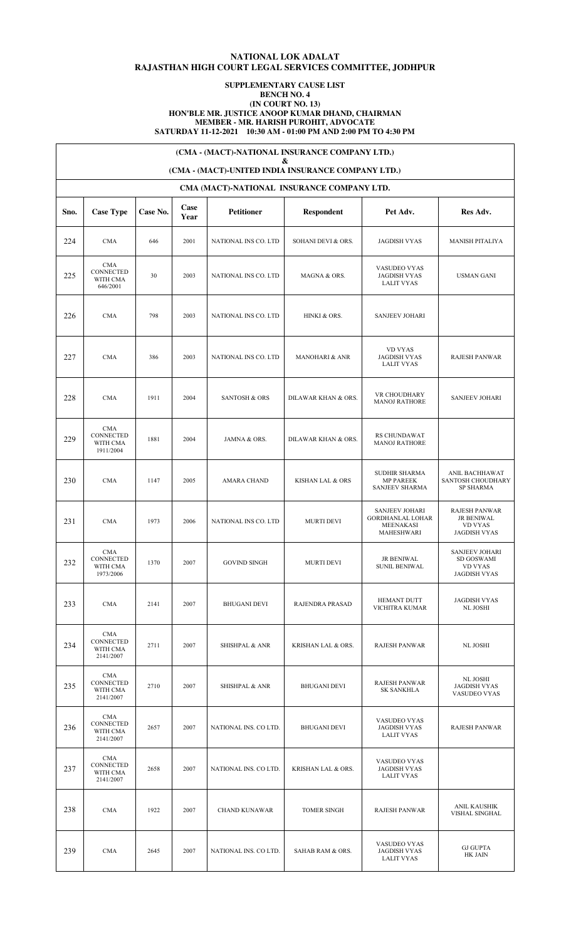# **NATIONAL LOK ADALAT RAJASTHAN HIGH COURT LEGAL SERVICES COMMITTEE, JODHPUR**

## **SUPPLEMENTARY CAUSE LIST BENCH NO. 4 (IN COURT NO. 13) HON'BLE MR. JUSTICE ANOOP KUMAR DHAND, CHAIRMAN MEMBER - MR. HARISH PUROHIT, ADVOCATE SATURDAY 11-12-2021 10:30 AM - 01:00 PM AND 2:00 PM TO 4:30 PM**

**(CMA - (MACT)-NATIONAL INSURANCE COMPANY LTD.)**

**&**

## **(CMA - (MACT)-UNITED INDIA INSURANCE COMPANY LTD.)**

|      | CMA (MACT)-NATIONAL INSURANCE COMPANY LTD.             |          |              |                           |                           |                                                                             |                                                                              |  |  |  |  |  |
|------|--------------------------------------------------------|----------|--------------|---------------------------|---------------------------|-----------------------------------------------------------------------------|------------------------------------------------------------------------------|--|--|--|--|--|
| Sno. | <b>Case Type</b>                                       | Case No. | Case<br>Year | <b>Petitioner</b>         | <b>Respondent</b>         | Pet Adv.                                                                    | Res Adv.                                                                     |  |  |  |  |  |
| 224  | <b>CMA</b>                                             | 646      | 2001         | NATIONAL INS CO. LTD      | SOHANI DEVI & ORS.        | <b>JAGDISH VYAS</b>                                                         | <b>MANISH PITALIYA</b>                                                       |  |  |  |  |  |
| 225  | <b>CMA</b><br><b>CONNECTED</b><br>WITH CMA<br>646/2001 | 30       | 2003         | NATIONAL INS CO. LTD      | MAGNA & ORS.              | VASUDEO VYAS<br><b>JAGDISH VYAS</b><br><b>LALIT VYAS</b>                    | <b>USMAN GANI</b>                                                            |  |  |  |  |  |
| 226  | <b>CMA</b>                                             | 798      | 2003         | NATIONAL INS CO. LTD      | HINKI & ORS.              | <b>SANJEEV JOHARI</b>                                                       |                                                                              |  |  |  |  |  |
| 227  | <b>CMA</b>                                             | 386      | 2003         | NATIONAL INS CO. LTD      | <b>MANOHARI &amp; ANR</b> | <b>VD VYAS</b><br><b>JAGDISH VYAS</b><br><b>LALIT VYAS</b>                  | RAJESH PANWAR                                                                |  |  |  |  |  |
| 228  | <b>CMA</b>                                             | 1911     | 2004         | <b>SANTOSH &amp; ORS</b>  | DILAWAR KHAN & ORS.       | VR CHOUDHARY<br><b>MANOJ RATHORE</b>                                        | <b>SANJEEV JOHARI</b>                                                        |  |  |  |  |  |
| 229  | <b>CMA</b><br>CONNECTED<br>WITH CMA<br>1911/2004       | 1881     | 2004         | JAMNA & ORS.              | DILAWAR KHAN & ORS.       | RS CHUNDAWAT<br><b>MANOJ RATHORE</b>                                        |                                                                              |  |  |  |  |  |
| 230  | <b>CMA</b>                                             | 1147     | 2005         | <b>AMARA CHAND</b>        | KISHAN LAL & ORS          | SUDHIR SHARMA<br><b>MP PAREEK</b><br><b>SANJEEV SHARMA</b>                  | ANIL BACHHAWAT<br>SANTOSH CHOUDHARY<br><b>SP SHARMA</b>                      |  |  |  |  |  |
| 231  | <b>CMA</b>                                             | 1973     | 2006         | NATIONAL INS CO. LTD      | <b>MURTI DEVI</b>         | <b>SANJEEV JOHARI</b><br><b>GORDHANLAL LOHAR</b><br>MEENAKASI<br>MAHESHWARI | RAJESH PANWAR<br><b>JR BENIWAL</b><br><b>VD VYAS</b><br><b>JAGDISH VYAS</b>  |  |  |  |  |  |
| 232  | <b>CMA</b><br>CONNECTED<br>WITH CMA<br>1973/2006       | 1370     | 2007         | <b>GOVIND SINGH</b>       | <b>MURTI DEVI</b>         | JR BENIWAL<br><b>SUNIL BENIWAL</b>                                          | <b>SANJEEV JOHARI</b><br>SD GOSWAMI<br><b>VD VYAS</b><br><b>JAGDISH VYAS</b> |  |  |  |  |  |
| 233  | <b>CMA</b>                                             | 2141     | 2007         | <b>BHUGANI DEVI</b>       | RAJENDRA PRASAD           | <b>HEMANT DUTT</b><br>VICHITRA KUMAR                                        | <b>JAGDISH VYAS</b><br>NL JOSHI                                              |  |  |  |  |  |
| 234  | <b>CMA</b><br>CONNECTED<br>WITH CMA<br>2141/2007       | 2711     | 2007         | <b>SHISHPAL &amp; ANR</b> | KRISHAN LAL & ORS.        | RAJESH PANWAR                                                               | NL JOSHI                                                                     |  |  |  |  |  |
| 235  | <b>CMA</b><br>CONNECTED<br>WITH CMA<br>2141/2007       | 2710     | 2007         | <b>SHISHPAL &amp; ANR</b> | <b>BHUGANI DEVI</b>       | RAJESH PANWAR<br><b>SK SANKHLA</b>                                          | NL JOSHI<br><b>JAGDISH VYAS</b><br>VASUDEO VYAS                              |  |  |  |  |  |
| 236  | <b>CMA</b><br>CONNECTED<br>WITH CMA<br>2141/2007       | 2657     | 2007         | NATIONAL INS. CO LTD.     | <b>BHUGANI DEVI</b>       | VASUDEO VYAS<br><b>JAGDISH VYAS</b><br><b>LALIT VYAS</b>                    | <b>RAJESH PANWAR</b>                                                         |  |  |  |  |  |
| 237  | <b>CMA</b><br>CONNECTED<br>WITH CMA<br>2141/2007       | 2658     | 2007         | NATIONAL INS. CO LTD.     | KRISHAN LAL & ORS.        | VASUDEO VYAS<br><b>JAGDISH VYAS</b><br><b>LALIT VYAS</b>                    |                                                                              |  |  |  |  |  |
| 238  | <b>CMA</b>                                             | 1922     | 2007         | <b>CHAND KUNAWAR</b>      | <b>TOMER SINGH</b>        | RAJESH PANWAR                                                               | ANIL KAUSHIK<br>VISHAL SINGHAL                                               |  |  |  |  |  |
| 239  | <b>CMA</b>                                             | 2645     | 2007         | NATIONAL INS. CO LTD.     | SAHAB RAM & ORS.          | VASUDEO VYAS<br><b>JAGDISH VYAS</b><br><b>LALIT VYAS</b>                    | <b>GJ GUPTA</b><br>HK JAIN                                                   |  |  |  |  |  |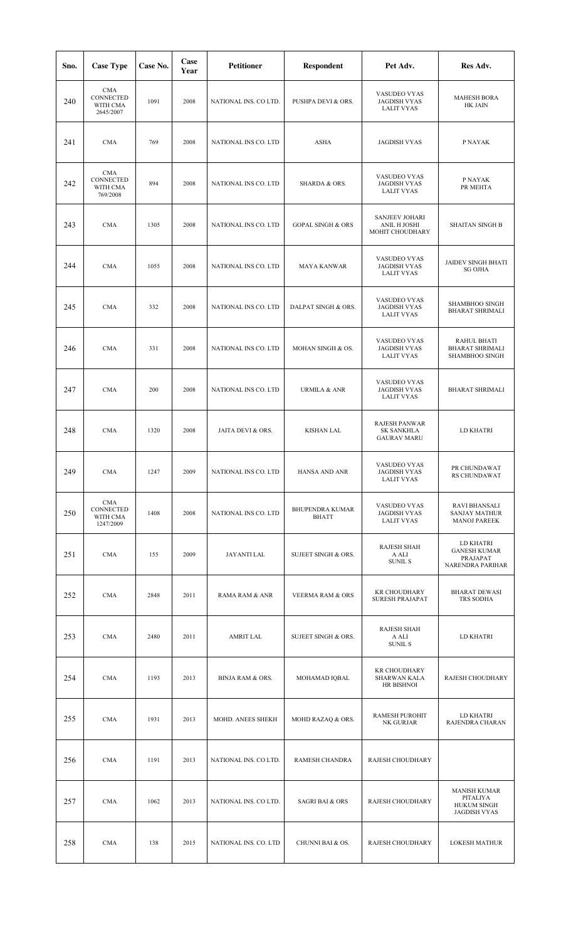| Sno. | <b>Case Type</b>                                 | Case No. | Case<br>Year | <b>Petitioner</b>           | <b>Respondent</b>                      | Pet Adv.                                                 | Res Adv.                                                                     |
|------|--------------------------------------------------|----------|--------------|-----------------------------|----------------------------------------|----------------------------------------------------------|------------------------------------------------------------------------------|
| 240  | <b>CMA</b><br>CONNECTED<br>WITH CMA<br>2645/2007 | 1091     | 2008         | NATIONAL INS. CO LTD.       | PUSHPA DEVI & ORS.                     | VASUDEO VYAS<br><b>JAGDISH VYAS</b><br><b>LALIT VYAS</b> | <b>MAHESH BORA</b><br>HK JAIN                                                |
| 241  | <b>CMA</b>                                       | 769      | 2008         | NATIONAL INS CO. LTD        | <b>ASHA</b>                            | <b>JAGDISH VYAS</b>                                      | P NAYAK                                                                      |
| 242  | <b>CMA</b><br>CONNECTED<br>WITH CMA<br>769/2008  | 894      | 2008         | NATIONAL INS CO. LTD        | SHARDA & ORS.                          | VASUDEO VYAS<br><b>JAGDISH VYAS</b><br><b>LALIT VYAS</b> | P NAYAK<br>PR MEHTA                                                          |
| 243  | <b>CMA</b>                                       | 1305     | 2008         | NATIONAL INS CO. LTD        | <b>GOPAL SINGH &amp; ORS</b>           | SANJEEV JOHARI<br>ANIL H JOSHI<br>MOHIT CHOUDHARY        | <b>SHAITAN SINGH B</b>                                                       |
| 244  | <b>CMA</b>                                       | 1055     | 2008         | NATIONAL INS CO. LTD        | <b>MAYA KANWAR</b>                     | VASUDEO VYAS<br><b>JAGDISH VYAS</b><br><b>LALIT VYAS</b> | <b>JAIDEV SINGH BHATI</b><br><b>SG OJHA</b>                                  |
| 245  | <b>CMA</b>                                       | 332      | 2008         | NATIONAL INS CO. LTD        | DALPAT SINGH & ORS.                    | VASUDEO VYAS<br><b>JAGDISH VYAS</b><br><b>LALIT VYAS</b> | SHAMBHOO SINGH<br><b>BHARAT SHRIMALI</b>                                     |
| 246  | <b>CMA</b>                                       | 331      | 2008         | NATIONAL INS CO. LTD        | MOHAN SINGH & OS.                      | VASUDEO VYAS<br><b>JAGDISH VYAS</b><br><b>LALIT VYAS</b> | RAHUL BHATI<br><b>BHARAT SHRIMALI</b><br>SHAMBHOO SINGH                      |
| 247  | <b>CMA</b>                                       | 200      | 2008         | NATIONAL INS CO. LTD        | <b>URMILA &amp; ANR</b>                | VASUDEO VYAS<br><b>JAGDISH VYAS</b><br><b>LALIT VYAS</b> | <b>BHARAT SHRIMALI</b>                                                       |
| 248  | <b>CMA</b>                                       | 1320     | 2008         | JAITA DEVI & ORS.           | <b>KISHAN LAL</b>                      | RAJESH PANWAR<br><b>SK SANKHLA</b><br><b>GAURAV MARU</b> | <b>LD KHATRI</b>                                                             |
| 249  | <b>CMA</b>                                       | 1247     | 2009         | NATIONAL INS CO. LTD        | HANSA AND ANR                          | VASUDEO VYAS<br><b>JAGDISH VYAS</b><br><b>LALIT VYAS</b> | PR CHUNDAWAT<br>RS CHUNDAWAT                                                 |
| 250  | CMA<br>CONNECTED<br>WITH CMA<br>1247/2009        | 1408     | 2008         | NATIONAL INS CO. LTD        | <b>BHUPENDRA KUMAR</b><br><b>BHATT</b> | VASUDEO VYAS<br><b>JAGDISH VYAS</b><br><b>LALIT VYAS</b> | <b>RAVI BHANSALI</b><br><b>SANJAY MATHUR</b><br><b>MANOJ PAREEK</b>          |
| 251  | <b>CMA</b>                                       | 155      | 2009         | <b>JAYANTI LAL</b>          | SUJEET SINGH & ORS.                    | <b>RAJESH SHAH</b><br>A ALI<br>SUNIL S                   | LD KHATRI<br><b>GANESH KUMAR</b><br>PRAJAPAT<br>NARENDRA PARIHAR             |
| 252  | <b>CMA</b>                                       | 2848     | 2011         | RAMA RAM & ANR              | <b>VEERMA RAM &amp; ORS</b>            | <b>KR CHOUDHARY</b><br><b>SURESH PRAJAPAT</b>            | <b>BHARAT DEWASI</b><br>TRS SODHA                                            |
| 253  | <b>CMA</b>                                       | 2480     | 2011         | AMRIT LAL                   | SUJEET SINGH & ORS.                    | <b>RAJESH SHAH</b><br>A ALI<br><b>SUNIL S</b>            | LD KHATRI                                                                    |
| 254  | <b>CMA</b>                                       | 1193     | 2013         | <b>BINJA RAM &amp; ORS.</b> | MOHAMAD IQBAL                          | <b>KR CHOUDHARY</b><br>SHARWAN KALA<br>HR BISHNOI        | RAJESH CHOUDHARY                                                             |
| 255  | <b>CMA</b>                                       | 1931     | 2013         | MOHD. ANEES SHEKH           | MOHD RAZAQ & ORS.                      | <b>RAMESH PUROHIT</b><br>NK GURJAR                       | LD KHATRI<br>RAJENDRA CHARAN                                                 |
| 256  | <b>CMA</b>                                       | 1191     | 2013         | NATIONAL INS. CO LTD.       | RAMESH CHANDRA                         | RAJESH CHOUDHARY                                         |                                                                              |
| 257  | <b>CMA</b>                                       | 1062     | 2013         | NATIONAL INS. CO LTD.       | <b>SAGRI BAI &amp; ORS</b>             | RAJESH CHOUDHARY                                         | <b>MANISH KUMAR</b><br>PITALIYA<br><b>HUKUM SINGH</b><br><b>JAGDISH VYAS</b> |
| 258  | <b>CMA</b>                                       | 138      | 2015         | NATIONAL INS. CO. LTD       | CHUNNI BAI & OS.                       | RAJESH CHOUDHARY                                         | <b>LOKESH MATHUR</b>                                                         |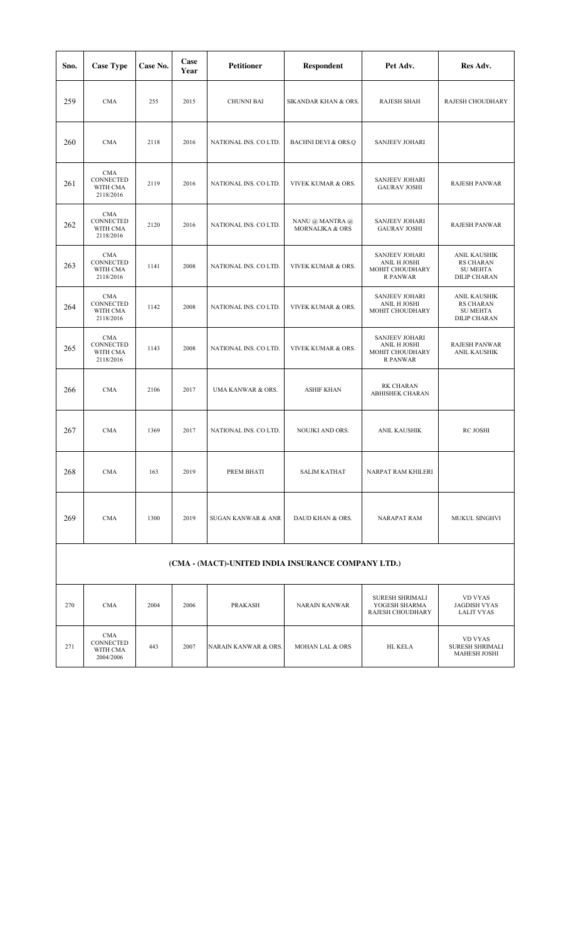| Sno.                                               | <b>Case Type</b>                                 | Case No. | Case<br>Year | <b>Petitioner</b>             | <b>Respondent</b>                  | Pet Adv.                                                             | Res Adv.                                                                   |  |  |  |
|----------------------------------------------------|--------------------------------------------------|----------|--------------|-------------------------------|------------------------------------|----------------------------------------------------------------------|----------------------------------------------------------------------------|--|--|--|
| 259                                                | <b>CMA</b>                                       | 255      | 2015         | <b>CHUNNI BAI</b>             | SIKANDAR KHAN & ORS.               | <b>RAJESH SHAH</b>                                                   | RAJESH CHOUDHARY                                                           |  |  |  |
| 260                                                | <b>CMA</b>                                       | 2118     | 2016         | NATIONAL INS. CO LTD.         | <b>BACHNI DEVI &amp; ORS.Q</b>     | <b>SANJEEV JOHARI</b>                                                |                                                                            |  |  |  |
| 261                                                | <b>CMA</b><br>CONNECTED<br>WITH CMA<br>2118/2016 | 2119     | 2016         | NATIONAL INS. CO LTD.         | <b>VIVEK KUMAR &amp; ORS.</b>      | <b>SANJEEV JOHARI</b><br><b>GAURAV JOSHI</b>                         | <b>RAJESH PANWAR</b>                                                       |  |  |  |
| 262                                                | <b>CMA</b><br>CONNECTED<br>WITH CMA<br>2118/2016 | 2120     | 2016         | NATIONAL INS. CO LTD.         | NANU @ MANTRA @<br>MORNALIKA & ORS | <b>SANJEEV JOHARI</b><br><b>GAURAV JOSHI</b>                         | <b>RAJESH PANWAR</b>                                                       |  |  |  |
| 263                                                | <b>CMA</b><br>CONNECTED<br>WITH CMA<br>2118/2016 | 1141     | 2008         | NATIONAL INS. CO LTD.         | VIVEK KUMAR & ORS.                 | <b>SANJEEV JOHARI</b><br>ANIL H JOSHI<br>MOHIT CHOUDHARY<br>R PANWAR | ANIL KAUSHIK<br><b>RS CHARAN</b><br><b>SU MEHTA</b><br><b>DILIP CHARAN</b> |  |  |  |
| 264                                                | <b>CMA</b><br>CONNECTED<br>WITH CMA<br>2118/2016 | 1142     | 2008         | NATIONAL INS. CO LTD.         | <b>VIVEK KUMAR &amp; ORS.</b>      | <b>SANJEEV JOHARI</b><br>ANIL H JOSHI<br>MOHIT CHOUDHARY             | ANIL KAUSHIK<br><b>RS CHARAN</b><br><b>SU MEHTA</b><br><b>DILIP CHARAN</b> |  |  |  |
| 265                                                | <b>CMA</b><br>CONNECTED<br>WITH CMA<br>2118/2016 | 1143     | 2008         | NATIONAL INS. CO LTD.         | VIVEK KUMAR & ORS.                 | <b>SANJEEV JOHARI</b><br>ANIL H JOSHI<br>MOHIT CHOUDHARY<br>R PANWAR | <b>RAJESH PANWAR</b><br>ANIL KAUSHIK                                       |  |  |  |
| 266                                                | <b>CMA</b>                                       | 2106     | 2017         | UMA KANWAR & ORS.             | <b>ASHIF KHAN</b>                  | <b>RK CHARAN</b><br>ABHISHEK CHARAN                                  |                                                                            |  |  |  |
| 267                                                | <b>CMA</b>                                       | 1369     | 2017         | NATIONAL INS. CO LTD.         | NOUJKI AND ORS.                    | ANIL KAUSHIK                                                         | RC JOSHI                                                                   |  |  |  |
| 268                                                | <b>CMA</b>                                       | 163      | 2019         | PREM BHATI                    | <b>SALIM KATHAT</b>                | NARPAT RAM KHILERI                                                   |                                                                            |  |  |  |
| 269                                                | <b>CMA</b>                                       | 1300     | 2019         | <b>SUGAN KANWAR &amp; ANR</b> | DAUD KHAN & ORS.                   | <b>NARAPAT RAM</b>                                                   | MUKUL SINGHVI                                                              |  |  |  |
| (CMA - (MACT)-UNITED INDIA INSURANCE COMPANY LTD.) |                                                  |          |              |                               |                                    |                                                                      |                                                                            |  |  |  |
| 270                                                | <b>CMA</b>                                       | 2004     | 2006         | <b>PRAKASH</b>                | <b>NARAIN KANWAR</b>               | <b>SURESH SHRIMALI</b><br>YOGESH SHARMA<br>RAJESH CHOUDHARY          | <b>VD VYAS</b><br><b>JAGDISH VYAS</b><br><b>LALIT VYAS</b>                 |  |  |  |
| 271                                                | <b>CMA</b><br>CONNECTED<br>WITH CMA<br>2004/2006 | 443      | 2007         | NARAIN KANWAR & ORS.          | MOHAN LAL & ORS                    | HL KELA                                                              | VD VYAS<br>SURESH SHRIMALI<br><b>MAHESH JOSHI</b>                          |  |  |  |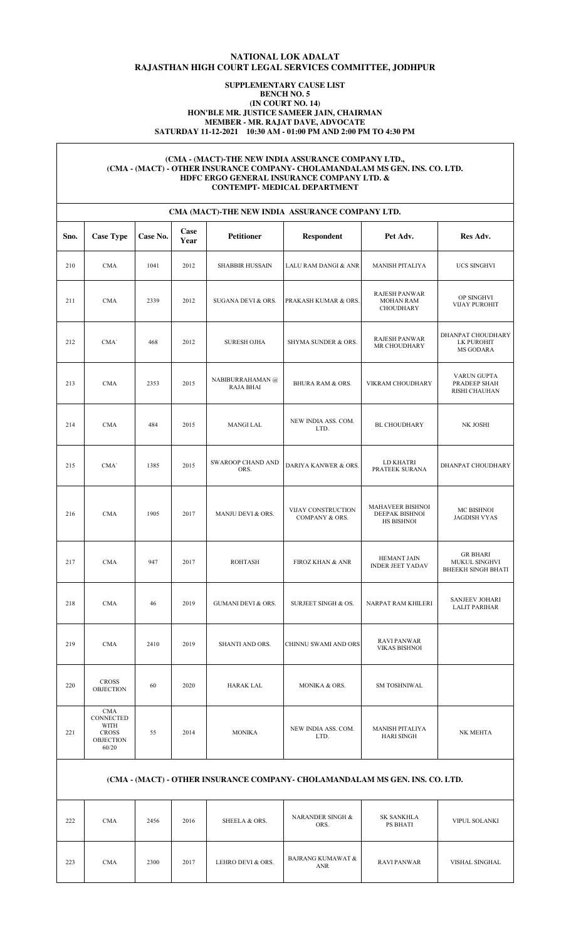# **NATIONAL LOK ADALAT RAJASTHAN HIGH COURT LEGAL SERVICES COMMITTEE, JODHPUR**

## **SUPPLEMENTARY CAUSE LIST BENCH NO. 5 (IN COURT NO. 14) HON'BLE MR. JUSTICE SAMEER JAIN, CHAIRMAN MEMBER - MR. RAJAT DAVE, ADVOCATE SATURDAY 11-12-2021 10:30 AM - 01:00 PM AND 2:00 PM TO 4:30 PM**

### **(CMA - (MACT)-THE NEW INDIA ASSURANCE COMPANY LTD., (CMA - (MACT) - OTHER INSURANCE COMPANY- CHOLAMANDALAM MS GEN. INS. CO. LTD. HDFC ERGO GENERAL INSURANCE COMPANY LTD. & CONTEMPT- MEDICAL DEPARTMENT**

|      | CMA (MACT)-THE NEW INDIA ASSURANCE COMPANY LTD.                       |          |              |                                      |                                      |                                                              |                                                        |  |  |  |  |  |
|------|-----------------------------------------------------------------------|----------|--------------|--------------------------------------|--------------------------------------|--------------------------------------------------------------|--------------------------------------------------------|--|--|--|--|--|
| Sno. | <b>Case Type</b>                                                      | Case No. | Case<br>Year | <b>Petitioner</b>                    | <b>Respondent</b>                    | Pet Adv.                                                     | Res Adv.                                               |  |  |  |  |  |
| 210  | <b>CMA</b>                                                            | 1041     | 2012         | <b>SHABBIR HUSSAIN</b>               | LALU RAM DANGI & ANR                 | <b>MANISH PITALIYA</b>                                       | UCS SINGHVI                                            |  |  |  |  |  |
| 211  | <b>CMA</b>                                                            | 2339     | 2012         | SUGANA DEVI & ORS.                   | PRAKASH KUMAR & ORS.                 | <b>RAJESH PANWAR</b><br><b>MOHAN RAM</b><br><b>CHOUDHARY</b> | OP SINGHVI<br><b>VIJAY PUROHIT</b>                     |  |  |  |  |  |
| 212  | CMA'                                                                  | 468      | 2012         | <b>SURESH OJHA</b>                   | SHYMA SUNDER & ORS.                  | RAJESH PANWAR<br>MR CHOUDHARY                                | DHANPAT CHOUDHARY<br>LK PUROHIT<br>MS GODARA           |  |  |  |  |  |
| 213  | <b>CMA</b>                                                            | 2353     | 2015         | NABIBURRAHAMAN @<br><b>RAJA BHAI</b> | <b>BHURA RAM &amp; ORS.</b>          | VIKRAM CHOUDHARY                                             | VARUN GUPTA<br>PRADEEP SHAH<br>RISHI CHAUHAN           |  |  |  |  |  |
| 214  | <b>CMA</b>                                                            | 484      | 2015         | MANGI LAL                            | NEW INDIA ASS. COM.<br>LTD.          | <b>BL CHOUDHARY</b>                                          | NK JOSHI                                               |  |  |  |  |  |
| 215  | CMA'                                                                  | 1385     | 2015         | <b>SWAROOP CHAND AND</b><br>ORS.     | DARIYA KANWER & ORS.                 | LD KHATRI<br>PRATEEK SURANA                                  | DHANPAT CHOUDHARY                                      |  |  |  |  |  |
| 216  | <b>CMA</b>                                                            | 1905     | 2017         | MANJU DEVI & ORS.                    | VIJAY CONSTRUCTION<br>COMPANY & ORS. | MAHAVEER BISHNOI<br>DEEPAK BISHNOI<br>HS BISHNOI             | <b>MC BISHNOI</b><br><b>JAGDISH VYAS</b>               |  |  |  |  |  |
| 217  | <b>CMA</b>                                                            | 947      | 2017         | <b>ROHTASH</b>                       | <b>FIROZ KHAN &amp; ANR</b>          | <b>HEMANT JAIN</b><br><b>INDER JEET YADAV</b>                | GR BHARI<br>MUKUL SINGHVI<br><b>BHEEKH SINGH BHATI</b> |  |  |  |  |  |
| 218  | <b>CMA</b>                                                            | 46       | 2019         | <b>GUMANI DEVI &amp; ORS.</b>        | SURJEET SINGH & OS.                  | NARPAT RAM KHILERI                                           | <b>SANJEEV JOHARI</b><br><b>LALIT PARIHAR</b>          |  |  |  |  |  |
| 219  | <b>CMA</b>                                                            | 2410     | 2019         | SHANTI AND ORS.                      | CHINNU SWAMI AND ORS                 | <b>RAVI PANWAR</b><br><b>VIKAS BISHNOI</b>                   |                                                        |  |  |  |  |  |
| 220  | <b>CROSS</b><br><b>OBJECTION</b>                                      | 60       | 2020         | <b>HARAK LAL</b>                     | MONIKA & ORS.                        | <b>SM TOSHNIWAL</b>                                          |                                                        |  |  |  |  |  |
| 221  | CMA<br>CONNECTED<br>WITH<br><b>CROSS</b><br><b>OBJECTION</b><br>60/20 | 55       | 2014         | <b>MONIKA</b>                        | NEW INDIA ASS. COM.<br>LTD.          | MANISH PITALIYA<br><b>HARI SINGH</b>                         | NK MEHTA                                               |  |  |  |  |  |

# **(CMA - (MACT) - OTHER INSURANCE COMPANY- CHOLAMANDALAM MS GEN. INS. CO. LTD.**

| 222 | <b>CMA</b> | 2456 | 2016 | SHEELA & ORS.     | NARANDER SINGH &<br>ORS.        | <b>SK SANKHLA</b><br>PS BHATI | VIPUL SOLANKI  |
|-----|------------|------|------|-------------------|---------------------------------|-------------------------------|----------------|
| 223 | <b>CMA</b> | 2300 | 2017 | LEHRO DEVI & ORS. | BAJRANG KUMAWAT &<br><b>ANR</b> | <b>RAVI PANWAR</b>            | VISHAL SINGHAL |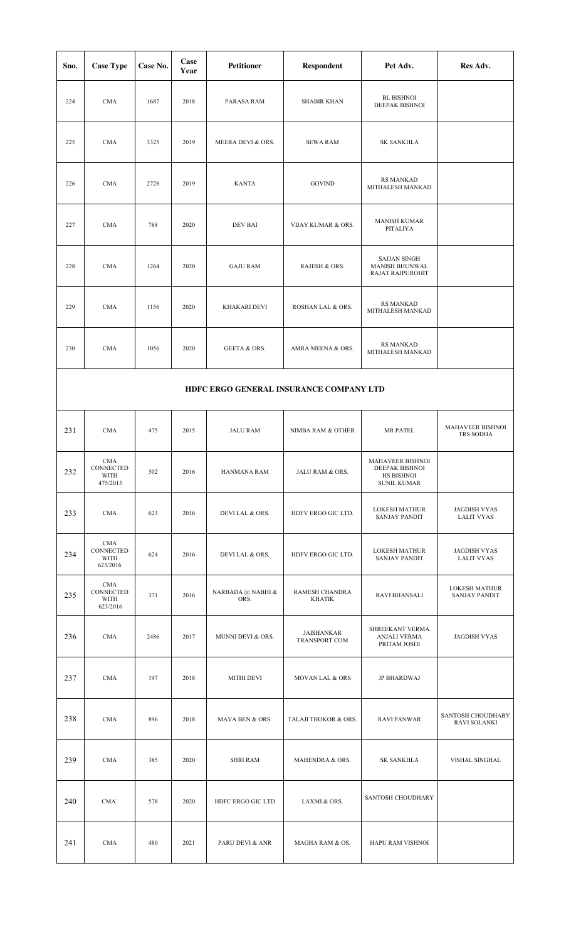| Sno.                                    | <b>Case Type</b>                            | Case No. | Case<br>Year | <b>Petitioner</b>         | Respondent                  | Pet Adv.                                                                      | Res Adv.                                     |  |  |
|-----------------------------------------|---------------------------------------------|----------|--------------|---------------------------|-----------------------------|-------------------------------------------------------------------------------|----------------------------------------------|--|--|
| 224                                     | <b>CMA</b>                                  | 1687     | 2018         | PARASA RAM                | <b>SHABIR KHAN</b>          | <b>BL BISHNOI</b><br>DEEPAK BISHNOI                                           |                                              |  |  |
| 225                                     | <b>CMA</b>                                  | 3325     | 2019         | MEERA DEVI & ORS.         | <b>SEWA RAM</b>             | <b>SK SANKHLA</b>                                                             |                                              |  |  |
| 226                                     | <b>CMA</b>                                  | 2728     | 2019         | <b>KANTA</b>              | <b>GOVIND</b>               | <b>RS MANKAD</b><br>MITHALESH MANKAD                                          |                                              |  |  |
| 227                                     | <b>CMA</b>                                  | 788      | 2020         | <b>DEV BAI</b>            | VIJAY KUMAR & ORS.          | <b>MANISH KUMAR</b><br>PITALIYA                                               |                                              |  |  |
| 228                                     | <b>CMA</b>                                  | 1264     | 2020         | <b>GAJU RAM</b>           | RAJESH & ORS.               | <b>SAJJAN SINGH</b><br>MANISH BHUNWAL<br>RAJAT RAJPUROHIT                     |                                              |  |  |
| 229                                     | <b>CMA</b>                                  | 1156     | 2020         | KHAKARI DEVI              | ROSHAN LAL & ORS.           | <b>RS MANKAD</b><br>MITHALESH MANKAD                                          |                                              |  |  |
| 230                                     | <b>CMA</b>                                  | 1056     | 2020         | <b>GEETA &amp; ORS.</b>   | AMRA MEENA & ORS.           | <b>RS MANKAD</b><br>MITHALESH MANKAD                                          |                                              |  |  |
| HDFC ERGO GENERAL INSURANCE COMPANY LTD |                                             |          |              |                           |                             |                                                                               |                                              |  |  |
| 231                                     | <b>CMA</b>                                  | 475      | 2015         | <b>JALU RAM</b>           | NIMBA RAM & OTHER           | MR PATEL                                                                      | <b>MAHAVEER BISHNOI</b><br>TRS SODHA         |  |  |
| 232                                     | <b>CMA</b><br>CONNECTED<br>WITH<br>475/2015 | 502      | 2016         | HANMANA RAM               | JALU RAM & ORS.             | <b>MAHAVEER BISHNOL</b><br>DEEPAK BISHNOI<br>HS BISHNOI<br><b>SUNIL KUMAR</b> |                                              |  |  |
| 233                                     | <b>CMA</b>                                  | 623      | 2016         | DEVI LAL & ORS.           | HDFV ERGO GIC LTD.          | <b>LOKESH MATHUR</b><br><b>SANJAY PANDIT</b>                                  | <b>JAGDISH VYAS</b><br><b>LALIT VYAS</b>     |  |  |
| 234                                     | CMA<br>CONNECTED<br>WITH<br>623/2016        | 624      | 2016         | DEVI LAL & ORS.           | HDFV ERGO GIC LTD.          | LOKESH MATHUR<br><b>SANJAY PANDIT</b>                                         | <b>JAGDISH VYAS</b><br><b>LALIT VYAS</b>     |  |  |
| 235                                     | <b>CMA</b><br>CONNECTED<br>WITH<br>623/2016 | 371      | 2016         | NARBADA @ NABHI &<br>ORS. | RAMESH CHANDRA<br>KHATIK    | <b>RAVI BHANSALI</b>                                                          | <b>LOKESH MATHUR</b><br><b>SANJAY PANDIT</b> |  |  |
| 236                                     | <b>CMA</b>                                  | 2486     | 2017         | MUNNI DEVI & ORS.         | JAISHANKAR<br>TRANSPORT COM | SHREEKANT VERMA<br>ANJALI VERMA<br>PRITAM JOSHI                               | <b>JAGDISH VYAS</b>                          |  |  |
| 237                                     | <b>CMA</b>                                  | 197      | 2018         | MITHI DEVI                | MOVAN LAL & ORS             | JP BHARDWAJ                                                                   |                                              |  |  |
| 238                                     | <b>CMA</b>                                  | 896      | 2018         | MAVA BEN & ORS.           | TALAJI THOKOR & ORS.        | <b>RAVI PANWAR</b>                                                            | SANTOSH CHOUDHARY<br>RAVI SOLANKI            |  |  |
| 239                                     | <b>CMA</b>                                  | 385      | 2020         | <b>SHRI RAM</b>           | MAHENDRA & ORS.             | <b>SK SANKHLA</b>                                                             | VISHAL SINGHAL                               |  |  |
| 240                                     | CMA'                                        | 578      | 2020         | HDFC ERGO GIC LTD         | LAXMI & ORS.                | SANTOSH CHOUDHARY                                                             |                                              |  |  |
| 241                                     | <b>CMA</b>                                  | 480      | 2021         | PARU DEVI & ANR           | MAGHA RAM & OS.             | HAPU RAM VISHNOI                                                              |                                              |  |  |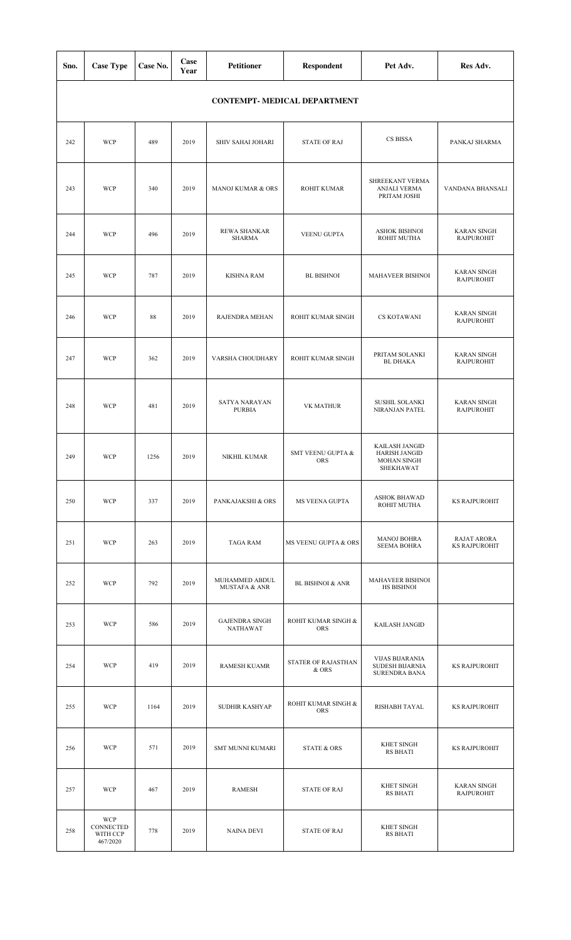| Sno. | <b>Case Type</b>                                | Case No. | Case<br>Year | <b>Petitioner</b>                          | Respondent                          | Pet Adv.                                                                  | Res Adv.                                   |
|------|-------------------------------------------------|----------|--------------|--------------------------------------------|-------------------------------------|---------------------------------------------------------------------------|--------------------------------------------|
|      |                                                 |          |              |                                            | <b>CONTEMPT- MEDICAL DEPARTMENT</b> |                                                                           |                                            |
| 242  | <b>WCP</b>                                      | 489      | 2019         | SHIV SAHAI JOHARI                          | <b>STATE OF RAJ</b>                 | CS BISSA                                                                  | PANKAJ SHARMA                              |
| 243  | <b>WCP</b>                                      | 340      | 2019         | MANOJ KUMAR & ORS                          | <b>ROHIT KUMAR</b>                  | SHREEKANT VERMA<br>ANJALI VERMA<br>PRITAM JOSHI                           | VANDANA BHANSALI                           |
| 244  | <b>WCP</b>                                      | 496      | 2019         | REWA SHANKAR<br><b>SHARMA</b>              | VEENU GUPTA                         | <b>ASHOK BISHNOI</b><br>ROHIT MUTHA                                       | <b>KARAN SINGH</b><br><b>RAJPUROHIT</b>    |
| 245  | <b>WCP</b>                                      | 787      | 2019         | <b>KISHNA RAM</b>                          | <b>BL BISHNOI</b>                   | MAHAVEER BISHNOI                                                          | <b>KARAN SINGH</b><br><b>RAJPUROHIT</b>    |
| 246  | <b>WCP</b>                                      | 88       | 2019         | RAJENDRA MEHAN                             | ROHIT KUMAR SINGH                   | CS KOTAWANI                                                               | <b>KARAN SINGH</b><br><b>RAJPUROHIT</b>    |
| 247  | <b>WCP</b>                                      | 362      | 2019         | VARSHA CHOUDHARY                           | ROHIT KUMAR SINGH                   | PRITAM SOLANKI<br><b>BL DHAKA</b>                                         | <b>KARAN SINGH</b><br><b>RAJPUROHIT</b>    |
| 248  | <b>WCP</b>                                      | 481      | 2019         | SATYA NARAYAN<br><b>PURBIA</b>             | VK MATHUR                           | <b>SUSHIL SOLANKI</b><br>NIRANJAN PATEL                                   | <b>KARAN SINGH</b><br><b>RAJPUROHIT</b>    |
| 249  | <b>WCP</b>                                      | 1256     | 2019         | NIKHIL KUMAR                               | SMT VEENU GUPTA &<br><b>ORS</b>     | KAILASH JANGID<br><b>HARISH JANGID</b><br><b>MOHAN SINGH</b><br>SHEKHAWAT |                                            |
| 250  | <b>WCP</b>                                      | 337      | 2019         | PANKAJAKSHI & ORS                          | MS VEENA GUPTA                      | <b>ASHOK BHAWAD</b><br>ROHIT MUTHA                                        | <b>KS RAJPUROHIT</b>                       |
| 251  | <b>WCP</b>                                      | 263      | 2019         | <b>TAGA RAM</b>                            | MS VEENU GUPTA & ORS                | <b>MANOJ BOHRA</b><br><b>SEEMA BOHRA</b>                                  | <b>RAJAT ARORA</b><br><b>KS RAJPUROHIT</b> |
| 252  | <b>WCP</b>                                      | 792      | 2019         | MUHAMMED ABDUL<br><b>MUSTAFA &amp; ANR</b> | <b>BL BISHNOI &amp; ANR</b>         | MAHAVEER BISHNOI<br><b>HS BISHNOI</b>                                     |                                            |
| 253  | <b>WCP</b>                                      | 586      | 2019         | <b>GAJENDRA SINGH</b><br>NATHAWAT          | ROHIT KUMAR SINGH &<br><b>ORS</b>   | KAILASH JANGID                                                            |                                            |
| 254  | <b>WCP</b>                                      | 419      | 2019         | RAMESH KUAMR                               | STATER OF RAJASTHAN<br>& ORS        | <b>VIJAS BIJARANIA</b><br>SUDESH BIJARNIA<br><b>SURENDRA BANA</b>         | <b>KS RAJPUROHIT</b>                       |
| 255  | <b>WCP</b>                                      | 1164     | 2019         | SUDHIR KASHYAP                             | ROHIT KUMAR SINGH &<br><b>ORS</b>   | RISHABH TAYAL                                                             | <b>KS RAJPUROHIT</b>                       |
| 256  | <b>WCP</b>                                      | 571      | 2019         | <b>SMT MUNNI KUMARI</b>                    | <b>STATE &amp; ORS</b>              | <b>KHET SINGH</b><br>RS BHATI                                             | <b>KS RAJPUROHIT</b>                       |
| 257  | <b>WCP</b>                                      | 467      | 2019         | <b>RAMESH</b>                              | <b>STATE OF RAJ</b>                 | <b>KHET SINGH</b><br>RS BHATI                                             | <b>KARAN SINGH</b><br><b>RAJPUROHIT</b>    |
| 258  | <b>WCP</b><br>CONNECTED<br>WITH CCP<br>467/2020 | 778      | 2019         | NAINA DEVI                                 | <b>STATE OF RAJ</b>                 | <b>KHET SINGH</b><br>RS BHATI                                             |                                            |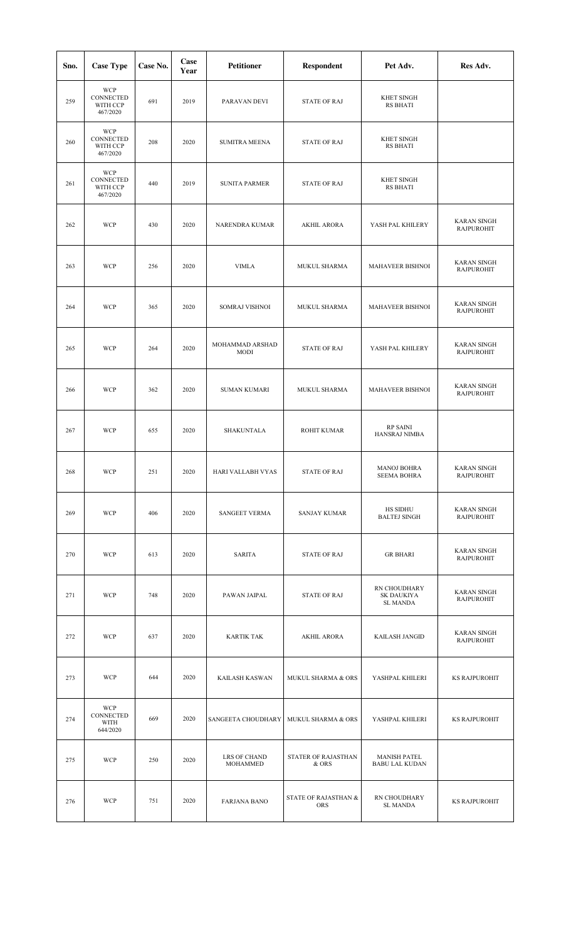| Sno. | <b>Case Type</b>                                | Case No. | Case<br>Year | <b>Petitioner</b>              | Respondent                         | Pet Adv.                                     | Res Adv.                                |
|------|-------------------------------------------------|----------|--------------|--------------------------------|------------------------------------|----------------------------------------------|-----------------------------------------|
| 259  | <b>WCP</b><br>CONNECTED<br>WITH CCP<br>467/2020 | 691      | 2019         | PARAVAN DEVI                   | <b>STATE OF RAJ</b>                | <b>KHET SINGH</b><br><b>RS BHATI</b>         |                                         |
| 260  | <b>WCP</b><br>CONNECTED<br>WITH CCP<br>467/2020 | 208      | 2020         | <b>SUMITRA MEENA</b>           | <b>STATE OF RAJ</b>                | <b>KHET SINGH</b><br><b>RS BHATI</b>         |                                         |
| 261  | <b>WCP</b><br>CONNECTED<br>WITH CCP<br>467/2020 | 440      | 2019         | <b>SUNITA PARMER</b>           | <b>STATE OF RAJ</b>                | <b>KHET SINGH</b><br><b>RS BHATI</b>         |                                         |
| 262  | <b>WCP</b>                                      | 430      | 2020         | NARENDRA KUMAR                 | <b>AKHIL ARORA</b>                 | YASH PAL KHILERY                             | <b>KARAN SINGH</b><br><b>RAJPUROHIT</b> |
| 263  | <b>WCP</b>                                      | 256      | 2020         | <b>VIMLA</b>                   | MUKUL SHARMA                       | <b>MAHAVEER BISHNOI</b>                      | <b>KARAN SINGH</b><br><b>RAJPUROHIT</b> |
| 264  | <b>WCP</b>                                      | 365      | 2020         | <b>SOMRAJ VISHNOI</b>          | MUKUL SHARMA                       | <b>MAHAVEER BISHNOI</b>                      | <b>KARAN SINGH</b><br><b>RAJPUROHIT</b> |
| 265  | <b>WCP</b>                                      | 264      | 2020         | MOHAMMAD ARSHAD<br><b>MODI</b> | <b>STATE OF RAJ</b>                | YASH PAL KHILERY                             | <b>KARAN SINGH</b><br><b>RAJPUROHIT</b> |
| 266  | <b>WCP</b>                                      | 362      | 2020         | <b>SUMAN KUMARI</b>            | MUKUL SHARMA                       | <b>MAHAVEER BISHNOI</b>                      | <b>KARAN SINGH</b><br><b>RAJPUROHIT</b> |
| 267  | <b>WCP</b>                                      | 655      | 2020         | SHAKUNTALA                     | <b>ROHIT KUMAR</b>                 | <b>RP SAINI</b><br>HANSRAJ NIMBA             |                                         |
| 268  | <b>WCP</b>                                      | 251      | 2020         | HARI VALLABH VYAS              | <b>STATE OF RAJ</b>                | <b>MANOJ BOHRA</b><br><b>SEEMA BOHRA</b>     | <b>KARAN SINGH</b><br><b>RAJPUROHIT</b> |
| 269  | <b>WCP</b>                                      | 406      | 2020         | SANGEET VERMA                  | <b>SANJAY KUMAR</b>                | HS SIDHU<br><b>BALTEJ SINGH</b>              | <b>KARAN SINGH</b><br><b>RAJPUROHIT</b> |
| 270  | <b>WCP</b>                                      | 613      | 2020         | SARITA                         | <b>STATE OF RAJ</b>                | <b>GR BHARI</b>                              | <b>KARAN SINGH</b><br><b>RAJPUROHIT</b> |
| 271  | <b>WCP</b>                                      | 748      | 2020         | PAWAN JAIPAL                   | <b>STATE OF RAJ</b>                | RN CHOUDHARY<br>SK DAUKIYA<br>SL MANDA       | <b>KARAN SINGH</b><br><b>RAJPUROHIT</b> |
| 272  | <b>WCP</b>                                      | 637      | 2020         | <b>KARTIK TAK</b>              | <b>AKHIL ARORA</b>                 | KAILASH JANGID                               | <b>KARAN SINGH</b><br><b>RAJPUROHIT</b> |
| 273  | <b>WCP</b>                                      | 644      | 2020         | KAILASH KASWAN                 | MUKUL SHARMA & ORS                 | YASHPAL KHILERI                              | <b>KS RAJPUROHIT</b>                    |
| 274  | <b>WCP</b><br>CONNECTED<br>WITH<br>644/2020     | 669      | 2020         | SANGEETA CHOUDHARY             | MUKUL SHARMA & ORS                 | YASHPAL KHILERI                              | <b>KS RAJPUROHIT</b>                    |
| 275  | <b>WCP</b>                                      | 250      | 2020         | LRS OF CHAND<br>MOHAMMED       | STATER OF RAJASTHAN<br>& ORS       | <b>MANISH PATEL</b><br><b>BABU LAL KUDAN</b> |                                         |
| 276  | <b>WCP</b>                                      | 751      | 2020         | <b>FARJANA BANO</b>            | STATE OF RAJASTHAN &<br><b>ORS</b> | RN CHOUDHARY<br><b>SL MANDA</b>              | <b>KS RAJPUROHIT</b>                    |